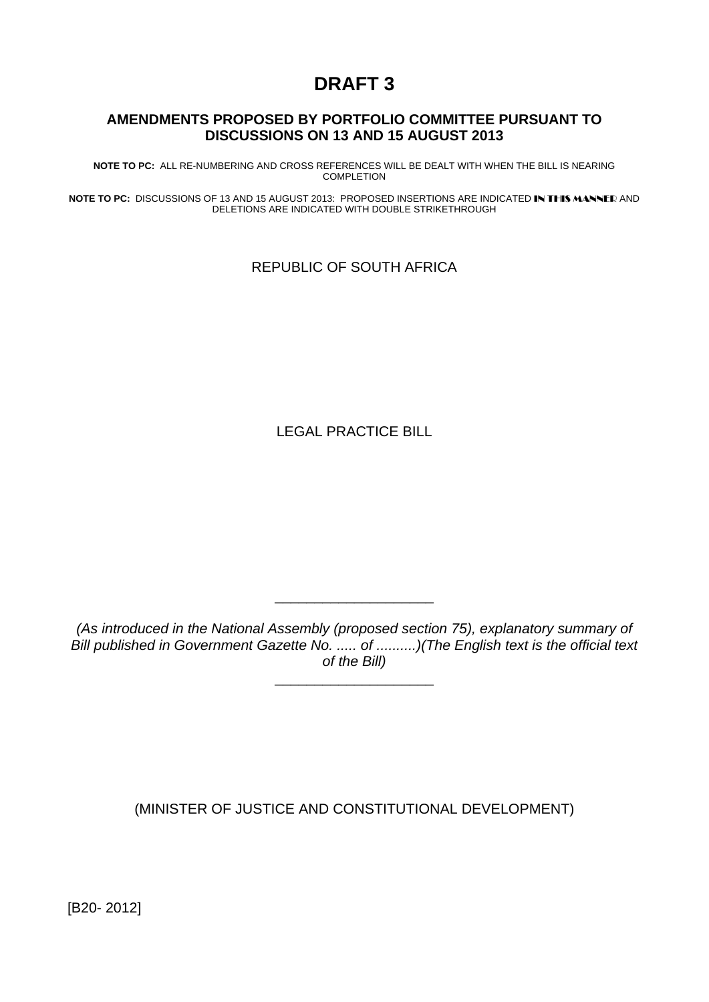# **DRAFT 3**

#### **AMENDMENTS PROPOSED BY PORTFOLIO COMMITTEE PURSUANT TO DISCUSSIONS ON 13 AND 15 AUGUST 2013**

**NOTE TO PC:** ALL RE-NUMBERING AND CROSS REFERENCES WILL BE DEALT WITH WHEN THE BILL IS NEARING COMPLETION

**NOTE TO PC:** DISCUSSIONS OF 13 AND 15 AUGUST 2013: PROPOSED INSERTIONS ARE INDICATED IN THIS MANNER AND DELETIONS ARE INDICATED WITH DOUBLE STRIKETHROUGH

REPUBLIC OF SOUTH AFRICA

LEGAL PRACTICE BILL

*(As introduced in the National Assembly (proposed section 75), explanatory summary of Bill published in Government Gazette No.* ..... of ..........)(The English text is the official text *of the Bill)* 

\_\_\_\_\_\_\_\_\_\_\_\_\_\_\_\_\_\_\_\_

\_\_\_\_\_\_\_\_\_\_\_\_\_\_\_\_\_\_\_\_

(MINISTER OF JUSTICE AND CONSTITUTIONAL DEVELOPMENT)

[B20- 2012]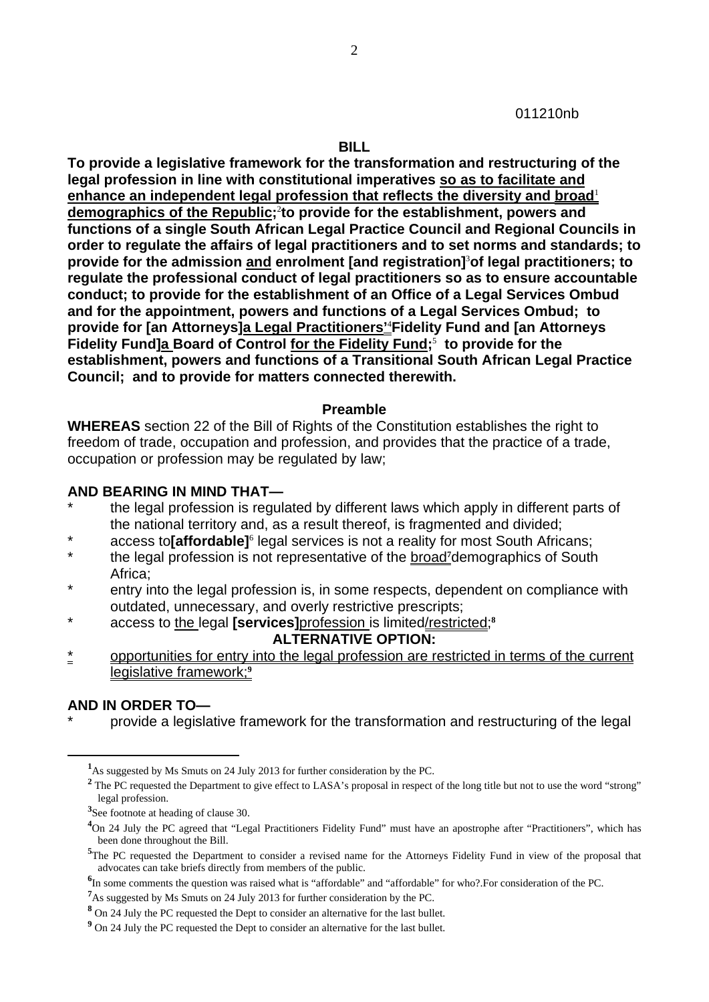011210nb

**BILL** 

**To provide a legislative framework for the transformation and restructuring of the legal profession in line with constitutional imperatives so as to facilitate and enhance an independent legal profession that reflects the diversity and broad**<sup>1</sup> **demographics of the Republic;**<sup>2</sup> **to provide for the establishment, powers and functions of a single South African Legal Practice Council and Regional Councils in order to regulate the affairs of legal practitioners and to set norms and standards; to provide for the admission and enrolment [and registration]**<sup>3</sup> **of legal practitioners; to regulate the professional conduct of legal practitioners so as to ensure accountable conduct; to provide for the establishment of an Office of a Legal Services Ombud and for the appointment, powers and functions of a Legal Services Ombud; to provide for [an Attorneys]a Legal Practitioners'**<sup>4</sup> **Fidelity Fund and [an Attorneys Fidelity Fund]a Board of Control for the Fidelity Fund;**<sup>5</sup>  **to provide for the establishment, powers and functions of a Transitional South African Legal Practice Council; and to provide for matters connected therewith.** 

#### **Preamble**

**WHEREAS** section 22 of the Bill of Rights of the Constitution establishes the right to freedom of trade, occupation and profession, and provides that the practice of a trade, occupation or profession may be regulated by law;

#### **AND BEARING IN MIND THAT—**

- the legal profession is regulated by different laws which apply in different parts of the national territory and, as a result thereof, is fragmented and divided;
- \* access to**[affordable]**<sup>6</sup> legal services is not a reality for most South Africans;
- \* the legal profession is not representative of the broad**<sup>7</sup>** demographics of South Africa;
- \* entry into the legal profession is, in some respects, dependent on compliance with outdated, unnecessary, and overly restrictive prescripts;
- \* access to the legal **[services]**profession is limited/restricted;**<sup>8</sup>**

#### **ALTERNATIVE OPTION:**

opportunities for entry into the legal profession are restricted in terms of the current legislative framework;**<sup>9</sup>**

#### **AND IN ORDER TO—**

 $\overline{a}$ 

provide a legislative framework for the transformation and restructuring of the legal

**<sup>1</sup>** As suggested by Ms Smuts on 24 July 2013 for further consideration by the PC.

<sup>&</sup>lt;sup>2</sup> The PC requested the Department to give effect to LASA's proposal in respect of the long title but not to use the word "strong" legal profession.

**<sup>3</sup>** See footnote at heading of clause 30.

<sup>&</sup>lt;sup>4</sup>On 24 July the PC agreed that "Legal Practitioners Fidelity Fund" must have an apostrophe after "Practitioners", which has been done throughout the Bill.

<sup>&</sup>lt;sup>5</sup>The PC requested the Department to consider a revised name for the Attorneys Fidelity Fund in view of the proposal that advocates can take briefs directly from members of the public.

<sup>&</sup>lt;sup>6</sup>In some comments the question was raised what is "affordable" and "affordable" for who?.For consideration of the PC.

**<sup>7</sup>** As suggested by Ms Smuts on 24 July 2013 for further consideration by the PC.

**<sup>8</sup>** On 24 July the PC requested the Dept to consider an alternative for the last bullet.

<sup>&</sup>lt;sup>9</sup> On 24 July the PC requested the Dept to consider an alternative for the last bullet.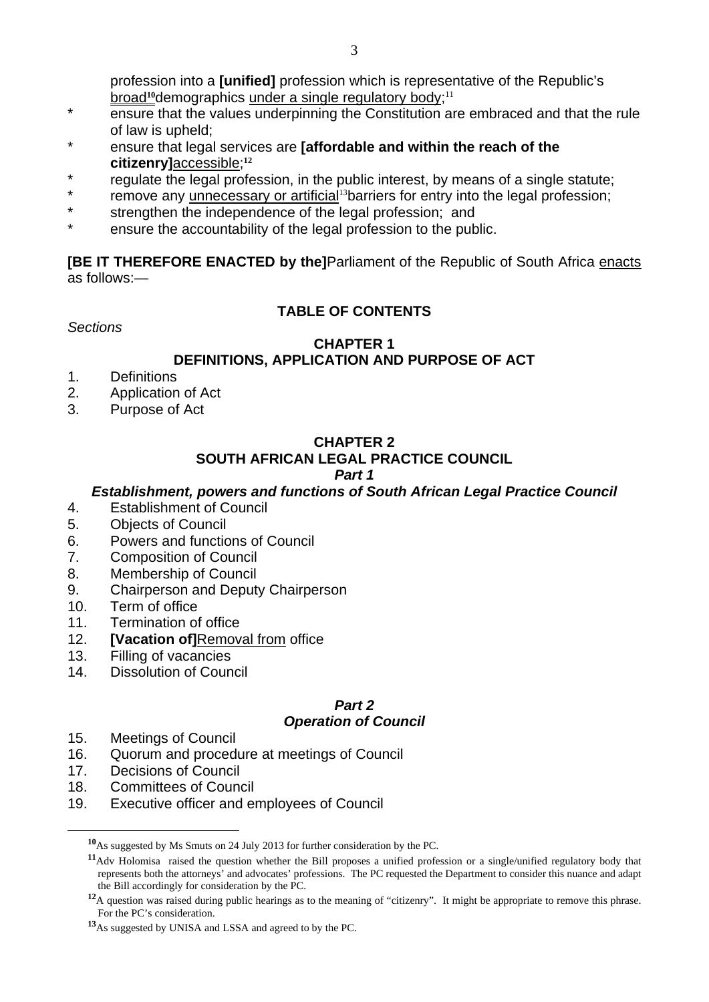profession into a **[unified]** profession which is representative of the Republic's broad<sup>10</sup>demographics under a single regulatory body;<sup>11</sup>

- \* ensure that the values underpinning the Constitution are embraced and that the rule of law is upheld;
- \* ensure that legal services are **[affordable and within the reach of the citizenry]**accessible;**<sup>12</sup>**
- \* regulate the legal profession, in the public interest, by means of a single statute;
- remove any unnecessary or artificial<sup>13</sup>barriers for entry into the legal profession;
- \* strengthen the independence of the legal profession; and
- \* ensure the accountability of the legal profession to the public.

**[BE IT THEREFORE ENACTED by the]**Parliament of the Republic of South Africa enacts as follows:—

# **TABLE OF CONTENTS**

*Sections* 

#### **CHAPTER 1 DEFINITIONS, APPLICATION AND PURPOSE OF ACT**

- 1. Definitions
- 2. Application of Act
- 3. Purpose of Act

# **CHAPTER 2**

# **SOUTH AFRICAN LEGAL PRACTICE COUNCIL**

# *Part 1*

# *Establishment, powers and functions of South African Legal Practice Council*

- 4. Establishment of Council
- 5. Objects of Council
- 6. Powers and functions of Council
- 7. Composition of Council
- 8. Membership of Council
- 9. Chairperson and Deputy Chairperson
- 10. Term of office
- 11. Termination of office
- 12. **[Vacation of]**Removal from office
- 13. Filling of vacancies
- 14. Dissolution of Council

#### *Part 2 Operation of Council*

- 15. Meetings of Council
- 16. Quorum and procedure at meetings of Council
- 17. Decisions of Council

- 18. Committees of Council
- 19. Executive officer and employees of Council

**<sup>10</sup>**As suggested by Ms Smuts on 24 July 2013 for further consideration by the PC.

**<sup>11</sup>**Adv Holomisa raised the question whether the Bill proposes a unified profession or a single/unified regulatory body that represents both the attorneys' and advocates' professions. The PC requested the Department to consider this nuance and adapt the Bill accordingly for consideration by the PC.

<sup>&</sup>lt;sup>12</sup>A question was raised during public hearings as to the meaning of "citizenry". It might be appropriate to remove this phrase. For the PC's consideration.

**<sup>13</sup>**As suggested by UNISA and LSSA and agreed to by the PC.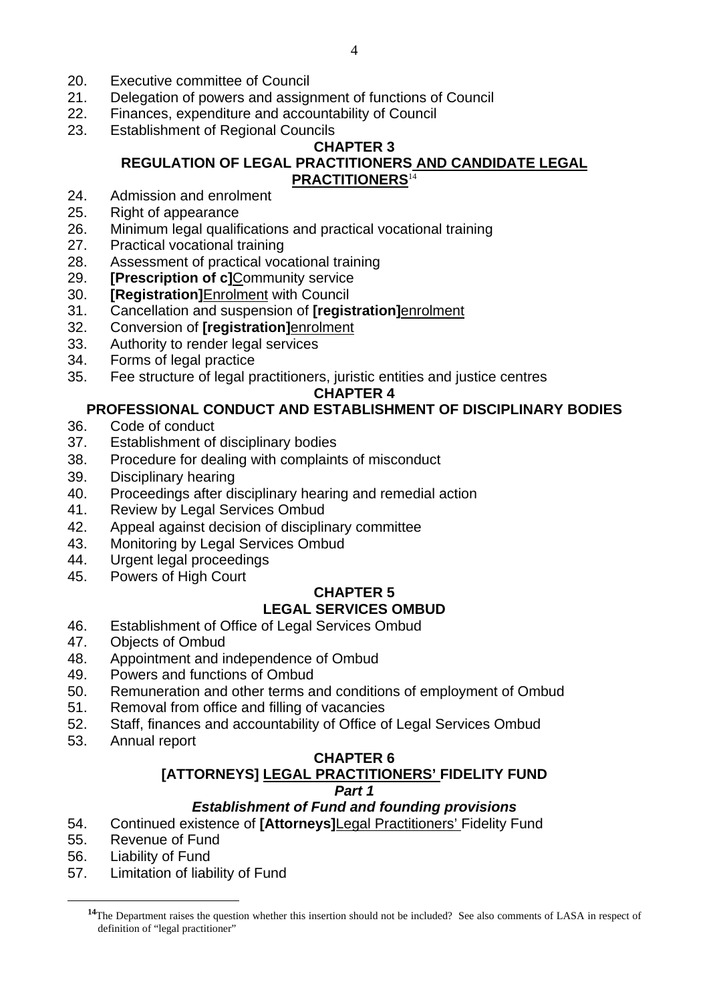- 20. Executive committee of Council
- 21. Delegation of powers and assignment of functions of Council
- 22. Finances, expenditure and accountability of Council
- 23. Establishment of Regional Councils

### **CHAPTER 3**

### **REGULATION OF LEGAL PRACTITIONERS AND CANDIDATE LEGAL PRACTITIONERS**<sup>14</sup>

- 24. Admission and enrolment
- 25. Right of appearance
- 26. Minimum legal qualifications and practical vocational training
- 27. Practical vocational training
- 28. Assessment of practical vocational training
- 29. **[Prescription of c]**Community service
- 30. **[Registration]**Enrolment with Council
- 31. Cancellation and suspension of **[registration]**enrolment
- 32. Conversion of **[registration]**enrolment
- 33. Authority to render legal services
- 34. Forms of legal practice
- 35. Fee structure of legal practitioners, juristic entities and justice centres

#### **CHAPTER 4**

### **PROFESSIONAL CONDUCT AND ESTABLISHMENT OF DISCIPLINARY BODIES**

- 36. Code of conduct
- 37. Establishment of disciplinary bodies
- 38. Procedure for dealing with complaints of misconduct
- 39. Disciplinary hearing
- 40. Proceedings after disciplinary hearing and remedial action
- 41. Review by Legal Services Ombud
- 42. Appeal against decision of disciplinary committee
- 43. Monitoring by Legal Services Ombud
- 44. Urgent legal proceedings
- 45. Powers of High Court

#### **CHAPTER 5 LEGAL SERVICES OMBUD**

- 46. Establishment of Office of Legal Services Ombud
- 47. Objects of Ombud
- 48. Appointment and independence of Ombud
- 49. Powers and functions of Ombud
- 50. Remuneration and other terms and conditions of employment of Ombud
- 51. Removal from office and filling of vacancies
- 52. Staff, finances and accountability of Office of Legal Services Ombud
- 53. Annual report

#### **CHAPTER 6**

# **[ATTORNEYS] LEGAL PRACTITIONERS' FIDELITY FUND**

### *Part 1*

### *Establishment of Fund and founding provisions*

- 54. Continued existence of **[Attorneys]**Legal Practitioners' Fidelity Fund
- 55. Revenue of Fund
- 56. Liability of Fund

 $\overline{a}$ 

57. Limitation of liability of Fund

<sup>&</sup>lt;sup>14</sup>The Department raises the question whether this insertion should not be included? See also comments of LASA in respect of definition of "legal practitioner"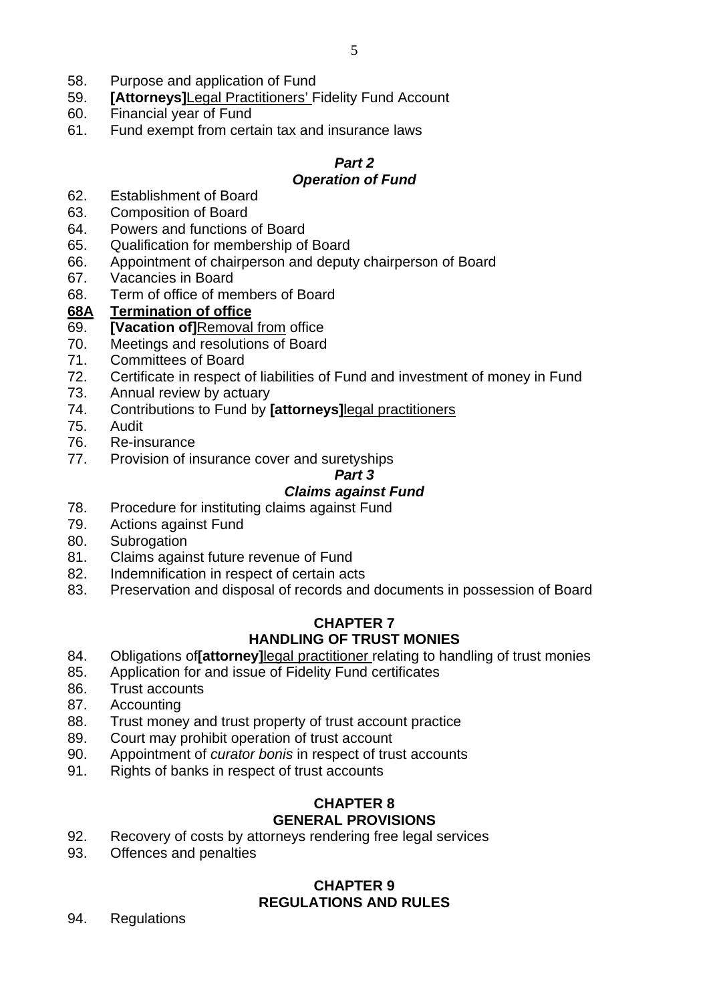- 58. Purpose and application of Fund
- 59. **[Attorneys]**Legal Practitioners' Fidelity Fund Account
- 60. Financial year of Fund
- 61. Fund exempt from certain tax and insurance laws

# *Part 2*

# *Operation of Fund*

- 62. Establishment of Board
- 63. Composition of Board
- 64. Powers and functions of Board
- 65. Qualification for membership of Board
- 66. Appointment of chairperson and deputy chairperson of Board
- 67. Vacancies in Board
- 68. Term of office of members of Board

### **68A Termination of office**

- 69. **[Vacation of]**Removal from office
- 70. Meetings and resolutions of Board
- 71. Committees of Board
- 72. Certificate in respect of liabilities of Fund and investment of money in Fund
- 73. Annual review by actuary
- 74. Contributions to Fund by **[attorneys]**legal practitioners
- 75. Audit
- 76. Re-insurance
- 77. Provision of insurance cover and suretyships

#### *Part 3*

# *Claims against Fund*

- 78. Procedure for instituting claims against Fund
- 79. Actions against Fund
- 80. Subrogation
- 81. Claims against future revenue of Fund
- 82. Indemnification in respect of certain acts
- 83. Preservation and disposal of records and documents in possession of Board

### **CHAPTER 7 HANDLING OF TRUST MONIES**

- 84. Obligations of**[attorney]**legal practitioner relating to handling of trust monies
- 85. Application for and issue of Fidelity Fund certificates
- 86. Trust accounts
- 87. Accounting
- 88. Trust money and trust property of trust account practice
- 89. Court may prohibit operation of trust account
- 90. Appointment of *curator bonis* in respect of trust accounts
- 91. Rights of banks in respect of trust accounts

### **CHAPTER 8 GENERAL PROVISIONS**

- 92. Recovery of costs by attorneys rendering free legal services
- 93. Offences and penalties

### **CHAPTER 9 REGULATIONS AND RULES**

94. Regulations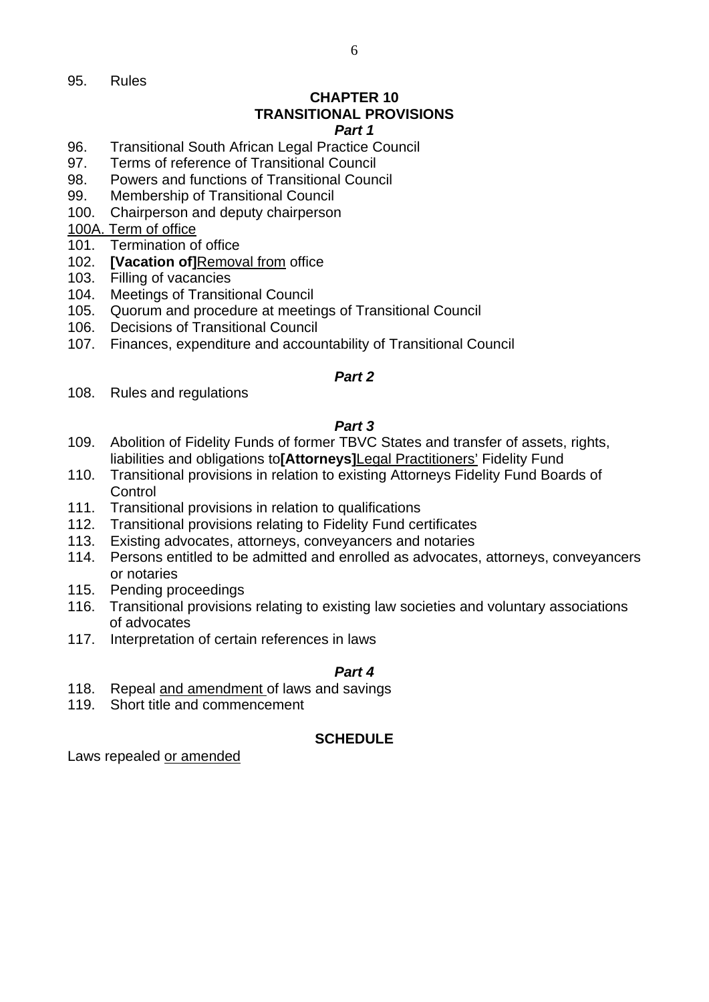95. Rules

# **CHAPTER 10 TRANSITIONAL PROVISIONS**

#### *Part 1*

- 96. Transitional South African Legal Practice Council
- 97. Terms of reference of Transitional Council
- 98. Powers and functions of Transitional Council
- 99. Membership of Transitional Council
- 100. Chairperson and deputy chairperson

### 100A. Term of office

- 101. Termination of office
- 102. **[Vacation of]**Removal from office
- 103. Filling of vacancies
- 104. Meetings of Transitional Council
- 105. Quorum and procedure at meetings of Transitional Council
- 106. Decisions of Transitional Council
- 107. Finances, expenditure and accountability of Transitional Council

### *Part 2*

108. Rules and regulations

### *Part 3*

- 109. Abolition of Fidelity Funds of former TBVC States and transfer of assets, rights, liabilities and obligations to**[Attorneys]**Legal Practitioners' Fidelity Fund
- 110. Transitional provisions in relation to existing Attorneys Fidelity Fund Boards of **Control**
- 111. Transitional provisions in relation to qualifications
- 112. Transitional provisions relating to Fidelity Fund certificates
- 113. Existing advocates, attorneys, conveyancers and notaries
- 114. Persons entitled to be admitted and enrolled as advocates, attorneys, conveyancers or notaries
- 115. Pending proceedings
- 116. Transitional provisions relating to existing law societies and voluntary associations of advocates
- 117. Interpretation of certain references in laws

### *Part 4*

- 118. Repeal and amendment of laws and savings
- 119. Short title and commencement

### **SCHEDULE**

Laws repealed or amended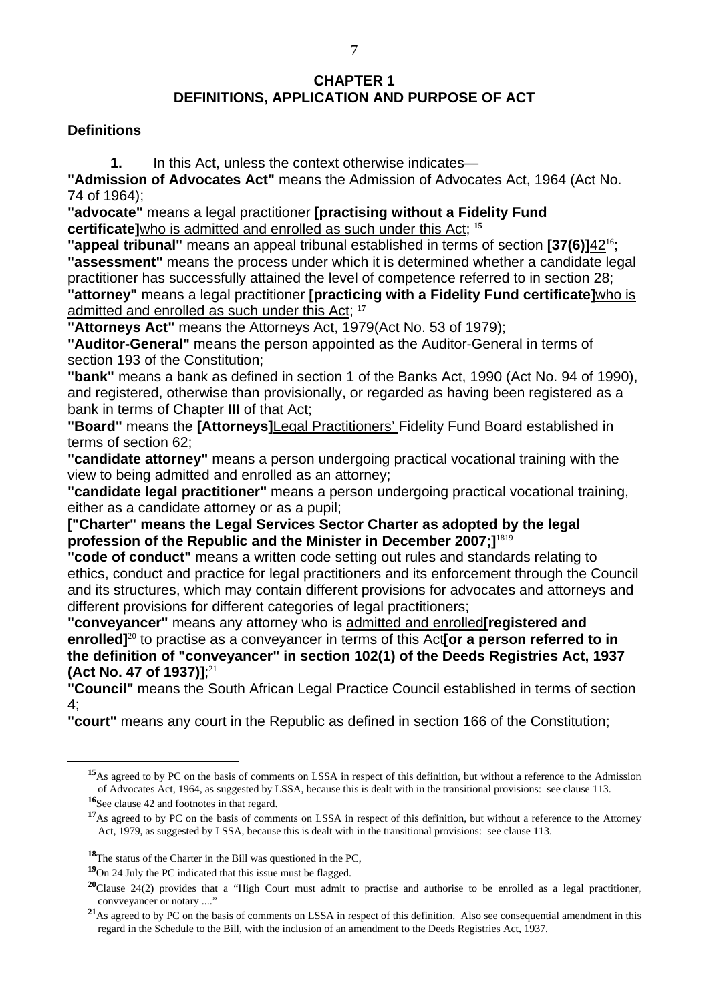### **CHAPTER 1 DEFINITIONS, APPLICATION AND PURPOSE OF ACT**

#### **Definitions**

**1.** In this Act, unless the context otherwise indicates—

**"Admission of Advocates Act"** means the Admission of Advocates Act, 1964 (Act No. 74 of 1964);

**"advocate"** means a legal practitioner **[practising without a Fidelity Fund certificate]**who is admitted and enrolled as such under this Act; **<sup>15</sup>**

**"appeal tribunal"** means an appeal tribunal established in terms of section **[37(6)]**42<sup>16</sup>; **"assessment"** means the process under which it is determined whether a candidate legal practitioner has successfully attained the level of competence referred to in section 28; **"attorney"** means a legal practitioner **[practicing with a Fidelity Fund certificate]**who is admitted and enrolled as such under this Act; **<sup>17</sup>**

**"Attorneys Act"** means the Attorneys Act, 1979(Act No. 53 of 1979);

**"Auditor-General"** means the person appointed as the Auditor-General in terms of section 193 of the Constitution;

**"bank"** means a bank as defined in section 1 of the Banks Act, 1990 (Act No. 94 of 1990), and registered, otherwise than provisionally, or regarded as having been registered as a bank in terms of Chapter III of that Act;

**"Board"** means the **[Attorneys]**Legal Practitioners' Fidelity Fund Board established in terms of section 62;

**"candidate attorney"** means a person undergoing practical vocational training with the view to being admitted and enrolled as an attorney;

**"candidate legal practitioner"** means a person undergoing practical vocational training, either as a candidate attorney or as a pupil;

**["Charter" means the Legal Services Sector Charter as adopted by the legal profession of the Republic and the Minister in December 2007;]**<sup>1819</sup>

**"code of conduct"** means a written code setting out rules and standards relating to ethics, conduct and practice for legal practitioners and its enforcement through the Council and its structures, which may contain different provisions for advocates and attorneys and different provisions for different categories of legal practitioners;

**"conveyancer"** means any attorney who is admitted and enrolled**[registered and enrolled]**<sup>20</sup> to practise as a conveyancer in terms of this Act**[or a person referred to in the definition of "conveyancer" in section 102(1) of the Deeds Registries Act, 1937 (Act No. 47 of 1937)]**; 21

**"Council"** means the South African Legal Practice Council established in terms of section 4;

**"court"** means any court in the Republic as defined in section 166 of the Constitution;

 $\overline{a}$ 

**<sup>19</sup>**On 24 July the PC indicated that this issue must be flagged.

**<sup>15</sup>**As agreed to by PC on the basis of comments on LSSA in respect of this definition, but without a reference to the Admission of Advocates Act, 1964, as suggested by LSSA, because this is dealt with in the transitional provisions: see clause 113.

**<sup>16</sup>**See clause 42 and footnotes in that regard.

<sup>&</sup>lt;sup>17</sup>As agreed to by PC on the basis of comments on LSSA in respect of this definition, but without a reference to the Attorney Act, 1979, as suggested by LSSA, because this is dealt with in the transitional provisions: see clause 113.

**<sup>18</sup>**The status of the Charter in the Bill was questioned in the PC,

**<sup>20</sup>**Clause 24(2) provides that a "High Court must admit to practise and authorise to be enrolled as a legal practitioner, convveyancer or notary ...."

**<sup>21</sup>**As agreed to by PC on the basis of comments on LSSA in respect of this definition. Also see consequential amendment in this regard in the Schedule to the Bill, with the inclusion of an amendment to the Deeds Registries Act, 1937.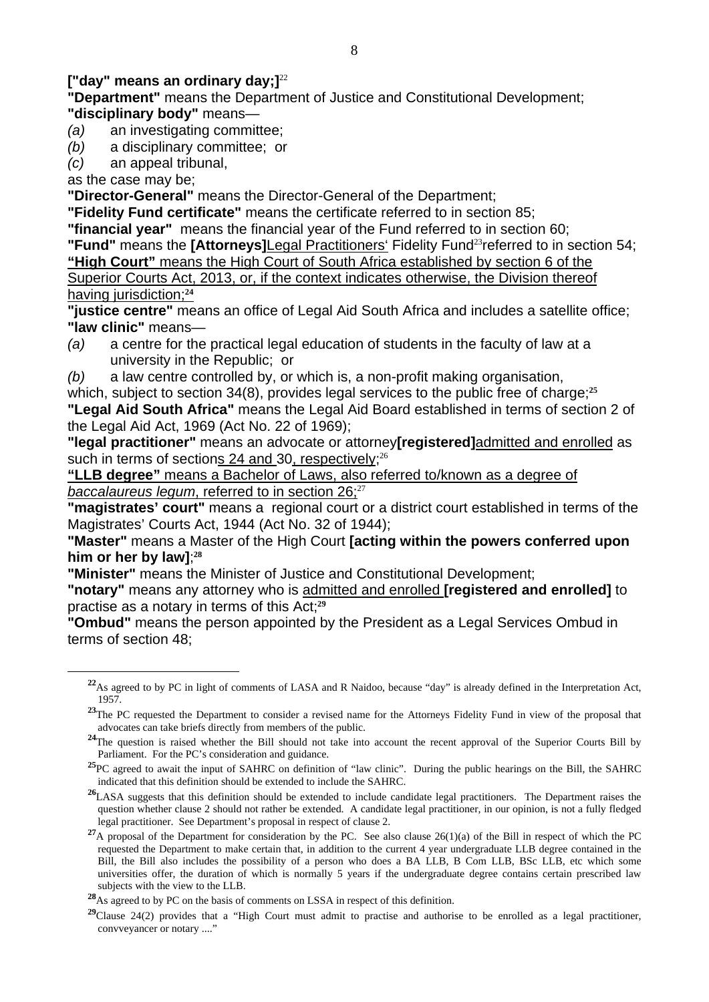### **["day" means an ordinary day;]**<sup>22</sup>

**"Department"** means the Department of Justice and Constitutional Development; **"disciplinary body"** means—

- *(a)* an investigating committee;
- *(b)* a disciplinary committee; or
- *(c)* an appeal tribunal,

as the case may be;

 $\overline{a}$ 

**"Director-General"** means the Director-General of the Department;

**"Fidelity Fund certificate"** means the certificate referred to in section 85;

**"financial year"** means the financial year of the Fund referred to in section 60;

**"Fund"** means the **[Attorneys]**Legal Practitioners' Fidelity Fund<sup>23</sup> referred to in section 54; **"High Court"** means the High Court of South Africa established by section 6 of the Superior Courts Act, 2013, or, if the context indicates otherwise, the Division thereof having jurisdiction;**<sup>24</sup>**

**"justice centre"** means an office of Legal Aid South Africa and includes a satellite office; **"law clinic"** means—

- *(a)* a centre for the practical legal education of students in the faculty of law at a university in the Republic; or
- *(b)* a law centre controlled by, or which is, a non-profit making organisation,

which, subject to section 34(8), provides legal services to the public free of charge;<sup>25</sup> **"Legal Aid South Africa"** means the Legal Aid Board established in terms of section 2 of the Legal Aid Act, 1969 (Act No. 22 of 1969);

**"legal practitioner"** means an advocate or attorney**[registered]**admitted and enrolled as such in terms of sections  $24$  and  $30$ , respectively;<sup>26</sup>

**"LLB degree"** means a Bachelor of Laws, also referred to/known as a degree of *baccalaureus legum*, referred to in section 26;<sup>27</sup>

**"magistrates' court"** means a regional court or a district court established in terms of the Magistrates' Courts Act, 1944 (Act No. 32 of 1944);

**"Master"** means a Master of the High Court **[acting within the powers conferred upon him or her by law]**; **28**

**"Minister"** means the Minister of Justice and Constitutional Development;

**"notary"** means any attorney who is admitted and enrolled **[registered and enrolled]** to practise as a notary in terms of this Act;**<sup>29</sup>**

**"Ombud"** means the person appointed by the President as a Legal Services Ombud in terms of section 48;

**<sup>22</sup>**As agreed to by PC in light of comments of LASA and R Naidoo, because "day" is already defined in the Interpretation Act, 1957.

<sup>&</sup>lt;sup>23</sup>The PC requested the Department to consider a revised name for the Attorneys Fidelity Fund in view of the proposal that advocates can take briefs directly from members of the public.

<sup>&</sup>lt;sup>24</sup>The question is raised whether the Bill should not take into account the recent approval of the Superior Courts Bill by Parliament. For the PC's consideration and guidance.

<sup>&</sup>lt;sup>25</sup>PC agreed to await the input of SAHRC on definition of "law clinic". During the public hearings on the Bill, the SAHRC indicated that this definition should be extended to include the SAHRC.

<sup>&</sup>lt;sup>26</sup>LASA suggests that this definition should be extended to include candidate legal practitioners. The Department raises the question whether clause 2 should not rather be extended. A candidate legal practitioner, in our opinion, is not a fully fledged legal practitioner. See Department's proposal in respect of clause 2.

<sup>&</sup>lt;sup>27</sup>A proposal of the Department for consideration by the PC. See also clause 26(1)(a) of the Bill in respect of which the PC requested the Department to make certain that, in addition to the current 4 year undergraduate LLB degree contained in the Bill, the Bill also includes the possibility of a person who does a BA LLB, B Com LLB, BSc LLB, etc which some universities offer, the duration of which is normally 5 years if the undergraduate degree contains certain prescribed law subjects with the view to the LLB.

**<sup>28</sup>**As agreed to by PC on the basis of comments on LSSA in respect of this definition.

**<sup>29</sup>**Clause 24(2) provides that a "High Court must admit to practise and authorise to be enrolled as a legal practitioner, convveyancer or notary ...."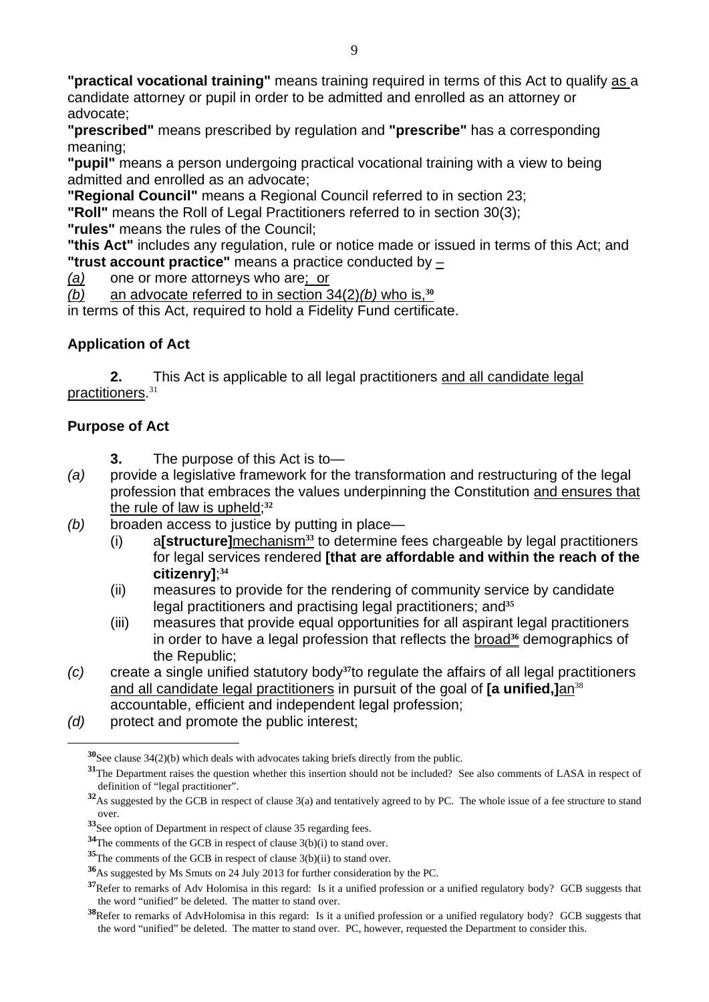**"practical vocational training"** means training required in terms of this Act to qualify as a candidate attorney or pupil in order to be admitted and enrolled as an attorney or advocate;

**"prescribed"** means prescribed by regulation and **"prescribe"** has a corresponding meaning;

**"pupil"** means a person undergoing practical vocational training with a view to being admitted and enrolled as an advocate;

**"Regional Council"** means a Regional Council referred to in section 23;

**"Roll"** means the Roll of Legal Practitioners referred to in section 30(3);

**"rules"** means the rules of the Council;

**"this Act"** includes any regulation, rule or notice made or issued in terms of this Act; and **"trust account practice"** means a practice conducted by –

*(a)* one or more attorneys who are; or

*(b)* an advocate referred to in section 34(2)*(b)* who is,**<sup>30</sup>**

in terms of this Act, required to hold a Fidelity Fund certificate.

### **Application of Act**

**2.** This Act is applicable to all legal practitioners and all candidate legal practitioners.<sup>31</sup>

### **Purpose of Act**

- **3.** The purpose of this Act is to—
- *(a)* provide a legislative framework for the transformation and restructuring of the legal profession that embraces the values underpinning the Constitution and ensures that the rule of law is upheld;**<sup>32</sup>**
- *(b)* broaden access to justice by putting in place—
	- (i) a**[structure]**mechanism**33** to determine fees chargeable by legal practitioners for legal services rendered **[that are affordable and within the reach of the citizenry]**; **34**
	- (ii) measures to provide for the rendering of community service by candidate legal practitioners and practising legal practitioners; and**<sup>35</sup>**
	- (iii) measures that provide equal opportunities for all aspirant legal practitioners in order to have a legal profession that reflects the broad**36** demographics of the Republic;
- *(c)* create a single unified statutory body**37**to regulate the affairs of all legal practitioners and all candidate legal practitioners in pursuit of the goal of **[a unified,]**an<sup>38</sup> accountable, efficient and independent legal profession;
- *(d)* protect and promote the public interest;

**<sup>30</sup>**See clause 34(2)(b) which deals with advocates taking briefs directly from the public.

**<sup>31</sup>**The Department raises the question whether this insertion should not be included? See also comments of LASA in respect of definition of "legal practitioner".

**<sup>32</sup>**As suggested by the GCB in respect of clause 3(a) and tentatively agreed to by PC. The whole issue of a fee structure to stand over.

**<sup>33</sup>**See option of Department in respect of clause 35 regarding fees.

**<sup>34</sup>**The comments of the GCB in respect of clause 3(b)(i) to stand over.

**<sup>35</sup>**The comments of the GCB in respect of clause 3(b)(ii) to stand over.

**<sup>36</sup>**As suggested by Ms Smuts on 24 July 2013 for further consideration by the PC.

**<sup>37</sup>**Refer to remarks of Adv Holomisa in this regard: Is it a unified profession or a unified regulatory body? GCB suggests that the word "unified" be deleted. The matter to stand over.

**<sup>38</sup>**Refer to remarks of AdvHolomisa in this regard: Is it a unified profession or a unified regulatory body? GCB suggests that the word "unified" be deleted. The matter to stand over. PC, however, requested the Department to consider this.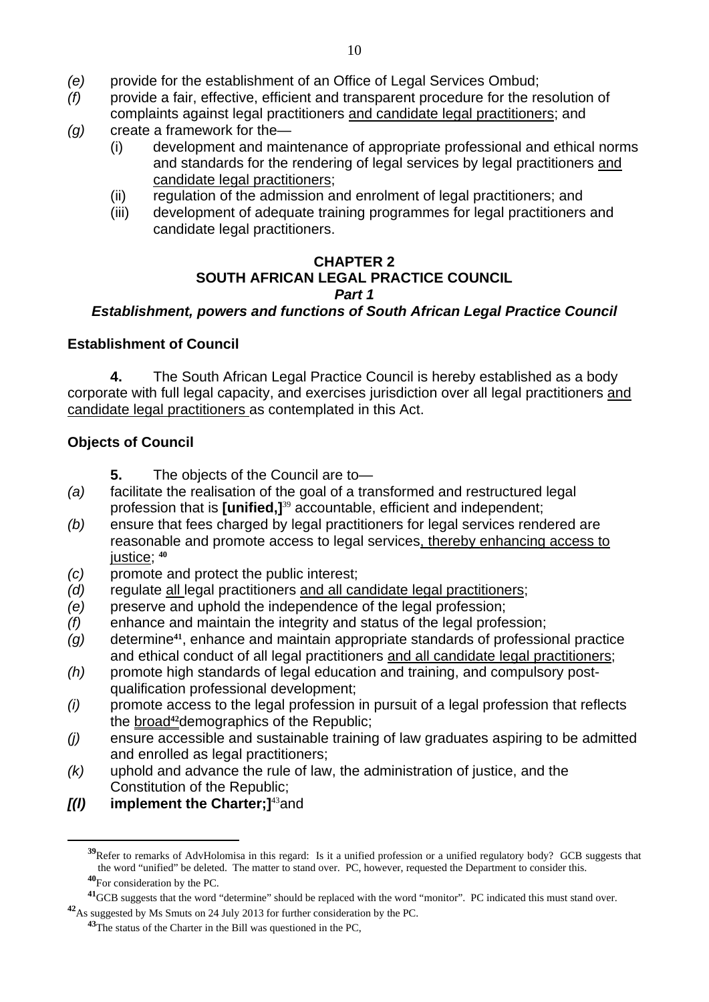- *(e)* provide for the establishment of an Office of Legal Services Ombud;
- *(f)* provide a fair, effective, efficient and transparent procedure for the resolution of complaints against legal practitioners and candidate legal practitioners; and
- *(g)* create a framework for the—
	- (i) development and maintenance of appropriate professional and ethical norms and standards for the rendering of legal services by legal practitioners and candidate legal practitioners;
	- (ii) regulation of the admission and enrolment of legal practitioners; and
	- (iii) development of adequate training programmes for legal practitioners and candidate legal practitioners.

#### **CHAPTER 2 SOUTH AFRICAN LEGAL PRACTICE COUNCIL**  *Part 1*

### *Establishment, powers and functions of South African Legal Practice Council*

#### **Establishment of Council**

 **4.** The South African Legal Practice Council is hereby established as a body corporate with full legal capacity, and exercises jurisdiction over all legal practitioners and candidate legal practitioners as contemplated in this Act.

### **Objects of Council**

- **5.** The objects of the Council are to—
- *(a)* facilitate the realisation of the goal of a transformed and restructured legal profession that is **[unified,]**<sup>39</sup> accountable, efficient and independent;
- *(b)* ensure that fees charged by legal practitioners for legal services rendered are reasonable and promote access to legal services, thereby enhancing access to justice; **<sup>40</sup>**
- *(c)* promote and protect the public interest;
- *(d)* regulate all legal practitioners and all candidate legal practitioners;
- *(e)* preserve and uphold the independence of the legal profession;
- *(f)* enhance and maintain the integrity and status of the legal profession;
- *(g)* determine**41**, enhance and maintain appropriate standards of professional practice and ethical conduct of all legal practitioners and all candidate legal practitioners;
- *(h)* promote high standards of legal education and training, and compulsory postqualification professional development;
- *(i)* promote access to the legal profession in pursuit of a legal profession that reflects the broad**42**demographics of the Republic;
- *(j)* ensure accessible and sustainable training of law graduates aspiring to be admitted and enrolled as legal practitioners;
- *(k)* uphold and advance the rule of law, the administration of justice, and the Constitution of the Republic;
- *[(l)* **implement the Charter;]**<sup>43</sup>and

**<sup>39</sup>**Refer to remarks of AdvHolomisa in this regard: Is it a unified profession or a unified regulatory body? GCB suggests that the word "unified" be deleted. The matter to stand over. PC, however, requested the Department to consider this. **<sup>40</sup>**For consideration by the PC.

**<sup>41</sup>**GCB suggests that the word "determine" should be replaced with the word "monitor". PC indicated this must stand over. **<sup>42</sup>**As suggested by Ms Smuts on 24 July 2013 for further consideration by the PC.

**<sup>43</sup>**The status of the Charter in the Bill was questioned in the PC,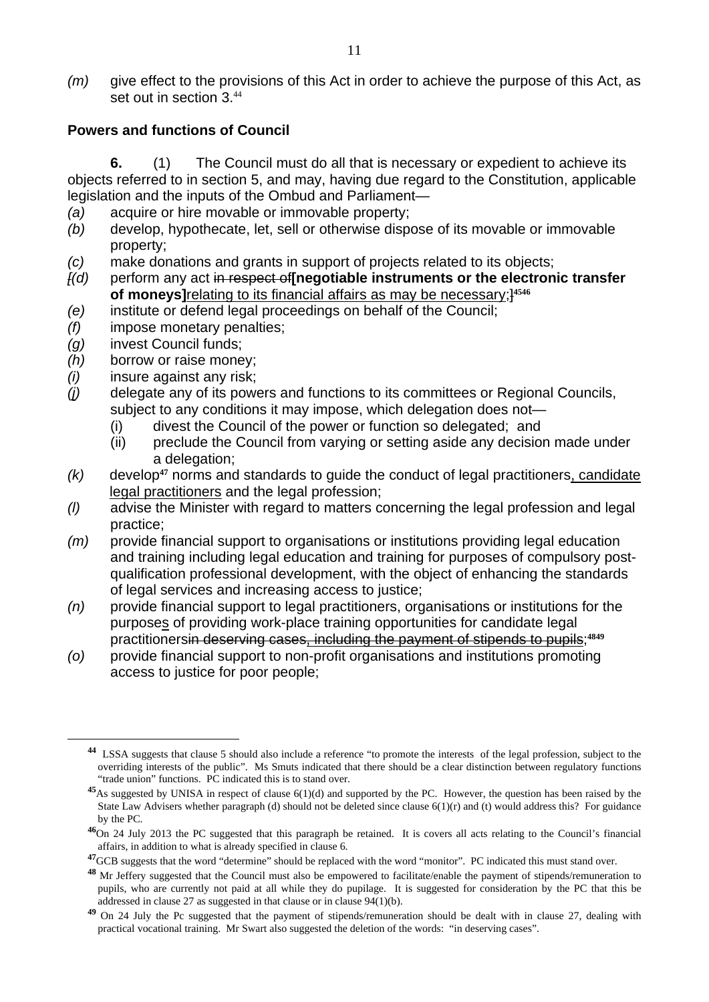*(m)* give effect to the provisions of this Act in order to achieve the purpose of this Act, as set out in section 3<sup>44</sup>

#### **Powers and functions of Council**

 **6.** (1) The Council must do all that is necessary or expedient to achieve its objects referred to in section 5, and may, having due regard to the Constitution, applicable legislation and the inputs of the Ombud and Parliament—

- *(a)* acquire or hire movable or immovable property;
- *(b)* develop, hypothecate, let, sell or otherwise dispose of its movable or immovable property;
- *(c)* make donations and grants in support of projects related to its objects;
- *[(d)* perform any act in respect of**[negotiable instruments or the electronic transfer of moneys]**relating to its financial affairs as may be necessary;]**<sup>4546</sup>**
- *(e)* institute or defend legal proceedings on behalf of the Council;
- *(f)* impose monetary penalties;
- *(g)* invest Council funds;

- *(h)* borrow or raise money;
- *(i)* insure against any risk;
- *(j)* delegate any of its powers and functions to its committees or Regional Councils, subject to any conditions it may impose, which delegation does not—
	- (i) divest the Council of the power or function so delegated; and
	- (ii) preclude the Council from varying or setting aside any decision made under a delegation;
- *(k)* develop**47** norms and standards to guide the conduct of legal practitioners, candidate legal practitioners and the legal profession;
- *(l)* advise the Minister with regard to matters concerning the legal profession and legal practice;
- *(m)* provide financial support to organisations or institutions providing legal education and training including legal education and training for purposes of compulsory postqualification professional development, with the object of enhancing the standards of legal services and increasing access to justice;
- *(n)* provide financial support to legal practitioners, organisations or institutions for the purposes of providing work-place training opportunities for candidate legal practitionersin deserving cases, including the payment of stipends to pupils;**<sup>4849</sup>**
- *(o)* provide financial support to non-profit organisations and institutions promoting access to justice for poor people;

**<sup>44</sup>** LSSA suggests that clause 5 should also include a reference "to promote the interests of the legal profession, subject to the overriding interests of the public". Ms Smuts indicated that there should be a clear distinction between regulatory functions "trade union" functions. PC indicated this is to stand over.

**<sup>45</sup>**As suggested by UNISA in respect of clause 6(1)(d) and supported by the PC. However, the question has been raised by the State Law Advisers whether paragraph (d) should not be deleted since clause 6(1)(r) and (t) would address this? For guidance by the PC.

**<sup>46</sup>**On 24 July 2013 the PC suggested that this paragraph be retained. It is covers all acts relating to the Council's financial affairs, in addition to what is already specified in clause 6.

<sup>&</sup>lt;sup>47</sup>GCB suggests that the word "determine" should be replaced with the word "monitor". PC indicated this must stand over.

**<sup>48</sup>** Mr Jeffery suggested that the Council must also be empowered to facilitate/enable the payment of stipends/remuneration to pupils, who are currently not paid at all while they do pupilage. It is suggested for consideration by the PC that this be addressed in clause 27 as suggested in that clause or in clause 94(1)(b).

<sup>&</sup>lt;sup>49</sup> On 24 July the Pc suggested that the payment of stipends/remuneration should be dealt with in clause 27, dealing with practical vocational training. Mr Swart also suggested the deletion of the words: "in deserving cases".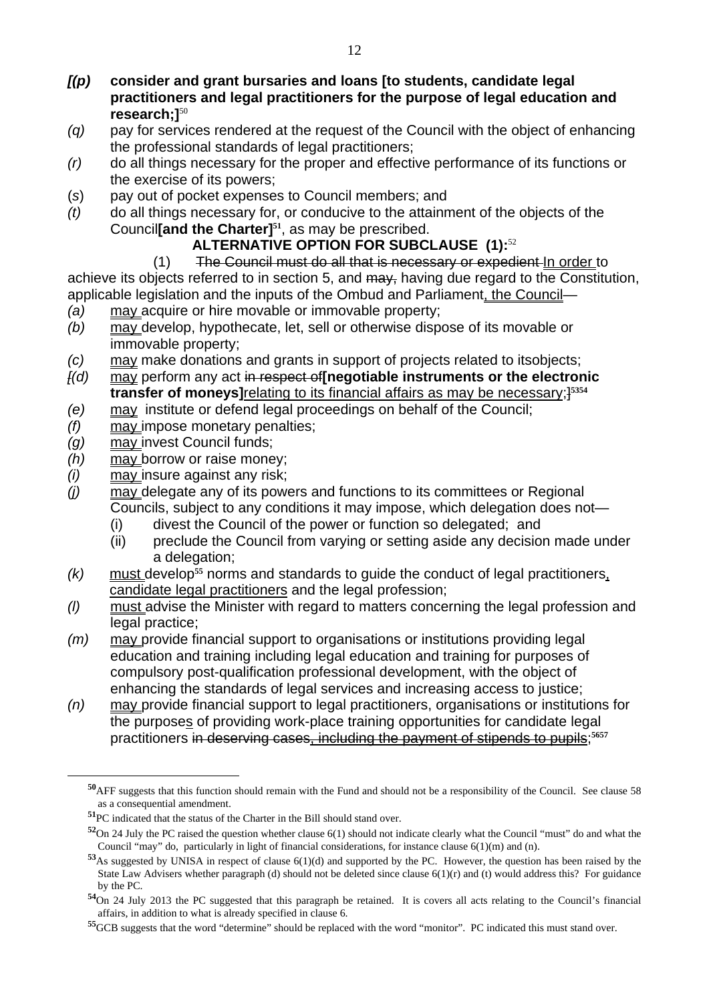- *[(p)* **consider and grant bursaries and loans [to students, candidate legal practitioners and legal practitioners for the purpose of legal education and research;]**<sup>50</sup>
- *(q)* pay for services rendered at the request of the Council with the object of enhancing the professional standards of legal practitioners;
- *(r)* do all things necessary for the proper and effective performance of its functions or the exercise of its powers;
- (*s*) pay out of pocket expenses to Council members; and
- *(t)* do all things necessary for, or conducive to the attainment of the objects of the Council**[and the Charter]51**, as may be prescribed.

# **ALTERNATIVE OPTION FOR SUBCLAUSE (1):**<sup>52</sup>

(1) The Council must do all that is necessary or expedient In order to achieve its objects referred to in section 5, and may, having due regard to the Constitution, applicable legislation and the inputs of the Ombud and Parliament, the Council—

- *(a)* may acquire or hire movable or immovable property;
- *(b)* may develop, hypothecate, let, sell or otherwise dispose of its movable or immovable property;
- *(c)* may make donations and grants in support of projects related to itsobjects;
- *[(d)* may perform any act in respect of**[negotiable instruments or the electronic transfer of moneys]**relating to its financial affairs as may be necessary;]**<sup>5354</sup>**
- *(e)* may institute or defend legal proceedings on behalf of the Council;
- *(f)* may impose monetary penalties;
- *(g)* may invest Council funds;

- *(h)* may borrow or raise money;
- *(i)* may insure against any risk;
- *(j)* may delegate any of its powers and functions to its committees or Regional Councils, subject to any conditions it may impose, which delegation does not—
	- (i) divest the Council of the power or function so delegated; and
	- (ii) preclude the Council from varying or setting aside any decision made under a delegation;
- *(k)* must develop**55** norms and standards to guide the conduct of legal practitioners, candidate legal practitioners and the legal profession;
- *(l)* must advise the Minister with regard to matters concerning the legal profession and legal practice;
- *(m)* may provide financial support to organisations or institutions providing legal education and training including legal education and training for purposes of compulsory post-qualification professional development, with the object of enhancing the standards of legal services and increasing access to justice;
- *(n)* may provide financial support to legal practitioners, organisations or institutions for the purposes of providing work-place training opportunities for candidate legal practitioners in deserving cases, including the payment of stipends to pupils;**<sup>5657</sup>**

**<sup>50</sup>**AFF suggests that this function should remain with the Fund and should not be a responsibility of the Council. See clause 58 as a consequential amendment.

**<sup>51</sup>**PC indicated that the status of the Charter in the Bill should stand over.

**<sup>52</sup>**On 24 July the PC raised the question whether clause 6(1) should not indicate clearly what the Council "must" do and what the Council "may" do, particularly in light of financial considerations, for instance clause 6(1)(m) and (n).

**<sup>53</sup>**As suggested by UNISA in respect of clause 6(1)(d) and supported by the PC. However, the question has been raised by the State Law Advisers whether paragraph (d) should not be deleted since clause 6(1)(r) and (t) would address this? For guidance by the PC.

**<sup>54</sup>**On 24 July 2013 the PC suggested that this paragraph be retained. It is covers all acts relating to the Council's financial affairs, in addition to what is already specified in clause 6.

**<sup>55</sup>**GCB suggests that the word "determine" should be replaced with the word "monitor". PC indicated this must stand over.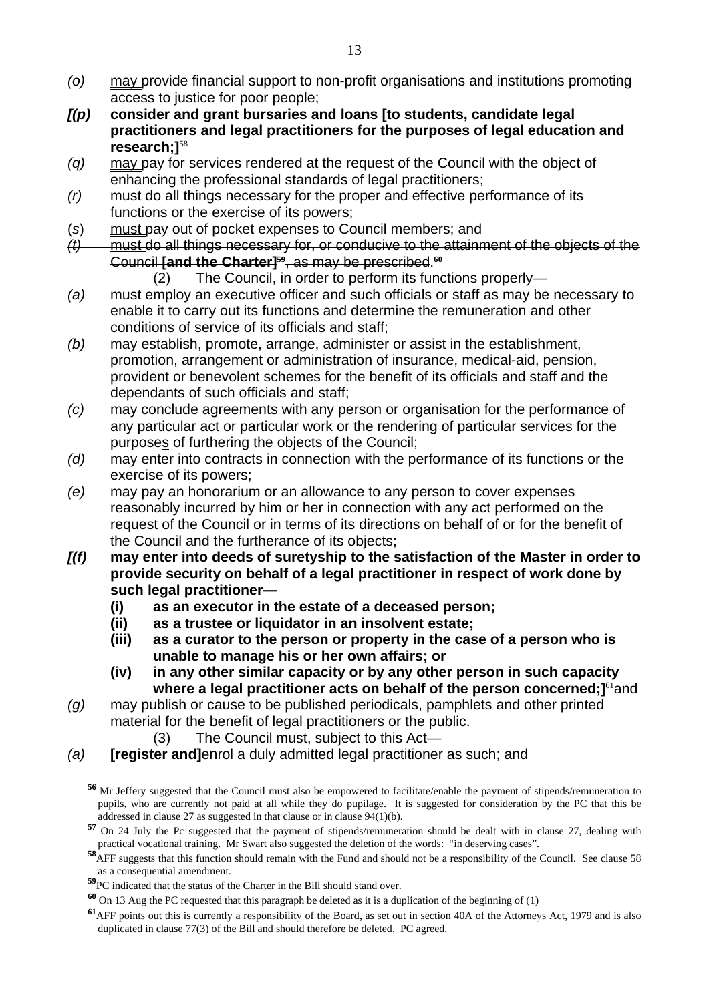- *(o)* may provide financial support to non-profit organisations and institutions promoting access to justice for poor people;
- *[(p)* **consider and grant bursaries and loans [to students, candidate legal practitioners and legal practitioners for the purposes of legal education and research;]**<sup>58</sup>
- *(q)* may pay for services rendered at the request of the Council with the object of enhancing the professional standards of legal practitioners;
- *(r)* must do all things necessary for the proper and effective performance of its functions or the exercise of its powers;
- (*s*) must pay out of pocket expenses to Council members; and
- *(t)* must do all things necessary for, or conducive to the attainment of the objects of the Council **[and the Charter]59**, as may be prescribed.**<sup>60</sup>**
	- (2) The Council, in order to perform its functions properly—
- *(a)* must employ an executive officer and such officials or staff as may be necessary to enable it to carry out its functions and determine the remuneration and other conditions of service of its officials and staff;
- *(b)* may establish, promote, arrange, administer or assist in the establishment, promotion, arrangement or administration of insurance, medical-aid, pension, provident or benevolent schemes for the benefit of its officials and staff and the dependants of such officials and staff;
- *(c)* may conclude agreements with any person or organisation for the performance of any particular act or particular work or the rendering of particular services for the purposes of furthering the objects of the Council;
- *(d)* may enter into contracts in connection with the performance of its functions or the exercise of its powers;
- *(e)* may pay an honorarium or an allowance to any person to cover expenses reasonably incurred by him or her in connection with any act performed on the request of the Council or in terms of its directions on behalf of or for the benefit of the Council and the furtherance of its objects;
- *[(f)* **may enter into deeds of suretyship to the satisfaction of the Master in order to provide security on behalf of a legal practitioner in respect of work done by such legal practitioner—** 
	- **(i) as an executor in the estate of a deceased person;**
	- **(ii) as a trustee or liquidator in an insolvent estate;**
	- **(iii) as a curator to the person or property in the case of a person who is unable to manage his or her own affairs; or**
	- **(iv) in any other similar capacity or by any other person in such capacity where a legal practitioner acts on behalf of the person concerned: 1<sup>61</sup>and**
- *(g)* may publish or cause to be published periodicals, pamphlets and other printed material for the benefit of legal practitioners or the public.
	- (3) The Council must, subject to this Act—
- *(a)* **[register and]**enrol a duly admitted legal practitioner as such; and

**<sup>56</sup>** Mr Jeffery suggested that the Council must also be empowered to facilitate/enable the payment of stipends/remuneration to pupils, who are currently not paid at all while they do pupilage. It is suggested for consideration by the PC that this be addressed in clause 27 as suggested in that clause or in clause  $94(1)(b)$ .

**<sup>57</sup>** On 24 July the Pc suggested that the payment of stipends/remuneration should be dealt with in clause 27, dealing with practical vocational training. Mr Swart also suggested the deletion of the words: "in deserving cases".

**<sup>58</sup>**AFF suggests that this function should remain with the Fund and should not be a responsibility of the Council. See clause 58 as a consequential amendment.

**<sup>59</sup>**PC indicated that the status of the Charter in the Bill should stand over.

**<sup>60</sup>** On 13 Aug the PC requested that this paragraph be deleted as it is a duplication of the beginning of (1)

**<sup>61</sup>**AFF points out this is currently a responsibility of the Board, as set out in section 40A of the Attorneys Act, 1979 and is also duplicated in clause 77(3) of the Bill and should therefore be deleted. PC agreed.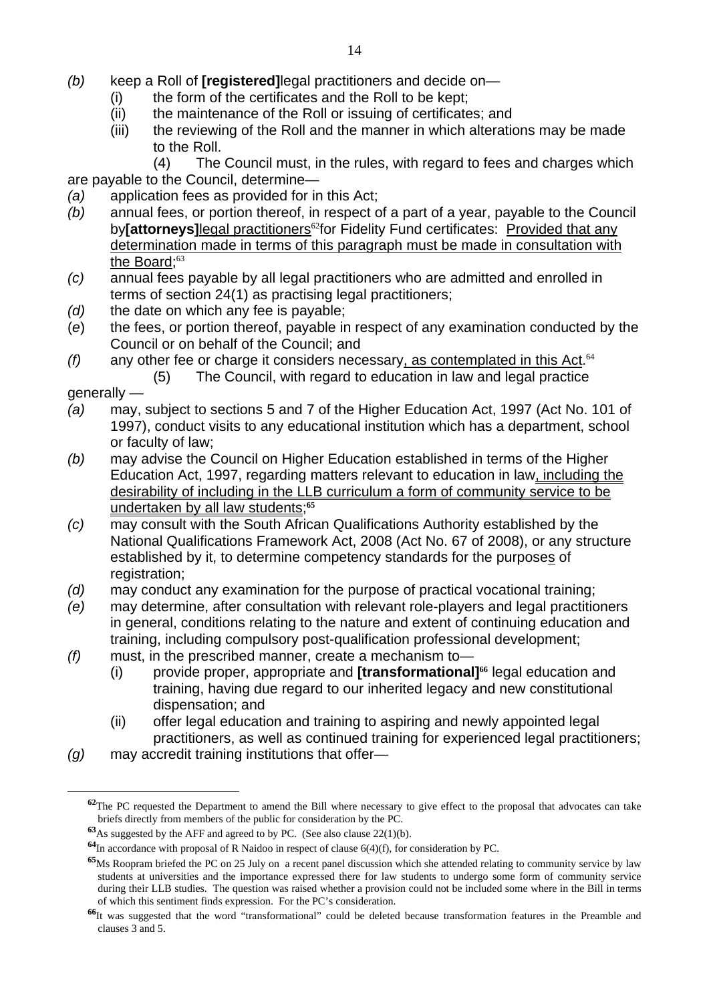- *(b)* keep a Roll of **[registered]**legal practitioners and decide on—
	- (i) the form of the certificates and the Roll to be kept;
	- (ii) the maintenance of the Roll or issuing of certificates; and
	- (iii) the reviewing of the Roll and the manner in which alterations may be made to the Roll.

 (4) The Council must, in the rules, with regard to fees and charges which are payable to the Council, determine—

- *(a)* application fees as provided for in this Act;
- *(b)* annual fees, or portion thereof, in respect of a part of a year, payable to the Council by**[attorneys]**legal practitioners<sup>62</sup>for Fidelity Fund certificates: Provided that any determination made in terms of this paragraph must be made in consultation with the Board: $63$
- *(c)* annual fees payable by all legal practitioners who are admitted and enrolled in terms of section 24(1) as practising legal practitioners;
- *(d)* the date on which any fee is payable;
- (*e*) the fees, or portion thereof, payable in respect of any examination conducted by the Council or on behalf of the Council; and
- *(f)* any other fee or charge it considers necessary, as contemplated in this Act.<sup>64</sup>
	- (5) The Council, with regard to education in law and legal practice

generally —

- *(a)* may, subject to sections 5 and 7 of the Higher Education Act, 1997 (Act No. 101 of 1997), conduct visits to any educational institution which has a department, school or faculty of law;
- *(b)* may advise the Council on Higher Education established in terms of the Higher Education Act, 1997, regarding matters relevant to education in law, including the desirability of including in the LLB curriculum a form of community service to be undertaken by all law students;**<sup>65</sup>**
- *(c)* may consult with the South African Qualifications Authority established by the National Qualifications Framework Act, 2008 (Act No. 67 of 2008), or any structure established by it, to determine competency standards for the purposes of registration;
- *(d)* may conduct any examination for the purpose of practical vocational training;
- *(e)* may determine, after consultation with relevant role-players and legal practitioners in general, conditions relating to the nature and extent of continuing education and training, including compulsory post-qualification professional development;
- *(f)* must, in the prescribed manner, create a mechanism to—
	- (i) provide proper, appropriate and **[transformational]66** legal education and training, having due regard to our inherited legacy and new constitutional dispensation; and
	- (ii) offer legal education and training to aspiring and newly appointed legal practitioners, as well as continued training for experienced legal practitioners;
- *(g)* may accredit training institutions that offer—

**<sup>62</sup>**The PC requested the Department to amend the Bill where necessary to give effect to the proposal that advocates can take briefs directly from members of the public for consideration by the PC.

**<sup>63</sup>**As suggested by the AFF and agreed to by PC. (See also clause 22(1)(b).

**<sup>64</sup>**In accordance with proposal of R Naidoo in respect of clause 6(4)(f), for consideration by PC.

**<sup>&</sup>lt;sup>65</sup>Ms Roopram briefed the PC on 25 July on a recent panel discussion which she attended relating to community service by law** students at universities and the importance expressed there for law students to undergo some form of community service during their LLB studies. The question was raised whether a provision could not be included some where in the Bill in terms of which this sentiment finds expression. For the PC's consideration.

**<sup>66</sup>**It was suggested that the word "transformational" could be deleted because transformation features in the Preamble and clauses 3 and 5.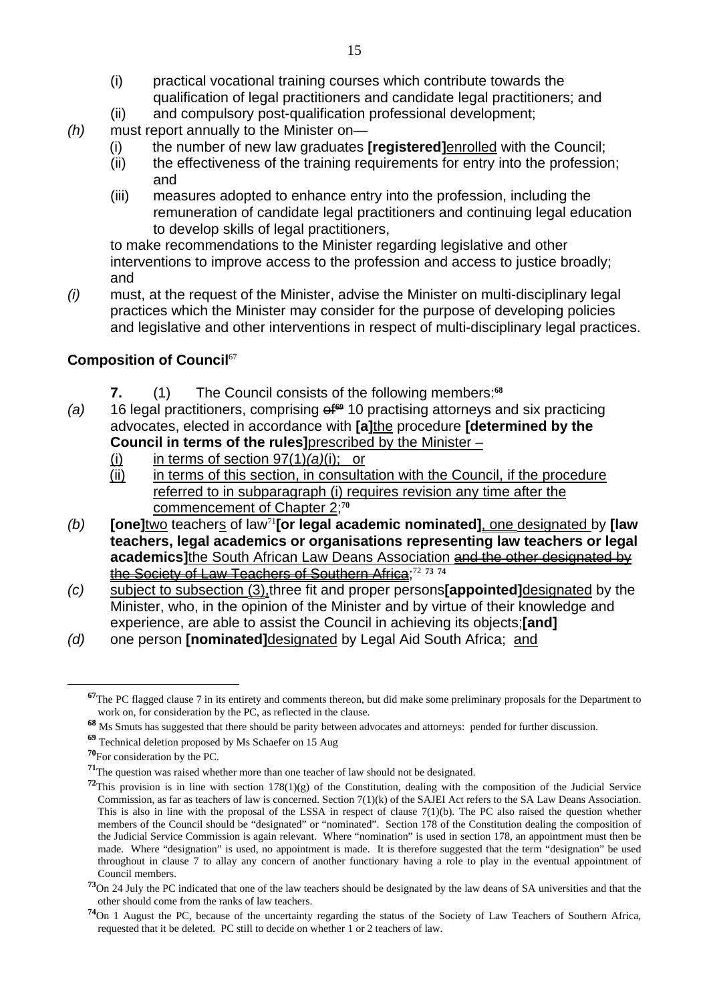- (i) practical vocational training courses which contribute towards the qualification of legal practitioners and candidate legal practitioners; and
- (ii) and compulsory post-qualification professional development;
- *(h)* must report annually to the Minister on—
	- (i) the number of new law graduates **[registered]**enrolled with the Council;
	- (ii) the effectiveness of the training requirements for entry into the profession; and
	- (iii) measures adopted to enhance entry into the profession, including the remuneration of candidate legal practitioners and continuing legal education to develop skills of legal practitioners,

to make recommendations to the Minister regarding legislative and other interventions to improve access to the profession and access to justice broadly; and

*(i)* must, at the request of the Minister, advise the Minister on multi-disciplinary legal practices which the Minister may consider for the purpose of developing policies and legislative and other interventions in respect of multi-disciplinary legal practices.

# **Composition of Council**<sup>67</sup>

- **7.** (1) The Council consists of the following members:**<sup>68</sup>**
- *(a)* 16 legal practitioners, comprising of**69** 10 practising attorneys and six practicing advocates, elected in accordance with **[a]**the procedure **[determined by the Council in terms of the rules]**prescribed by the Minister –
	- (i) in terms of section 97(1)*(a)*(i); or
	- (ii) in terms of this section, in consultation with the Council, if the procedure referred to in subparagraph (i) requires revision any time after the commencement of Chapter 2;**<sup>70</sup>**
- *(b)* **[one]**two teachers of law<sup>71</sup>**[or legal academic nominated]**, one designated by **[law teachers, legal academics or organisations representing law teachers or legal academics]**the South African Law Deans Association and the other designated by the Society of Law Teachers of Southern Africa;<sup>72</sup> **<sup>73</sup> <sup>74</sup>**
- *(c)* subject to subsection (3),three fit and proper persons**[appointed]**designated by the Minister, who, in the opinion of the Minister and by virtue of their knowledge and experience, are able to assist the Council in achieving its objects;**[and]**
- *(d)* one person **[nominated]**designated by Legal Aid South Africa; and

**<sup>67</sup>**The PC flagged clause 7 in its entirety and comments thereon, but did make some preliminary proposals for the Department to work on, for consideration by the PC, as reflected in the clause.

**<sup>68</sup>** Ms Smuts has suggested that there should be parity between advocates and attorneys: pended for further discussion.

**<sup>69</sup>** Technical deletion proposed by Ms Schaefer on 15 Aug

**<sup>70</sup>**For consideration by the PC.

**<sup>71</sup>**The question was raised whether more than one teacher of law should not be designated.

<sup>&</sup>lt;sup>72</sup>This provision is in line with section  $178(1)(g)$  of the Constitution, dealing with the composition of the Judicial Service Commission, as far as teachers of law is concerned. Section 7(1)(k) of the SAJEI Act refers to the SA Law Deans Association. This is also in line with the proposal of the LSSA in respect of clause  $7(1)(b)$ . The PC also raised the question whether members of the Council should be "designated" or "nominated". Section 178 of the Constitution dealing the composition of the Judicial Service Commission is again relevant. Where "nomination" is used in section 178, an appointment must then be made. Where "designation" is used, no appointment is made. It is therefore suggested that the term "designation" be used throughout in clause 7 to allay any concern of another functionary having a role to play in the eventual appointment of Council members.

**<sup>73</sup>**On 24 July the PC indicated that one of the law teachers should be designated by the law deans of SA universities and that the other should come from the ranks of law teachers.

**<sup>74</sup>**On 1 August the PC, because of the uncertainty regarding the status of the Society of Law Teachers of Southern Africa, requested that it be deleted. PC still to decide on whether 1 or 2 teachers of law.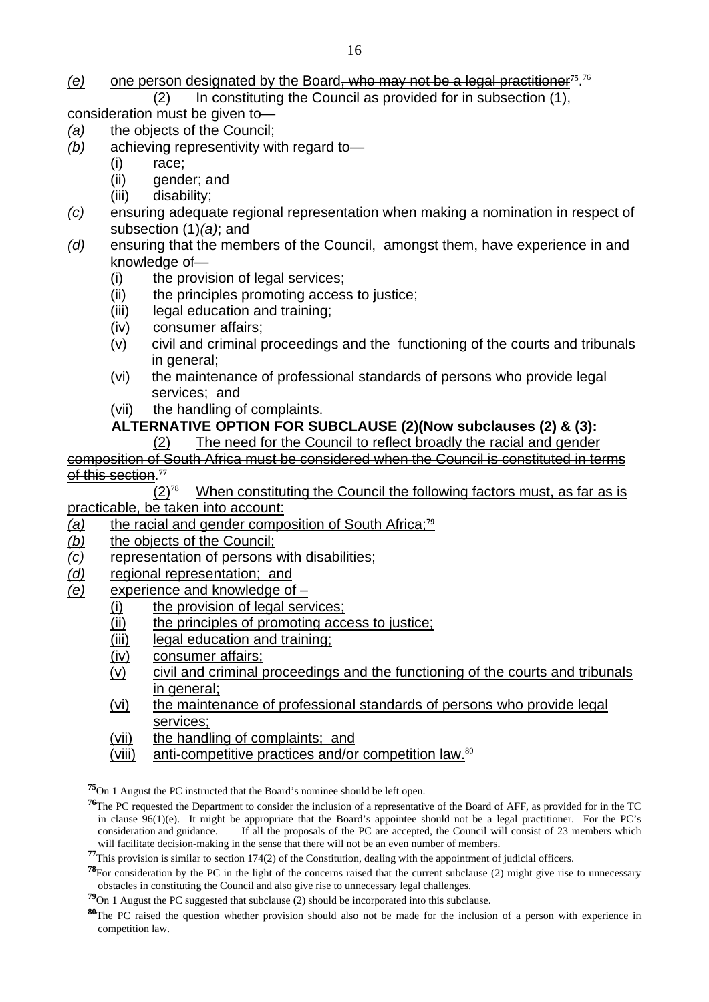# *(e)* one person designated by the Board, who may not be a legal practitioner**75**. 76

 (2) In constituting the Council as provided for in subsection (1), consideration must be given to—

- *(a)* the objects of the Council;
- *(b)* achieving representivity with regard to—
	- (i) race;
	- (ii) gender; and
	- (iii) disability;
- *(c)* ensuring adequate regional representation when making a nomination in respect of subsection (1)*(a)*; and
- *(d)* ensuring that the members of the Council, amongst them, have experience in and knowledge of—
	- (i) the provision of legal services;
	- (ii) the principles promoting access to justice;
	- (iii) legal education and training;
	- (iv) consumer affairs;
	- (v) civil and criminal proceedings and the functioning of the courts and tribunals in general;
	- (vi) the maintenance of professional standards of persons who provide legal services; and
	- (vii) the handling of complaints.

#### **ALTERNATIVE OPTION FOR SUBCLAUSE (2)(Now subclauses (2) & (3):**

(2) The need for the Council to reflect broadly the racial and gender

composition of South Africa must be considered when the Council is constituted in terms of this section.**<sup>77</sup>**

When constituting the Council the following factors must, as far as is practicable, be taken into account:

- *(a)* the racial and gender composition of South Africa;**<sup>79</sup>**
- *(b)* the objects of the Council;
- *(c)* representation of persons with disabilities;
- *(d)* regional representation; and
- *(e)* experience and knowledge of
	- (i) the provision of legal services:
	- (ii) the principles of promoting access to justice;
	- (iii) legal education and training;
	- (iv) consumer affairs;

- (v) civil and criminal proceedings and the functioning of the courts and tribunals in general:
- (vi) the maintenance of professional standards of persons who provide legal services;
- (vii) the handling of complaints; and
- (viii) anti-competitive practices and/or competition law.<sup>80</sup>

**<sup>75</sup>**On 1 August the PC instructed that the Board's nominee should be left open.

**<sup>76</sup>**The PC requested the Department to consider the inclusion of a representative of the Board of AFF, as provided for in the TC in clause  $96(1)(e)$ . It might be appropriate that the Board's appointee should not be a legal practitioner. For the PC's consideration and guidance. If all the proposals of the PC are accepted, the Council will consist of 23 members which will facilitate decision-making in the sense that there will not be an even number of members.

**<sup>77</sup>**This provision is similar to section 174(2) of the Constitution, dealing with the appointment of judicial officers.

**<sup>78</sup>**For consideration by the PC in the light of the concerns raised that the current subclause (2) might give rise to unnecessary obstacles in constituting the Council and also give rise to unnecessary legal challenges.

**<sup>79</sup>**On 1 August the PC suggested that subclause (2) should be incorporated into this subclause.

**<sup>80</sup>**The PC raised the question whether provision should also not be made for the inclusion of a person with experience in competition law.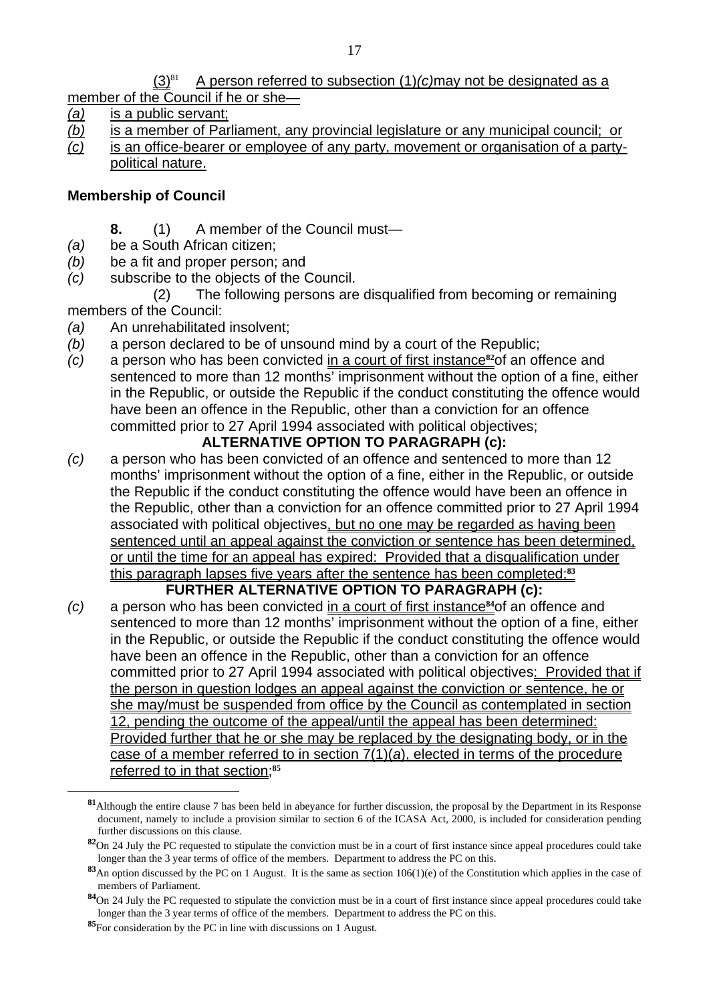member of the Council if he or she—

- *(a)* is a public servant;
- *(b)* is a member of Parliament, any provincial legislature or any municipal council; or
- *(c)* is an office-bearer or employee of any party, movement or organisation of a partypolitical nature.

# **Membership of Council**

- **8.** (1) A member of the Council must—
- *(a)* be a South African citizen;
- *(b)* be a fit and proper person; and
- *(c)* subscribe to the objects of the Council.

 (2) The following persons are disqualified from becoming or remaining members of the Council:

- *(a)* An unrehabilitated insolvent;
- *(b)* a person declared to be of unsound mind by a court of the Republic;
- *(c)* a person who has been convicted in a court of first instance**82**of an offence and sentenced to more than 12 months' imprisonment without the option of a fine, either in the Republic, or outside the Republic if the conduct constituting the offence would have been an offence in the Republic, other than a conviction for an offence committed prior to 27 April 1994 associated with political objectives;

# **ALTERNATIVE OPTION TO PARAGRAPH (c):**

*(c)* a person who has been convicted of an offence and sentenced to more than 12 months' imprisonment without the option of a fine, either in the Republic, or outside the Republic if the conduct constituting the offence would have been an offence in the Republic, other than a conviction for an offence committed prior to 27 April 1994 associated with political objectives, but no one may be regarded as having been sentenced until an appeal against the conviction or sentence has been determined, or until the time for an appeal has expired: Provided that a disqualification under this paragraph lapses five years after the sentence has been completed;**<sup>83</sup>**

# **FURTHER ALTERNATIVE OPTION TO PARAGRAPH (c):**

*(c)* a person who has been convicted in a court of first instance**84**of an offence and sentenced to more than 12 months' imprisonment without the option of a fine, either in the Republic, or outside the Republic if the conduct constituting the offence would have been an offence in the Republic, other than a conviction for an offence committed prior to 27 April 1994 associated with political objectives: Provided that if the person in question lodges an appeal against the conviction or sentence, he or she may/must be suspended from office by the Council as contemplated in section 12, pending the outcome of the appeal/until the appeal has been determined: Provided further that he or she may be replaced by the designating body, or in the case of a member referred to in section 7(1)(*a*), elected in terms of the procedure referred to in that section;**<sup>85</sup>**

**<sup>81</sup>**Although the entire clause 7 has been held in abeyance for further discussion, the proposal by the Department in its Response document, namely to include a provision similar to section 6 of the ICASA Act, 2000, is included for consideration pending further discussions on this clause.

**<sup>82</sup>**On 24 July the PC requested to stipulate the conviction must be in a court of first instance since appeal procedures could take longer than the 3 year terms of office of the members. Department to address the PC on this.

<sup>83&</sup>lt;sub>An</sub> option discussed by the PC on 1 August. It is the same as section 106(1)(e) of the Constitution which applies in the case of members of Parliament.

**<sup>84</sup>**On 24 July the PC requested to stipulate the conviction must be in a court of first instance since appeal procedures could take longer than the 3 year terms of office of the members. Department to address the PC on this.

**<sup>85</sup>**For consideration by the PC in line with discussions on 1 August.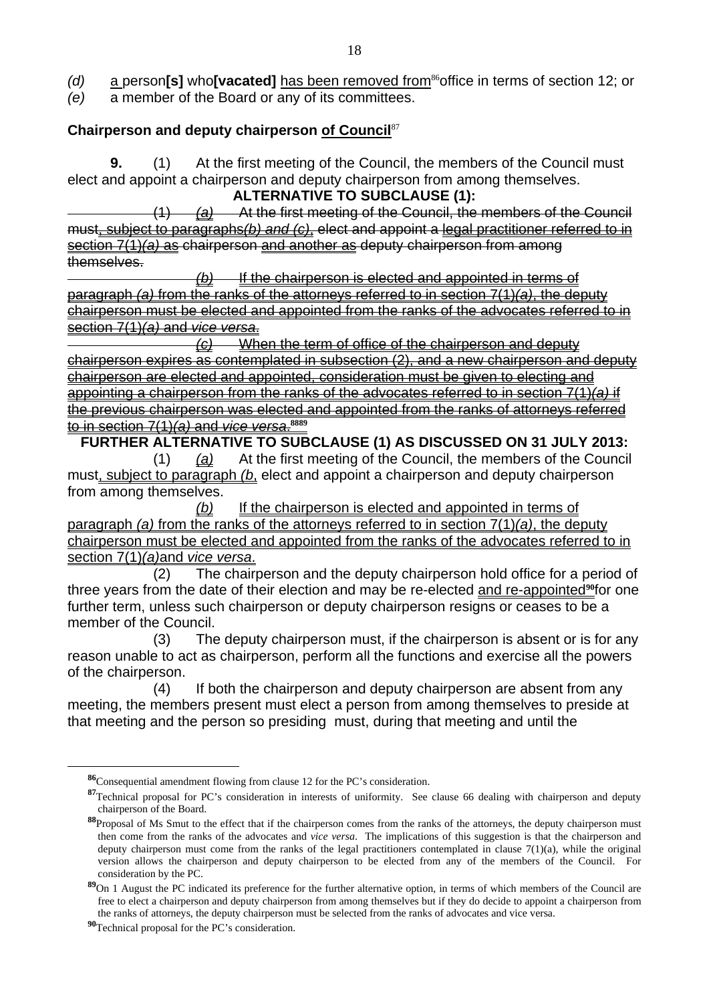*(e)* a member of the Board or any of its committees.

### **Chairperson and deputy chairperson of Council**<sup>87</sup>

**9.** (1) At the first meeting of the Council, the members of the Council must elect and appoint a chairperson and deputy chairperson from among themselves. **ALTERNATIVE TO SUBCLAUSE (1):** 

 (1) *(a)* At the first meeting of the Council, the members of the Council must, subject to paragraphs*(b) and (c)*, elect and appoint a legal practitioner referred to in section 7(1)*(a)* as chairperson and another as deputy chairperson from among themselves.

 *(b)* If the chairperson is elected and appointed in terms of paragraph *(a)* from the ranks of the attorneys referred to in section 7(1)*(a)*, the deputy chairperson must be elected and appointed from the ranks of the advocates referred to in section 7(1)*(a)* and *vice versa*.

 *(c)* When the term of office of the chairperson and deputy chairperson expires as contemplated in subsection (2), and a new chairperson and deputy chairperson are elected and appointed, consideration must be given to electing and appointing a chairperson from the ranks of the advocates referred to in section 7(1)*(a)* if the previous chairperson was elected and appointed from the ranks of attorneys referred to in section 7(1)*(a)* and *vice versa*. **8889**

**FURTHER ALTERNATIVE TO SUBCLAUSE (1) AS DISCUSSED ON 31 JULY 2013:**  (1) *(a)* At the first meeting of the Council, the members of the Council must, subject to paragraph *(b*, elect and appoint a chairperson and deputy chairperson from among themselves.

 *(b)* If the chairperson is elected and appointed in terms of paragraph *(a)* from the ranks of the attorneys referred to in section 7(1)*(a)*, the deputy chairperson must be elected and appointed from the ranks of the advocates referred to in section 7(1)*(a)*and *vice versa*.

 (2) The chairperson and the deputy chairperson hold office for a period of three years from the date of their election and may be re-elected and re-appointed<sup>90</sup>for one further term, unless such chairperson or deputy chairperson resigns or ceases to be a member of the Council.

 (3) The deputy chairperson must, if the chairperson is absent or is for any reason unable to act as chairperson, perform all the functions and exercise all the powers of the chairperson.

 (4) If both the chairperson and deputy chairperson are absent from any meeting, the members present must elect a person from among themselves to preside at that meeting and the person so presiding must, during that meeting and until the

**<sup>86</sup>**Consequential amendment flowing from clause 12 for the PC's consideration.

**<sup>87</sup>**Technical proposal for PC's consideration in interests of uniformity. See clause 66 dealing with chairperson and deputy chairperson of the Board.

**<sup>88</sup>**Proposal of Ms Smut to the effect that if the chairperson comes from the ranks of the attorneys, the deputy chairperson must then come from the ranks of the advocates and *vice versa*. The implications of this suggestion is that the chairperson and deputy chairperson must come from the ranks of the legal practitioners contemplated in clause  $7(1)(a)$ , while the original version allows the chairperson and deputy chairperson to be elected from any of the members of the Council. For consideration by the PC.

**<sup>89</sup>**On 1 August the PC indicated its preference for the further alternative option, in terms of which members of the Council are free to elect a chairperson and deputy chairperson from among themselves but if they do decide to appoint a chairperson from the ranks of attorneys, the deputy chairperson must be selected from the ranks of advocates and vice versa.

**<sup>90</sup>**Technical proposal for the PC's consideration.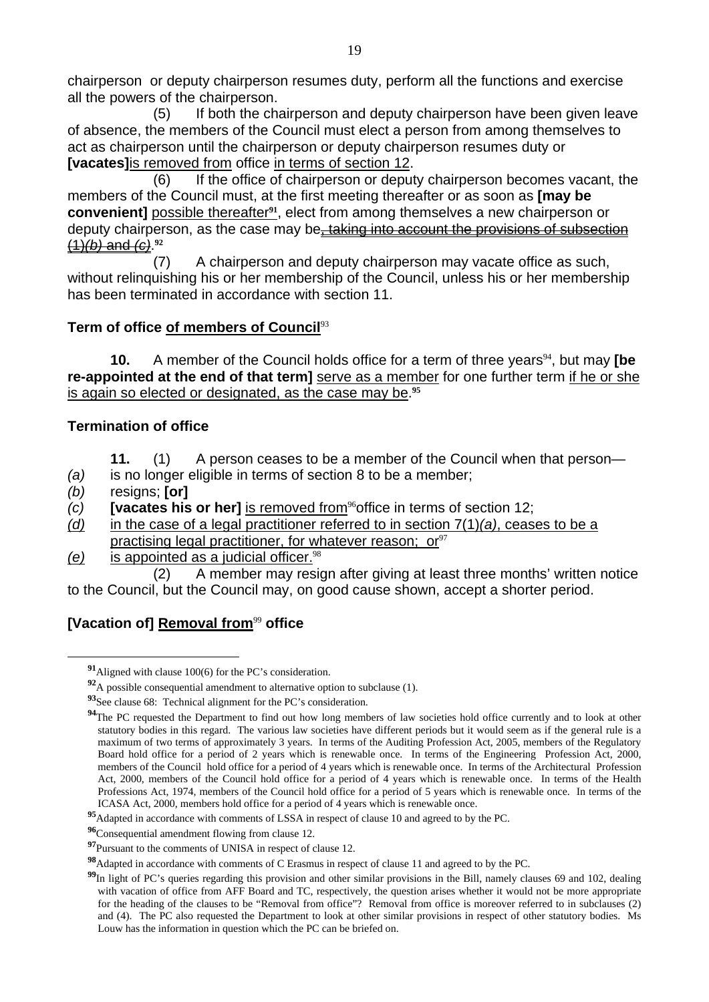chairperson or deputy chairperson resumes duty, perform all the functions and exercise all the powers of the chairperson.

 (5) If both the chairperson and deputy chairperson have been given leave of absence, the members of the Council must elect a person from among themselves to act as chairperson until the chairperson or deputy chairperson resumes duty or **[vacates]**is removed from office in terms of section 12.

 (6) If the office of chairperson or deputy chairperson becomes vacant, the members of the Council must, at the first meeting thereafter or as soon as **[may be convenient]** possible thereafter**91**, elect from among themselves a new chairperson or deputy chairperson, as the case may be, taking into account the provisions of subsection (1)*(b)* and *(c)*. **92**

 (7) A chairperson and deputy chairperson may vacate office as such, without relinquishing his or her membership of the Council, unless his or her membership has been terminated in accordance with section 11.

### **Term of office of members of Council**<sup>93</sup>

**10.** A member of the Council holds office for a term of three vears<sup>94</sup>, but may **[be re-appointed at the end of that term]** serve as a member for one further term if he or she is again so elected or designated, as the case may be.**<sup>95</sup>**

# **Termination of office**

- **11.** (1) A person ceases to be a member of the Council when that person—
- *(a)* is no longer eligible in terms of section 8 to be a member;
- *(b)* resigns; **[or]**

 $\overline{a}$ 

- *(c)* **[vacates his or her]** is removed from<sup>96</sup>office in terms of section 12;
- *(d)* in the case of a legal practitioner referred to in section 7(1)*(a)*, ceases to be a practising legal practitioner, for whatever reason; or  $97$
- *(e)* is appointed as a judicial officer.<sup>98</sup>

 (2) A member may resign after giving at least three months' written notice to the Council, but the Council may, on good cause shown, accept a shorter period.

# **[Vacation of] Removal from<sup>99</sup> office**

**<sup>91</sup>**Aligned with clause 100(6) for the PC's consideration.

**<sup>92</sup>**A possible consequential amendment to alternative option to subclause (1).

**<sup>93</sup>**See clause 68: Technical alignment for the PC's consideration.

<sup>&</sup>lt;sup>94</sup>The PC requested the Department to find out how long members of law societies hold office currently and to look at other statutory bodies in this regard. The various law societies have different periods but it would seem as if the general rule is a maximum of two terms of approximately 3 years. In terms of the Auditing Profession Act, 2005, members of the Regulatory Board hold office for a period of 2 years which is renewable once. In terms of the Engineering Profession Act, 2000, members of the Council hold office for a period of 4 years which is renewable once. In terms of the Architectural Profession Act, 2000, members of the Council hold office for a period of 4 years which is renewable once. In terms of the Health Professions Act, 1974, members of the Council hold office for a period of 5 years which is renewable once. In terms of the ICASA Act, 2000, members hold office for a period of 4 years which is renewable once.

**<sup>95</sup>**Adapted in accordance with comments of LSSA in respect of clause 10 and agreed to by the PC.

**<sup>96</sup>**Consequential amendment flowing from clause 12.

**<sup>97</sup>**Pursuant to the comments of UNISA in respect of clause 12.

**<sup>98</sup>**Adapted in accordance with comments of C Erasmus in respect of clause 11 and agreed to by the PC.

<sup>&</sup>lt;sup>99</sup>In light of PC's queries regarding this provision and other similar provisions in the Bill, namely clauses 69 and 102, dealing with vacation of office from AFF Board and TC, respectively, the question arises whether it would not be more appropriate for the heading of the clauses to be "Removal from office"? Removal from office is moreover referred to in subclauses (2) and (4). The PC also requested the Department to look at other similar provisions in respect of other statutory bodies. Ms Louw has the information in question which the PC can be briefed on.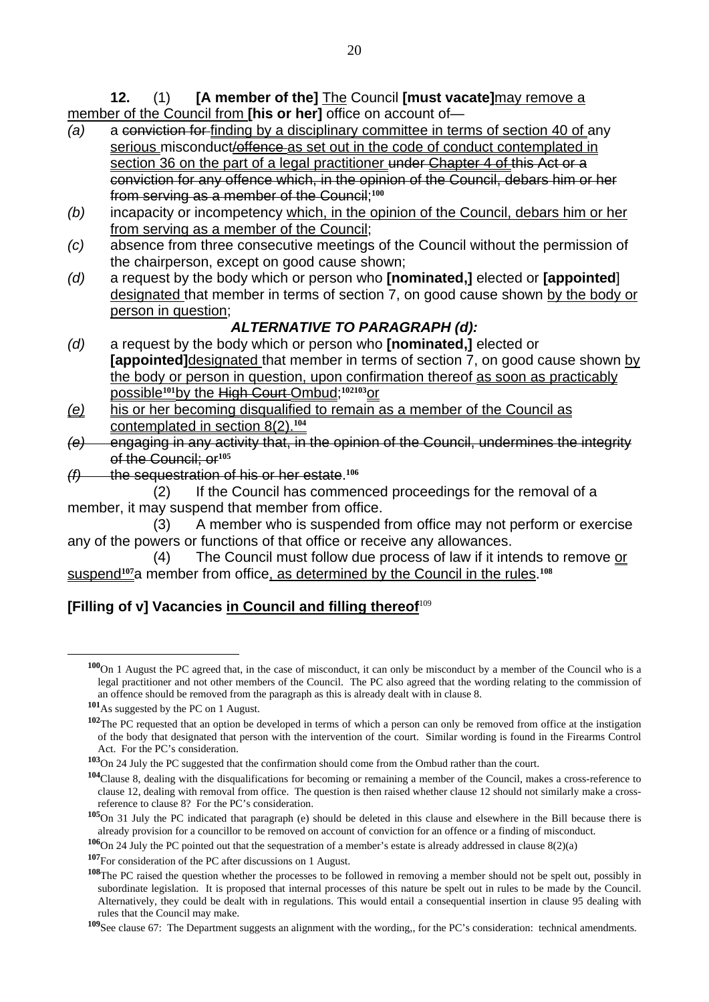**12.** (1) **[A member of the]** The Council **[must vacate]**may remove a member of the Council from **[his or her]** office on account of—

- *(a)* a conviction for finding by a disciplinary committee in terms of section 40 of any serious misconduct/offence as set out in the code of conduct contemplated in section 36 on the part of a legal practitioner under Chapter 4 of this Act or a conviction for any offence which, in the opinion of the Council, debars him or her from serving as a member of the Council;**<sup>100</sup>**
- *(b)* incapacity or incompetency which, in the opinion of the Council, debars him or her from serving as a member of the Council;
- *(c)* absence from three consecutive meetings of the Council without the permission of the chairperson, except on good cause shown;
- *(d)* a request by the body which or person who **[nominated,]** elected or **[appointed**] designated that member in terms of section 7, on good cause shown by the body or person in question;

# *ALTERNATIVE TO PARAGRAPH (d):*

- *(d)* a request by the body which or person who **[nominated,]** elected or **Fappointed** Idesignated that member in terms of section 7, on good cause shown by the body or person in question, upon confirmation thereof as soon as practicably possible**101**by the High Court Ombud;**102103**or
- *(e)* his or her becoming disqualified to remain as a member of the Council as contemplated in section 8(2).**<sup>104</sup>**
- *(e)* engaging in any activity that, in the opinion of the Council, undermines the integrity of the Council; or**<sup>105</sup>**
- *(f)* the sequestration of his or her estate.**<sup>106</sup>**

 (2) If the Council has commenced proceedings for the removal of a member, it may suspend that member from office.

 (3) A member who is suspended from office may not perform or exercise any of the powers or functions of that office or receive any allowances.

 (4) The Council must follow due process of law if it intends to remove or suspend**107**a member from office, as determined by the Council in the rules.**<sup>108</sup>**

# **[Filling of v] Vacancies in Council and filling thereof**<sup>109</sup>

**<sup>100</sup>**On 1 August the PC agreed that, in the case of misconduct, it can only be misconduct by a member of the Council who is a legal practitioner and not other members of the Council. The PC also agreed that the wording relating to the commission of an offence should be removed from the paragraph as this is already dealt with in clause 8.

**<sup>101</sup>**As suggested by the PC on 1 August.

**<sup>102</sup>**The PC requested that an option be developed in terms of which a person can only be removed from office at the instigation of the body that designated that person with the intervention of the court. Similar wording is found in the Firearms Control Act. For the PC's consideration.

**<sup>103</sup>**On 24 July the PC suggested that the confirmation should come from the Ombud rather than the court.

**<sup>104</sup>**Clause 8, dealing with the disqualifications for becoming or remaining a member of the Council, makes a cross-reference to clause 12, dealing with removal from office. The question is then raised whether clause 12 should not similarly make a crossreference to clause 8? For the PC's consideration.

**<sup>105</sup>**On 31 July the PC indicated that paragraph (e) should be deleted in this clause and elsewhere in the Bill because there is already provision for a councillor to be removed on account of conviction for an offence or a finding of misconduct.

**<sup>106</sup>**On 24 July the PC pointed out that the sequestration of a member's estate is already addressed in clause 8(2)(a)

**<sup>107</sup>**For consideration of the PC after discussions on 1 August.

**<sup>108</sup>**The PC raised the question whether the processes to be followed in removing a member should not be spelt out, possibly in subordinate legislation. It is proposed that internal processes of this nature be spelt out in rules to be made by the Council. Alternatively, they could be dealt with in regulations. This would entail a consequential insertion in clause 95 dealing with rules that the Council may make.

**<sup>109</sup>**See clause 67: The Department suggests an alignment with the wording,, for the PC's consideration: technical amendments.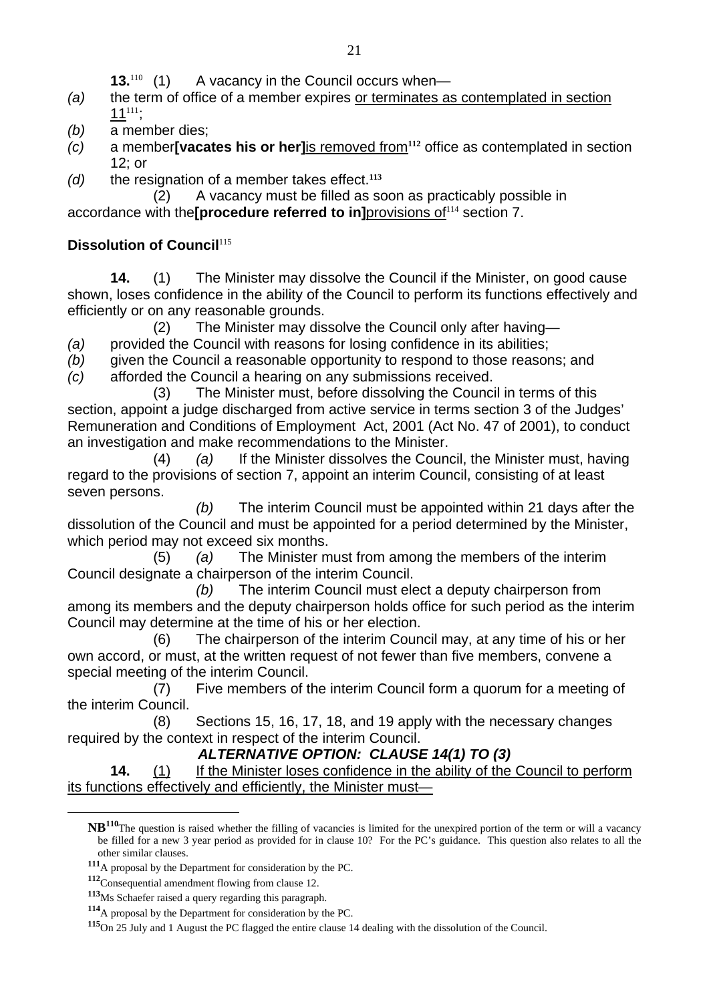**13.**<sup>110</sup> (1) A vacancy in the Council occurs when—

- *(a)* the term of office of a member expires or terminates as contemplated in section 11<sup>111</sup>;
- *(b)* a member dies;
- *(c)* a member**[vacates his or her]**is removed from**112** office as contemplated in section 12; or
- *(d)* the resignation of a member takes effect.**<sup>113</sup>**

 (2) A vacancy must be filled as soon as practicably possible in accordance with the **[procedure referred to in**] provisions of<sup>114</sup> section 7.

# **Dissolution of Council**<sup>115</sup>

 **14.** (1) The Minister may dissolve the Council if the Minister, on good cause shown, loses confidence in the ability of the Council to perform its functions effectively and efficiently or on any reasonable grounds.

(2) The Minister may dissolve the Council only after having—

*(a)* provided the Council with reasons for losing confidence in its abilities;

- *(b)* given the Council a reasonable opportunity to respond to those reasons; and
- *(c)* afforded the Council a hearing on any submissions received.

 (3) The Minister must, before dissolving the Council in terms of this section, appoint a judge discharged from active service in terms section 3 of the Judges' Remuneration and Conditions of Employment Act, 2001 (Act No. 47 of 2001), to conduct an investigation and make recommendations to the Minister.

 (4) *(a)* If the Minister dissolves the Council, the Minister must, having regard to the provisions of section 7, appoint an interim Council, consisting of at least seven persons.

 *(b)* The interim Council must be appointed within 21 days after the dissolution of the Council and must be appointed for a period determined by the Minister, which period may not exceed six months.

 (5) *(a)* The Minister must from among the members of the interim Council designate a chairperson of the interim Council.

 *(b)* The interim Council must elect a deputy chairperson from among its members and the deputy chairperson holds office for such period as the interim Council may determine at the time of his or her election.

 (6) The chairperson of the interim Council may, at any time of his or her own accord, or must, at the written request of not fewer than five members, convene a special meeting of the interim Council.

 (7) Five members of the interim Council form a quorum for a meeting of the interim Council.

 (8) Sections 15, 16, 17, 18, and 19 apply with the necessary changes required by the context in respect of the interim Council.

# *ALTERNATIVE OPTION: CLAUSE 14(1) TO (3)*

**14.** (1) If the Minister loses confidence in the ability of the Council to perform its functions effectively and efficiently, the Minister must—

**NB110**The question is raised whether the filling of vacancies is limited for the unexpired portion of the term or will a vacancy be filled for a new 3 year period as provided for in clause 10? For the PC's guidance. This question also relates to all the other similar clauses.

**<sup>111</sup>**A proposal by the Department for consideration by the PC.

**<sup>112</sup>**Consequential amendment flowing from clause 12.

**<sup>113</sup>**Ms Schaefer raised a query regarding this paragraph.

**<sup>114</sup>**A proposal by the Department for consideration by the PC.

**<sup>115</sup>**On 25 July and 1 August the PC flagged the entire clause 14 dealing with the dissolution of the Council.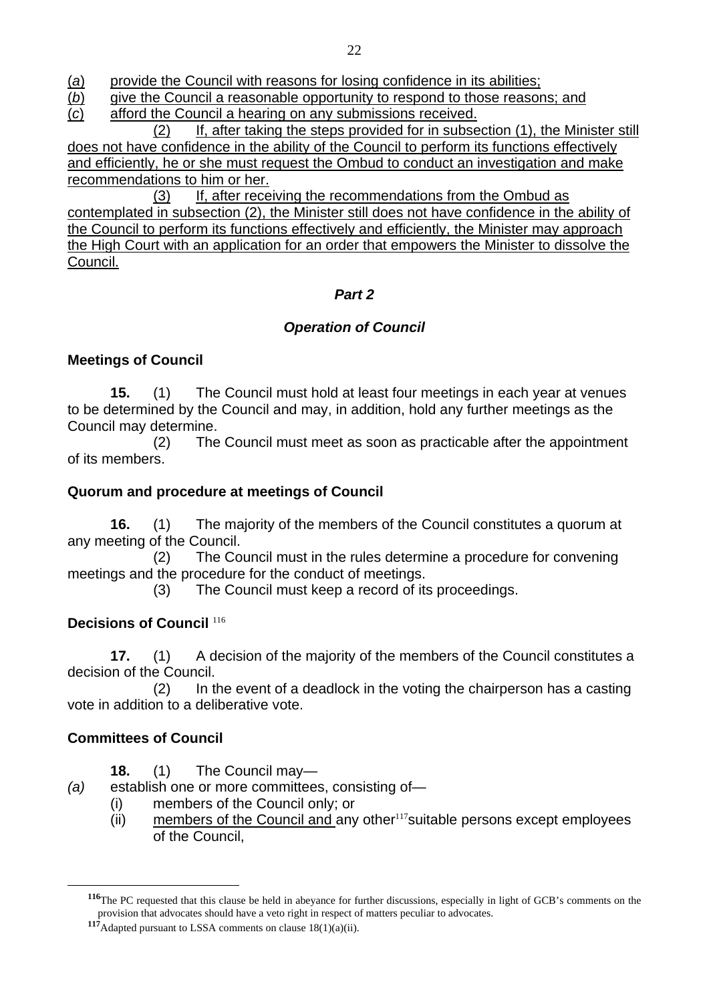(*a*) provide the Council with reasons for losing confidence in its abilities;

(*b*) give the Council a reasonable opportunity to respond to those reasons; and

(*c*) afford the Council a hearing on any submissions received.

 (2) If, after taking the steps provided for in subsection (1), the Minister still does not have confidence in the ability of the Council to perform its functions effectively and efficiently, he or she must request the Ombud to conduct an investigation and make recommendations to him or her.

 (3) If, after receiving the recommendations from the Ombud as contemplated in subsection (2), the Minister still does not have confidence in the ability of the Council to perform its functions effectively and efficiently, the Minister may approach the High Court with an application for an order that empowers the Minister to dissolve the Council.

# *Part 2*

# *Operation of Council*

# **Meetings of Council**

**15.** (1) The Council must hold at least four meetings in each year at venues to be determined by the Council and may, in addition, hold any further meetings as the Council may determine.

 (2) The Council must meet as soon as practicable after the appointment of its members.

# **Quorum and procedure at meetings of Council**

**16.** (1) The majority of the members of the Council constitutes a quorum at any meeting of the Council.

 (2) The Council must in the rules determine a procedure for convening meetings and the procedure for the conduct of meetings.

(3) The Council must keep a record of its proceedings.

# **Decisions of Council** <sup>116</sup>

**17.** (1) A decision of the majority of the members of the Council constitutes a decision of the Council.

 (2) In the event of a deadlock in the voting the chairperson has a casting vote in addition to a deliberative vote.

# **Committees of Council**

- **18.** (1) The Council may—
- *(a)* establish one or more committees, consisting of—
	- (i) members of the Council only; or
	- (ii) members of the Council and any other $117$ suitable persons except employees of the Council,

**<sup>116</sup>**The PC requested that this clause be held in abeyance for further discussions, especially in light of GCB's comments on the provision that advocates should have a veto right in respect of matters peculiar to advocates.

**<sup>117</sup>**Adapted pursuant to LSSA comments on clause 18(1)(a)(ii).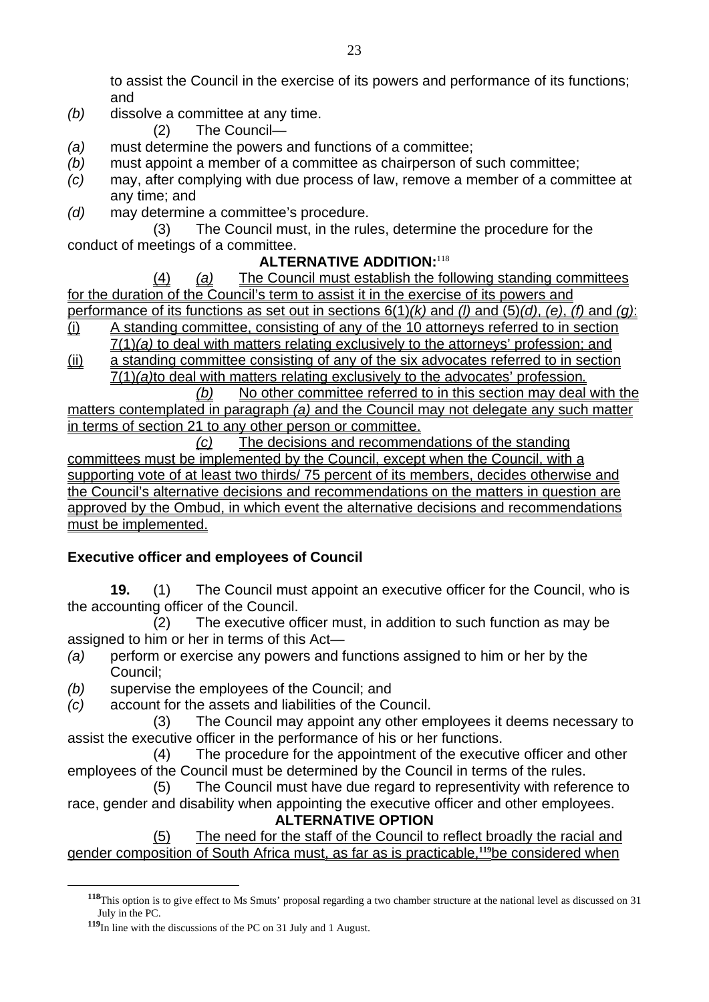to assist the Council in the exercise of its powers and performance of its functions; and

- *(b)* dissolve a committee at any time.
	- (2) The Council—
- *(a)* must determine the powers and functions of a committee;
- *(b)* must appoint a member of a committee as chairperson of such committee;
- *(c)* may, after complying with due process of law, remove a member of a committee at any time; and
- *(d)* may determine a committee's procedure.

 (3) The Council must, in the rules, determine the procedure for the conduct of meetings of a committee.

# **ALTERNATIVE ADDITION:**<sup>118</sup>

 (4) *(a)* The Council must establish the following standing committees for the duration of the Council's term to assist it in the exercise of its powers and performance of its functions as set out in sections 6(1)*(k)* and *(l)* and (5)*(d)*, *(e)*, *(f)* and *(g)*:

- (i) A standing committee, consisting of any of the 10 attorneys referred to in section 7(1)*(a)* to deal with matters relating exclusively to the attorneys' profession; and
- (ii) a standing committee consisting of any of the six advocates referred to in section 7(1)*(a)*to deal with matters relating exclusively to the advocates' profession*.*

 *(b)* No other committee referred to in this section may deal with the matters contemplated in paragraph *(a)* and the Council may not delegate any such matter in terms of section 21 to any other person or committee.

 *(c)* The decisions and recommendations of the standing committees must be implemented by the Council, except when the Council, with a supporting vote of at least two thirds/ 75 percent of its members, decides otherwise and the Council's alternative decisions and recommendations on the matters in question are approved by the Ombud, in which event the alternative decisions and recommendations must be implemented.

# **Executive officer and employees of Council**

**19.** (1) The Council must appoint an executive officer for the Council, who is the accounting officer of the Council.

 (2) The executive officer must, in addition to such function as may be assigned to him or her in terms of this Act—

- *(a)* perform or exercise any powers and functions assigned to him or her by the Council;
- *(b)* supervise the employees of the Council; and
- *(c)* account for the assets and liabilities of the Council.

 (3) The Council may appoint any other employees it deems necessary to assist the executive officer in the performance of his or her functions.

 (4) The procedure for the appointment of the executive officer and other employees of the Council must be determined by the Council in terms of the rules.

 (5) The Council must have due regard to representivity with reference to race, gender and disability when appointing the executive officer and other employees.

# **ALTERNATIVE OPTION**

 (5) The need for the staff of the Council to reflect broadly the racial and gender composition of South Africa must, as far as is practicable,**119**be considered when

**<sup>118</sup>**This option is to give effect to Ms Smuts' proposal regarding a two chamber structure at the national level as discussed on 31 July in the PC.

**<sup>119</sup>**In line with the discussions of the PC on 31 July and 1 August.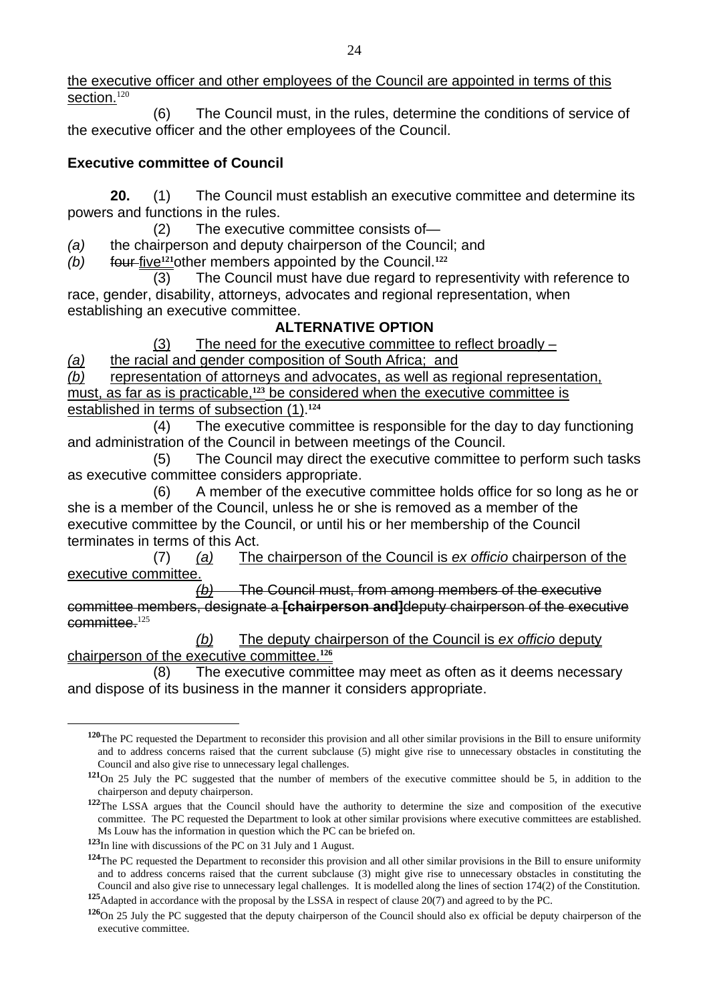the executive officer and other employees of the Council are appointed in terms of this section.<sup>120</sup>

 (6) The Council must, in the rules, determine the conditions of service of the executive officer and the other employees of the Council.

# **Executive committee of Council**

**20.** (1) The Council must establish an executive committee and determine its powers and functions in the rules.

(2) The executive committee consists of—

*(a)* the chairperson and deputy chairperson of the Council; and

*(b)* four five**121**other members appointed by the Council.**<sup>122</sup>**

 (3) The Council must have due regard to representivity with reference to race, gender, disability, attorneys, advocates and regional representation, when establishing an executive committee.

# **ALTERNATIVE OPTION**

(3) The need for the executive committee to reflect broadly –

*(a)* the racial and gender composition of South Africa; and

*(b)* representation of attorneys and advocates, as well as regional representation, must, as far as is practicable,<sup>123</sup> be considered when the executive committee is established in terms of subsection (1).**<sup>124</sup>**

 (4) The executive committee is responsible for the day to day functioning and administration of the Council in between meetings of the Council.

 (5) The Council may direct the executive committee to perform such tasks as executive committee considers appropriate.

 (6) A member of the executive committee holds office for so long as he or she is a member of the Council, unless he or she is removed as a member of the executive committee by the Council, or until his or her membership of the Council terminates in terms of this Act.

 (7) *(a)* The chairperson of the Council is *ex officio* chairperson of the executive committee.

 *(b)* The Council must, from among members of the executive committee members, designate a **[chairperson and]**deputy chairperson of the executive  $committee.<sup>125</sup>$ 

 *(b)* The deputy chairperson of the Council is *ex officio* deputy chairperson of the executive committee.**<sup>126</sup>**

 (8) The executive committee may meet as often as it deems necessary and dispose of its business in the manner it considers appropriate.

**<sup>120</sup>**The PC requested the Department to reconsider this provision and all other similar provisions in the Bill to ensure uniformity and to address concerns raised that the current subclause (5) might give rise to unnecessary obstacles in constituting the Council and also give rise to unnecessary legal challenges.

**<sup>121</sup>**On 25 July the PC suggested that the number of members of the executive committee should be 5, in addition to the chairperson and deputy chairperson.

**<sup>122</sup>**The LSSA argues that the Council should have the authority to determine the size and composition of the executive committee. The PC requested the Department to look at other similar provisions where executive committees are established. Ms Louw has the information in question which the PC can be briefed on.

**<sup>123</sup>**In line with discussions of the PC on 31 July and 1 August.

**<sup>124</sup>**The PC requested the Department to reconsider this provision and all other similar provisions in the Bill to ensure uniformity and to address concerns raised that the current subclause (3) might give rise to unnecessary obstacles in constituting the Council and also give rise to unnecessary legal challenges. It is modelled along the lines of section 174(2) of the Constitution.

**<sup>125</sup>**Adapted in accordance with the proposal by the LSSA in respect of clause 20(7) and agreed to by the PC.

**<sup>126</sup>**On 25 July the PC suggested that the deputy chairperson of the Council should also ex official be deputy chairperson of the executive committee.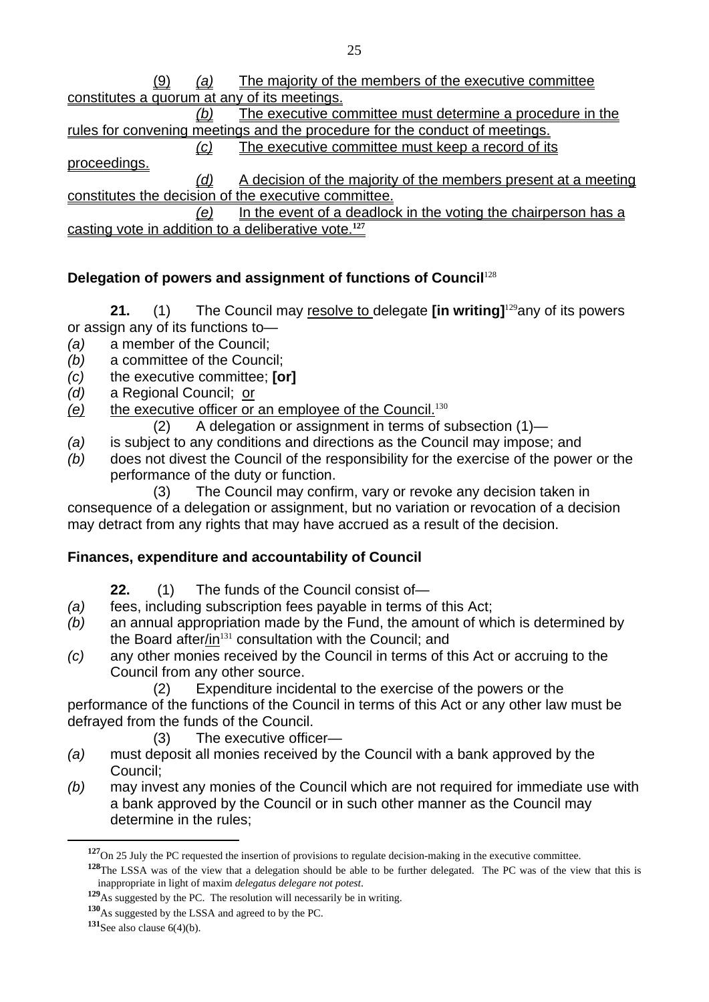(9) *(a)* The majority of the members of the executive committee constitutes a quorum at any of its meetings. *(b)* The executive committee must determine a procedure in the rules for convening meetings and the procedure for the conduct of meetings. *(c)* The executive committee must keep a record of its proceedings. *(d)* A decision of the majority of the members present at a meeting constitutes the decision of the executive committee. *(e)* In the event of a deadlock in the voting the chairperson has a casting vote in addition to a deliberative vote.**<sup>127</sup>**

# **Delegation of powers and assignment of functions of Council<sup>128</sup>**

**21.** (1) The Council may resolve to delegate **[in writing]**<sup>129</sup>any of its powers or assign any of its functions to—

- *(a)* a member of the Council;
- *(b)* a committee of the Council;
- *(c)* the executive committee; **[or]**
- *(d)* a Regional Council; or
- *(e)* the executive officer or an employee of the Council.<sup>130</sup>
	- (2) A delegation or assignment in terms of subsection (1)—
- *(a)* is subject to any conditions and directions as the Council may impose; and
- *(b)* does not divest the Council of the responsibility for the exercise of the power or the performance of the duty or function.

 (3) The Council may confirm, vary or revoke any decision taken in consequence of a delegation or assignment, but no variation or revocation of a decision may detract from any rights that may have accrued as a result of the decision.

### **Finances, expenditure and accountability of Council**

- **22.** (1) The funds of the Council consist of—
- *(a)* fees, including subscription fees payable in terms of this Act;
- *(b)* an annual appropriation made by the Fund, the amount of which is determined by the Board after/in $^{131}$  consultation with the Council; and
- *(c)* any other monies received by the Council in terms of this Act or accruing to the Council from any other source.
	- (2) Expenditure incidental to the exercise of the powers or the

performance of the functions of the Council in terms of this Act or any other law must be defrayed from the funds of the Council.

- (3) The executive officer—
- *(a)* must deposit all monies received by the Council with a bank approved by the Council;
- *(b)* may invest any monies of the Council which are not required for immediate use with a bank approved by the Council or in such other manner as the Council may determine in the rules;

**<sup>130</sup>**As suggested by the LSSA and agreed to by the PC.

**<sup>127</sup>**On 25 July the PC requested the insertion of provisions to regulate decision-making in the executive committee.

**<sup>128</sup>**The LSSA was of the view that a delegation should be able to be further delegated. The PC was of the view that this is inappropriate in light of maxim *delegatus delegare not potest*.

**<sup>129</sup>**As suggested by the PC. The resolution will necessarily be in writing.

**<sup>131</sup>**See also clause 6(4)(b).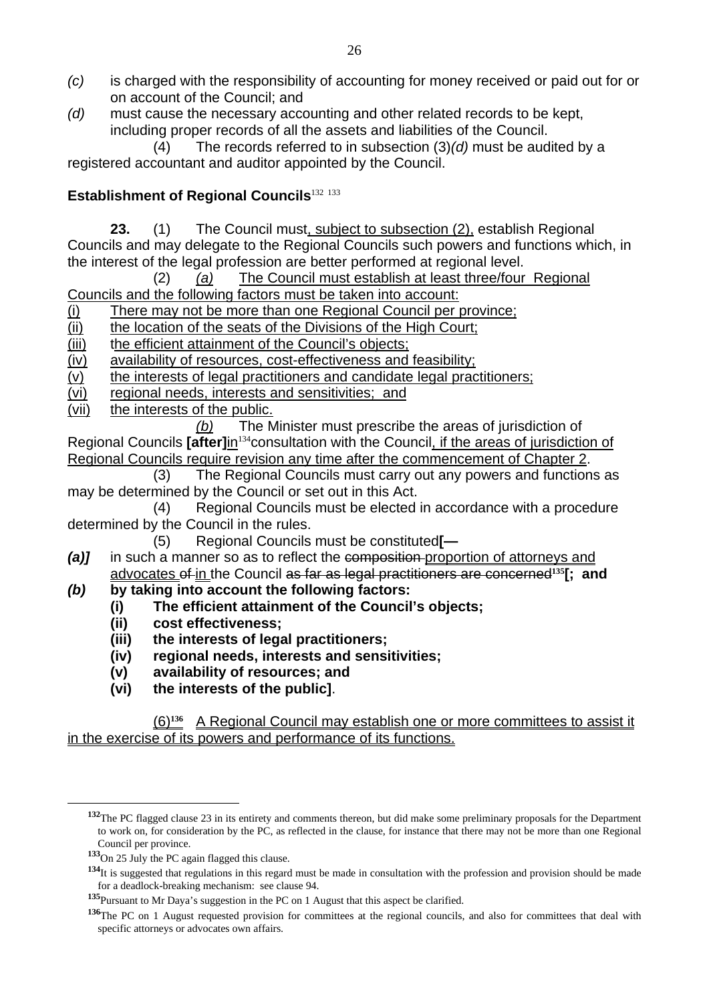- *(c)* is charged with the responsibility of accounting for money received or paid out for or on account of the Council; and
- *(d)* must cause the necessary accounting and other related records to be kept, including proper records of all the assets and liabilities of the Council.

 (4) The records referred to in subsection (3)*(d)* must be audited by a registered accountant and auditor appointed by the Council.

# **Establishment of Regional Councils**<sup>132 133</sup>

**23.** (1) The Council must, subject to subsection (2), establish Regional Councils and may delegate to the Regional Councils such powers and functions which, in the interest of the legal profession are better performed at regional level.

(2) *(a)* The Council must establish at least three/four Regional Councils and the following factors must be taken into account:

- (i) There may not be more than one Regional Council per province;
- (ii) the location of the seats of the Divisions of the High Court;
- (iii) the efficient attainment of the Council's objects;

(iv) availability of resources, cost-effectiveness and feasibility;

- (v) the interests of legal practitioners and candidate legal practitioners;
- (vi) regional needs, interests and sensitivities; and
- (vii) the interests of the public.

*(b)* The Minister must prescribe the areas of jurisdiction of Regional Councils **[after]**in<sup>134</sup>consultation with the Council, if the areas of jurisdiction of Regional Councils require revision any time after the commencement of Chapter 2.

 (3) The Regional Councils must carry out any powers and functions as may be determined by the Council or set out in this Act.

 (4) Regional Councils must be elected in accordance with a procedure determined by the Council in the rules.

- (5) Regional Councils must be constituted**[—**
- *(a)]* in such a manner so as to reflect the composition proportion of attorneys and advocates of in the Council as far as legal practitioners are concerned**135[; and**
- *(b)* **by taking into account the following factors:** 
	- **(i) The efficient attainment of the Council's objects;**
	- **(ii) cost effectiveness;**
	- **(iii) the interests of legal practitioners;**
	- **(iv) regional needs, interests and sensitivities;**
	- **(v) availability of resources; and**
	- **(vi) the interests of the public]**.

#### (6)**136** A Regional Council may establish one or more committees to assist it in the exercise of its powers and performance of its functions.

**<sup>132</sup>**The PC flagged clause 23 in its entirety and comments thereon, but did make some preliminary proposals for the Department to work on, for consideration by the PC, as reflected in the clause, for instance that there may not be more than one Regional Council per province.

**<sup>133</sup>**On 25 July the PC again flagged this clause.

<sup>134&</sup>lt;sub>It is suggested that regulations in this regard must be made in consultation with the profession and provision should be made</sub> for a deadlock-breaking mechanism: see clause 94.

**<sup>135</sup>**Pursuant to Mr Daya's suggestion in the PC on 1 August that this aspect be clarified.

**<sup>136</sup>**The PC on 1 August requested provision for committees at the regional councils, and also for committees that deal with specific attorneys or advocates own affairs.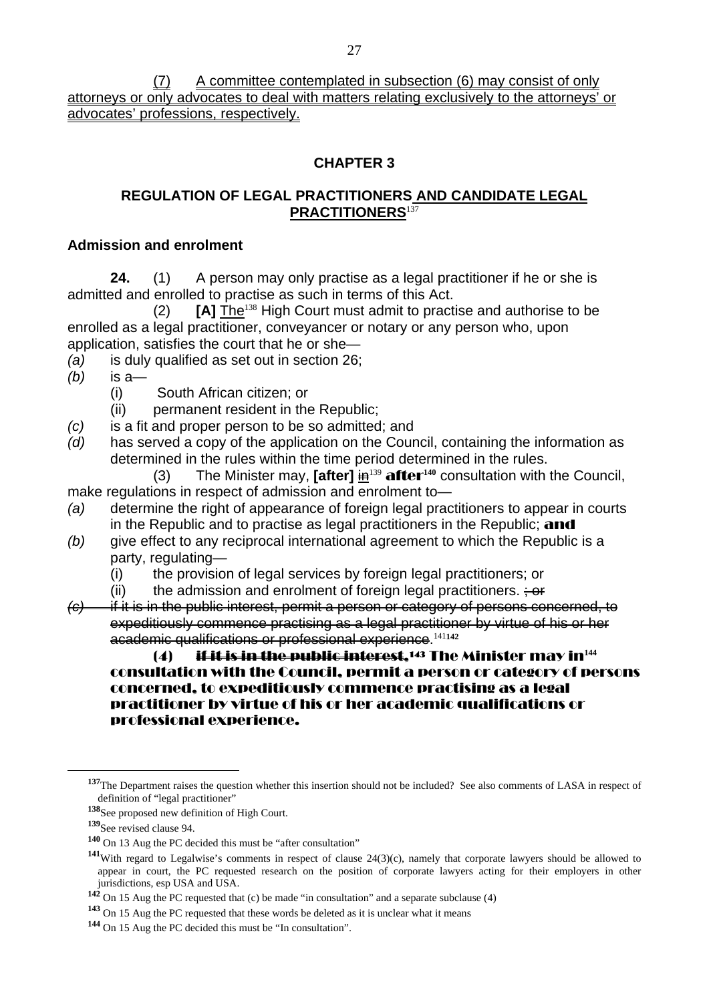(7) A committee contemplated in subsection (6) may consist of only attorneys or only advocates to deal with matters relating exclusively to the attorneys' or advocates' professions, respectively.

#### **CHAPTER 3**

### **REGULATION OF LEGAL PRACTITIONERS AND CANDIDATE LEGAL PRACTITIONERS**<sup>137</sup>

#### **Admission and enrolment**

**24.** (1) A person may only practise as a legal practitioner if he or she is admitted and enrolled to practise as such in terms of this Act.

(2) [A] **The<sup>138</sup>** High Court must admit to practise and authorise to be enrolled as a legal practitioner, conveyancer or notary or any person who, upon application, satisfies the court that he or she—

- *(a)* is duly qualified as set out in section 26;
- *(b)* is a—
	- (i) South African citizen; or
	- (ii) permanent resident in the Republic;
- *(c)* is a fit and proper person to be so admitted; and
- *(d)* has served a copy of the application on the Council, containing the information as determined in the rules within the time period determined in the rules.
- (3) The Minister may, **[after]** in<sup>139</sup> after**140** consultation with the Council, make regulations in respect of admission and enrolment to—
- *(a)* determine the right of appearance of foreign legal practitioners to appear in courts in the Republic and to practise as legal practitioners in the Republic; and
- *(b)* give effect to any reciprocal international agreement to which the Republic is a party, regulating—
	- (i) the provision of legal services by foreign legal practitioners; or
	- (ii) the admission and enrolment of foreign legal practitioners.  $\div$
- *(c)* if it is in the public interest, permit a person or category of persons concerned, to expeditiously commence practising as a legal practitioner by virtue of his or her academic qualifications or professional experience.<sup>141</sup>**<sup>142</sup>**

#### (4) if it is in the public interest,143 The Minister may in**<sup>144</sup>** consultation with the Council, permit a person or category of persons concerned, to expeditiously commence practising as a legal practitioner by virtue of his or her academic qualifications or professional experience.

**<sup>137</sup>**The Department raises the question whether this insertion should not be included? See also comments of LASA in respect of definition of "legal practitioner"

**<sup>138</sup>**See proposed new definition of High Court.

**<sup>139</sup>**See revised clause 94.

**<sup>140</sup>** On 13 Aug the PC decided this must be "after consultation"

**<sup>141</sup>**With regard to Legalwise's comments in respect of clause 24(3)(c), namely that corporate lawyers should be allowed to appear in court, the PC requested research on the position of corporate lawyers acting for their employers in other jurisdictions, esp USA and USA.

**<sup>142</sup>** On 15 Aug the PC requested that (c) be made "in consultation" and a separate subclause (4)

**<sup>143</sup>** On 15 Aug the PC requested that these words be deleted as it is unclear what it means

**<sup>144</sup>** On 15 Aug the PC decided this must be "In consultation".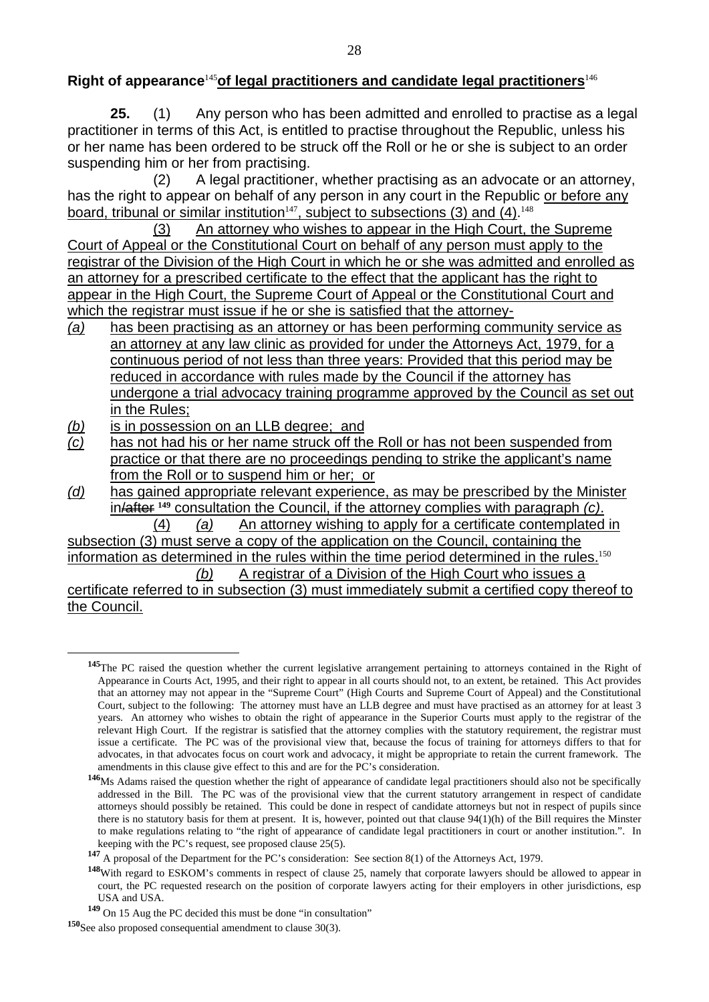#### **Right of appearance**<sup>145</sup>**of legal practitioners and candidate legal practitioners**<sup>146</sup>

**25.** (1) Any person who has been admitted and enrolled to practise as a legal practitioner in terms of this Act, is entitled to practise throughout the Republic, unless his or her name has been ordered to be struck off the Roll or he or she is subject to an order suspending him or her from practising.

 (2) A legal practitioner, whether practising as an advocate or an attorney, has the right to appear on behalf of any person in any court in the Republic or before any board, tribunal or similar institution<sup>147</sup>, subject to subsections (3) and (4).<sup>148</sup>

 (3) An attorney who wishes to appear in the High Court, the Supreme Court of Appeal or the Constitutional Court on behalf of any person must apply to the registrar of the Division of the High Court in which he or she was admitted and enrolled as an attorney for a prescribed certificate to the effect that the applicant has the right to appear in the High Court, the Supreme Court of Appeal or the Constitutional Court and which the registrar must issue if he or she is satisfied that the attorney-

- *(a)* has been practising as an attorney or has been performing community service as an attorney at any law clinic as provided for under the Attorneys Act, 1979, for a continuous period of not less than three years: Provided that this period may be reduced in accordance with rules made by the Council if the attorney has undergone a trial advocacy training programme approved by the Council as set out in the Rules;
- *(b)* is in possession on an LLB degree; and
- *(c)* has not had his or her name struck off the Roll or has not been suspended from practice or that there are no proceedings pending to strike the applicant's name from the Roll or to suspend him or her; or
- *(d)* has gained appropriate relevant experience, as may be prescribed by the Minister in/after **149** consultation the Council, if the attorney complies with paragraph *(c)*.

(4) *(a)* An attorney wishing to apply for a certificate contemplated in subsection (3) must serve a copy of the application on the Council, containing the information as determined in the rules within the time period determined in the rules.<sup>150</sup> *(b)* A registrar of a Division of the High Court who issues a

certificate referred to in subsection (3) must immediately submit a certified copy thereof to the Council.

**<sup>145</sup>**The PC raised the question whether the current legislative arrangement pertaining to attorneys contained in the Right of Appearance in Courts Act, 1995, and their right to appear in all courts should not, to an extent, be retained. This Act provides that an attorney may not appear in the "Supreme Court" (High Courts and Supreme Court of Appeal) and the Constitutional Court, subject to the following: The attorney must have an LLB degree and must have practised as an attorney for at least 3 years. An attorney who wishes to obtain the right of appearance in the Superior Courts must apply to the registrar of the relevant High Court. If the registrar is satisfied that the attorney complies with the statutory requirement, the registrar must issue a certificate. The PC was of the provisional view that, because the focus of training for attorneys differs to that for advocates, in that advocates focus on court work and advocacy, it might be appropriate to retain the current framework. The amendments in this clause give effect to this and are for the PC's consideration.

**<sup>146</sup>**Ms Adams raised the question whether the right of appearance of candidate legal practitioners should also not be specifically addressed in the Bill. The PC was of the provisional view that the current statutory arrangement in respect of candidate attorneys should possibly be retained. This could be done in respect of candidate attorneys but not in respect of pupils since there is no statutory basis for them at present. It is, however, pointed out that clause 94(1)(h) of the Bill requires the Minster to make regulations relating to "the right of appearance of candidate legal practitioners in court or another institution.". In keeping with the PC's request, see proposed clause 25(5).

**<sup>147</sup>** A proposal of the Department for the PC's consideration: See section 8(1) of the Attorneys Act, 1979.

**<sup>148</sup>**With regard to ESKOM's comments in respect of clause 25, namely that corporate lawyers should be allowed to appear in court, the PC requested research on the position of corporate lawyers acting for their employers in other jurisdictions, esp USA and USA.

**<sup>149</sup>** On 15 Aug the PC decided this must be done "in consultation"

**<sup>150</sup>**See also proposed consequential amendment to clause 30(3).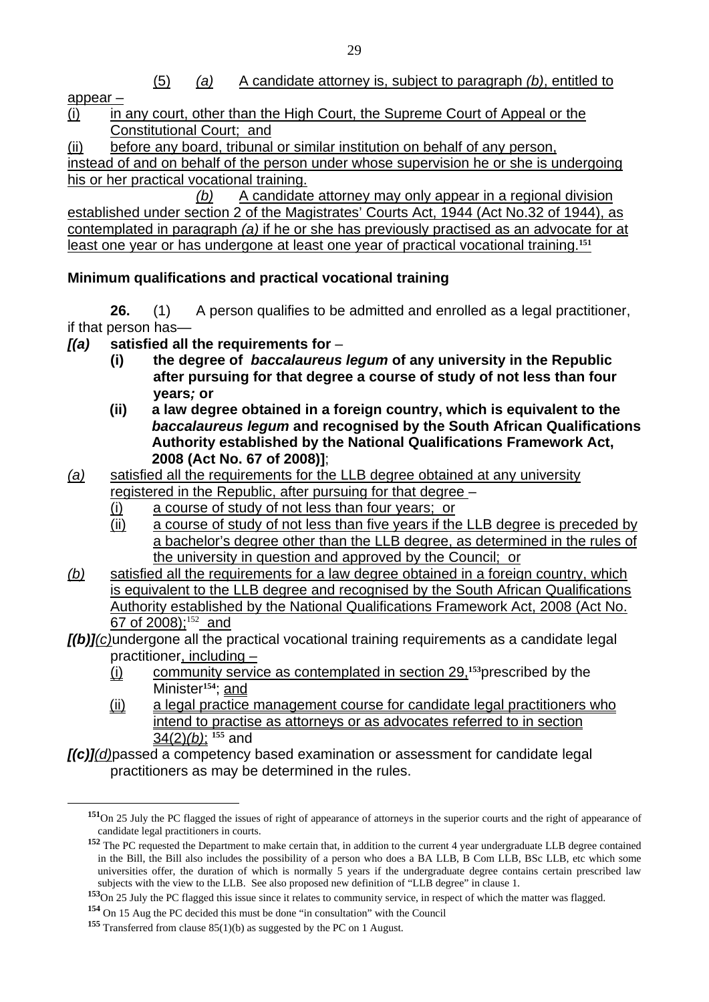(5) *(a)* A candidate attorney is, subject to paragraph *(b)*, entitled to

appear –

 $\overline{a}$ 

(i) in any court, other than the High Court, the Supreme Court of Appeal or the Constitutional Court; and

(ii) before any board, tribunal or similar institution on behalf of any person,

instead of and on behalf of the person under whose supervision he or she is undergoing his or her practical vocational training.

 *(b)* A candidate attorney may only appear in a regional division established under section 2 of the Magistrates' Courts Act, 1944 (Act No.32 of 1944), as contemplated in paragraph *(a)* if he or she has previously practised as an advocate for at least one year or has undergone at least one year of practical vocational training.**<sup>151</sup>**

# **Minimum qualifications and practical vocational training**

**26.** (1) A person qualifies to be admitted and enrolled as a legal practitioner, if that person has—

- *[(a)* **satisfied all the requirements for** 
	- **(i) the degree of** *baccalaureus legum* **of any university in the Republic after pursuing for that degree a course of study of not less than four years***;* **or**
	- **(ii) a law degree obtained in a foreign country, which is equivalent to the**  *baccalaureus legum* **and recognised by the South African Qualifications Authority established by the National Qualifications Framework Act, 2008 (Act No. 67 of 2008)]**;
- *(a)* satisfied all the requirements for the LLB degree obtained at any university registered in the Republic, after pursuing for that degree –
	- (i) a course of study of not less than four years; or
	- (ii) a course of study of not less than five years if the LLB degree is preceded by a bachelor's degree other than the LLB degree, as determined in the rules of the university in question and approved by the Council; or
- *(b)* satisfied all the requirements for a law degree obtained in a foreign country, which is equivalent to the LLB degree and recognised by the South African Qualifications Authority established by the National Qualifications Framework Act, 2008 (Act No. 67 of 2008):<sup>152</sup> and

### *[(b)](c)*undergone all the practical vocational training requirements as a candidate legal practitioner, including -

- (i) community service as contemplated in section 29,**153**prescribed by the Minister**154**; and
- (ii) a legal practice management course for candidate legal practitioners who intend to practise as attorneys or as advocates referred to in section 34(2)*(b)*; **155** and

*[(c)](d)*passed a competency based examination or assessment for candidate legal practitioners as may be determined in the rules.

**<sup>151</sup>**On 25 July the PC flagged the issues of right of appearance of attorneys in the superior courts and the right of appearance of candidate legal practitioners in courts.

**<sup>152</sup>** The PC requested the Department to make certain that, in addition to the current 4 year undergraduate LLB degree contained in the Bill, the Bill also includes the possibility of a person who does a BA LLB, B Com LLB, BSc LLB, etc which some universities offer, the duration of which is normally 5 years if the undergraduate degree contains certain prescribed law subjects with the view to the LLB. See also proposed new definition of "LLB degree" in clause 1.

**<sup>153</sup>**On 25 July the PC flagged this issue since it relates to community service, in respect of which the matter was flagged.

**<sup>154</sup>** On 15 Aug the PC decided this must be done "in consultation" with the Council

**<sup>155</sup>** Transferred from clause 85(1)(b) as suggested by the PC on 1 August.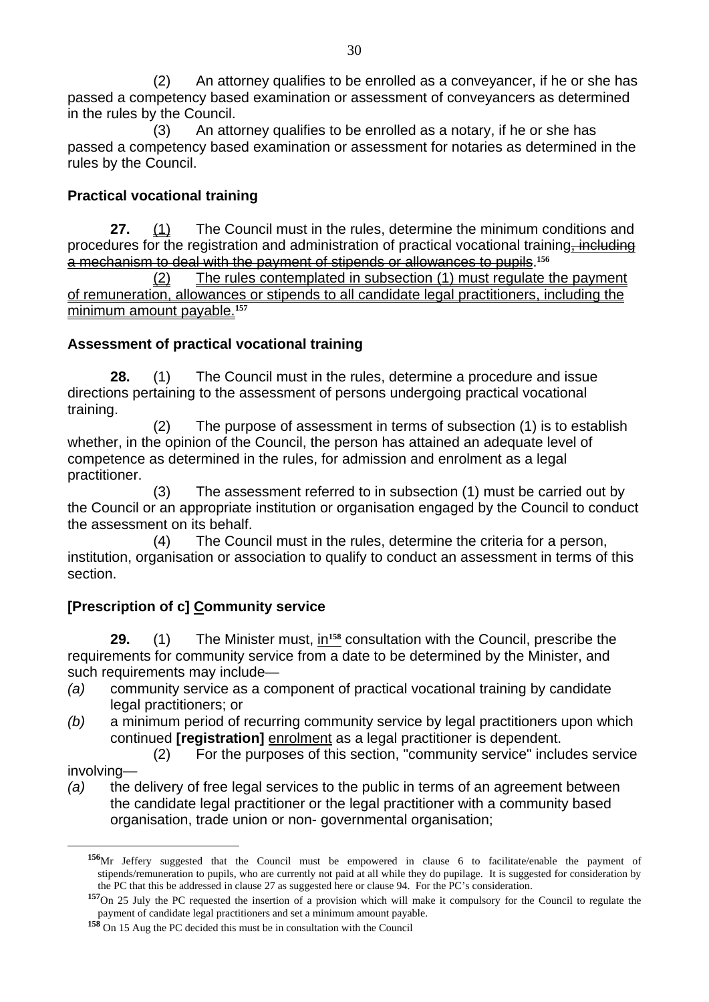(2) An attorney qualifies to be enrolled as a conveyancer, if he or she has passed a competency based examination or assessment of conveyancers as determined in the rules by the Council.

 (3) An attorney qualifies to be enrolled as a notary, if he or she has passed a competency based examination or assessment for notaries as determined in the rules by the Council.

# **Practical vocational training**

**27.** (1) The Council must in the rules, determine the minimum conditions and procedures for the registration and administration of practical vocational training, including a mechanism to deal with the payment of stipends or allowances to pupils.**<sup>156</sup>**

 (2) The rules contemplated in subsection (1) must regulate the payment of remuneration, allowances or stipends to all candidate legal practitioners, including the minimum amount payable.**<sup>157</sup>**

### **Assessment of practical vocational training**

**28.** (1) The Council must in the rules, determine a procedure and issue directions pertaining to the assessment of persons undergoing practical vocational training.

 (2) The purpose of assessment in terms of subsection (1) is to establish whether, in the opinion of the Council, the person has attained an adequate level of competence as determined in the rules, for admission and enrolment as a legal practitioner.

 (3) The assessment referred to in subsection (1) must be carried out by the Council or an appropriate institution or organisation engaged by the Council to conduct the assessment on its behalf.

(4) The Council must in the rules, determine the criteria for a person, institution, organisation or association to qualify to conduct an assessment in terms of this section.

# **[Prescription of c] Community service**

**29.** (1) The Minister must, in**158** consultation with the Council, prescribe the requirements for community service from a date to be determined by the Minister, and such requirements may include—

- *(a)* community service as a component of practical vocational training by candidate legal practitioners; or
- *(b)* a minimum period of recurring community service by legal practitioners upon which continued **[registration]** enrolment as a legal practitioner is dependent.

(2) For the purposes of this section, "community service" includes service

#### involving—

 $\overline{a}$ 

*(a)* the delivery of free legal services to the public in terms of an agreement between the candidate legal practitioner or the legal practitioner with a community based organisation, trade union or non- governmental organisation;

**<sup>156</sup>**Mr Jeffery suggested that the Council must be empowered in clause 6 to facilitate/enable the payment of stipends/remuneration to pupils, who are currently not paid at all while they do pupilage. It is suggested for consideration by the PC that this be addressed in clause 27 as suggested here or clause 94. For the PC's consideration.

**<sup>157</sup>**On 25 July the PC requested the insertion of a provision which will make it compulsory for the Council to regulate the payment of candidate legal practitioners and set a minimum amount payable.

**<sup>158</sup>** On 15 Aug the PC decided this must be in consultation with the Council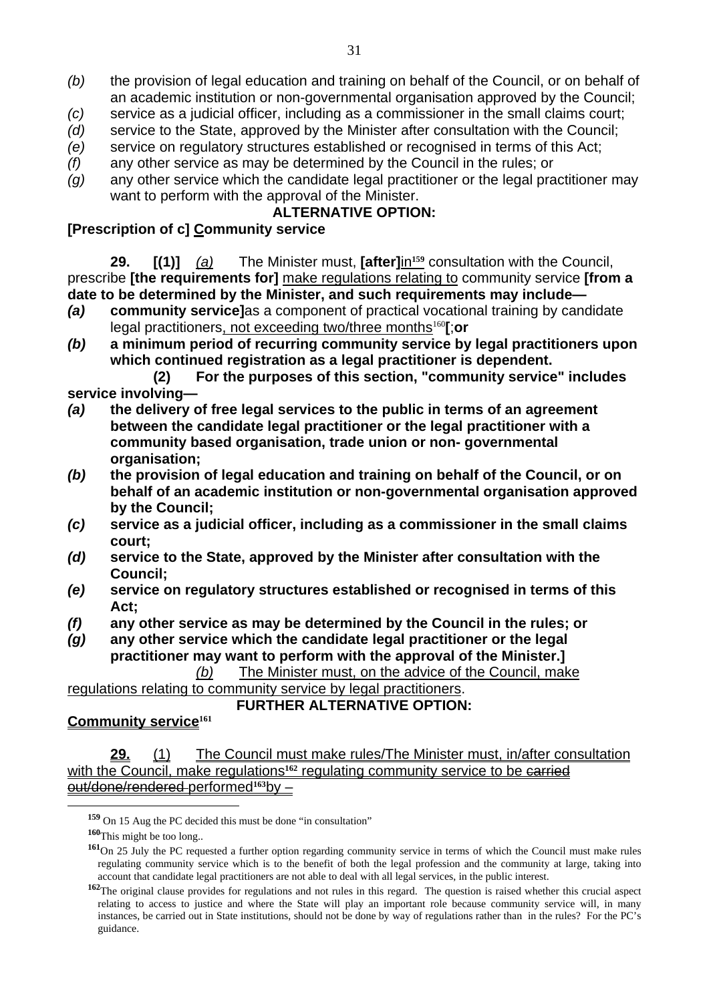- *(b)* the provision of legal education and training on behalf of the Council, or on behalf of an academic institution or non-governmental organisation approved by the Council;
- *(c)* service as a judicial officer, including as a commissioner in the small claims court;
- *(d)* service to the State, approved by the Minister after consultation with the Council;
- *(e)* service on regulatory structures established or recognised in terms of this Act;
- *(f)* any other service as may be determined by the Council in the rules; or
- *(g)* any other service which the candidate legal practitioner or the legal practitioner may want to perform with the approval of the Minister.

#### **ALTERNATIVE OPTION:**

### **[Prescription of c] Community service**

**29. [(1)]** *(a)* The Minister must, **[after]**in**159** consultation with the Council, prescribe **[the requirements for]** make regulations relating to community service **[from a date to be determined by the Minister, and such requirements may include—** 

- *(a)* **community service]**as a component of practical vocational training by candidate legal practitioners, not exceeding two/three months<sup>160</sup>**[**;**or**
- *(b)* **a minimum period of recurring community service by legal practitioners upon which continued registration as a legal practitioner is dependent.**

**(2) For the purposes of this section, "community service" includes service involving—** 

- *(a)* **the delivery of free legal services to the public in terms of an agreement between the candidate legal practitioner or the legal practitioner with a community based organisation, trade union or non- governmental organisation;**
- *(b)* **the provision of legal education and training on behalf of the Council, or on behalf of an academic institution or non-governmental organisation approved by the Council;**
- *(c)* **service as a judicial officer, including as a commissioner in the small claims court;**
- *(d)* **service to the State, approved by the Minister after consultation with the Council;**
- *(e)* **service on regulatory structures established or recognised in terms of this Act;**
- *(f)* **any other service as may be determined by the Council in the rules; or**
- *(g)* **any other service which the candidate legal practitioner or the legal practitioner may want to perform with the approval of the Minister.]**  *(b)* The Minister must, on the advice of the Council, make

regulations relating to community service by legal practitioners.

#### **FURTHER ALTERNATIVE OPTION:**

#### **Community service<sup>161</sup>**

**29.** (1) The Council must make rules/The Minister must, in/after consultation with the Council, make regulations<sup>162</sup> regulating community service to be carried out/done/rendered performed**163**by –

**<sup>159</sup>** On 15 Aug the PC decided this must be done "in consultation"

**<sup>160</sup>**This might be too long..

**<sup>161</sup>**On 25 July the PC requested a further option regarding community service in terms of which the Council must make rules regulating community service which is to the benefit of both the legal profession and the community at large, taking into account that candidate legal practitioners are not able to deal with all legal services, in the public interest.

**<sup>162</sup>**The original clause provides for regulations and not rules in this regard. The question is raised whether this crucial aspect relating to access to justice and where the State will play an important role because community service will, in many instances, be carried out in State institutions, should not be done by way of regulations rather than in the rules? For the PC's guidance.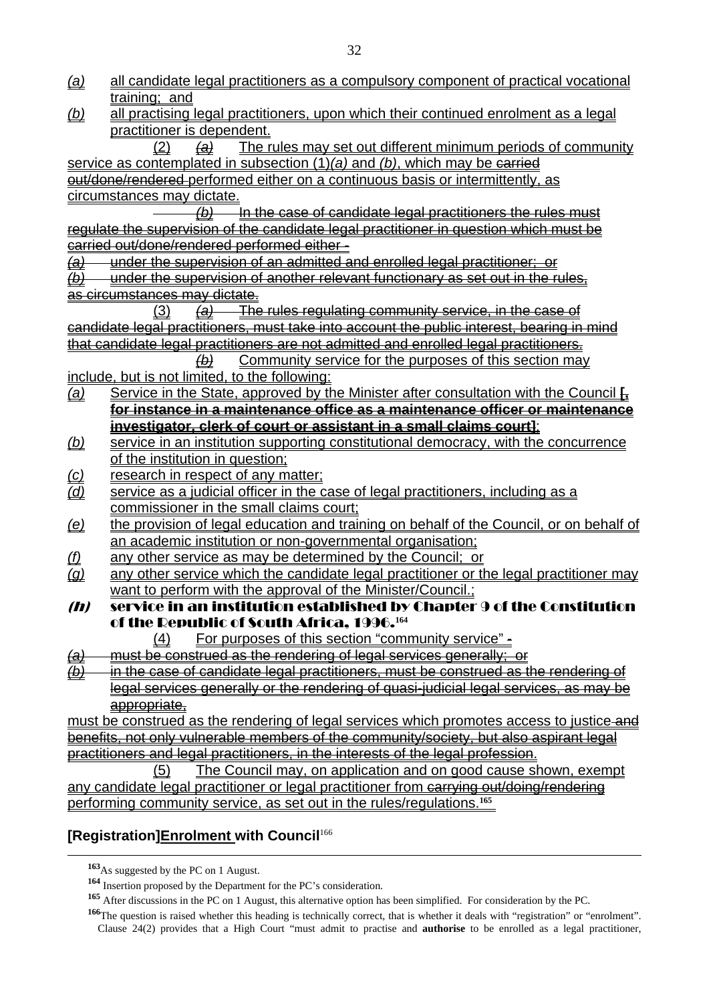- *(a)* all candidate legal practitioners as a compulsory component of practical vocational training; and
- *(b)* all practising legal practitioners, upon which their continued enrolment as a legal practitioner is dependent.

 (2) *(a)* The rules may set out different minimum periods of community service as contemplated in subsection (1)*(a)* and *(b)*, which may be carried out/done/rendered performed either on a continuous basis or intermittently, as circumstances may dictate.

 *(b)* In the case of candidate legal practitioners the rules must regulate the supervision of the candidate legal practitioner in question which must be carried out/done/rendered performed either -

*(a)* under the supervision of an admitted and enrolled legal practitioner; or

*(b)* under the supervision of another relevant functionary as set out in the rules, as circumstances may dictate.

 (3) *(a)* The rules regulating community service, in the case of candidate legal practitioners, must take into account the public interest, bearing in mind that candidate legal practitioners are not admitted and enrolled legal practitioners.

 *(b)* Community service for the purposes of this section may include, but is not limited, to the following:

- *(a)* Service in the State, approved by the Minister after consultation with the Council **[, for instance in a maintenance office as a maintenance officer or maintenance investigator, clerk of court or assistant in a small claims court]**;
- *(b)* service in an institution supporting constitutional democracy, with the concurrence of the institution in question;
- *(c)* research in respect of any matter;
- *(d)* service as a judicial officer in the case of legal practitioners, including as a commissioner in the small claims court;
- *(e)* the provision of legal education and training on behalf of the Council, or on behalf of an academic institution or non-governmental organisation;
- *(f)* any other service as may be determined by the Council; or
- *(g)* any other service which the candidate legal practitioner or the legal practitioner may want to perform with the approval of the Minister/Council.;
- $(n)$  service in an institution established by Chapter 9 of the Constitution of the Republic of South Africa, 1996.**<sup>164</sup>**
	- (4) For purposes of this section "community service" -
- *(a)* must be construed as the rendering of legal services generally; or

*(b)* in the case of candidate legal practitioners, must be construed as the rendering of legal services generally or the rendering of quasi-judicial legal services, as may be appropriate,

must be construed as the rendering of legal services which promotes access to justice and benefits, not only vulnerable members of the community/society, but also aspirant legal practitioners and legal practitioners, in the interests of the legal profession.

 (5) The Council may, on application and on good cause shown, exempt any candidate legal practitioner or legal practitioner from carrying out/doing/rendering performing community service, as set out in the rules/regulations.**<sup>165</sup>**

### **[Registration]Enrolment with Council**<sup>166</sup>

**<sup>163</sup>**As suggested by the PC on 1 August.

**<sup>164</sup>** Insertion proposed by the Department for the PC's consideration.

**<sup>165</sup>** After discussions in the PC on 1 August, this alternative option has been simplified. For consideration by the PC.

**<sup>166</sup>**The question is raised whether this heading is technically correct, that is whether it deals with "registration" or "enrolment". Clause 24(2) provides that a High Court "must admit to practise and **authorise** to be enrolled as a legal practitioner,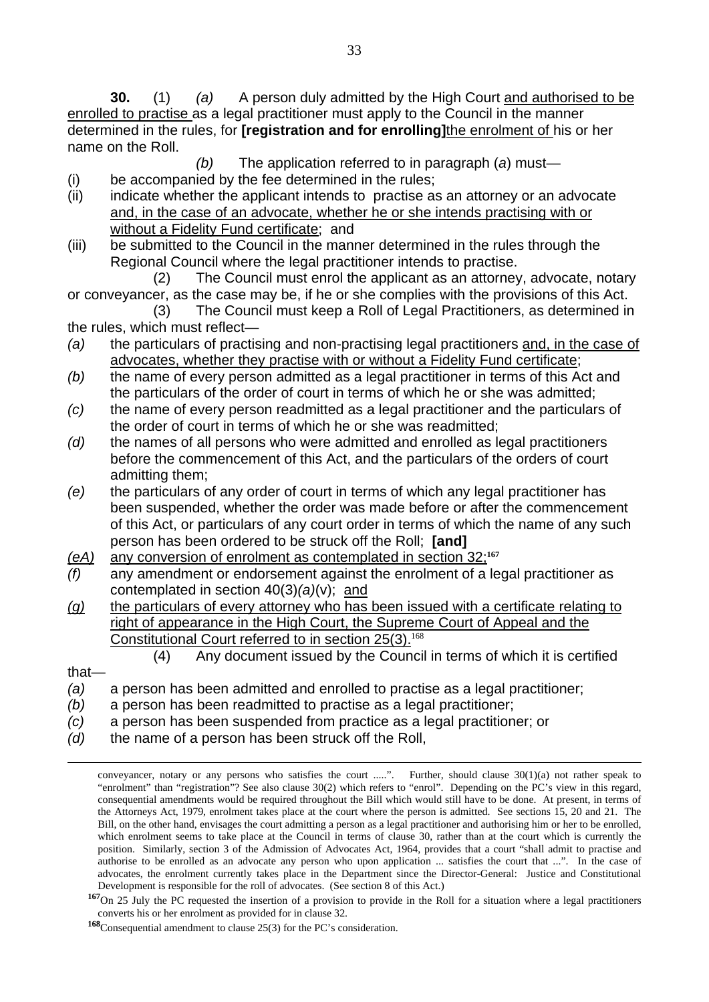**30.** (1) *(a)* A person duly admitted by the High Court and authorised to be enrolled to practise as a legal practitioner must apply to the Council in the manner determined in the rules, for **[registration and for enrolling]**the enrolment of his or her name on the Roll.

*(b)* The application referred to in paragraph (*a*) must—

- (i) be accompanied by the fee determined in the rules;
- (ii) indicate whether the applicant intends to practise as an attorney or an advocate and, in the case of an advocate, whether he or she intends practising with or without a Fidelity Fund certificate; and
- (iii) be submitted to the Council in the manner determined in the rules through the Regional Council where the legal practitioner intends to practise.

 (2) The Council must enrol the applicant as an attorney, advocate, notary or conveyancer, as the case may be, if he or she complies with the provisions of this Act.

- (3) The Council must keep a Roll of Legal Practitioners, as determined in the rules, which must reflect—
- *(a)* the particulars of practising and non-practising legal practitioners and, in the case of advocates, whether they practise with or without a Fidelity Fund certificate;
- *(b)* the name of every person admitted as a legal practitioner in terms of this Act and the particulars of the order of court in terms of which he or she was admitted;
- *(c)* the name of every person readmitted as a legal practitioner and the particulars of the order of court in terms of which he or she was readmitted;
- *(d)* the names of all persons who were admitted and enrolled as legal practitioners before the commencement of this Act, and the particulars of the orders of court admitting them;
- *(e)* the particulars of any order of court in terms of which any legal practitioner has been suspended, whether the order was made before or after the commencement of this Act, or particulars of any court order in terms of which the name of any such person has been ordered to be struck off the Roll; **[and]**
- *(eA)* any conversion of enrolment as contemplated in section 32;**<sup>167</sup>**
- *(f)* any amendment or endorsement against the enrolment of a legal practitioner as contemplated in section 40(3)*(a)*(v); and
- *(g)* the particulars of every attorney who has been issued with a certificate relating to right of appearance in the High Court, the Supreme Court of Appeal and the Constitutional Court referred to in section 25(3).<sup>168</sup>
	- (4) Any document issued by the Council in terms of which it is certified
- that—
- *(a)* a person has been admitted and enrolled to practise as a legal practitioner;
- *(b)* a person has been readmitted to practise as a legal practitioner;
- *(c)* a person has been suspended from practice as a legal practitioner; or
- *(d)* the name of a person has been struck off the Roll,

conveyancer, notary or any persons who satisfies the court .....". Further, should clause  $30(1)(a)$  not rather speak to "enrolment" than "registration"? See also clause 30(2) which refers to "enrol". Depending on the PC's view in this regard, consequential amendments would be required throughout the Bill which would still have to be done. At present, in terms of the Attorneys Act, 1979, enrolment takes place at the court where the person is admitted. See sections 15, 20 and 21. The Bill, on the other hand, envisages the court admitting a person as a legal practitioner and authorising him or her to be enrolled, which enrolment seems to take place at the Council in terms of clause 30, rather than at the court which is currently the position. Similarly, section 3 of the Admission of Advocates Act, 1964, provides that a court "shall admit to practise and authorise to be enrolled as an advocate any person who upon application ... satisfies the court that ...". In the case of advocates, the enrolment currently takes place in the Department since the Director-General: Justice and Constitutional Development is responsible for the roll of advocates. (See section 8 of this Act.)

**<sup>167</sup>**On 25 July the PC requested the insertion of a provision to provide in the Roll for a situation where a legal practitioners converts his or her enrolment as provided for in clause 32.

**<sup>168</sup>**Consequential amendment to clause 25(3) for the PC's consideration.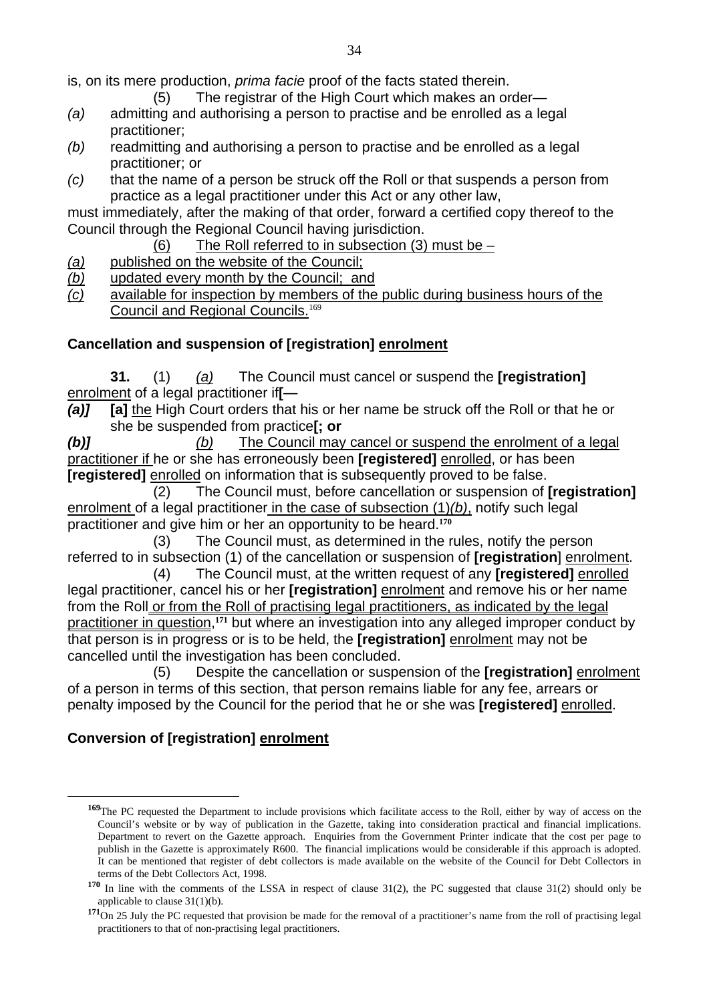is, on its mere production, *prima facie* proof of the facts stated therein.

- (5) The registrar of the High Court which makes an order—
- *(a)* admitting and authorising a person to practise and be enrolled as a legal practitioner;
- *(b)* readmitting and authorising a person to practise and be enrolled as a legal practitioner; or
- *(c)* that the name of a person be struck off the Roll or that suspends a person from practice as a legal practitioner under this Act or any other law,

must immediately, after the making of that order, forward a certified copy thereof to the Council through the Regional Council having jurisdiction.

- (6) The Roll referred to in subsection (3) must be –
- *(a)* published on the website of the Council;
- *(b)* updated every month by the Council; and
- *(c)* available for inspection by members of the public during business hours of the Council and Regional Councils.<sup>169</sup>

# **Cancellation and suspension of [registration] enrolment**

**31.** (1) *(a)* The Council must cancel or suspend the **[registration]**  enrolment of a legal practitioner if**[—** 

*(a)]* **[a]** the High Court orders that his or her name be struck off the Roll or that he or she be suspended from practice**[; or** 

*(b)] (b)* The Council may cancel or suspend the enrolment of a legal practitioner if he or she has erroneously been **[registered]** enrolled, or has been **[registered]** enrolled on information that is subsequently proved to be false.

 (2) The Council must, before cancellation or suspension of **[registration]** enrolment of a legal practitioner in the case of subsection (1)*(b)*, notify such legal practitioner and give him or her an opportunity to be heard.**<sup>170</sup>**

 (3) The Council must, as determined in the rules, notify the person referred to in subsection (1) of the cancellation or suspension of **[registration**] enrolment.

 (4) The Council must, at the written request of any **[registered]** enrolled legal practitioner, cancel his or her **[registration]** enrolment and remove his or her name from the Roll or from the Roll of practising legal practitioners, as indicated by the legal practitioner in question,**171** but where an investigation into any alleged improper conduct by that person is in progress or is to be held, the **[registration]** enrolment may not be cancelled until the investigation has been concluded.

 (5) Despite the cancellation or suspension of the **[registration]** enrolment of a person in terms of this section, that person remains liable for any fee, arrears or penalty imposed by the Council for the period that he or she was **[registered]** enrolled.

# **Conversion of [registration] enrolment**

**<sup>169</sup>**The PC requested the Department to include provisions which facilitate access to the Roll, either by way of access on the Council's website or by way of publication in the Gazette, taking into consideration practical and financial implications. Department to revert on the Gazette approach. Enquiries from the Government Printer indicate that the cost per page to publish in the Gazette is approximately R600. The financial implications would be considerable if this approach is adopted. It can be mentioned that register of debt collectors is made available on the website of the Council for Debt Collectors in terms of the Debt Collectors Act, 1998.

**<sup>170</sup>** In line with the comments of the LSSA in respect of clause 31(2), the PC suggested that clause 31(2) should only be applicable to clause 31(1)(b).

**<sup>171</sup>**On 25 July the PC requested that provision be made for the removal of a practitioner's name from the roll of practising legal practitioners to that of non-practising legal practitioners.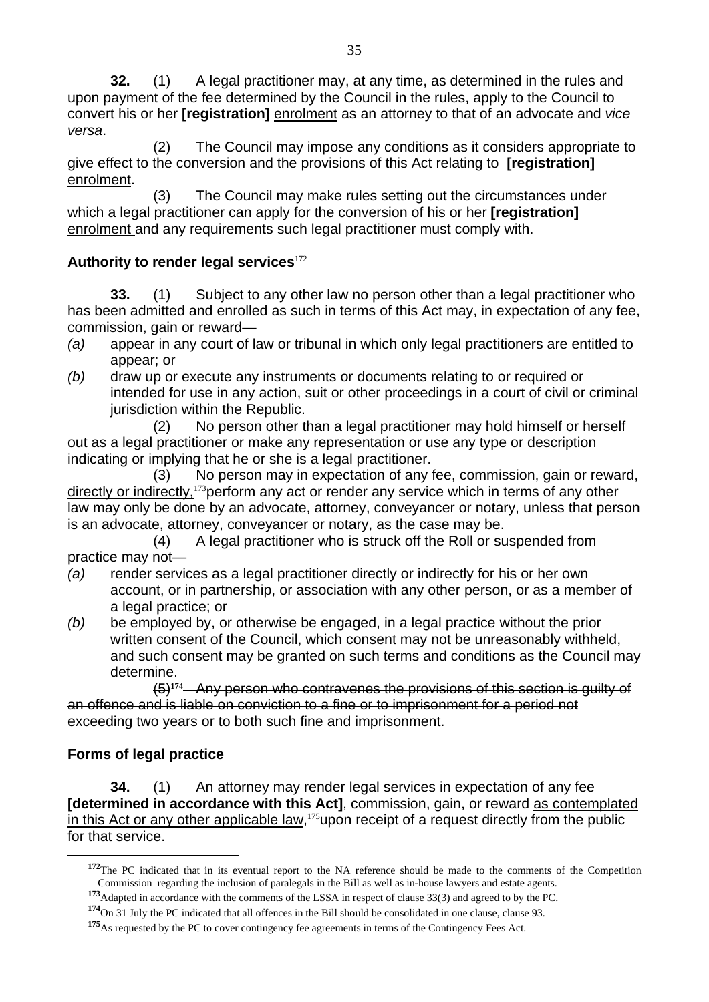**32.** (1) A legal practitioner may, at any time, as determined in the rules and upon payment of the fee determined by the Council in the rules, apply to the Council to convert his or her **[registration]** enrolment as an attorney to that of an advocate and *vice versa*.

 (2) The Council may impose any conditions as it considers appropriate to give effect to the conversion and the provisions of this Act relating to **[registration]**  enrolment.

 (3) The Council may make rules setting out the circumstances under which a legal practitioner can apply for the conversion of his or her **[registration]**  enrolment and any requirements such legal practitioner must comply with.

### **Authority to render legal services**<sup>172</sup>

**33.** (1) Subject to any other law no person other than a legal practitioner who has been admitted and enrolled as such in terms of this Act may, in expectation of any fee, commission, gain or reward—

- *(a)* appear in any court of law or tribunal in which only legal practitioners are entitled to appear; or
- *(b)* draw up or execute any instruments or documents relating to or required or intended for use in any action, suit or other proceedings in a court of civil or criminal jurisdiction within the Republic.

 (2) No person other than a legal practitioner may hold himself or herself out as a legal practitioner or make any representation or use any type or description indicating or implying that he or she is a legal practitioner.

 (3) No person may in expectation of any fee, commission, gain or reward, directly or indirectly, <sup>173</sup> perform any act or render any service which in terms of any other law may only be done by an advocate, attorney, conveyancer or notary, unless that person is an advocate, attorney, conveyancer or notary, as the case may be.

(4) A legal practitioner who is struck off the Roll or suspended from practice may not—

- *(a)* render services as a legal practitioner directly or indirectly for his or her own account, or in partnership, or association with any other person, or as a member of a legal practice; or
- *(b)* be employed by, or otherwise be engaged, in a legal practice without the prior written consent of the Council, which consent may not be unreasonably withheld, and such consent may be granted on such terms and conditions as the Council may determine.

(5)**174** Any person who contravenes the provisions of this section is guilty of an offence and is liable on conviction to a fine or to imprisonment for a period not exceeding two years or to both such fine and imprisonment.

# **Forms of legal practice**

 $\overline{a}$ 

**34.** (1) An attorney may render legal services in expectation of any fee **[determined in accordance with this Act]**, commission, gain, or reward as contemplated in this Act or any other applicable law, $175$  upon receipt of a request directly from the public for that service.

**<sup>172</sup>**The PC indicated that in its eventual report to the NA reference should be made to the comments of the Competition Commission regarding the inclusion of paralegals in the Bill as well as in-house lawyers and estate agents.

**<sup>173</sup>**Adapted in accordance with the comments of the LSSA in respect of clause 33(3) and agreed to by the PC.

**<sup>174</sup>**On 31 July the PC indicated that all offences in the Bill should be consolidated in one clause, clause 93.

**<sup>175</sup>**As requested by the PC to cover contingency fee agreements in terms of the Contingency Fees Act.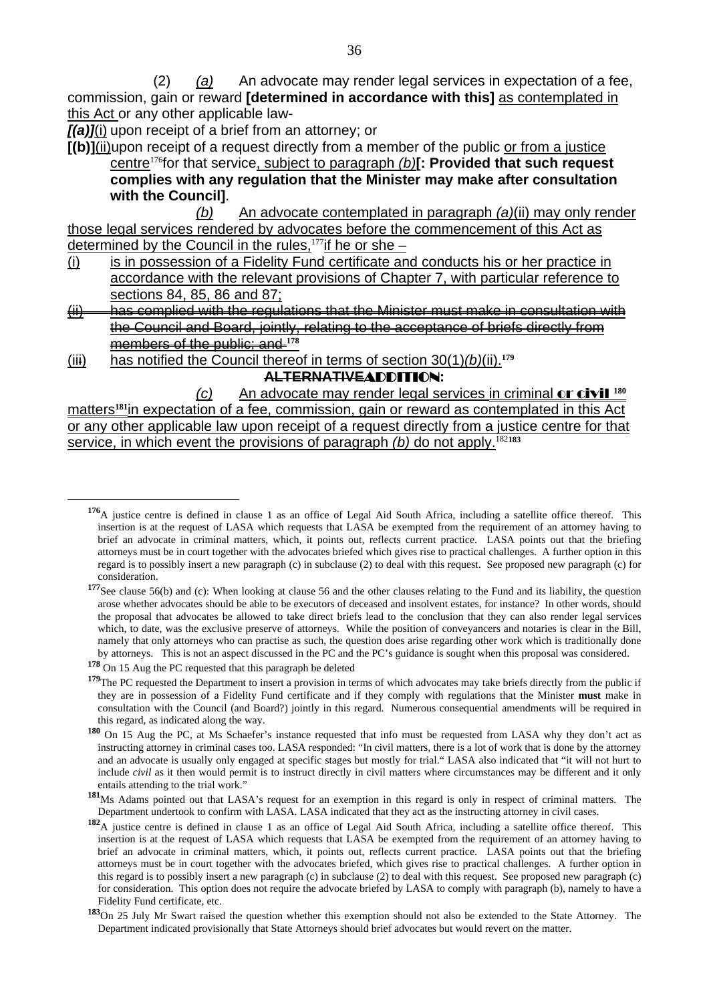(2) *(a)* An advocate may render legal services in expectation of a fee, commission, gain or reward **[determined in accordance with this]** as contemplated in this Act or any other applicable law-

*[(a)]*(i) upon receipt of a brief from an attorney; or

**[(b)]**(ii)upon receipt of a request directly from a member of the public or from a justice centre<sup>176</sup>for that service, subject to paragraph *(b)***[: Provided that such request complies with any regulation that the Minister may make after consultation with the Council]**.

 *(b)* An advocate contemplated in paragraph *(a)*(ii) may only render those legal services rendered by advocates before the commencement of this Act as determined by the Council in the rules,  $177$  if he or she –

- (i) is in possession of a Fidelity Fund certificate and conducts his or her practice in accordance with the relevant provisions of Chapter 7, with particular reference to sections 84, 85, 86 and 87;
- (ii) has complied with the regulations that the Minister must make in consultation with the Council and Board, jointly, relating to the acceptance of briefs directly from members of the public; and **<sup>178</sup>**
- (iii) has notified the Council thereof in terms of section 30(1)*(b)*(ii).**<sup>179</sup> ALTERNATIVE**ADDITION**:**

 *(c)* An advocate may render legal services in criminal or civil **<sup>180</sup>** matters**181**in expectation of a fee, commission, gain or reward as contemplated in this Act or any other applicable law upon receipt of a request directly from a justice centre for that service, in which event the provisions of paragraph *(b)* do not apply.<sup>182183</sup>

**<sup>176</sup>**A justice centre is defined in clause 1 as an office of Legal Aid South Africa, including a satellite office thereof. This insertion is at the request of LASA which requests that LASA be exempted from the requirement of an attorney having to brief an advocate in criminal matters, which, it points out, reflects current practice. LASA points out that the briefing attorneys must be in court together with the advocates briefed which gives rise to practical challenges. A further option in this regard is to possibly insert a new paragraph (c) in subclause (2) to deal with this request. See proposed new paragraph (c) for consideration.

**<sup>177</sup>**See clause 56(b) and (c): When looking at clause 56 and the other clauses relating to the Fund and its liability, the question arose whether advocates should be able to be executors of deceased and insolvent estates, for instance? In other words, should the proposal that advocates be allowed to take direct briefs lead to the conclusion that they can also render legal services which, to date, was the exclusive preserve of attorneys. While the position of conveyancers and notaries is clear in the Bill, namely that only attorneys who can practise as such, the question does arise regarding other work which is traditionally done by attorneys. This is not an aspect discussed in the PC and the PC's guidance is sought when this proposal was considered.

**<sup>178</sup>** On 15 Aug the PC requested that this paragraph be deleted

<sup>&</sup>lt;sup>179</sup>The PC requested the Department to insert a provision in terms of which advocates may take briefs directly from the public if they are in possession of a Fidelity Fund certificate and if they comply with regulations that the Minister **must** make in consultation with the Council (and Board?) jointly in this regard. Numerous consequential amendments will be required in this regard, as indicated along the way.

**<sup>180</sup>** On 15 Aug the PC, at Ms Schaefer's instance requested that info must be requested from LASA why they don't act as instructing attorney in criminal cases too. LASA responded: "In civil matters, there is a lot of work that is done by the attorney and an advocate is usually only engaged at specific stages but mostly for trial." LASA also indicated that "it will not hurt to include *civil* as it then would permit is to instruct directly in civil matters where circumstances may be different and it only entails attending to the trial work."

**<sup>181</sup>**Ms Adams pointed out that LASA's request for an exemption in this regard is only in respect of criminal matters. The Department undertook to confirm with LASA. LASA indicated that they act as the instructing attorney in civil cases.

**<sup>182</sup>**A justice centre is defined in clause 1 as an office of Legal Aid South Africa, including a satellite office thereof. This insertion is at the request of LASA which requests that LASA be exempted from the requirement of an attorney having to brief an advocate in criminal matters, which, it points out, reflects current practice. LASA points out that the briefing attorneys must be in court together with the advocates briefed, which gives rise to practical challenges. A further option in this regard is to possibly insert a new paragraph (c) in subclause (2) to deal with this request. See proposed new paragraph (c) for consideration. This option does not require the advocate briefed by LASA to comply with paragraph (b), namely to have a Fidelity Fund certificate, etc.

**<sup>183</sup>**On 25 July Mr Swart raised the question whether this exemption should not also be extended to the State Attorney. The Department indicated provisionally that State Attorneys should brief advocates but would revert on the matter.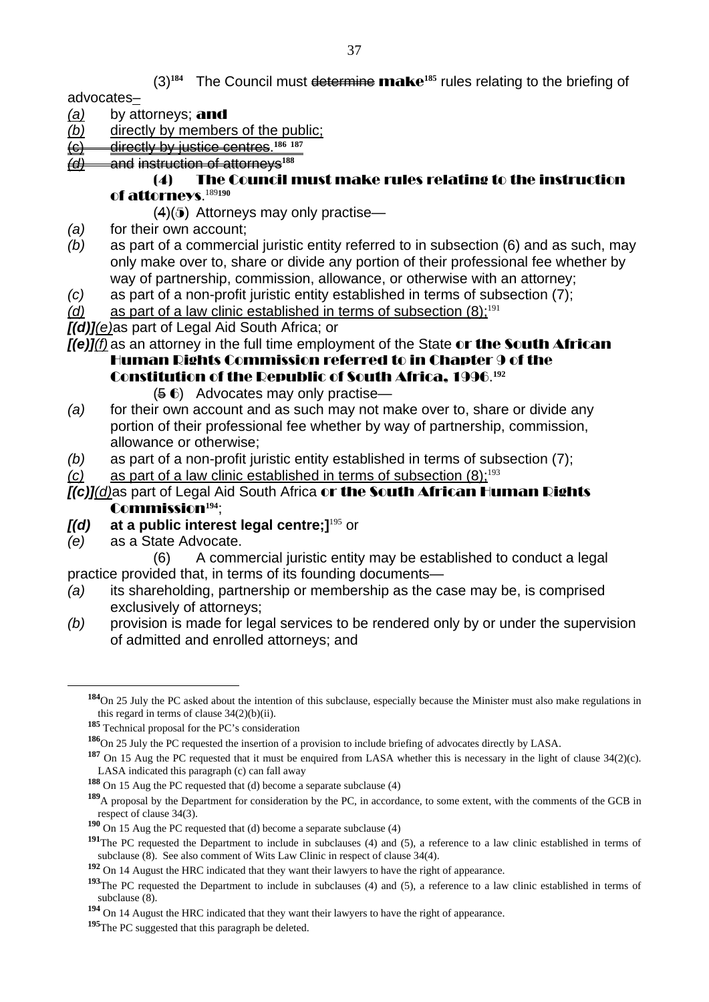(3)**184** The Council must determine make**185** rules relating to the briefing of

advocates–

- *(a)* by attorneys; and
- *(b)* directly by members of the public;
- (c) directly by justice centres.**<sup>186</sup> <sup>187</sup>**
- *(d)* and instruction of attorneys**<sup>188</sup>**

#### (4) The Council must make rules relating to the instruction of attorneys. 189**190**

- $(4)(5)$  Attorneys may only practise—
- *(a)* for their own account;
- *(b)* as part of a commercial juristic entity referred to in subsection (6) and as such, may only make over to, share or divide any portion of their professional fee whether by way of partnership, commission, allowance, or otherwise with an attorney;
- *(c)* as part of a non-profit juristic entity established in terms of subsection (7);
- $(d)$  as part of a law clinic established in terms of subsection  $(8)$ :<sup>191</sup>
- *[(d)](e)*as part of Legal Aid South Africa; or

*[(e)]<sup>(f)</sup>* as an attorney in the full time employment of the State or the South African

Human Rights Commission referred to in Chapter 9 of the Constitution of the Republic of South Africa, 1996. **192**

- (5 6) Advocates may only practise—
- *(a)* for their own account and as such may not make over to, share or divide any portion of their professional fee whether by way of partnership, commission, allowance or otherwise;
- *(b)* as part of a non-profit juristic entity established in terms of subsection (7);
- *(c)* as part of a law clinic established in terms of subsection (8):<sup>193</sup>

#### *[(c)](d)*as part of Legal Aid South Africa or the South African Human Rights Commission**194**;

- *[(d)* **at a public interest legal centre;]**<sup>195</sup> or
- *(e)* as a State Advocate.

 $\overline{a}$ 

 (6) A commercial juristic entity may be established to conduct a legal practice provided that, in terms of its founding documents—

- *(a)* its shareholding, partnership or membership as the case may be, is comprised exclusively of attorneys;
- *(b)* provision is made for legal services to be rendered only by or under the supervision of admitted and enrolled attorneys; and

**<sup>184</sup>**On 25 July the PC asked about the intention of this subclause, especially because the Minister must also make regulations in this regard in terms of clause  $34(2)(b)(ii)$ .

**<sup>185</sup>** Technical proposal for the PC's consideration

**<sup>186</sup>**On 25 July the PC requested the insertion of a provision to include briefing of advocates directly by LASA.

**<sup>187</sup>** On 15 Aug the PC requested that it must be enquired from LASA whether this is necessary in the light of clause 34(2)(c). LASA indicated this paragraph (c) can fall away

**<sup>188</sup>** On 15 Aug the PC requested that (d) become a separate subclause (4)

**<sup>189</sup>**A proposal by the Department for consideration by the PC, in accordance, to some extent, with the comments of the GCB in respect of clause 34(3).

**<sup>190</sup>** On 15 Aug the PC requested that (d) become a separate subclause (4)

<sup>&</sup>lt;sup>191</sup>The PC requested the Department to include in subclauses (4) and (5), a reference to a law clinic established in terms of subclause (8). See also comment of Wits Law Clinic in respect of clause 34(4).

**<sup>192</sup>** On 14 August the HRC indicated that they want their lawyers to have the right of appearance.

**<sup>193</sup>**The PC requested the Department to include in subclauses (4) and (5), a reference to a law clinic established in terms of subclause (8).

**<sup>194</sup>** On 14 August the HRC indicated that they want their lawyers to have the right of appearance.

**<sup>195</sup>**The PC suggested that this paragraph be deleted.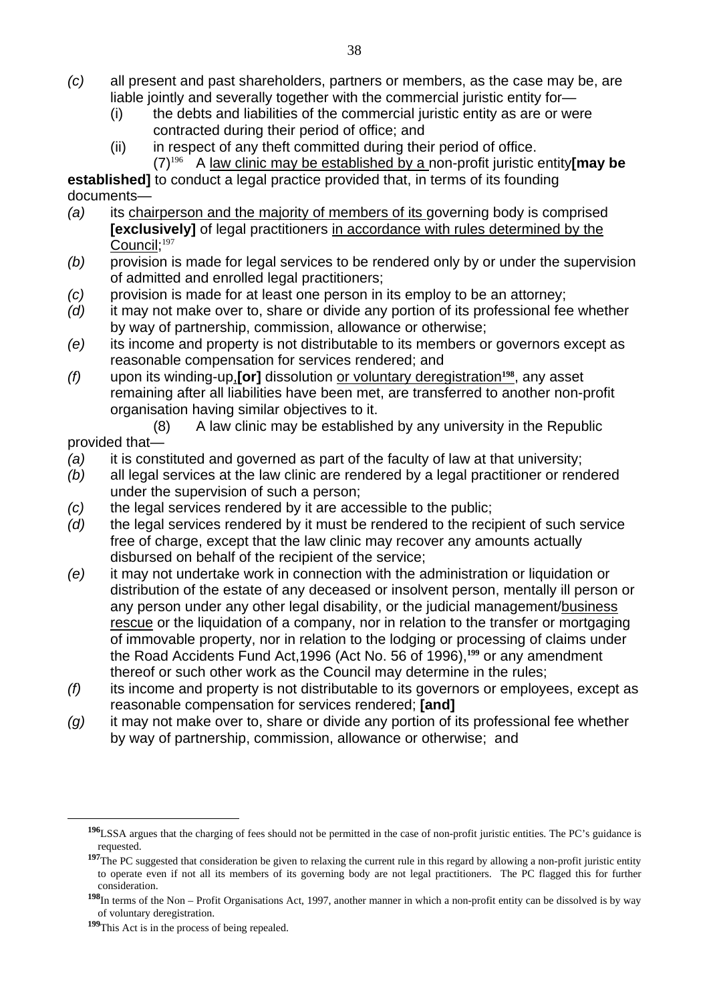- *(c)* all present and past shareholders, partners or members, as the case may be, are liable jointly and severally together with the commercial juristic entity for-
	- (i) the debts and liabilities of the commercial juristic entity as are or were contracted during their period of office; and
	- (ii) in respect of any theft committed during their period of office. (7)<sup>196</sup> A law clinic may be established by a non-profit juristic entity**[may be**

**established]** to conduct a legal practice provided that, in terms of its founding documents—

- *(a)* its chairperson and the majority of members of its governing body is comprised **[exclusively]** of legal practitioners in accordance with rules determined by the Council:<sup>197</sup>
- *(b)* provision is made for legal services to be rendered only by or under the supervision of admitted and enrolled legal practitioners;
- *(c)* provision is made for at least one person in its employ to be an attorney;
- *(d)* it may not make over to, share or divide any portion of its professional fee whether by way of partnership, commission, allowance or otherwise;
- *(e)* its income and property is not distributable to its members or governors except as reasonable compensation for services rendered; and
- *(f)* upon its winding-up,**[or]** dissolution or voluntary deregistration**198**, any asset remaining after all liabilities have been met, are transferred to another non-profit organisation having similar objectives to it.

 (8) A law clinic may be established by any university in the Republic provided that—

- *(a)* it is constituted and governed as part of the faculty of law at that university;
- *(b)* all legal services at the law clinic are rendered by a legal practitioner or rendered under the supervision of such a person;
- *(c)* the legal services rendered by it are accessible to the public;
- *(d)* the legal services rendered by it must be rendered to the recipient of such service free of charge, except that the law clinic may recover any amounts actually disbursed on behalf of the recipient of the service;
- *(e)* it may not undertake work in connection with the administration or liquidation or distribution of the estate of any deceased or insolvent person, mentally ill person or any person under any other legal disability, or the judicial management/business rescue or the liquidation of a company, nor in relation to the transfer or mortgaging of immovable property, nor in relation to the lodging or processing of claims under the Road Accidents Fund Act,1996 (Act No. 56 of 1996),**199** or any amendment thereof or such other work as the Council may determine in the rules;
- *(f)* its income and property is not distributable to its governors or employees, except as reasonable compensation for services rendered; **[and]**
- *(g)* it may not make over to, share or divide any portion of its professional fee whether by way of partnership, commission, allowance or otherwise; and

**<sup>196</sup>**LSSA argues that the charging of fees should not be permitted in the case of non-profit juristic entities. The PC's guidance is requested.

<sup>&</sup>lt;sup>197</sup>The PC suggested that consideration be given to relaxing the current rule in this regard by allowing a non-profit juristic entity to operate even if not all its members of its governing body are not legal practitioners. The PC flagged this for further consideration.

**<sup>198</sup>**In terms of the Non – Profit Organisations Act, 1997, another manner in which a non-profit entity can be dissolved is by way of voluntary deregistration.

**<sup>199</sup>**This Act is in the process of being repealed.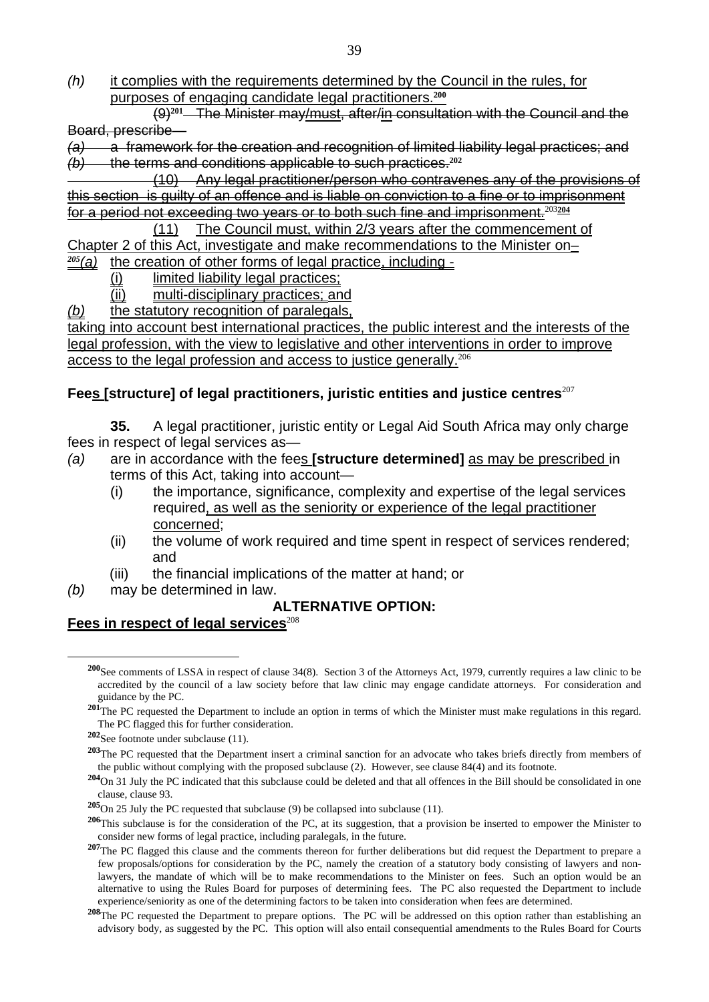*(h)* it complies with the requirements determined by the Council in the rules, for purposes of engaging candidate legal practitioners.**<sup>200</sup>**

 (9)**201** The Minister may/must, after/in consultation with the Council and the Board, prescribe—

*(a)* a framework for the creation and recognition of limited liability legal practices; and *(b)* the terms and conditions applicable to such practices.**<sup>202</sup>**

 (10) Any legal practitioner/person who contravenes any of the provisions of this section is guilty of an offence and is liable on conviction to a fine or to imprisonment for a period not exceeding two years or to both such fine and imprisonment.<sup>203</sup>**<sup>204</sup>**

 (11) The Council must, within 2/3 years after the commencement of Chapter 2 of this Act, investigate and make recommendations to the Minister on–

*<sup>205</sup>(a)* the creation of other forms of legal practice, including -

- (i) limited liability legal practices;
- (ii) multi-disciplinary practices; and
- *(b)* the statutory recognition of paralegals,

taking into account best international practices, the public interest and the interests of the legal profession, with the view to legislative and other interventions in order to improve access to the legal profession and access to justice generally.<sup>206</sup>

#### **Fees [structure] of legal practitioners, juristic entities and justice centres**<sup>207</sup>

**35.** A legal practitioner, juristic entity or Legal Aid South Africa may only charge fees in respect of legal services as—

- *(a)* are in accordance with the fees **[structure determined]** as may be prescribed in terms of this Act, taking into account—
	- (i) the importance, significance, complexity and expertise of the legal services required, as well as the seniority or experience of the legal practitioner concerned;
	- (ii) the volume of work required and time spent in respect of services rendered; and
	- (iii) the financial implications of the matter at hand; or
- *(b)* may be determined in law.

 $\overline{a}$ 

#### **ALTERNATIVE OPTION:**

#### Fees in respect of legal services<sup>208</sup>

**<sup>200</sup>**See comments of LSSA in respect of clause 34(8). Section 3 of the Attorneys Act, 1979, currently requires a law clinic to be accredited by the council of a law society before that law clinic may engage candidate attorneys. For consideration and guidance by the PC.

<sup>&</sup>lt;sup>201</sup>The PC requested the Department to include an option in terms of which the Minister must make regulations in this regard. The PC flagged this for further consideration.

**<sup>202</sup>**See footnote under subclause (11).

**<sup>203</sup>**The PC requested that the Department insert a criminal sanction for an advocate who takes briefs directly from members of the public without complying with the proposed subclause (2). However, see clause 84(4) and its footnote.

**<sup>204</sup>**On 31 July the PC indicated that this subclause could be deleted and that all offences in the Bill should be consolidated in one clause, clause 93.

**<sup>205</sup>**On 25 July the PC requested that subclause (9) be collapsed into subclause (11).

**<sup>206</sup>**This subclause is for the consideration of the PC, at its suggestion, that a provision be inserted to empower the Minister to consider new forms of legal practice, including paralegals, in the future.

<sup>&</sup>lt;sup>207</sup>The PC flagged this clause and the comments thereon for further deliberations but did request the Department to prepare a few proposals/options for consideration by the PC, namely the creation of a statutory body consisting of lawyers and nonlawyers, the mandate of which will be to make recommendations to the Minister on fees. Such an option would be an alternative to using the Rules Board for purposes of determining fees. The PC also requested the Department to include experience/seniority as one of the determining factors to be taken into consideration when fees are determined.

<sup>&</sup>lt;sup>208</sup>The PC requested the Department to prepare options. The PC will be addressed on this option rather than establishing an advisory body, as suggested by the PC. This option will also entail consequential amendments to the Rules Board for Courts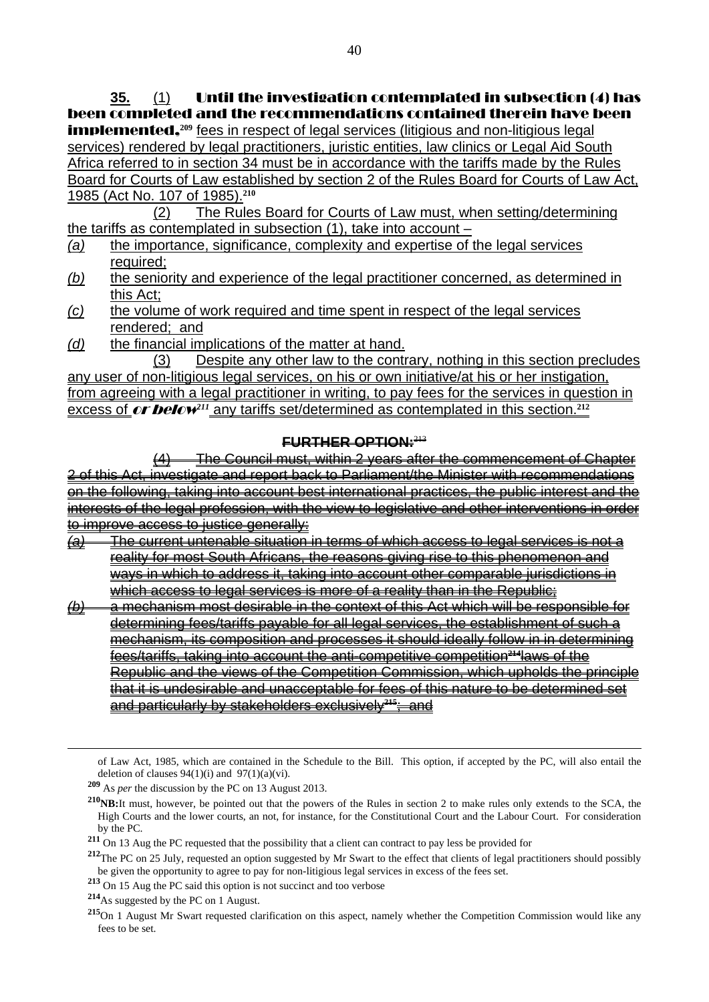**35.** (1) Until the investigation contemplated in subsection (4) has been completed and the recommendations contained therein have been **implemented.**<sup>209</sup> fees in respect of legal services (litigious and non-litigious legal services) rendered by legal practitioners, juristic entities, law clinics or Legal Aid South Africa referred to in section 34 must be in accordance with the tariffs made by the Rules Board for Courts of Law established by section 2 of the Rules Board for Courts of Law Act, 1985 (Act No. 107 of 1985).**<sup>210</sup>**

 (2) The Rules Board for Courts of Law must, when setting/determining the tariffs as contemplated in subsection (1), take into account –

- *(a)* the importance, significance, complexity and expertise of the legal services required;
- *(b)* the seniority and experience of the legal practitioner concerned, as determined in this Act;
- *(c)* the volume of work required and time spent in respect of the legal services rendered; and
- *(d)* the financial implications of the matter at hand.

 (3) Despite any other law to the contrary, nothing in this section precludes any user of non-litigious legal services, on his or own initiative/at his or her instigation, from agreeing with a legal practitioner in writing, to pay fees for the services in question in excess of **or below**<sup>211</sup> any tariffs set/determined as contemplated in this section.<sup>212</sup>

#### **FURTHER OPTION:**<sup>213</sup>

(4) The Council must, within 2 years after the commencement of Chapter 2 of this Act, investigate and report back to Parliament/the Minister with recommendations on the following, taking into account best international practices, the public interest and the interests of the legal profession, with the view to legislative and other interventions in order to improve access to justice generally:

- *(a)* The current untenable situation in terms of which access to legal services is not a reality for most South Africans, the reasons giving rise to this phenomenon and ways in which to address it, taking into account other comparable jurisdictions in which access to legal services is more of a reality than in the Republic;
- *(b)* a mechanism most desirable in the context of this Act which will be responsible for determining fees/tariffs payable for all legal services, the establishment of such a mechanism, its composition and processes it should ideally follow in in determining fees/tariffs, taking into account the anti-competitive competition**214**laws of the Republic and the views of the Competition Commission, which upholds the principle that it is undesirable and unacceptable for fees of this nature to be determined set and particularly by stakeholders exclusively**215**; and

of Law Act, 1985, which are contained in the Schedule to the Bill. This option, if accepted by the PC, will also entail the deletion of clauses  $94(1)(i)$  and  $97(1)(a)(vi)$ .

**<sup>209</sup>** As *per* the discussion by the PC on 13 August 2013.

**<sup>210</sup>NB:**It must, however, be pointed out that the powers of the Rules in section 2 to make rules only extends to the SCA, the High Courts and the lower courts, an not, for instance, for the Constitutional Court and the Labour Court. For consideration by the PC.

**<sup>211</sup>** On 13 Aug the PC requested that the possibility that a client can contract to pay less be provided for

<sup>&</sup>lt;sup>212</sup>The PC on 25 July, requested an option suggested by Mr Swart to the effect that clients of legal practitioners should possibly be given the opportunity to agree to pay for non-litigious legal services in excess of the fees set.

**<sup>213</sup>** On 15 Aug the PC said this option is not succinct and too verbose

**<sup>214</sup>**As suggested by the PC on 1 August.

**<sup>215</sup>**On 1 August Mr Swart requested clarification on this aspect, namely whether the Competition Commission would like any fees to be set.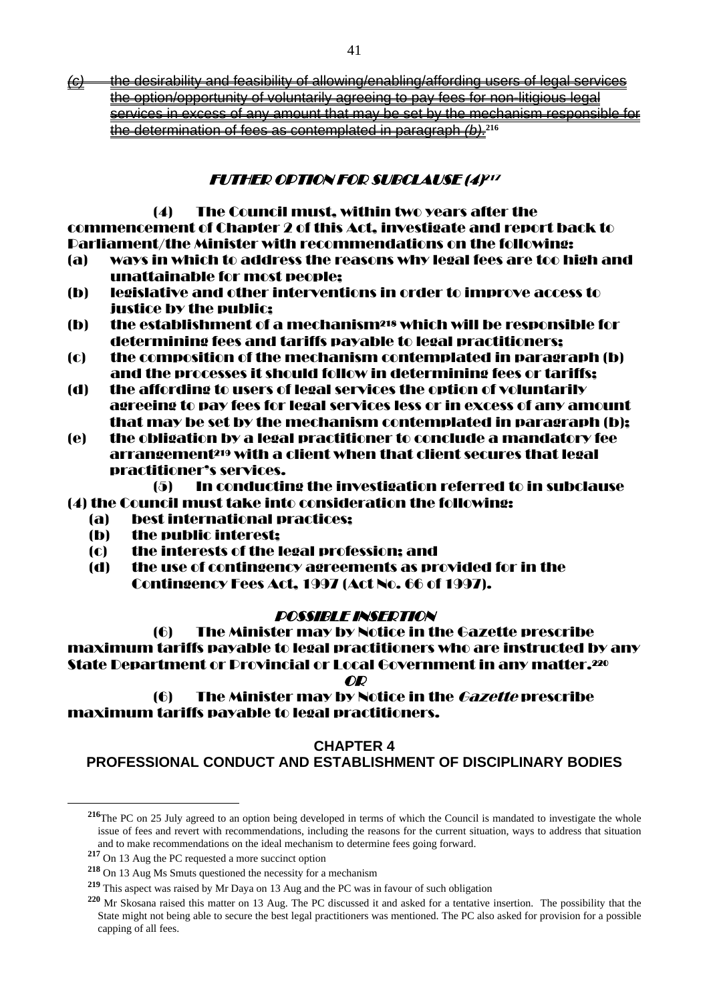*(c)* the desirability and feasibility of allowing/enabling/affording users of legal services the option/opportunity of voluntarily agreeing to pay fees for non-litigious legal services in excess of any amount that may be set by the mechanism responsible for the determination of fees as contemplated in paragraph *(b).***<sup>216</sup>**

#### **FUTHER OPTION FOR SUBCLAUSE (4)217**

(4) The Council must, within two years after the commencement of Chapter 2 of this Act, investigate and report back to Parliament/the Minister with recommendations on the following:

- (a) ways in which to address the reasons why legal fees are too high and unattainable for most people;
- (b) legislative and other interventions in order to improve access to justice by the public;
- (b) the establishment of a mechanism218 which will be responsible for determining fees and tariffs payable to legal practitioners;
- (c) the composition of the mechanism contemplated in paragraph (b) and the processes it should follow in determining fees or tariffs;
- (d) the affording to users of legal services the option of voluntarily agreeing to pay fees for legal services less or in excess of any amount that may be set by the mechanism contemplated in paragraph (b);
- (e) the obligation by a legal practitioner to conclude a mandatory fee arrangement219 with a client when that client secures that legal practitioner's services.

(5) In conducting the investigation referred to in subclause (4) the Council must take into consideration the following:

- (a) best international practices;
- (b) the public interest;
- (c) the interests of the legal profession; and
- (d) the use of contingency agreements as provided for in the Contingency Fees Act, 1997 (Act No. 66 of 1997).

#### POSSIBLE INSERTION

 (6) The Minister may by Notice in the Gazette prescribe maximum tariffs payable to legal practitioners who are instructed by any State Department or Provincial or Local Government in any matter.220 OR

 (6) The Minister may by Notice in the Gazette prescribe maximum tariffs payable to legal practitioners.

#### **CHAPTER 4**

**PROFESSIONAL CONDUCT AND ESTABLISHMENT OF DISCIPLINARY BODIES** 

<sup>&</sup>lt;sup>216</sup>The PC on 25 July agreed to an option being developed in terms of which the Council is mandated to investigate the whole issue of fees and revert with recommendations, including the reasons for the current situation, ways to address that situation and to make recommendations on the ideal mechanism to determine fees going forward.

**<sup>217</sup>** On 13 Aug the PC requested a more succinct option

**<sup>218</sup>** On 13 Aug Ms Smuts questioned the necessity for a mechanism

**<sup>219</sup>** This aspect was raised by Mr Daya on 13 Aug and the PC was in favour of such obligation

**<sup>220</sup>** Mr Skosana raised this matter on 13 Aug. The PC discussed it and asked for a tentative insertion. The possibility that the State might not being able to secure the best legal practitioners was mentioned. The PC also asked for provision for a possible capping of all fees.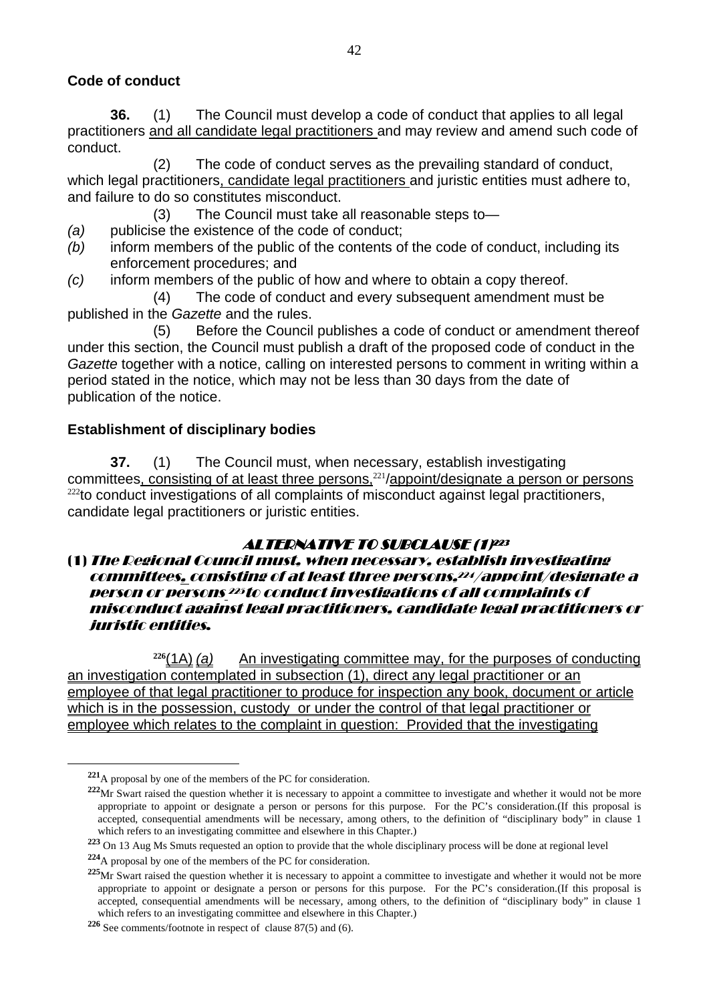#### **Code of conduct**

**36.** (1) The Council must develop a code of conduct that applies to all legal practitioners and all candidate legal practitioners and may review and amend such code of conduct.

 (2) The code of conduct serves as the prevailing standard of conduct, which legal practitioners, candidate legal practitioners and juristic entities must adhere to, and failure to do so constitutes misconduct.

(3) The Council must take all reasonable steps to—

- *(a)* publicise the existence of the code of conduct;
- *(b)* inform members of the public of the contents of the code of conduct, including its enforcement procedures; and
- *(c)* inform members of the public of how and where to obtain a copy thereof.

(4) The code of conduct and every subsequent amendment must be published in the *Gazette* and the rules.

 (5) Before the Council publishes a code of conduct or amendment thereof under this section, the Council must publish a draft of the proposed code of conduct in the *Gazette* together with a notice, calling on interested persons to comment in writing within a period stated in the notice, which may not be less than 30 days from the date of publication of the notice.

#### **Establishment of disciplinary bodies**

**37.** (1) The Council must, when necessary, establish investigating committees, consisting of at least three persons,<sup>221</sup>/appoint/designate a person or persons  $222$ to conduct investigations of all complaints of misconduct against legal practitioners, candidate legal practitioners or juristic entities.

## **ALTERNATIVE TO SUBCLAUSE (1)223**

#### (1)The Regional Council must, when necessary, establish investigating committees, consisting of at least three persons,224/appoint/designate a person or persons <sup>225</sup>to conduct investigations of all complaints of misconduct against legal practitioners, candidate legal practitioners or juristic entities.

**<sup>226</sup>**(1A) *(a)* An investigating committee may, for the purposes of conducting an investigation contemplated in subsection (1), direct any legal practitioner or an employee of that legal practitioner to produce for inspection any book, document or article which is in the possession, custody or under the control of that legal practitioner or employee which relates to the complaint in question: Provided that the investigating

**<sup>221</sup>**A proposal by one of the members of the PC for consideration.

**<sup>222</sup>**Mr Swart raised the question whether it is necessary to appoint a committee to investigate and whether it would not be more appropriate to appoint or designate a person or persons for this purpose. For the PC's consideration.(If this proposal is accepted, consequential amendments will be necessary, among others, to the definition of "disciplinary body" in clause 1 which refers to an investigating committee and elsewhere in this Chapter.)

**<sup>223</sup>** On 13 Aug Ms Smuts requested an option to provide that the whole disciplinary process will be done at regional level

**<sup>224</sup>**A proposal by one of the members of the PC for consideration.

<sup>&</sup>lt;sup>225</sup>Mr Swart raised the question whether it is necessary to appoint a committee to investigate and whether it would not be more appropriate to appoint or designate a person or persons for this purpose. For the PC's consideration.(If this proposal is accepted, consequential amendments will be necessary, among others, to the definition of "disciplinary body" in clause 1 which refers to an investigating committee and elsewhere in this Chapter.)

**<sup>226</sup>** See comments/footnote in respect of clause 87(5) and (6).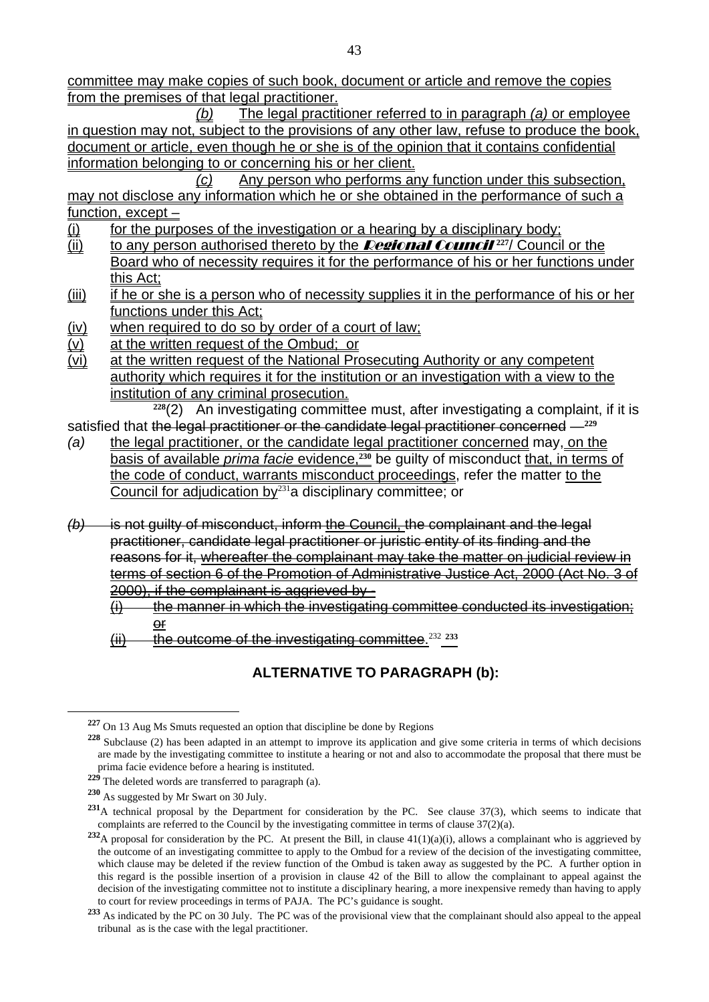committee may make copies of such book, document or article and remove the copies from the premises of that legal practitioner.

 *(b)* The legal practitioner referred to in paragraph *(a)* or employee in question may not, subject to the provisions of any other law, refuse to produce the book, document or article, even though he or she is of the opinion that it contains confidential information belonging to or concerning his or her client.

 *(c)* Any person who performs any function under this subsection, may not disclose any information which he or she obtained in the performance of such a function, except –

- $(i)$  for the purposes of the investigation or a hearing by a disciplinary body;
- (ii) to any person authorised thereto by the Regional Council **<sup>227</sup>**/ Council or the Board who of necessity requires it for the performance of his or her functions under this Act;
- (iii) if he or she is a person who of necessity supplies it in the performance of his or her functions under this Act;
- (iv) when required to do so by order of a court of law;
- (v) at the written request of the Ombud; or
- $\overline{v}$  at the written request of the National Prosecuting Authority or any competent authority which requires it for the institution or an investigation with a view to the institution of any criminal prosecution.

 **<sup>228</sup>**(2) An investigating committee must, after investigating a complaint, if it is satisfied that the legal practitioner or the candidate legal practitioner concerned —**<sup>229</sup>**

- *(a)* the legal practitioner, or the candidate legal practitioner concerned may, on the basis of available *prima facie* evidence,**230** be guilty of misconduct that, in terms of the code of conduct, warrants misconduct proceedings, refer the matter to the Council for adjudication by $231a$  disciplinary committee; or
- *(b)* is not guilty of misconduct, inform the Council, the complainant and the legal practitioner, candidate legal practitioner or juristic entity of its finding and the reasons for it, whereafter the complainant may take the matter on judicial review in terms of section 6 of the Promotion of Administrative Justice Act, 2000 (Act No. 3 of 2000), if the complainant is aggrieved by -

 $(i)$  the manner in which the investigating committee conducted its investigation; or

(ii) the outcome of the investigating committee.<sup>232</sup> **<sup>233</sup>**

## **ALTERNATIVE TO PARAGRAPH (b):**

**<sup>227</sup>** On 13 Aug Ms Smuts requested an option that discipline be done by Regions

**<sup>228</sup>** Subclause (2) has been adapted in an attempt to improve its application and give some criteria in terms of which decisions are made by the investigating committee to institute a hearing or not and also to accommodate the proposal that there must be prima facie evidence before a hearing is instituted.

**<sup>229</sup>** The deleted words are transferred to paragraph (a).

**<sup>230</sup>** As suggested by Mr Swart on 30 July.

**<sup>231</sup>**A technical proposal by the Department for consideration by the PC. See clause 37(3), which seems to indicate that complaints are referred to the Council by the investigating committee in terms of clause 37(2)(a).

**<sup>232</sup>**A proposal for consideration by the PC. At present the Bill, in clause 41(1)(a)(i), allows a complainant who is aggrieved by the outcome of an investigating committee to apply to the Ombud for a review of the decision of the investigating committee, which clause may be deleted if the review function of the Ombud is taken away as suggested by the PC. A further option in this regard is the possible insertion of a provision in clause 42 of the Bill to allow the complainant to appeal against the decision of the investigating committee not to institute a disciplinary hearing, a more inexpensive remedy than having to apply to court for review proceedings in terms of PAJA. The PC's guidance is sought.

<sup>&</sup>lt;sup>233</sup> As indicated by the PC on 30 July. The PC was of the provisional view that the complainant should also appeal to the appeal tribunal as is the case with the legal practitioner.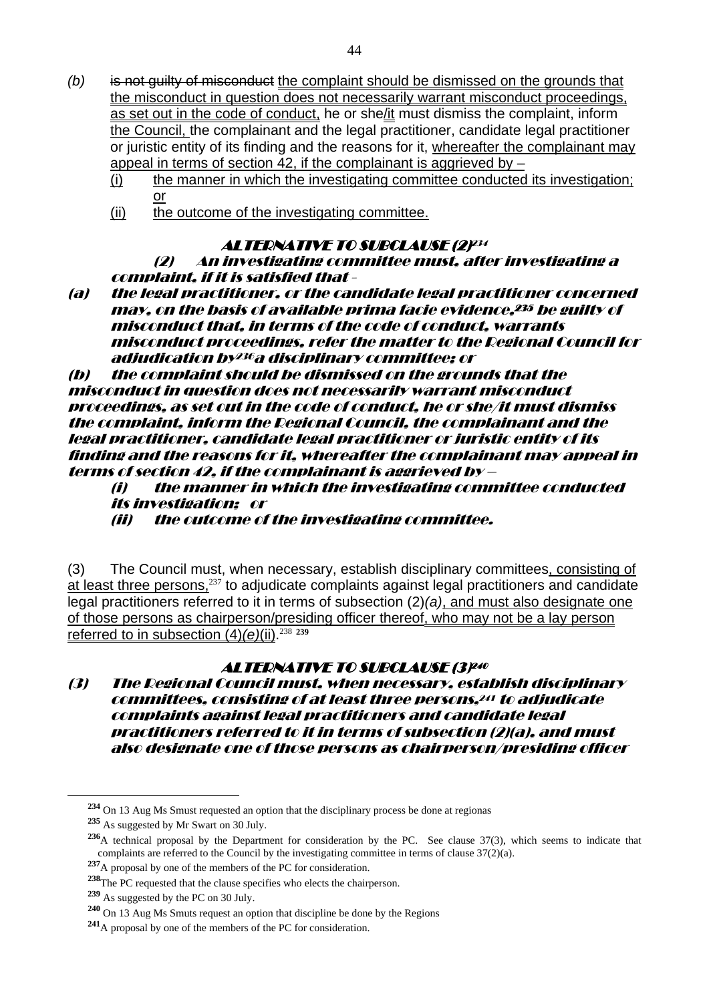- *(b)* is not guilty of misconduct the complaint should be dismissed on the grounds that the misconduct in question does not necessarily warrant misconduct proceedings, as set out in the code of conduct, he or she/it must dismiss the complaint, inform the Council, the complainant and the legal practitioner, candidate legal practitioner or juristic entity of its finding and the reasons for it, whereafter the complainant may appeal in terms of section 42, if the complainant is aggrieved by  $-$ 
	- (i) the manner in which the investigating committee conducted its investigation; or
	- (ii) the outcome of the investigating committee.

#### **ALTERNATIVE TO SUBCLAUSE (2)<sup>234</sup>**

(2) An investigating committee must, after investigating a complaint, if it is satisfied that -

(a) the legal practitioner, or the candidate legal practitioner concerned may, on the basis of available prima facie evidence,235 be guilty of misconduct that, in terms of the code of conduct, warrants misconduct proceedings, refer the matter to the Regional Council for adjudication by236a disciplinary committee; or

(b) the complaint should be dismissed on the grounds that the misconduct in question does not necessarily warrant misconduct proceedings, as set out in the code of conduct, he or she/it must dismiss the complaint, inform the Regional Council, the complainant and the legal practitioner, candidate legal practitioner or juristic entity of its finding and the reasons for it, whereafter the complainant may appeal in terms of section 42, if the complainant is aggrieved by –

(i) the manner in which the investigating committee conducted its investigation; or

(ii) the outcome of the investigating committee.

(3) The Council must, when necessary, establish disciplinary committees, consisting of at least three persons,<sup>237</sup> to adjudicate complaints against legal practitioners and candidate legal practitioners referred to it in terms of subsection (2)*(a)*, and must also designate one of those persons as chairperson/presiding officer thereof, who may not be a lay person referred to in subsection (4)*(e)*(ii).<sup>238</sup> **<sup>239</sup>**

#### **ALTERNATIVE TO SUBCLAUSE (3P40**

(3) The Regional Council must, when necessary, establish disciplinary committees, consisting of at least three persons,241 to adjudicate complaints against legal practitioners and candidate legal practitioners referred to it in terms of subsection (2)(a), and must also designate one of those persons as chairperson/presiding officer

**<sup>234</sup>** On 13 Aug Ms Smust requested an option that the disciplinary process be done at regionas

**<sup>235</sup>** As suggested by Mr Swart on 30 July.

**<sup>236</sup>**A technical proposal by the Department for consideration by the PC. See clause 37(3), which seems to indicate that complaints are referred to the Council by the investigating committee in terms of clause 37(2)(a).

**<sup>237</sup>**A proposal by one of the members of the PC for consideration.

**<sup>238</sup>**The PC requested that the clause specifies who elects the chairperson.

**<sup>239</sup>** As suggested by the PC on 30 July.

**<sup>240</sup>** On 13 Aug Ms Smuts request an option that discipline be done by the Regions

**<sup>241</sup>**A proposal by one of the members of the PC for consideration.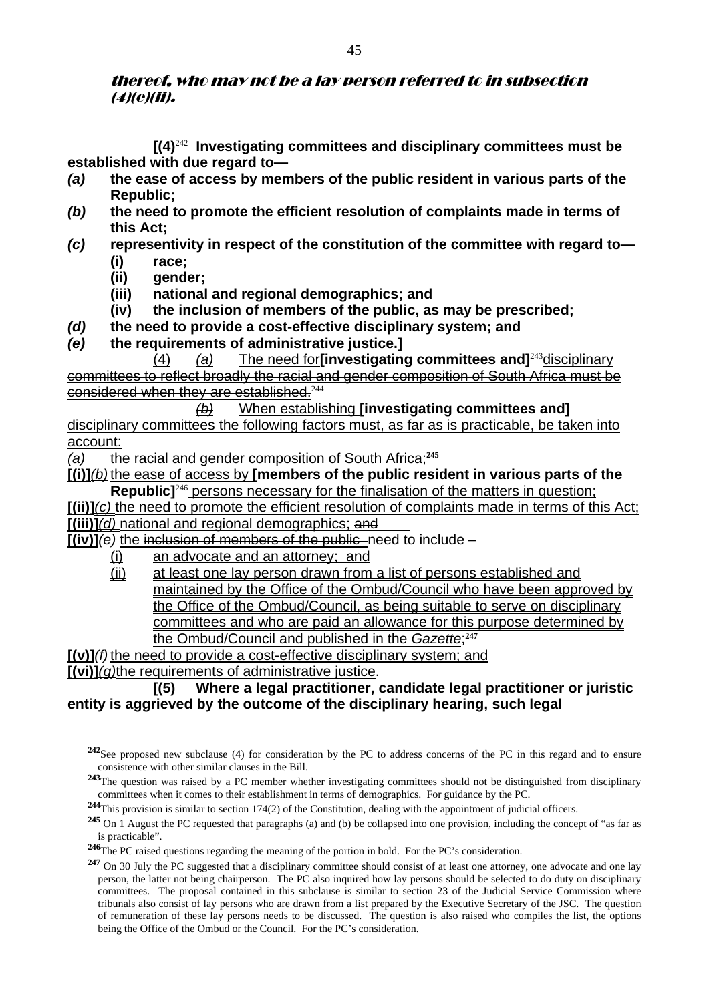#### thereof, who may not be a lay person referred to in subsection (4)(e)(ii).

 **[(4)**<sup>242</sup> **Investigating committees and disciplinary committees must be established with due regard to—** 

- *(a)* **the ease of access by members of the public resident in various parts of the Republic;**
- *(b)* **the need to promote the efficient resolution of complaints made in terms of this Act;**
- *(c)* **representivity in respect of the constitution of the committee with regard to— (i) race;** 
	- **(ii) gender;**

 $\overline{a}$ 

- **(iii) national and regional demographics; and**
- **(iv) the inclusion of members of the public, as may be prescribed;**
- *(d)* **the need to provide a cost-effective disciplinary system; and**
- *(e)* **the requirements of administrative justice.]**

 (4) *(a)* The need for**[investigating committees and]**<sup>243</sup>disciplinary committees to reflect broadly the racial and gender composition of South Africa must be considered when they are established.<sup>244</sup>

 *(b)* When establishing **[investigating committees and]** disciplinary committees the following factors must, as far as is practicable, be taken into account:

*(a)* the racial and gender composition of South Africa;**<sup>245</sup>**

**[(i)]***(b)* the ease of access by **[members of the public resident in various parts of the Republic**]<sup>246</sup> persons necessary for the finalisation of the matters in question;

**[(ii)]***(c)* the need to promote the efficient resolution of complaints made in terms of this Act; **[(iii)]***(d)* national and regional demographics; and

 $\overline{[(iv)](e)}$  the inclusion of members of the public need to include –

- (i) an advocate and an attorney; and
- (ii) at least one lay person drawn from a list of persons established and maintained by the Office of the Ombud/Council who have been approved by the Office of the Ombud/Council, as being suitable to serve on disciplinary committees and who are paid an allowance for this purpose determined by the Ombud/Council and published in the *Gazette*; **247**

**[(v)]***(f)* the need to provide a cost-effective disciplinary system; and **[(vi)]***(g)*the requirements of administrative justice.

#### **[(5) Where a legal practitioner, candidate legal practitioner or juristic entity is aggrieved by the outcome of the disciplinary hearing, such legal**

**<sup>242</sup>**See proposed new subclause (4) for consideration by the PC to address concerns of the PC in this regard and to ensure consistence with other similar clauses in the Bill.

**<sup>243</sup>**The question was raised by a PC member whether investigating committees should not be distinguished from disciplinary committees when it comes to their establishment in terms of demographics. For guidance by the PC.

**<sup>244</sup>**This provision is similar to section 174(2) of the Constitution, dealing with the appointment of judicial officers.

**<sup>245</sup>** On 1 August the PC requested that paragraphs (a) and (b) be collapsed into one provision, including the concept of "as far as is practicable".

**<sup>246</sup>**The PC raised questions regarding the meaning of the portion in bold. For the PC's consideration.

<sup>&</sup>lt;sup>247</sup> On 30 July the PC suggested that a disciplinary committee should consist of at least one attorney, one advocate and one lay person, the latter not being chairperson. The PC also inquired how lay persons should be selected to do duty on disciplinary committees. The proposal contained in this subclause is similar to section 23 of the Judicial Service Commission where tribunals also consist of lay persons who are drawn from a list prepared by the Executive Secretary of the JSC. The question of remuneration of these lay persons needs to be discussed. The question is also raised who compiles the list, the options being the Office of the Ombud or the Council. For the PC's consideration.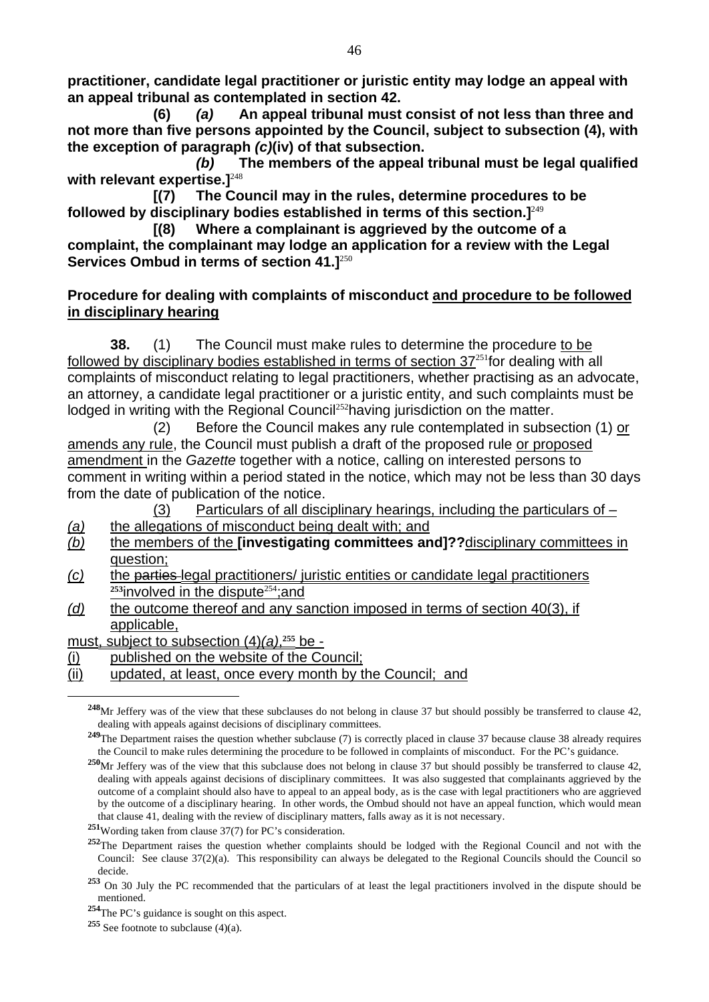**practitioner, candidate legal practitioner or juristic entity may lodge an appeal with an appeal tribunal as contemplated in section 42.** 

 **(6)** *(a)* **An appeal tribunal must consist of not less than three and not more than five persons appointed by the Council, subject to subsection (4), with the exception of paragraph** *(c)***(iv) of that subsection.** 

*(b)* **The members of the appeal tribunal must be legal qualified with relevant expertise.]**<sup>248</sup>

 **[(7) The Council may in the rules, determine procedures to be followed by disciplinary bodies established in terms of this section.]**<sup>249</sup>

 **[(8) Where a complainant is aggrieved by the outcome of a complaint, the complainant may lodge an application for a review with the Legal Services Ombud in terms of section 41.]**<sup>250</sup>

#### **Procedure for dealing with complaints of misconduct and procedure to be followed in disciplinary hearing**

**38.** (1) The Council must make rules to determine the procedure to be followed by disciplinary bodies established in terms of section  $37^{251}$  for dealing with all complaints of misconduct relating to legal practitioners, whether practising as an advocate, an attorney, a candidate legal practitioner or a juristic entity, and such complaints must be lodged in writing with the Regional Council<sup>252</sup>having jurisdiction on the matter.

 (2) Before the Council makes any rule contemplated in subsection (1) or amends any rule, the Council must publish a draft of the proposed rule or proposed amendment in the *Gazette* together with a notice, calling on interested persons to comment in writing within a period stated in the notice, which may not be less than 30 days from the date of publication of the notice.

(3) Particulars of all disciplinary hearings, including the particulars of  $-$ 

- *(a)* the allegations of misconduct being dealt with; and
- *(b)* the members of the **[investigating committees and]??**disciplinary committees in question;
- *(c)* the parties legal practitioners/ juristic entities or candidate legal practitioners <sup>253</sup>involved in the dispute<sup>254</sup>; and
- *(d)* the outcome thereof and any sanction imposed in terms of section 40(3), if applicable,

must, subject to subsection (4)*(a)*, **<sup>255</sup>** be -

- (i) published on the website of the Council;
- (ii) updated, at least, once every month by the Council; and

**<sup>248</sup>**Mr Jeffery was of the view that these subclauses do not belong in clause 37 but should possibly be transferred to clause 42, dealing with appeals against decisions of disciplinary committees.

<sup>&</sup>lt;sup>249</sup>The Department raises the question whether subclause (7) is correctly placed in clause 37 because clause 38 already requires the Council to make rules determining the procedure to be followed in complaints of misconduct. For the PC's guidance.

<sup>&</sup>lt;sup>250</sup>Mr Jeffery was of the view that this subclause does not belong in clause 37 but should possibly be transferred to clause 42, dealing with appeals against decisions of disciplinary committees. It was also suggested that complainants aggrieved by the outcome of a complaint should also have to appeal to an appeal body, as is the case with legal practitioners who are aggrieved by the outcome of a disciplinary hearing. In other words, the Ombud should not have an appeal function, which would mean that clause 41, dealing with the review of disciplinary matters, falls away as it is not necessary.

**<sup>251</sup>**Wording taken from clause 37(7) for PC's consideration.

**<sup>252</sup>**The Department raises the question whether complaints should be lodged with the Regional Council and not with the Council: See clause 37(2)(a). This responsibility can always be delegated to the Regional Councils should the Council so decide.

<sup>&</sup>lt;sup>253</sup> On 30 July the PC recommended that the particulars of at least the legal practitioners involved in the dispute should be mentioned.

**<sup>254</sup>**The PC's guidance is sought on this aspect.

**<sup>255</sup>** See footnote to subclause (4)(a).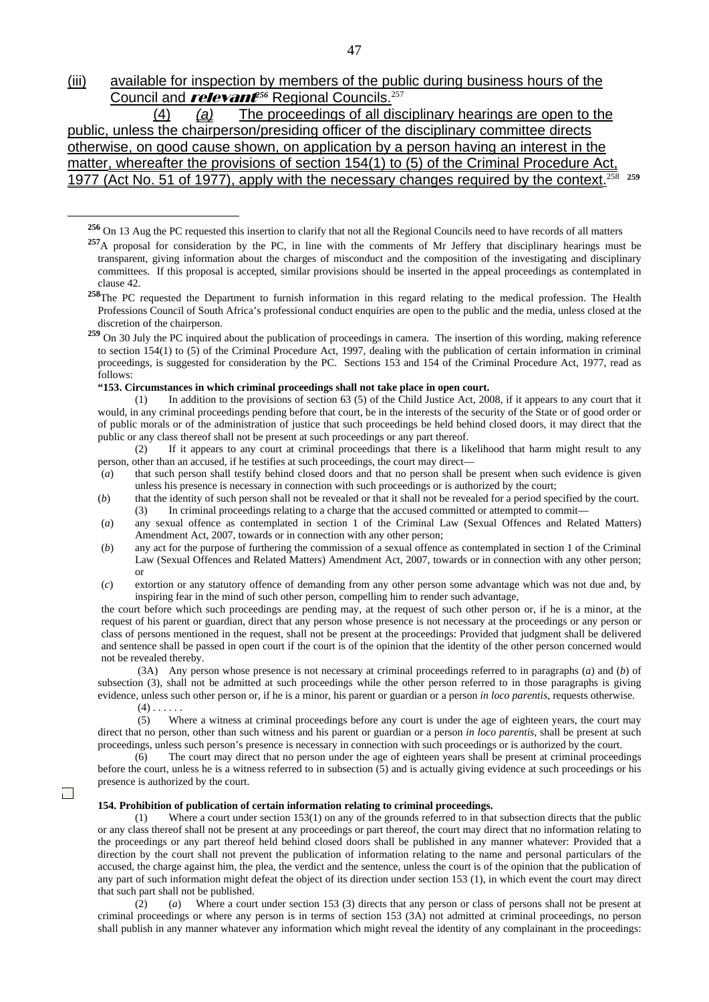(iii) available for inspection by members of the public during business hours of the Council and *relevant<sup>e56</sup>* Regional Councils.<sup>257</sup>

 (4) *(a)* The proceedings of all disciplinary hearings are open to the public, unless the chairperson/presiding officer of the disciplinary committee directs otherwise, on good cause shown, on application by a person having an interest in the matter, whereafter the provisions of section 154(1) to (5) of the Criminal Procedure Act, 1977 (Act No. 51 of 1977), apply with the necessary changes required by the context.<sup>2</sup>

**<sup>256</sup>** On 13 Aug the PC requested this insertion to clarify that not all the Regional Councils need to have records of all matters

<sup>258</sup>The PC requested the Department to furnish information in this regard relating to the medical profession. The Health Professions Council of South Africa's professional conduct enquiries are open to the public and the media, unless closed at the discretion of the chairperson.

 **"153. Circumstances in which criminal proceedings shall not take place in open court.** 

(1) In addition to the provisions of section 63 (5) of the Child Justice Act, 2008, if it appears to any court that it would, in any criminal proceedings pending before that court, be in the interests of the security of the State or of good order or of public morals or of the administration of justice that such proceedings be held behind closed doors, it may direct that the public or any class thereof shall not be present at such proceedings or any part thereof.

 (2) If it appears to any court at criminal proceedings that there is a likelihood that harm might result to any person, other than an accused, if he testifies at such proceedings, the court may direct—

- (*a*) that such person shall testify behind closed doors and that no person shall be present when such evidence is given unless his presence is necessary in connection with such proceedings or is authorized by the court;
- (*b*) that the identity of such person shall not be revealed or that it shall not be revealed for a period specified by the court. (3) In criminal proceedings relating to a charge that the accused committed or attempted to commit—
- (*a*) any sexual offence as contemplated in section 1 of the Criminal Law (Sexual Offences and Related Matters) Amendment Act, 2007, towards or in connection with any other person;
- (*b*) any act for the purpose of furthering the commission of a sexual offence as contemplated in section 1 of the Criminal Law (Sexual Offences and Related Matters) Amendment Act, 2007, towards or in connection with any other person; or
- (*c*) extortion or any statutory offence of demanding from any other person some advantage which was not due and, by inspiring fear in the mind of such other person, compelling him to render such advantage,

 the court before which such proceedings are pending may, at the request of such other person or, if he is a minor, at the request of his parent or guardian, direct that any person whose presence is not necessary at the proceedings or any person or class of persons mentioned in the request, shall not be present at the proceedings: Provided that judgment shall be delivered and sentence shall be passed in open court if the court is of the opinion that the identity of the other person concerned would not be revealed thereby.

 (3A) Any person whose presence is not necessary at criminal proceedings referred to in paragraphs (*a*) and (*b*) of subsection (3), shall not be admitted at such proceedings while the other person referred to in those paragraphs is giving evidence, unless such other person or, if he is a minor, his parent or guardian or a person *in loco parentis*, requests otherwise.  $(4)$  . . . . . .

 $\Box$ 

 $\overline{a}$ 

 (5) Where a witness at criminal proceedings before any court is under the age of eighteen years, the court may direct that no person, other than such witness and his parent or guardian or a person *in loco parentis*, shall be present at such proceedings, unless such person's presence is necessary in connection with such proceedings or is authorized by the court.

 (6) The court may direct that no person under the age of eighteen years shall be present at criminal proceedings before the court, unless he is a witness referred to in subsection (5) and is actually giving evidence at such proceedings or his presence is authorized by the court.

#### **154. Prohibition of publication of certain information relating to criminal proceedings.**

(1) Where a court under section 153(1) on any of the grounds referred to in that subsection directs that the public or any class thereof shall not be present at any proceedings or part thereof, the court may direct that no information relating to the proceedings or any part thereof held behind closed doors shall be published in any manner whatever: Provided that a direction by the court shall not prevent the publication of information relating to the name and personal particulars of the accused, the charge against him, the plea, the verdict and the sentence, unless the court is of the opinion that the publication of any part of such information might defeat the object of its direction under section 153 (1), in which event the court may direct that such part shall not be published.

 (2) (*a*) Where a court under section 153 (3) directs that any person or class of persons shall not be present at criminal proceedings or where any person is in terms of section 153 (3A) not admitted at criminal proceedings, no person shall publish in any manner whatever any information which might reveal the identity of any complainant in the proceedings:

**<sup>257</sup>**A proposal for consideration by the PC, in line with the comments of Mr Jeffery that disciplinary hearings must be transparent, giving information about the charges of misconduct and the composition of the investigating and disciplinary committees. If this proposal is accepted, similar provisions should be inserted in the appeal proceedings as contemplated in clause 42.

**<sup>259</sup>** On 30 July the PC inquired about the publication of proceedings in camera. The insertion of this wording, making reference to section 154(1) to (5) of the Criminal Procedure Act, 1997, dealing with the publication of certain information in criminal proceedings, is suggested for consideration by the PC. Sections 153 and 154 of the Criminal Procedure Act, 1977, read as follows: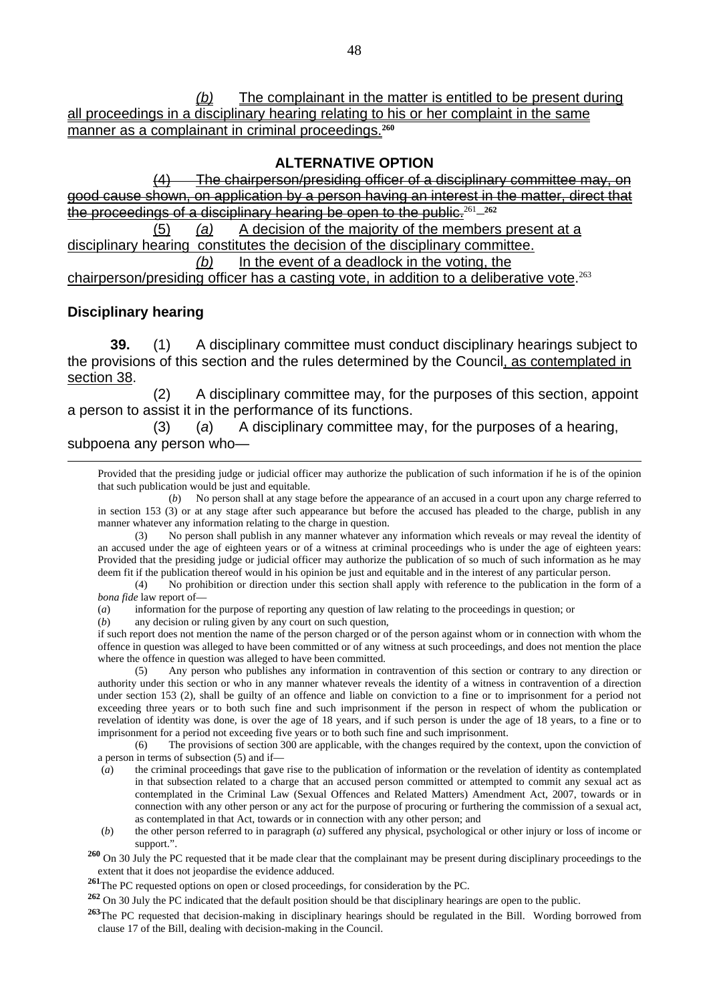*(b)* The complainant in the matter is entitled to be present during all proceedings in a disciplinary hearing relating to his or her complaint in the same manner as a complainant in criminal proceedings.**<sup>260</sup>**

#### **ALTERNATIVE OPTION**

The chairperson/presiding officer of a disciplinary committee may, cause shown, on application by a person having an interest in the matter, direct that the proceedings of a disciplinary hearing be open to the public.<sup>261</sup> **<sup>262</sup>**

 (5) *(a)* A decision of the majority of the members present at a disciplinary hearing constitutes the decision of the disciplinary committee. *(b)* In the event of a deadlock in the voting, the chairperson/presiding officer has a casting vote, in addition to a deliberative vote.<sup>263</sup>

#### **Disciplinary hearing**

**39.** (1) A disciplinary committee must conduct disciplinary hearings subject to the provisions of this section and the rules determined by the Council, as contemplated in section 38.

(2) A disciplinary committee may, for the purposes of this section, appoint a person to assist it in the performance of its functions.

(3) (*a*) A disciplinary committee may, for the purposes of a hearing, subpoena any person who—

 Provided that the presiding judge or judicial officer may authorize the publication of such information if he is of the opinion that such publication would be just and equitable.

 (*b*) No person shall at any stage before the appearance of an accused in a court upon any charge referred to in section 153 (3) or at any stage after such appearance but before the accused has pleaded to the charge, publish in any manner whatever any information relating to the charge in question.

 (3) No person shall publish in any manner whatever any information which reveals or may reveal the identity of an accused under the age of eighteen years or of a witness at criminal proceedings who is under the age of eighteen years: Provided that the presiding judge or judicial officer may authorize the publication of so much of such information as he may deem fit if the publication thereof would in his opinion be just and equitable and in the interest of any particular person.

 (4) No prohibition or direction under this section shall apply with reference to the publication in the form of a *bona fide* law report of—

(*a*) information for the purpose of reporting any question of law relating to the proceedings in question; or

(*b*) any decision or ruling given by any court on such question,

 if such report does not mention the name of the person charged or of the person against whom or in connection with whom the offence in question was alleged to have been committed or of any witness at such proceedings, and does not mention the place where the offence in question was alleged to have been committed.

 (5) Any person who publishes any information in contravention of this section or contrary to any direction or authority under this section or who in any manner whatever reveals the identity of a witness in contravention of a direction under section 153 (2), shall be guilty of an offence and liable on conviction to a fine or to imprisonment for a period not exceeding three years or to both such fine and such imprisonment if the person in respect of whom the publication or revelation of identity was done, is over the age of 18 years, and if such person is under the age of 18 years, to a fine or to imprisonment for a period not exceeding five years or to both such fine and such imprisonment.

 (6) The provisions of section 300 are applicable, with the changes required by the context, upon the conviction of a person in terms of subsection (5) and if—

- (*a*) the criminal proceedings that gave rise to the publication of information or the revelation of identity as contemplated in that subsection related to a charge that an accused person committed or attempted to commit any sexual act as contemplated in the Criminal Law (Sexual Offences and Related Matters) Amendment Act, 2007, towards or in connection with any other person or any act for the purpose of procuring or furthering the commission of a sexual act, as contemplated in that Act, towards or in connection with any other person; and
- (*b*) the other person referred to in paragraph (*a*) suffered any physical, psychological or other injury or loss of income or support.".

**<sup>260</sup>** On 30 July the PC requested that it be made clear that the complainant may be present during disciplinary proceedings to the extent that it does not jeopardise the evidence adduced.

**<sup>261</sup>**The PC requested options on open or closed proceedings, for consideration by the PC.

**<sup>262</sup>** On 30 July the PC indicated that the default position should be that disciplinary hearings are open to the public.

**<sup>263</sup>**The PC requested that decision-making in disciplinary hearings should be regulated in the Bill. Wording borrowed from clause 17 of the Bill, dealing with decision-making in the Council.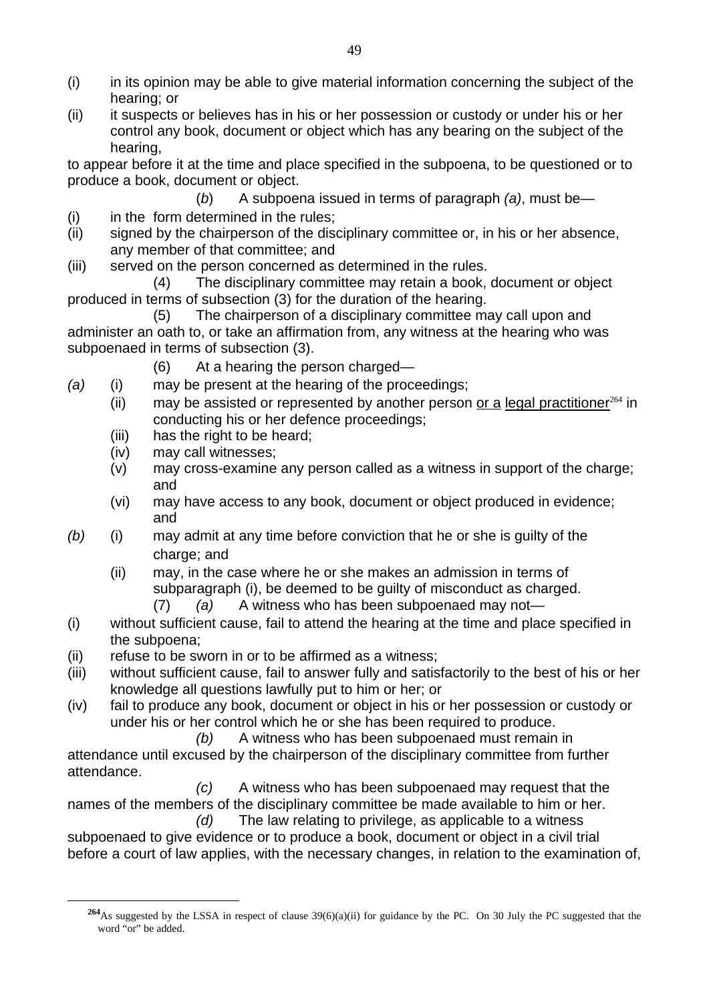- (i) in its opinion may be able to give material information concerning the subject of the hearing; or
- (ii) it suspects or believes has in his or her possession or custody or under his or her control any book, document or object which has any bearing on the subject of the hearing,

to appear before it at the time and place specified in the subpoena, to be questioned or to produce a book, document or object.

- (*b*) A subpoena issued in terms of paragraph *(a)*, must be—
- (i) in the form determined in the rules;
- (ii) signed by the chairperson of the disciplinary committee or, in his or her absence, any member of that committee; and
- (iii) served on the person concerned as determined in the rules.

(4) The disciplinary committee may retain a book, document or object produced in terms of subsection (3) for the duration of the hearing.

(5) The chairperson of a disciplinary committee may call upon and administer an oath to, or take an affirmation from, any witness at the hearing who was subpoenaed in terms of subsection (3).

- (6) At a hearing the person charged—
- *(a)* (i) may be present at the hearing of the proceedings;
	- (ii) may be assisted or represented by another person or a legal practitioner<sup>264</sup> in conducting his or her defence proceedings;
	- (iii) has the right to be heard;
	- (iv) may call witnesses;

 $\overline{a}$ 

- (v) may cross-examine any person called as a witness in support of the charge; and
- (vi) may have access to any book, document or object produced in evidence; and
- *(b)* (i) may admit at any time before conviction that he or she is guilty of the charge; and
	- (ii) may, in the case where he or she makes an admission in terms of subparagraph (i), be deemed to be guilty of misconduct as charged.
		- (7) *(a)* A witness who has been subpoenaed may not—
- (i) without sufficient cause, fail to attend the hearing at the time and place specified in the subpoena;
- (ii) refuse to be sworn in or to be affirmed as a witness;
- (iii) without sufficient cause, fail to answer fully and satisfactorily to the best of his or her knowledge all questions lawfully put to him or her; or
- (iv) fail to produce any book, document or object in his or her possession or custody or under his or her control which he or she has been required to produce.
	- *(b)* A witness who has been subpoenaed must remain in

attendance until excused by the chairperson of the disciplinary committee from further attendance.

*(c)* A witness who has been subpoenaed may request that the names of the members of the disciplinary committee be made available to him or her.

*(d)* The law relating to privilege, as applicable to a witness subpoenaed to give evidence or to produce a book, document or object in a civil trial before a court of law applies, with the necessary changes, in relation to the examination of,

**<sup>264</sup>**As suggested by the LSSA in respect of clause 39(6)(a)(ii) for guidance by the PC. On 30 July the PC suggested that the word "or" be added.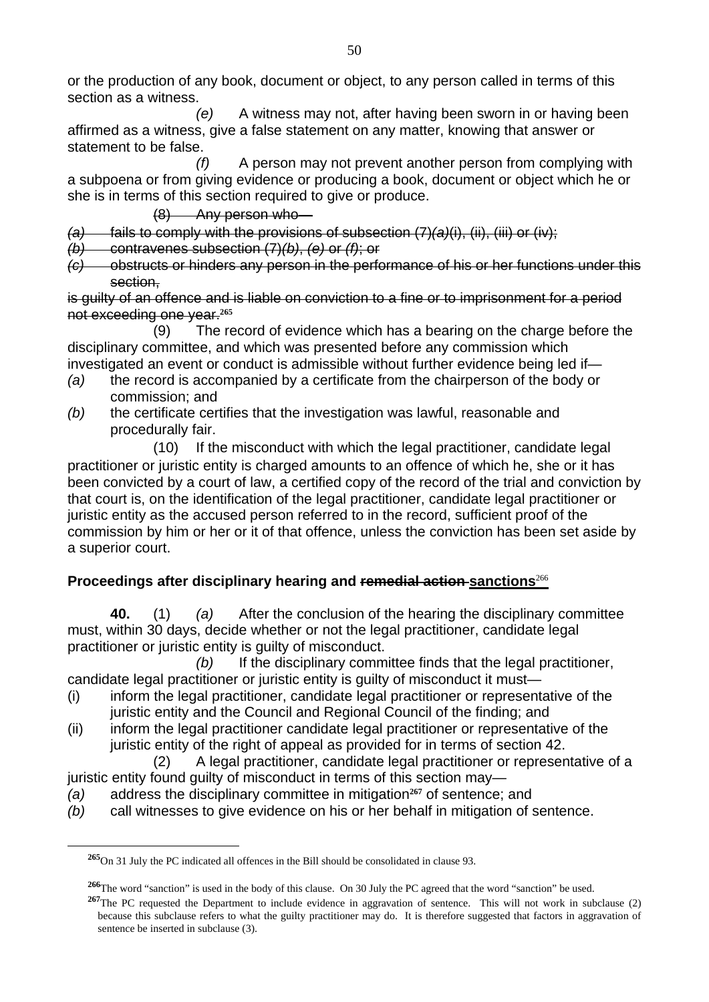or the production of any book, document or object, to any person called in terms of this section as a witness.

*(e)* A witness may not, after having been sworn in or having been affirmed as a witness, give a false statement on any matter, knowing that answer or statement to be false.

*(f)* A person may not prevent another person from complying with a subpoena or from giving evidence or producing a book, document or object which he or she is in terms of this section required to give or produce.

(8) Any person who—

*(a)* fails to comply with the provisions of subsection (7)*(a)*(i), (ii), (iii) or (iv);

- *(b)* contravenes subsection (7)*(b)*, *(e)* or *(f)*; or
- *(c)* obstructs or hinders any person in the performance of his or her functions under this section,

is guilty of an offence and is liable on conviction to a fine or to imprisonment for a period not exceeding one year.**<sup>265</sup>**

(9) The record of evidence which has a bearing on the charge before the disciplinary committee, and which was presented before any commission which investigated an event or conduct is admissible without further evidence being led if—

- *(a)* the record is accompanied by a certificate from the chairperson of the body or commission; and
- *(b)* the certificate certifies that the investigation was lawful, reasonable and procedurally fair.

(10) If the misconduct with which the legal practitioner, candidate legal practitioner or juristic entity is charged amounts to an offence of which he, she or it has been convicted by a court of law, a certified copy of the record of the trial and conviction by that court is, on the identification of the legal practitioner, candidate legal practitioner or juristic entity as the accused person referred to in the record, sufficient proof of the commission by him or her or it of that offence, unless the conviction has been set aside by a superior court.

## **Proceedings after disciplinary hearing and remedial action sanctions**<sup>266</sup>

**40.** (1) *(a)* After the conclusion of the hearing the disciplinary committee must, within 30 days, decide whether or not the legal practitioner, candidate legal practitioner or juristic entity is guilty of misconduct.

*(b)* If the disciplinary committee finds that the legal practitioner, candidate legal practitioner or juristic entity is guilty of misconduct it must—

- (i) inform the legal practitioner, candidate legal practitioner or representative of the juristic entity and the Council and Regional Council of the finding; and
- (ii) inform the legal practitioner candidate legal practitioner or representative of the juristic entity of the right of appeal as provided for in terms of section 42.

(2) A legal practitioner, candidate legal practitioner or representative of a juristic entity found quilty of misconduct in terms of this section may—

- *(a)* address the disciplinary committee in mitigation**267** of sentence; and
- *(b)* call witnesses to give evidence on his or her behalf in mitigation of sentence.

**<sup>265</sup>**On 31 July the PC indicated all offences in the Bill should be consolidated in clause 93.

**<sup>266</sup>**The word "sanction" is used in the body of this clause. On 30 July the PC agreed that the word "sanction" be used.

**<sup>267</sup>**The PC requested the Department to include evidence in aggravation of sentence. This will not work in subclause (2) because this subclause refers to what the guilty practitioner may do. It is therefore suggested that factors in aggravation of sentence be inserted in subclause (3).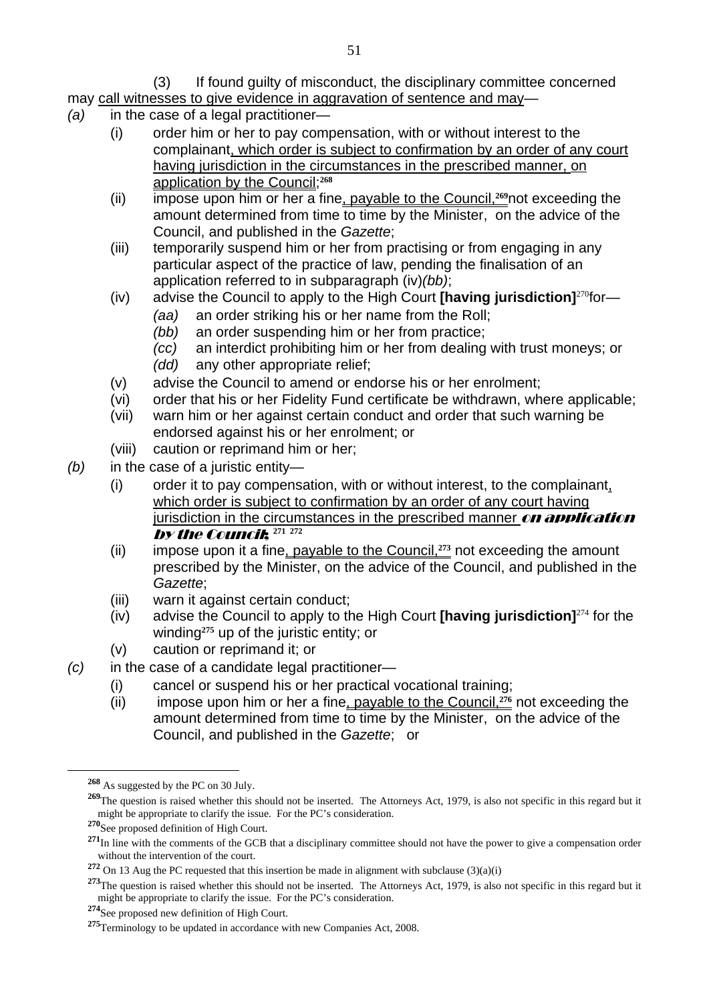### (3) If found guilty of misconduct, the disciplinary committee concerned

may call witnesses to give evidence in aggravation of sentence and may—

- *(a)* in the case of a legal practitioner—
	- (i) order him or her to pay compensation, with or without interest to the complainant, which order is subject to confirmation by an order of any court having jurisdiction in the circumstances in the prescribed manner, on application by the Council;**<sup>268</sup>**
	- (ii) impose upon him or her a fine, payable to the Council,**269**not exceeding the amount determined from time to time by the Minister, on the advice of the Council, and published in the *Gazette*;
	- (iii) temporarily suspend him or her from practising or from engaging in any particular aspect of the practice of law, pending the finalisation of an application referred to in subparagraph (iv)*(bb)*;
	- (iv) advise the Council to apply to the High Court **[having jurisdiction]**<sup>270</sup>for—
		- *(aa)* an order striking his or her name from the Roll;
		- *(bb)* an order suspending him or her from practice;
		- *(cc)* an interdict prohibiting him or her from dealing with trust moneys; or
		- *(dd)* any other appropriate relief;
	- (v) advise the Council to amend or endorse his or her enrolment;
	- (vi) order that his or her Fidelity Fund certificate be withdrawn, where applicable;
	- (vii) warn him or her against certain conduct and order that such warning be endorsed against his or her enrolment; or
	- (viii) caution or reprimand him or her;
- *(b)* in the case of a juristic entity—
	- (i) order it to pay compensation, with or without interest, to the complainant, which order is subject to confirmation by an order of any court having jurisdiction in the circumstances in the prescribed manner  $\boldsymbol{on}$  application **by the Council:**  $271 272$
	- (ii) impose upon it a fine, payable to the Council,**273** not exceeding the amount prescribed by the Minister, on the advice of the Council, and published in the *Gazette*;
	- (iii) warn it against certain conduct;
	- (iv) advise the Council to apply to the High Court **[having jurisdiction]**<sup>274</sup> for the winding**275** up of the juristic entity; or
	- (v) caution or reprimand it; or
- *(c)* in the case of a candidate legal practitioner—
	- (i) cancel or suspend his or her practical vocational training;
	- (ii) impose upon him or her a fine, payable to the Council,**276** not exceeding the amount determined from time to time by the Minister, on the advice of the Council, and published in the *Gazette*; or

**<sup>268</sup>** As suggested by the PC on 30 July.

<sup>&</sup>lt;sup>269</sup>The question is raised whether this should not be inserted. The Attorneys Act, 1979, is also not specific in this regard but it might be appropriate to clarify the issue. For the PC's consideration.

**<sup>270</sup>**See proposed definition of High Court.

**<sup>271</sup>**In line with the comments of the GCB that a disciplinary committee should not have the power to give a compensation order without the intervention of the court.

**<sup>272</sup>** On 13 Aug the PC requested that this insertion be made in alignment with subclause (3)(a)(i)

**<sup>273</sup>**The question is raised whether this should not be inserted. The Attorneys Act, 1979, is also not specific in this regard but it might be appropriate to clarify the issue. For the PC's consideration.

**<sup>274</sup>**See proposed new definition of High Court.

**<sup>275</sup>**Terminology to be updated in accordance with new Companies Act, 2008.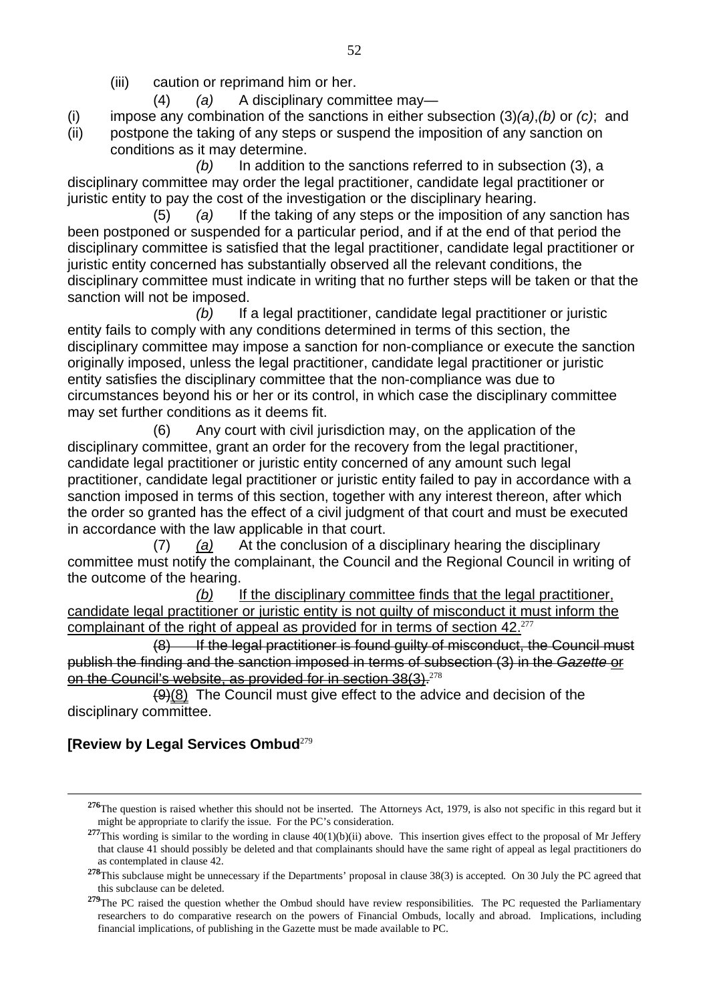(iii) caution or reprimand him or her.

(4) *(a)* A disciplinary committee may—

- (i) impose any combination of the sanctions in either subsection (3)*(a)*,*(b)* or *(c)*; and
- (ii) postpone the taking of any steps or suspend the imposition of any sanction on conditions as it may determine.

*(b)* In addition to the sanctions referred to in subsection (3), a disciplinary committee may order the legal practitioner, candidate legal practitioner or juristic entity to pay the cost of the investigation or the disciplinary hearing.

 (5) *(a)* If the taking of any steps or the imposition of any sanction has been postponed or suspended for a particular period, and if at the end of that period the disciplinary committee is satisfied that the legal practitioner, candidate legal practitioner or juristic entity concerned has substantially observed all the relevant conditions, the disciplinary committee must indicate in writing that no further steps will be taken or that the sanction will not be imposed.

*(b)* If a legal practitioner, candidate legal practitioner or juristic entity fails to comply with any conditions determined in terms of this section, the disciplinary committee may impose a sanction for non-compliance or execute the sanction originally imposed, unless the legal practitioner, candidate legal practitioner or juristic entity satisfies the disciplinary committee that the non-compliance was due to circumstances beyond his or her or its control, in which case the disciplinary committee may set further conditions as it deems fit.

(6) Any court with civil jurisdiction may, on the application of the disciplinary committee, grant an order for the recovery from the legal practitioner, candidate legal practitioner or juristic entity concerned of any amount such legal practitioner, candidate legal practitioner or juristic entity failed to pay in accordance with a sanction imposed in terms of this section, together with any interest thereon, after which the order so granted has the effect of a civil judgment of that court and must be executed in accordance with the law applicable in that court.

(7) *(a)* At the conclusion of a disciplinary hearing the disciplinary committee must notify the complainant, the Council and the Regional Council in writing of the outcome of the hearing.

*(b)* If the disciplinary committee finds that the legal practitioner, candidate legal practitioner or juristic entity is not guilty of misconduct it must inform the complainant of the right of appeal as provided for in terms of section 42.<sup>277</sup>

(8) If the legal practitioner is found guilty of misconduct, the Council must publish the finding and the sanction imposed in terms of subsection (3) in the *Gazette* or on the Council's website, as provided for in section 38(3).<sup>278</sup>

 $(9)(8)$  The Council must give effect to the advice and decision of the disciplinary committee.

## **[Review by Legal Services Ombud**<sup>279</sup>

**<sup>276</sup>**The question is raised whether this should not be inserted. The Attorneys Act, 1979, is also not specific in this regard but it might be appropriate to clarify the issue. For the PC's consideration.

<sup>&</sup>lt;sup>277</sup>This wording is similar to the wording in clause 40(1)(b)(ii) above. This insertion gives effect to the proposal of Mr Jeffery that clause 41 should possibly be deleted and that complainants should have the same right of appeal as legal practitioners do as contemplated in clause 42.

**<sup>278</sup>**This subclause might be unnecessary if the Departments' proposal in clause 38(3) is accepted. On 30 July the PC agreed that this subclause can be deleted.

<sup>&</sup>lt;sup>279</sup>The PC raised the question whether the Ombud should have review responsibilities. The PC requested the Parliamentary researchers to do comparative research on the powers of Financial Ombuds, locally and abroad. Implications, including financial implications, of publishing in the Gazette must be made available to PC.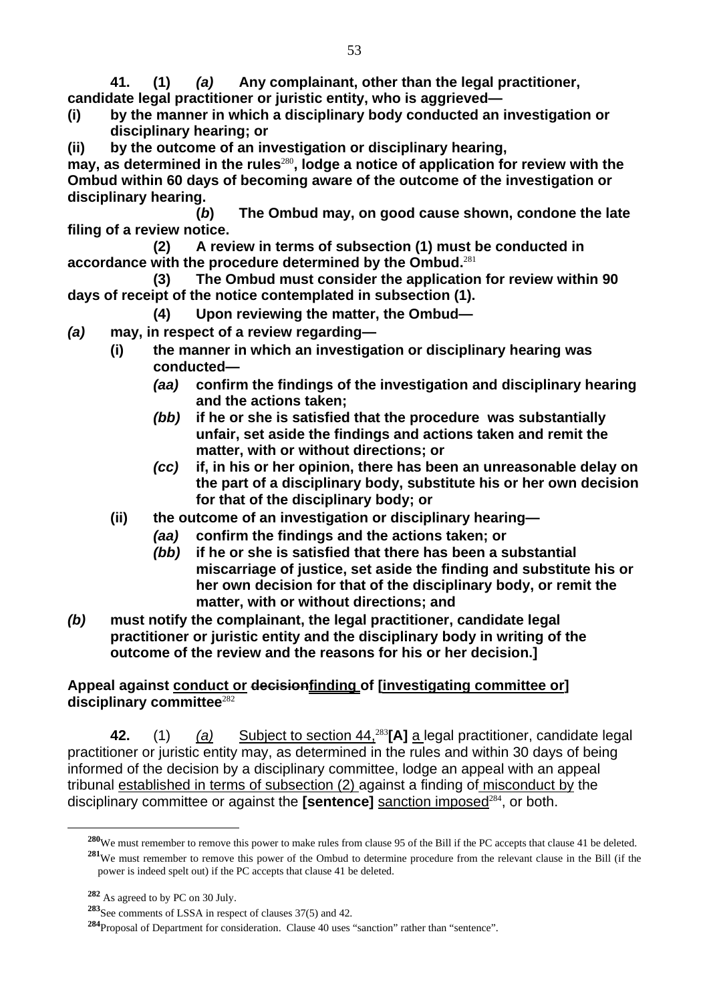**41. (1)** *(a)* **Any complainant, other than the legal practitioner, candidate legal practitioner or juristic entity, who is aggrieved—** 

- **(i) by the manner in which a disciplinary body conducted an investigation or disciplinary hearing; or**
- **(ii) by the outcome of an investigation or disciplinary hearing,**

may, as determined in the rules<sup>280</sup>, lodge a notice of application for review with the **Ombud within 60 days of becoming aware of the outcome of the investigation or disciplinary hearing.** 

**(***b***) The Ombud may, on good cause shown, condone the late filing of a review notice.** 

**(2) A review in terms of subsection (1) must be conducted in accordance with the procedure determined by the Ombud.**<sup>281</sup>

**(3) The Ombud must consider the application for review within 90 days of receipt of the notice contemplated in subsection (1).** 

- **(4) Upon reviewing the matter, the Ombud—**
- *(a)* **may, in respect of a review regarding—** 
	- **(i) the manner in which an investigation or disciplinary hearing was conducted—** 
		- *(aa)* **confirm the findings of the investigation and disciplinary hearing and the actions taken;**
		- *(bb)* **if he or she is satisfied that the procedure was substantially unfair, set aside the findings and actions taken and remit the matter, with or without directions; or**
		- *(cc)* **if, in his or her opinion, there has been an unreasonable delay on the part of a disciplinary body, substitute his or her own decision for that of the disciplinary body; or**
	- **(ii) the outcome of an investigation or disciplinary hearing—** 
		- *(aa)* **confirm the findings and the actions taken; or**
		- *(bb)* **if he or she is satisfied that there has been a substantial miscarriage of justice, set aside the finding and substitute his or her own decision for that of the disciplinary body, or remit the matter, with or without directions; and**
- *(b)* **must notify the complainant, the legal practitioner, candidate legal practitioner or juristic entity and the disciplinary body in writing of the outcome of the review and the reasons for his or her decision.]**

#### **Appeal against conduct or decisionfinding of [investigating committee or] disciplinary committee**<sup>282</sup>

**42.** (1) *(a)* Subject to section 44,<sup>283</sup>**[A]** a legal practitioner, candidate legal practitioner or juristic entity may, as determined in the rules and within 30 days of being informed of the decision by a disciplinary committee, lodge an appeal with an appeal tribunal established in terms of subsection (2) against a finding of misconduct by the disciplinary committee or against the **[sentence]** sanction imposed<sup>284</sup>, or both.

**<sup>280</sup>**We must remember to remove this power to make rules from clause 95 of the Bill if the PC accepts that clause 41 be deleted. **<sup>281</sup>**We must remember to remove this power of the Ombud to determine procedure from the relevant clause in the Bill (if the power is indeed spelt out) if the PC accepts that clause 41 be deleted.

**<sup>282</sup>** As agreed to by PC on 30 July.

**<sup>283</sup>**See comments of LSSA in respect of clauses 37(5) and 42.

**<sup>284</sup>**Proposal of Department for consideration. Clause 40 uses "sanction" rather than "sentence".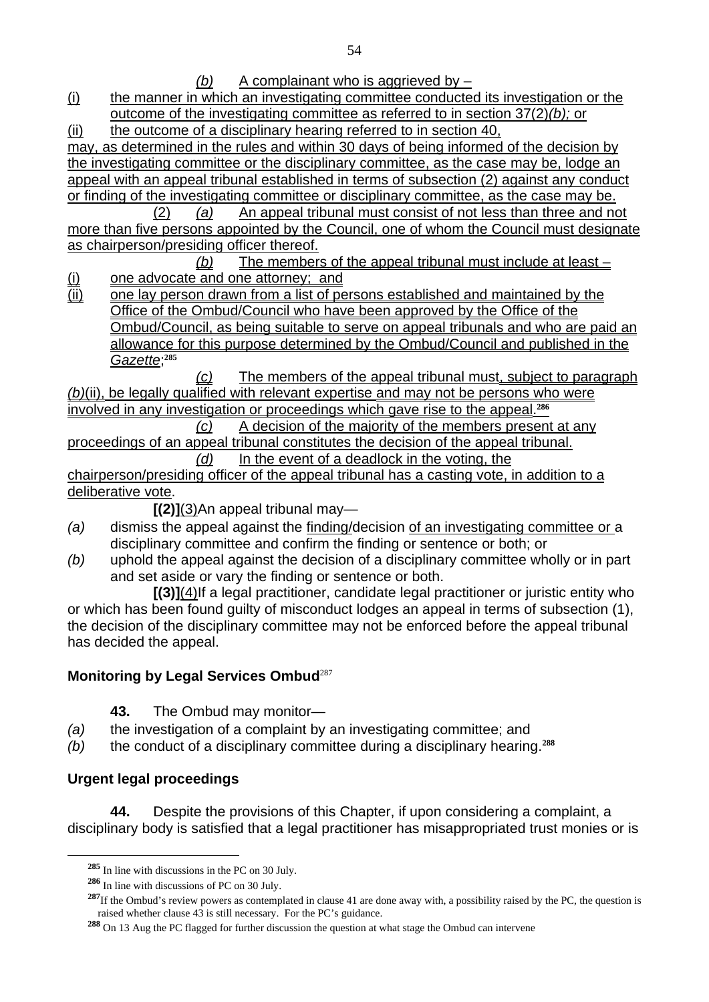*(b)* A complainant who is aggrieved by –

(i) the manner in which an investigating committee conducted its investigation or the outcome of the investigating committee as referred to in section 37(2)*(b);* or

(ii) the outcome of a disciplinary hearing referred to in section 40,

may, as determined in the rules and within 30 days of being informed of the decision by the investigating committee or the disciplinary committee, as the case may be, lodge an appeal with an appeal tribunal established in terms of subsection (2) against any conduct or finding of the investigating committee or disciplinary committee, as the case may be.

 (2) *(a)* An appeal tribunal must consist of not less than three and not more than five persons appointed by the Council, one of whom the Council must designate as chairperson/presiding officer thereof.

*(b)* The members of the appeal tribunal must include at least – (i) one advocate and one attorney; and

(ii) one lay person drawn from a list of persons established and maintained by the Office of the Ombud/Council who have been approved by the Office of the Ombud/Council, as being suitable to serve on appeal tribunals and who are paid an allowance for this purpose determined by the Ombud/Council and published in the *Gazette*; **285**

*(c)* The members of the appeal tribunal must, subject to paragraph *(b)*(ii), be legally qualified with relevant expertise and may not be persons who were involved in any investigation or proceedings which gave rise to the appeal.**<sup>286</sup>**

 *(c)* A decision of the majority of the members present at any proceedings of an appeal tribunal constitutes the decision of the appeal tribunal.

 *(d)* In the event of a deadlock in the voting, the chairperson/presiding officer of the appeal tribunal has a casting vote, in addition to a deliberative vote.

**[(2)]**(3)An appeal tribunal may—

- *(a)* dismiss the appeal against the finding/decision of an investigating committee or a disciplinary committee and confirm the finding or sentence or both; or
- *(b)* uphold the appeal against the decision of a disciplinary committee wholly or in part and set aside or vary the finding or sentence or both.

**[(3)]**(4)If a legal practitioner, candidate legal practitioner or juristic entity who or which has been found guilty of misconduct lodges an appeal in terms of subsection (1), the decision of the disciplinary committee may not be enforced before the appeal tribunal has decided the appeal.

# **Monitoring by Legal Services Ombud**<sup>287</sup>

- **43.** The Ombud may monitor—
- *(a)* the investigation of a complaint by an investigating committee; and
- *(b)* the conduct of a disciplinary committee during a disciplinary hearing.**<sup>288</sup>**

# **Urgent legal proceedings**

 $\overline{a}$ 

**44.** Despite the provisions of this Chapter, if upon considering a complaint, a disciplinary body is satisfied that a legal practitioner has misappropriated trust monies or is

**<sup>285</sup>** In line with discussions in the PC on 30 July.

**<sup>286</sup>** In line with discussions of PC on 30 July.

<sup>&</sup>lt;sup>287</sup>If the Ombud's review powers as contemplated in clause 41 are done away with, a possibility raised by the PC, the question is raised whether clause 43 is still necessary. For the PC's guidance.

**<sup>288</sup>** On 13 Aug the PC flagged for further discussion the question at what stage the Ombud can intervene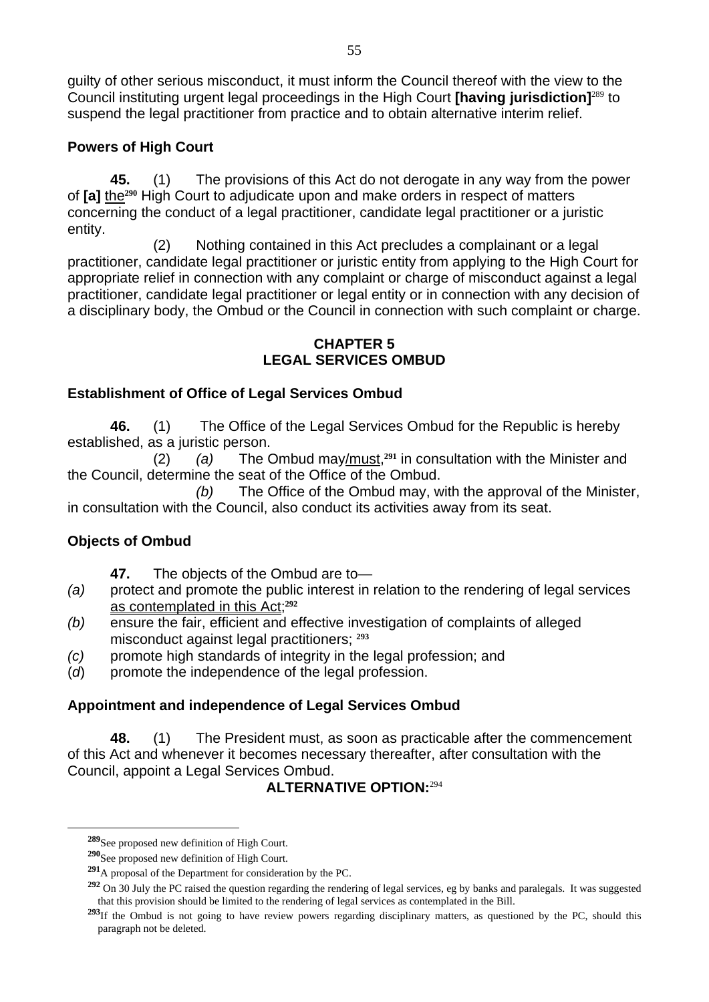guilty of other serious misconduct, it must inform the Council thereof with the view to the Council instituting urgent legal proceedings in the High Court **[having jurisdiction]**<sup>289</sup> to suspend the legal practitioner from practice and to obtain alternative interim relief.

### **Powers of High Court**

**45.** (1) The provisions of this Act do not derogate in any way from the power of **[a]** the**290** High Court to adjudicate upon and make orders in respect of matters concerning the conduct of a legal practitioner, candidate legal practitioner or a juristic entity.

 (2) Nothing contained in this Act precludes a complainant or a legal practitioner, candidate legal practitioner or juristic entity from applying to the High Court for appropriate relief in connection with any complaint or charge of misconduct against a legal practitioner, candidate legal practitioner or legal entity or in connection with any decision of a disciplinary body, the Ombud or the Council in connection with such complaint or charge.

#### **CHAPTER 5 LEGAL SERVICES OMBUD**

### **Establishment of Office of Legal Services Ombud**

**46.** (1) The Office of the Legal Services Ombud for the Republic is hereby established, as a juristic person.

 (2) *(a)* The Ombud may/must,**291** in consultation with the Minister and the Council, determine the seat of the Office of the Ombud.

 *(b)* The Office of the Ombud may, with the approval of the Minister, in consultation with the Council, also conduct its activities away from its seat.

## **Objects of Ombud**

 $\overline{a}$ 

- **47.** The objects of the Ombud are to—
- *(a)* protect and promote the public interest in relation to the rendering of legal services as contemplated in this Act;**<sup>292</sup>**
- *(b)* ensure the fair, efficient and effective investigation of complaints of alleged misconduct against legal practitioners; **<sup>293</sup>**
- *(c)* promote high standards of integrity in the legal profession; and
- (*d*) promote the independence of the legal profession.

## **Appointment and independence of Legal Services Ombud**

**48.** (1) The President must, as soon as practicable after the commencement of this Act and whenever it becomes necessary thereafter, after consultation with the Council, appoint a Legal Services Ombud.

## **ALTERNATIVE OPTION:**<sup>294</sup>

**<sup>289</sup>**See proposed new definition of High Court.

**<sup>290</sup>**See proposed new definition of High Court.

**<sup>291</sup>**A proposal of the Department for consideration by the PC.

**<sup>292</sup>** On 30 July the PC raised the question regarding the rendering of legal services, eg by banks and paralegals. It was suggested that this provision should be limited to the rendering of legal services as contemplated in the Bill.

<sup>&</sup>lt;sup>293</sup>If the Ombud is not going to have review powers regarding disciplinary matters, as questioned by the PC, should this paragraph not be deleted.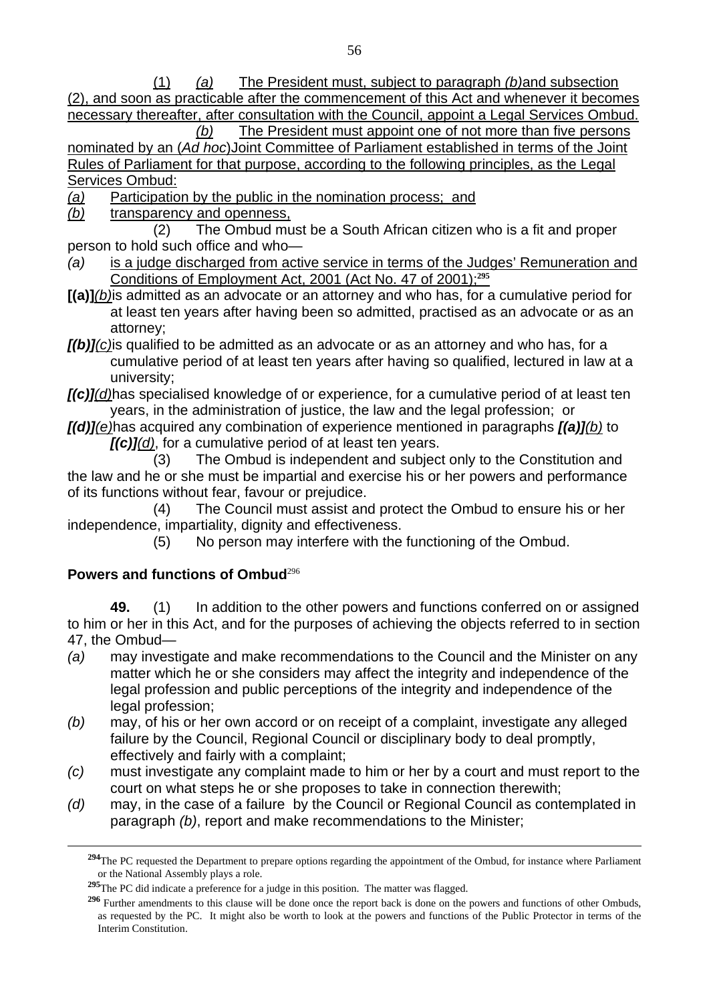(1) *(a)* The President must, subject to paragraph *(b)*and subsection (2), and soon as practicable after the commencement of this Act and whenever it becomes necessary thereafter, after consultation with the Council, appoint a Legal Services Ombud.

 *(b)* The President must appoint one of not more than five persons nominated by an (*Ad hoc*)Joint Committee of Parliament established in terms of the Joint Rules of Parliament for that purpose, according to the following principles, as the Legal Services Ombud:

*(a)* Participation by the public in the nomination process; and

*(b)* transparency and openness,

 (2) The Ombud must be a South African citizen who is a fit and proper person to hold such office and who—

- *(a)* is a judge discharged from active service in terms of the Judges' Remuneration and Conditions of Employment Act, 2001 (Act No. 47 of 2001);**<sup>295</sup>**
- **[(a)]***(b)*is admitted as an advocate or an attorney and who has, for a cumulative period for at least ten years after having been so admitted, practised as an advocate or as an attorney;
- *[(b)](c)*is qualified to be admitted as an advocate or as an attorney and who has, for a cumulative period of at least ten years after having so qualified, lectured in law at a university;
- *[(c)](d)*has specialised knowledge of or experience, for a cumulative period of at least ten years, in the administration of justice, the law and the legal profession; or
- *[(d)](e)*has acquired any combination of experience mentioned in paragraphs *[(a)](b)* to *[(c)](d)*, for a cumulative period of at least ten years.

 (3) The Ombud is independent and subject only to the Constitution and the law and he or she must be impartial and exercise his or her powers and performance of its functions without fear, favour or prejudice.

(4) The Council must assist and protect the Ombud to ensure his or her independence, impartiality, dignity and effectiveness.

(5) No person may interfere with the functioning of the Ombud.

### **Powers and functions of Ombud**<sup>296</sup>

 $\overline{a}$ 

**49.** (1) In addition to the other powers and functions conferred on or assigned to him or her in this Act, and for the purposes of achieving the objects referred to in section 47, the Ombud—

- *(a)* may investigate and make recommendations to the Council and the Minister on any matter which he or she considers may affect the integrity and independence of the legal profession and public perceptions of the integrity and independence of the legal profession;
- *(b)* may, of his or her own accord or on receipt of a complaint, investigate any alleged failure by the Council, Regional Council or disciplinary body to deal promptly, effectively and fairly with a complaint;
- *(c)* must investigate any complaint made to him or her by a court and must report to the court on what steps he or she proposes to take in connection therewith;
- *(d)* may, in the case of a failure by the Council or Regional Council as contemplated in paragraph *(b)*, report and make recommendations to the Minister;

<sup>&</sup>lt;sup>294</sup>The PC requested the Department to prepare options regarding the appointment of the Ombud, for instance where Parliament or the National Assembly plays a role.

**<sup>295</sup>**The PC did indicate a preference for a judge in this position. The matter was flagged.

**<sup>296</sup>** Further amendments to this clause will be done once the report back is done on the powers and functions of other Ombuds, as requested by the PC. It might also be worth to look at the powers and functions of the Public Protector in terms of the Interim Constitution.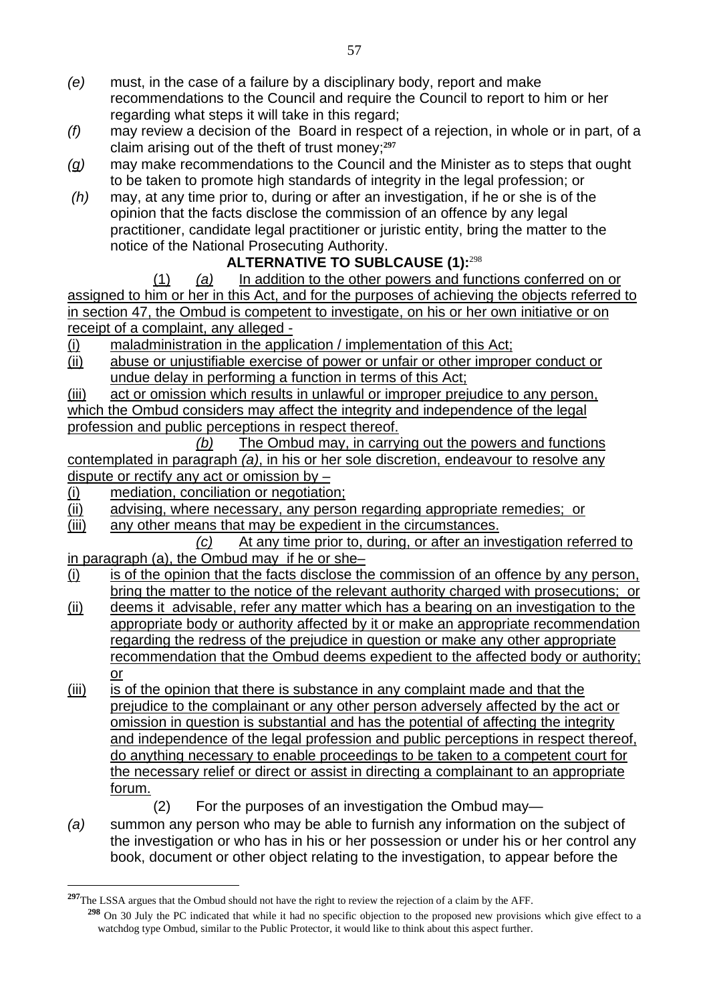- *(e)* must, in the case of a failure by a disciplinary body, report and make recommendations to the Council and require the Council to report to him or her regarding what steps it will take in this regard;
- *(f)* may review a decision of the Board in respect of a rejection, in whole or in part, of a claim arising out of the theft of trust money;**<sup>297</sup>**
- *(g)* may make recommendations to the Council and the Minister as to steps that ought to be taken to promote high standards of integrity in the legal profession; or
- *(h)* may, at any time prior to, during or after an investigation, if he or she is of the opinion that the facts disclose the commission of an offence by any legal practitioner, candidate legal practitioner or juristic entity, bring the matter to the notice of the National Prosecuting Authority.

# **ALTERNATIVE TO SUBLCAUSE (1):**<sup>298</sup>

(1) *(a)* In addition to the other powers and functions conferred on or assigned to him or her in this Act, and for the purposes of achieving the objects referred to in section 47, the Ombud is competent to investigate, on his or her own initiative or on receipt of a complaint, any alleged -

- (i) maladministration in the application / implementation of this Act;
- (ii) abuse or unjustifiable exercise of power or unfair or other improper conduct or undue delay in performing a function in terms of this Act;

(iii) act or omission which results in unlawful or improper prejudice to any person, which the Ombud considers may affect the integrity and independence of the legal profession and public perceptions in respect thereof.

 *(b)* The Ombud may, in carrying out the powers and functions contemplated in paragraph *(a)*, in his or her sole discretion, endeavour to resolve any dispute or rectify any act or omission by –

(i) mediation, conciliation or negotiation;

 $\overline{a}$ 

- (ii) advising, where necessary, any person regarding appropriate remedies; or
- (iii) any other means that may be expedient in the circumstances.

 *(c)* At any time prior to, during, or after an investigation referred to in paragraph (a), the Ombud may if he or she–

- (i) is of the opinion that the facts disclose the commission of an offence by any person, bring the matter to the notice of the relevant authority charged with prosecutions: or
- (ii) deems it advisable, refer any matter which has a bearing on an investigation to the appropriate body or authority affected by it or make an appropriate recommendation regarding the redress of the prejudice in question or make any other appropriate recommendation that the Ombud deems expedient to the affected body or authority; or
- (iii) is of the opinion that there is substance in any complaint made and that the prejudice to the complainant or any other person adversely affected by the act or omission in question is substantial and has the potential of affecting the integrity and independence of the legal profession and public perceptions in respect thereof, do anything necessary to enable proceedings to be taken to a competent court for the necessary relief or direct or assist in directing a complainant to an appropriate forum.

(2) For the purposes of an investigation the Ombud may—

*(a)* summon any person who may be able to furnish any information on the subject of the investigation or who has in his or her possession or under his or her control any book, document or other object relating to the investigation, to appear before the

**<sup>297</sup>**The LSSA argues that the Ombud should not have the right to review the rejection of a claim by the AFF. **<sup>298</sup>** On 30 July the PC indicated that while it had no specific objection to the proposed new provisions which give effect to a watchdog type Ombud, similar to the Public Protector, it would like to think about this aspect further.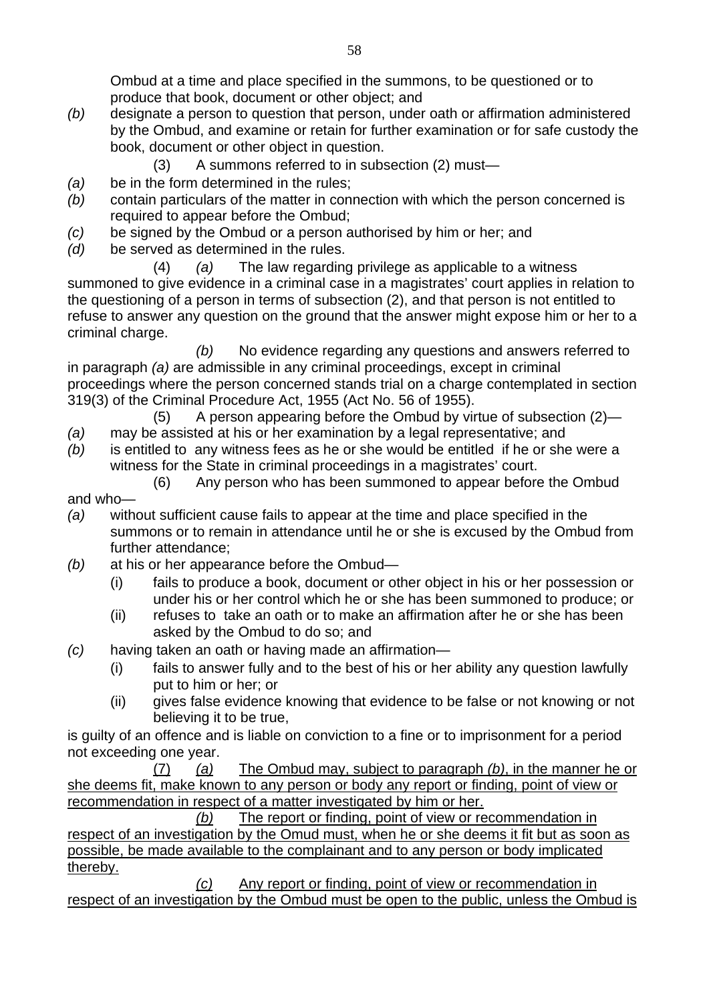Ombud at a time and place specified in the summons, to be questioned or to produce that book, document or other object; and

- *(b)* designate a person to question that person, under oath or affirmation administered by the Ombud, and examine or retain for further examination or for safe custody the book, document or other object in question.
	- (3) A summons referred to in subsection (2) must—
- *(a)* be in the form determined in the rules;
- *(b)* contain particulars of the matter in connection with which the person concerned is required to appear before the Ombud;
- *(c)* be signed by the Ombud or a person authorised by him or her; and
- *(d)* be served as determined in the rules.

(4) *(a)* The law regarding privilege as applicable to a witness summoned to give evidence in a criminal case in a magistrates' court applies in relation to the questioning of a person in terms of subsection (2), and that person is not entitled to refuse to answer any question on the ground that the answer might expose him or her to a criminal charge.

*(b)* No evidence regarding any questions and answers referred to in paragraph *(a)* are admissible in any criminal proceedings, except in criminal proceedings where the person concerned stands trial on a charge contemplated in section 319(3) of the Criminal Procedure Act, 1955 (Act No. 56 of 1955).

- (5) A person appearing before the Ombud by virtue of subsection (2)—
- *(a)* may be assisted at his or her examination by a legal representative; and
- *(b)* is entitled to any witness fees as he or she would be entitled if he or she were a witness for the State in criminal proceedings in a magistrates' court.
	- (6) Any person who has been summoned to appear before the Ombud
- and who—
- *(a)* without sufficient cause fails to appear at the time and place specified in the summons or to remain in attendance until he or she is excused by the Ombud from further attendance;
- *(b)* at his or her appearance before the Ombud—
	- (i) fails to produce a book, document or other object in his or her possession or under his or her control which he or she has been summoned to produce; or
	- (ii) refuses to take an oath or to make an affirmation after he or she has been asked by the Ombud to do so; and
- *(c)* having taken an oath or having made an affirmation—
	- (i) fails to answer fully and to the best of his or her ability any question lawfully put to him or her; or
	- (ii) gives false evidence knowing that evidence to be false or not knowing or not believing it to be true,

is guilty of an offence and is liable on conviction to a fine or to imprisonment for a period not exceeding one year.

 (7) *(a)* The Ombud may, subject to paragraph *(b)*, in the manner he or she deems fit, make known to any person or body any report or finding, point of view or recommendation in respect of a matter investigated by him or her.

 *(b)* The report or finding, point of view or recommendation in respect of an investigation by the Omud must, when he or she deems it fit but as soon as possible, be made available to the complainant and to any person or body implicated thereby.

 *(c)* Any report or finding, point of view or recommendation in respect of an investigation by the Ombud must be open to the public, unless the Ombud is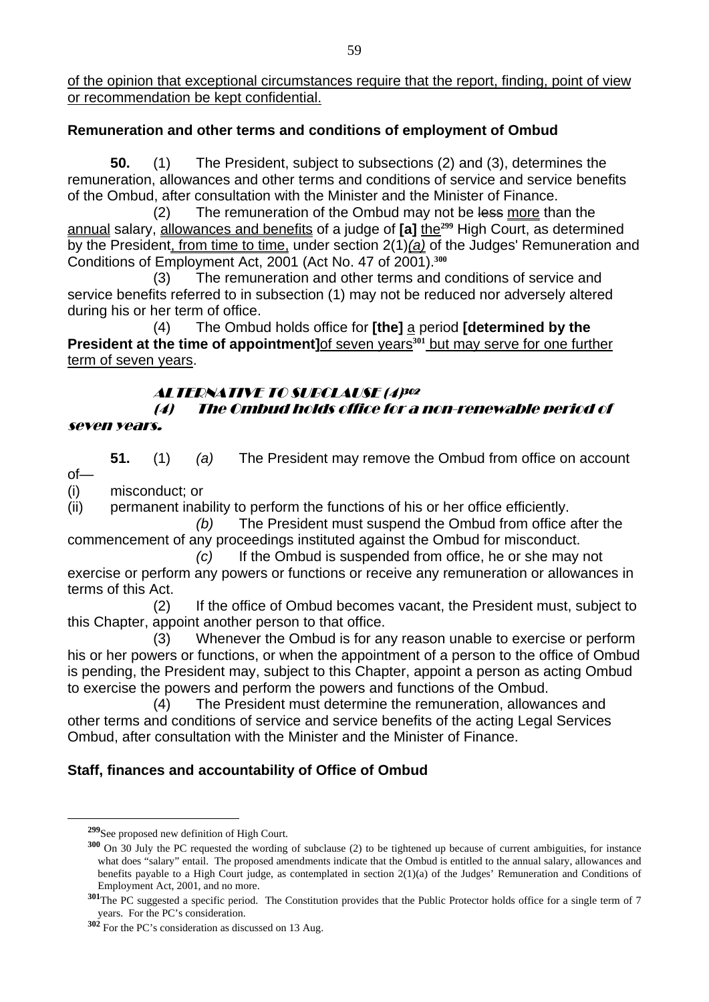of the opinion that exceptional circumstances require that the report, finding, point of view or recommendation be kept confidential.

#### **Remuneration and other terms and conditions of employment of Ombud**

**50.** (1) The President, subject to subsections (2) and (3), determines the remuneration, allowances and other terms and conditions of service and service benefits of the Ombud, after consultation with the Minister and the Minister of Finance.

(2) The remuneration of the Ombud may not be less more than the annual salary, allowances and benefits of a judge of **[a]** the**299** High Court, as determined by the President, from time to time, under section 2(1)*(a)* of the Judges' Remuneration and Conditions of Employment Act, 2001 (Act No. 47 of 2001).**<sup>300</sup>**

(3) The remuneration and other terms and conditions of service and service benefits referred to in subsection (1) may not be reduced nor adversely altered during his or her term of office.

(4) The Ombud holds office for **[the]** a period **[determined by the President at the time of appointment] of seven years<sup>301</sup> but may serve for one further** term of seven years.

#### ALTERNATIVE TO SUBCLAUSE (4)302

#### (4) The Ombud holds office for a non-renewable period of seven years.

**51.** (1) *(a)* The President may remove the Ombud from office on account

of— (i) misconduct; or

(ii) permanent inability to perform the functions of his or her office efficiently.

*(b)* The President must suspend the Ombud from office after the commencement of any proceedings instituted against the Ombud for misconduct.

*(c)* If the Ombud is suspended from office, he or she may not exercise or perform any powers or functions or receive any remuneration or allowances in terms of this Act.

(2) If the office of Ombud becomes vacant, the President must, subject to this Chapter, appoint another person to that office.

(3) Whenever the Ombud is for any reason unable to exercise or perform his or her powers or functions, or when the appointment of a person to the office of Ombud is pending, the President may, subject to this Chapter, appoint a person as acting Ombud to exercise the powers and perform the powers and functions of the Ombud.

(4) The President must determine the remuneration, allowances and other terms and conditions of service and service benefits of the acting Legal Services Ombud, after consultation with the Minister and the Minister of Finance.

### **Staff, finances and accountability of Office of Ombud**

**<sup>299</sup>**See proposed new definition of High Court.

**<sup>300</sup>** On 30 July the PC requested the wording of subclause (2) to be tightened up because of current ambiguities, for instance what does "salary" entail. The proposed amendments indicate that the Ombud is entitled to the annual salary, allowances and benefits payable to a High Court judge, as contemplated in section 2(1)(a) of the Judges' Remuneration and Conditions of Employment Act, 2001, and no more.

**<sup>301</sup>**The PC suggested a specific period. The Constitution provides that the Public Protector holds office for a single term of 7 years. For the PC's consideration.

**<sup>302</sup>** For the PC's consideration as discussed on 13 Aug.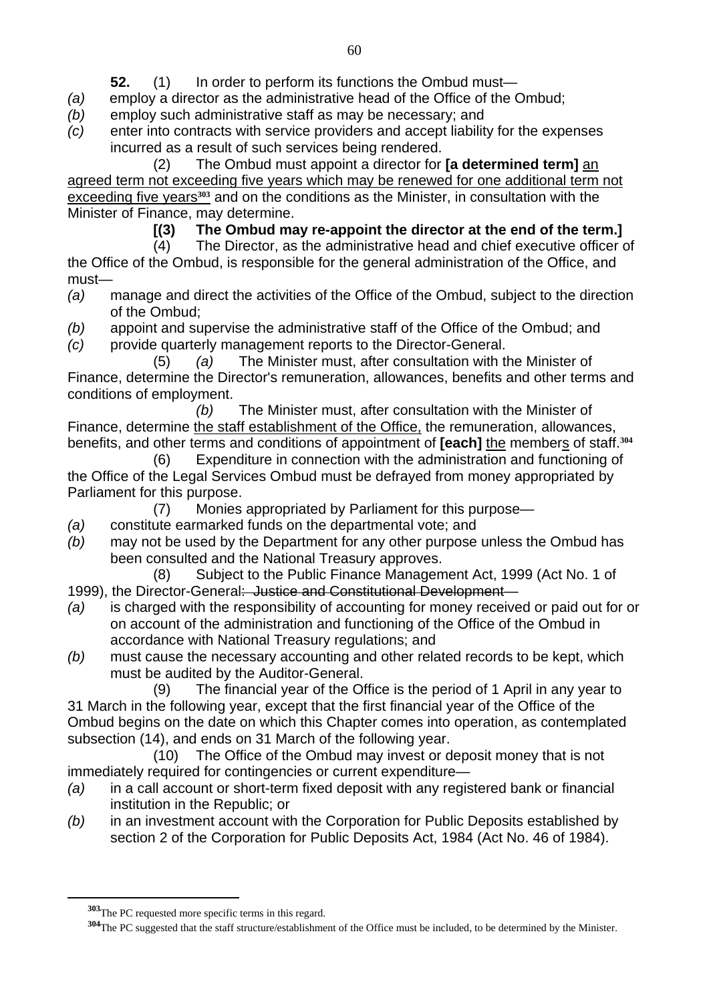- **52.** (1) In order to perform its functions the Ombud must—
- *(a)* employ a director as the administrative head of the Office of the Ombud;
- *(b)* employ such administrative staff as may be necessary; and
- *(c)* enter into contracts with service providers and accept liability for the expenses incurred as a result of such services being rendered.

 (2) The Ombud must appoint a director for **[a determined term]** an agreed term not exceeding five years which may be renewed for one additional term not exceeding five years**303** and on the conditions as the Minister, in consultation with the Minister of Finance, may determine.

**[(3) The Ombud may re-appoint the director at the end of the term.]** 

 (4) The Director, as the administrative head and chief executive officer of the Office of the Ombud, is responsible for the general administration of the Office, and must—

- *(a)* manage and direct the activities of the Office of the Ombud, subject to the direction of the Ombud;
- *(b)* appoint and supervise the administrative staff of the Office of the Ombud; and
- *(c)* provide quarterly management reports to the Director-General.

 (5) *(a)* The Minister must, after consultation with the Minister of Finance, determine the Director's remuneration, allowances, benefits and other terms and conditions of employment.

 *(b)* The Minister must, after consultation with the Minister of Finance, determine the staff establishment of the Office, the remuneration, allowances, benefits, and other terms and conditions of appointment of **[each]** the members of staff.**<sup>304</sup>**

 (6) Expenditure in connection with the administration and functioning of the Office of the Legal Services Ombud must be defrayed from money appropriated by Parliament for this purpose.

(7) Monies appropriated by Parliament for this purpose—

- *(a)* constitute earmarked funds on the departmental vote; and
- *(b)* may not be used by the Department for any other purpose unless the Ombud has been consulted and the National Treasury approves.
- (8) Subject to the Public Finance Management Act, 1999 (Act No. 1 of 1999), the Director-General: Justice and Constitutional Development—
- *(a)* is charged with the responsibility of accounting for money received or paid out for or on account of the administration and functioning of the Office of the Ombud in accordance with National Treasury regulations; and
- *(b)* must cause the necessary accounting and other related records to be kept, which must be audited by the Auditor-General.

 (9) The financial year of the Office is the period of 1 April in any year to 31 March in the following year, except that the first financial year of the Office of the Ombud begins on the date on which this Chapter comes into operation, as contemplated subsection (14), and ends on 31 March of the following year.

 (10) The Office of the Ombud may invest or deposit money that is not immediately required for contingencies or current expenditure—

- *(a)* in a call account or short-term fixed deposit with any registered bank or financial institution in the Republic; or
- *(b)* in an investment account with the Corporation for Public Deposits established by section 2 of the Corporation for Public Deposits Act, 1984 (Act No. 46 of 1984).

**<sup>303</sup>**The PC requested more specific terms in this regard.

**<sup>304</sup>**The PC suggested that the staff structure/establishment of the Office must be included, to be determined by the Minister.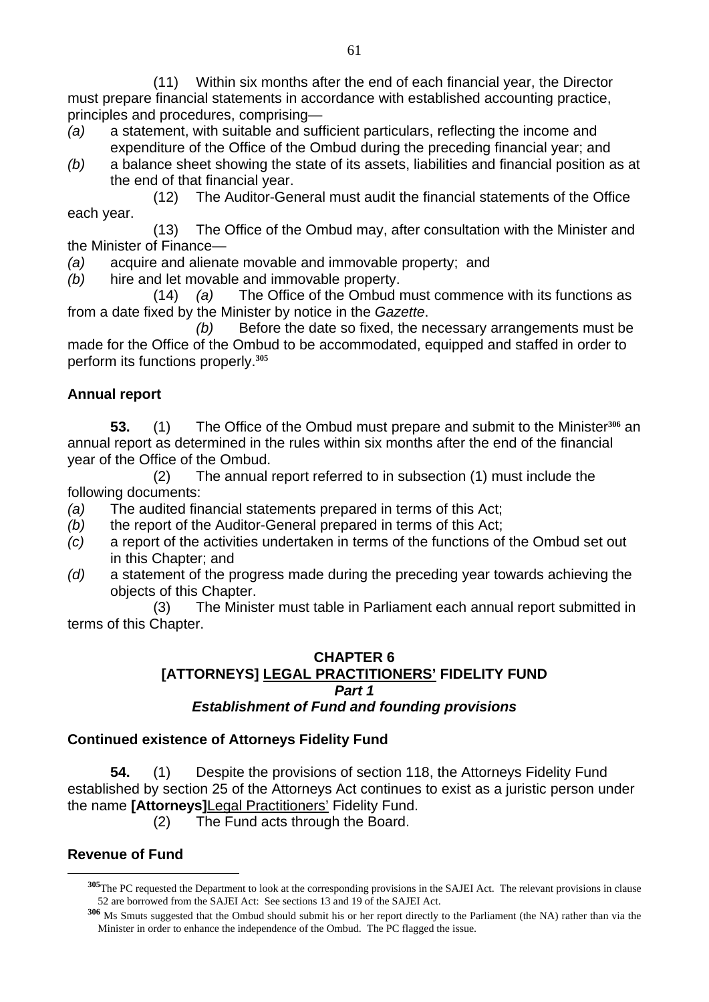(11) Within six months after the end of each financial year, the Director must prepare financial statements in accordance with established accounting practice, principles and procedures, comprising—

- *(a)* a statement, with suitable and sufficient particulars, reflecting the income and expenditure of the Office of the Ombud during the preceding financial year; and
- *(b)* a balance sheet showing the state of its assets, liabilities and financial position as at the end of that financial year.

 (12) The Auditor-General must audit the financial statements of the Office each year.

 (13) The Office of the Ombud may, after consultation with the Minister and the Minister of Finance—

- *(a)* acquire and alienate movable and immovable property; and
- *(b)* hire and let movable and immovable property.

 (14) *(a)* The Office of the Ombud must commence with its functions as from a date fixed by the Minister by notice in the *Gazette*.

 *(b)* Before the date so fixed, the necessary arrangements must be made for the Office of the Ombud to be accommodated, equipped and staffed in order to perform its functions properly.**<sup>305</sup>**

## **Annual report**

**53.** (1) The Office of the Ombud must prepare and submit to the Minister**306** an annual report as determined in the rules within six months after the end of the financial year of the Office of the Ombud.

 (2) The annual report referred to in subsection (1) must include the following documents:

- *(a)* The audited financial statements prepared in terms of this Act;
- *(b)* the report of the Auditor-General prepared in terms of this Act;
- *(c)* a report of the activities undertaken in terms of the functions of the Ombud set out in this Chapter; and
- *(d)* a statement of the progress made during the preceding year towards achieving the objects of this Chapter.

 (3) The Minister must table in Parliament each annual report submitted in terms of this Chapter.

#### **CHAPTER 6 [ATTORNEYS] LEGAL PRACTITIONERS' FIDELITY FUND**  *Part 1 Establishment of Fund and founding provisions*

### **Continued existence of Attorneys Fidelity Fund**

**54.** (1) Despite the provisions of section 118, the Attorneys Fidelity Fund established by section 25 of the Attorneys Act continues to exist as a juristic person under the name **[Attorneys]**Legal Practitioners' Fidelity Fund.

(2) The Fund acts through the Board.

## **Revenue of Fund**

**<sup>305</sup>**The PC requested the Department to look at the corresponding provisions in the SAJEI Act. The relevant provisions in clause 52 are borrowed from the SAJEI Act: See sections 13 and 19 of the SAJEI Act.

**<sup>306</sup>** Ms Smuts suggested that the Ombud should submit his or her report directly to the Parliament (the NA) rather than via the Minister in order to enhance the independence of the Ombud. The PC flagged the issue.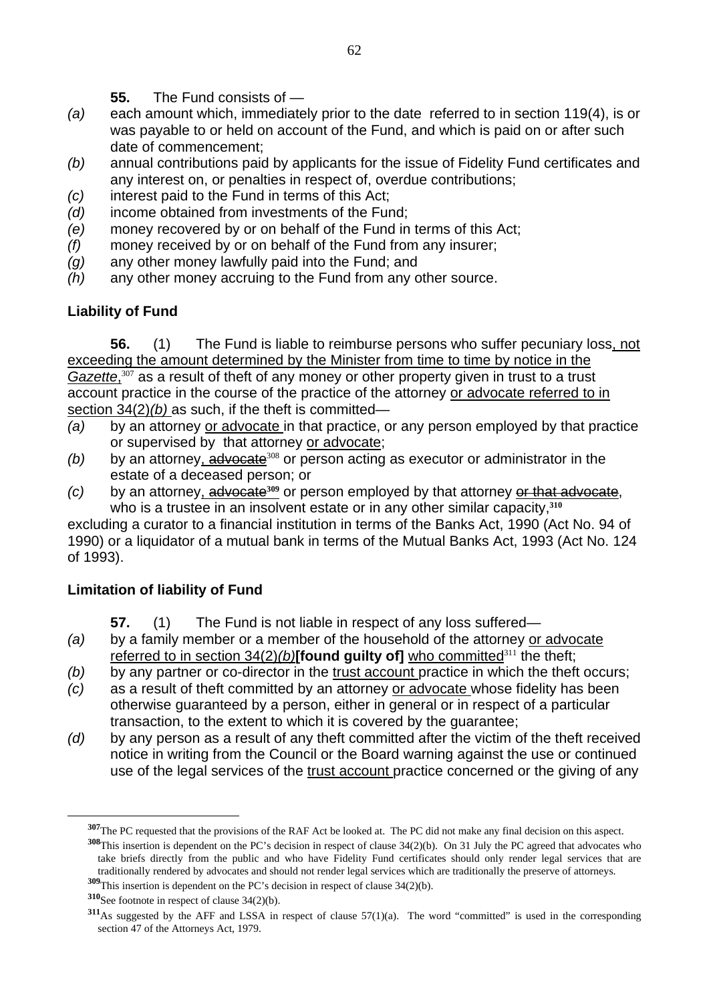- **55.** The Fund consists of —
- *(a)* each amount which, immediately prior to the date referred to in section 119(4), is or was payable to or held on account of the Fund, and which is paid on or after such date of commencement;
- *(b)* annual contributions paid by applicants for the issue of Fidelity Fund certificates and any interest on, or penalties in respect of, overdue contributions;
- *(c)* interest paid to the Fund in terms of this Act;
- *(d)* income obtained from investments of the Fund;
- *(e)* money recovered by or on behalf of the Fund in terms of this Act;
- *(f)* money received by or on behalf of the Fund from any insurer;
- *(g)* any other money lawfully paid into the Fund; and
- *(h)* any other money accruing to the Fund from any other source.

## **Liability of Fund**

**56.** (1) The Fund is liable to reimburse persons who suffer pecuniary loss, not exceeding the amount determined by the Minister from time to time by notice in the Gazette,<sup>307</sup> as a result of theft of any money or other property given in trust to a trust account practice in the course of the practice of the attorney or advocate referred to in section 34(2)*(b)* as such, if the theft is committed—

- *(a)* by an attorney or advocate in that practice, or any person employed by that practice or supervised by that attorney or advocate;
- $(b)$  by an attorney,  $\frac{advocate^{308}}{200}$  or person acting as executor or administrator in the estate of a deceased person; or
- *(c)* by an attorney, advocate**309** or person employed by that attorney or that advocate, who is a trustee in an insolvent estate or in any other similar capacity,**<sup>310</sup>**

excluding a curator to a financial institution in terms of the Banks Act, 1990 (Act No. 94 of 1990) or a liquidator of a mutual bank in terms of the Mutual Banks Act, 1993 (Act No. 124 of 1993).

## **Limitation of liability of Fund**

**57.** (1) The Fund is not liable in respect of any loss suffered—

- *(a)* by a family member or a member of the household of the attorney or advocate referred to in section 34(2)(b)<sup>[found</sup> guilty of] who committed<sup>311</sup> the theft;
- *(b)* by any partner or co-director in the trust account practice in which the theft occurs;
- *(c)* as a result of theft committed by an attorney or advocate whose fidelity has been otherwise guaranteed by a person, either in general or in respect of a particular transaction, to the extent to which it is covered by the guarantee;
- *(d)* by any person as a result of any theft committed after the victim of the theft received notice in writing from the Council or the Board warning against the use or continued use of the legal services of the trust account practice concerned or the giving of any

**<sup>309</sup>**This insertion is dependent on the PC's decision in respect of clause 34(2)(b).

**<sup>307</sup>**The PC requested that the provisions of the RAF Act be looked at. The PC did not make any final decision on this aspect.

**<sup>308</sup>**This insertion is dependent on the PC's decision in respect of clause 34(2)(b). On 31 July the PC agreed that advocates who take briefs directly from the public and who have Fidelity Fund certificates should only render legal services that are traditionally rendered by advocates and should not render legal services which are traditionally the preserve of attorneys.

**<sup>310</sup>**See footnote in respect of clause 34(2)(b).

**<sup>311</sup>**As suggested by the AFF and LSSA in respect of clause 57(1)(a). The word "committed" is used in the corresponding section 47 of the Attorneys Act, 1979.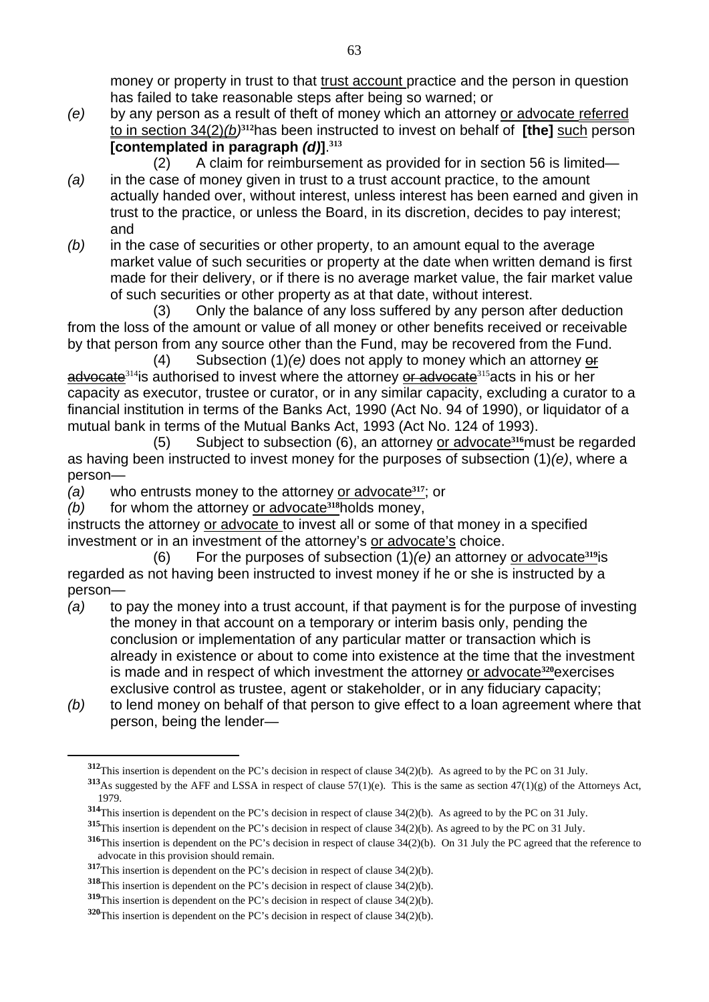money or property in trust to that trust account practice and the person in question has failed to take reasonable steps after being so warned; or

*(e)* by any person as a result of theft of money which an attorney or advocate referred to in section 34(2)*(b)***312**has been instructed to invest on behalf of **[the]** such person **[contemplated in paragraph** *(d)***]**. **313**

(2) A claim for reimbursement as provided for in section 56 is limited—

- *(a)* in the case of money given in trust to a trust account practice, to the amount actually handed over, without interest, unless interest has been earned and given in trust to the practice, or unless the Board, in its discretion, decides to pay interest; and
- *(b)* in the case of securities or other property, to an amount equal to the average market value of such securities or property at the date when written demand is first made for their delivery, or if there is no average market value, the fair market value of such securities or other property as at that date, without interest.

 (3) Only the balance of any loss suffered by any person after deduction from the loss of the amount or value of all money or other benefits received or receivable by that person from any source other than the Fund, may be recovered from the Fund.

 (4) Subsection (1)*(e)* does not apply to money which an attorney or advocate<sup>314</sup>is authorised to invest where the attorney or advocate<sup>315</sup> acts in his or her capacity as executor, trustee or curator, or in any similar capacity, excluding a curator to a financial institution in terms of the Banks Act, 1990 (Act No. 94 of 1990), or liquidator of a mutual bank in terms of the Mutual Banks Act, 1993 (Act No. 124 of 1993).

 (5) Subject to subsection (6), an attorney or advocate**316**must be regarded as having been instructed to invest money for the purposes of subsection (1)*(e)*, where a person—

*(a)* who entrusts money to the attorney or advocate**317**; or

*(b)* for whom the attorney or advocate**318**holds money,

instructs the attorney or advocate to invest all or some of that money in a specified investment or in an investment of the attorney's or advocate's choice.

 (6) For the purposes of subsection (1)*(e)* an attorney or advocate**319**is regarded as not having been instructed to invest money if he or she is instructed by a person—

- *(a)* to pay the money into a trust account, if that payment is for the purpose of investing the money in that account on a temporary or interim basis only, pending the conclusion or implementation of any particular matter or transaction which is already in existence or about to come into existence at the time that the investment is made and in respect of which investment the attorney or advocate**320**exercises exclusive control as trustee, agent or stakeholder, or in any fiduciary capacity;
- *(b)* to lend money on behalf of that person to give effect to a loan agreement where that person, being the lender—

**<sup>312</sup>**This insertion is dependent on the PC's decision in respect of clause 34(2)(b). As agreed to by the PC on 31 July.

**<sup>313</sup>**As suggested by the AFF and LSSA in respect of clause 57(1)(e). This is the same as section 47(1)(g) of the Attorneys Act, 1979.

**<sup>314</sup>**This insertion is dependent on the PC's decision in respect of clause 34(2)(b). As agreed to by the PC on 31 July.

**<sup>315</sup>**This insertion is dependent on the PC's decision in respect of clause 34(2)(b). As agreed to by the PC on 31 July.

**<sup>316</sup>**This insertion is dependent on the PC's decision in respect of clause 34(2)(b). On 31 July the PC agreed that the reference to advocate in this provision should remain.

**<sup>317</sup>**This insertion is dependent on the PC's decision in respect of clause 34(2)(b).

**<sup>318</sup>**This insertion is dependent on the PC's decision in respect of clause 34(2)(b).

**<sup>319</sup>**This insertion is dependent on the PC's decision in respect of clause 34(2)(b).

**<sup>320</sup>**This insertion is dependent on the PC's decision in respect of clause 34(2)(b).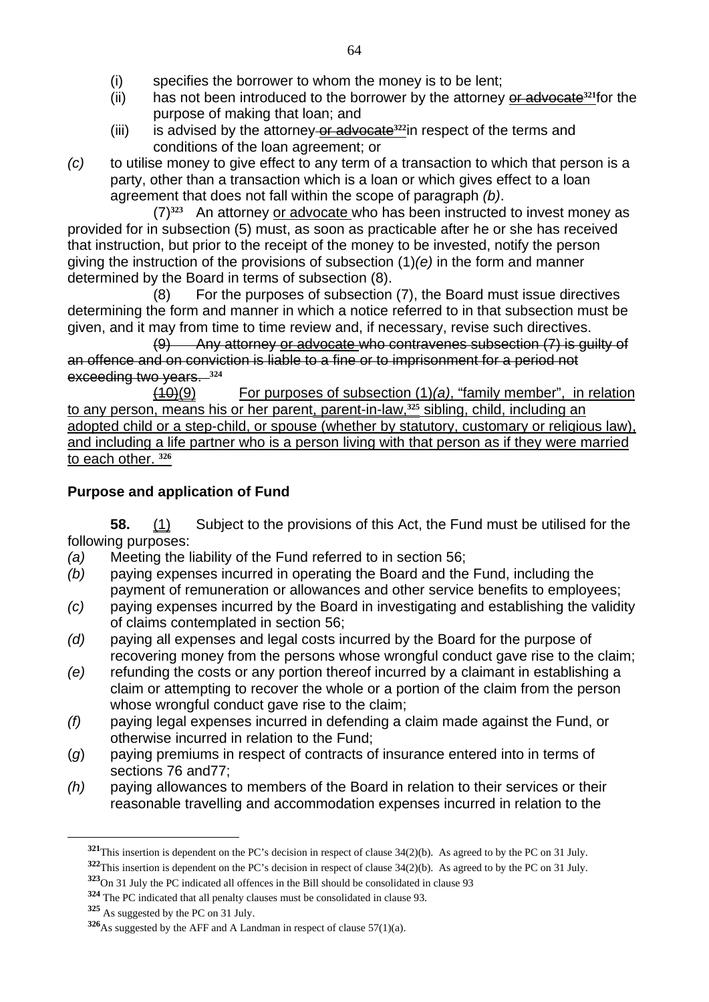- (i) specifies the borrower to whom the money is to be lent;
- (ii) has not been introduced to the borrower by the attorney or advocate**321**for the purpose of making that loan; and
- (iii) is advised by the attorney or advocate**322**in respect of the terms and conditions of the loan agreement; or
- *(c)* to utilise money to give effect to any term of a transaction to which that person is a party, other than a transaction which is a loan or which gives effect to a loan agreement that does not fall within the scope of paragraph *(b)*.

(7)**323** An attorney or advocate who has been instructed to invest money as provided for in subsection (5) must, as soon as practicable after he or she has received that instruction, but prior to the receipt of the money to be invested, notify the person giving the instruction of the provisions of subsection (1)*(e)* in the form and manner determined by the Board in terms of subsection (8).

(8) For the purposes of subsection (7), the Board must issue directives determining the form and manner in which a notice referred to in that subsection must be given, and it may from time to time review and, if necessary, revise such directives.

(9) Any attorney or advocate who contravenes subsection (7) is guilty of an offence and on conviction is liable to a fine or to imprisonment for a period not exceeding two years. **<sup>324</sup>**

(10)(9) For purposes of subsection (1)*(a)*, "family member", in relation to any person, means his or her parent, parent-in-law,**325** sibling, child, including an adopted child or a step-child, or spouse (whether by statutory, customary or religious law), and including a life partner who is a person living with that person as if they were married to each other. **<sup>326</sup>**

## **Purpose and application of Fund**

**58.** (1) Subject to the provisions of this Act, the Fund must be utilised for the following purposes:

- *(a)* Meeting the liability of the Fund referred to in section 56;
- *(b)* paying expenses incurred in operating the Board and the Fund, including the payment of remuneration or allowances and other service benefits to employees;
- *(c)* paying expenses incurred by the Board in investigating and establishing the validity of claims contemplated in section 56;
- *(d)* paying all expenses and legal costs incurred by the Board for the purpose of recovering money from the persons whose wrongful conduct gave rise to the claim;
- *(e)* refunding the costs or any portion thereof incurred by a claimant in establishing a claim or attempting to recover the whole or a portion of the claim from the person whose wrongful conduct gave rise to the claim;
- *(f)* paying legal expenses incurred in defending a claim made against the Fund, or otherwise incurred in relation to the Fund;
- (*g*) paying premiums in respect of contracts of insurance entered into in terms of sections 76 and77;
- *(h)* paying allowances to members of the Board in relation to their services or their reasonable travelling and accommodation expenses incurred in relation to the

**<sup>321</sup>**This insertion is dependent on the PC's decision in respect of clause 34(2)(b). As agreed to by the PC on 31 July. **<sup>322</sup>**This insertion is dependent on the PC's decision in respect of clause 34(2)(b). As agreed to by the PC on 31 July.

**<sup>323</sup>**On 31 July the PC indicated all offences in the Bill should be consolidated in clause 93

**<sup>324</sup>** The PC indicated that all penalty clauses must be consolidated in clause 93.

**<sup>325</sup>** As suggested by the PC on 31 July.

**<sup>326</sup>**As suggested by the AFF and A Landman in respect of clause 57(1)(a).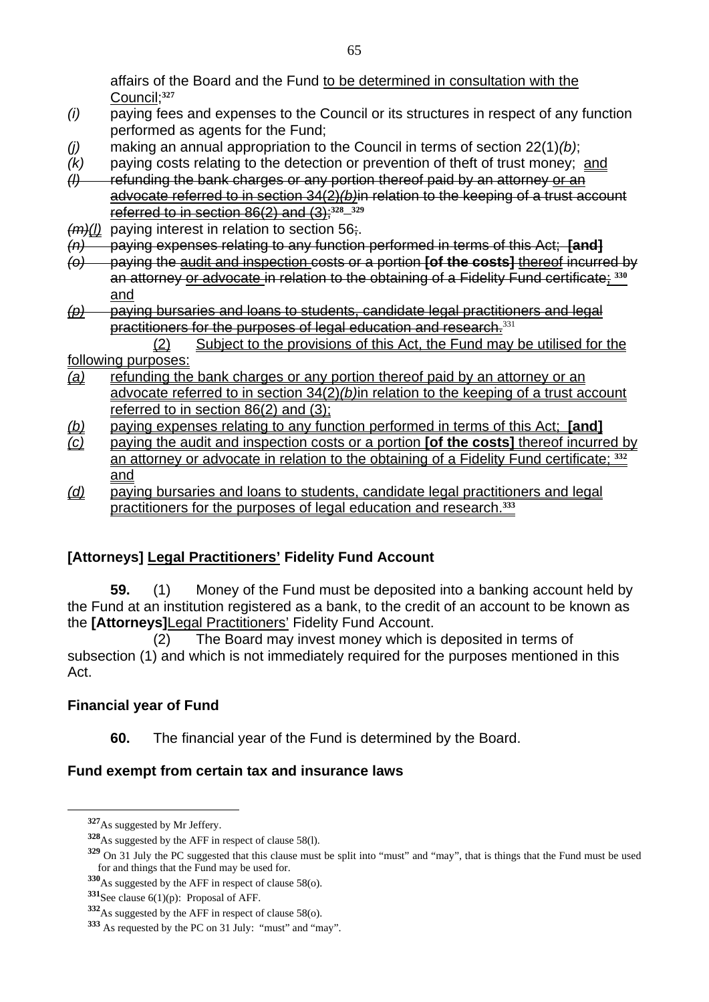affairs of the Board and the Fund to be determined in consultation with the Council;**<sup>327</sup>**

- *(i)* paying fees and expenses to the Council or its structures in respect of any function performed as agents for the Fund;
- *(j)* making an annual appropriation to the Council in terms of section 22(1)*(b)*;
- *(k)* paying costs relating to the detection or prevention of theft of trust money; and
- *(l)* refunding the bank charges or any portion thereof paid by an attorney or an advocate referred to in section 34(2)*(b)*in relation to the keeping of a trust account referred to in section 86(2) and (3);**<sup>328</sup> <sup>329</sup>**
- *(m)(l)* paying interest in relation to section 56;.
- *(n)* paying expenses relating to any function performed in terms of this Act; **[and]**
- *(o)* paying the audit and inspection costs or a portion **[of the costs]** thereof incurred by an attorney or advocate in relation to the obtaining of a Fidelity Fund certificate; **<sup>330</sup>** and
- *(p)* paying bursaries and loans to students, candidate legal practitioners and legal practitioners for the purposes of legal education and research.<sup>331</sup>

#### (2) Subject to the provisions of this Act, the Fund may be utilised for the following purposes:

- *(a)* refunding the bank charges or any portion thereof paid by an attorney or an advocate referred to in section 34(2)*(b)*in relation to the keeping of a trust account referred to in section 86(2) and (3);
- *(b)* paying expenses relating to any function performed in terms of this Act; **[and]**
- *(c)* paying the audit and inspection costs or a portion **[of the costs]** thereof incurred by an attorney or advocate in relation to the obtaining of a Fidelity Fund certificate; **<sup>332</sup>** and
- *(d)* paying bursaries and loans to students, candidate legal practitioners and legal practitioners for the purposes of legal education and research.**<sup>333</sup>**

# **[Attorneys] Legal Practitioners' Fidelity Fund Account**

 **59.** (1) Money of the Fund must be deposited into a banking account held by the Fund at an institution registered as a bank, to the credit of an account to be known as the **[Attorneys]**Legal Practitioners' Fidelity Fund Account.

(2) The Board may invest money which is deposited in terms of subsection (1) and which is not immediately required for the purposes mentioned in this Act.

## **Financial year of Fund**

**60.** The financial year of the Fund is determined by the Board.

## **Fund exempt from certain tax and insurance laws**

**<sup>327</sup>**As suggested by Mr Jeffery.

**<sup>328</sup>**As suggested by the AFF in respect of clause 58(l).

**<sup>329</sup>** On 31 July the PC suggested that this clause must be split into "must" and "may", that is things that the Fund must be used for and things that the Fund may be used for.

**<sup>330</sup>**As suggested by the AFF in respect of clause 58(o).

**<sup>331</sup>**See clause 6(1)(p): Proposal of AFF.

**<sup>332</sup>**As suggested by the AFF in respect of clause 58(o).

**<sup>333</sup>** As requested by the PC on 31 July: "must" and "may".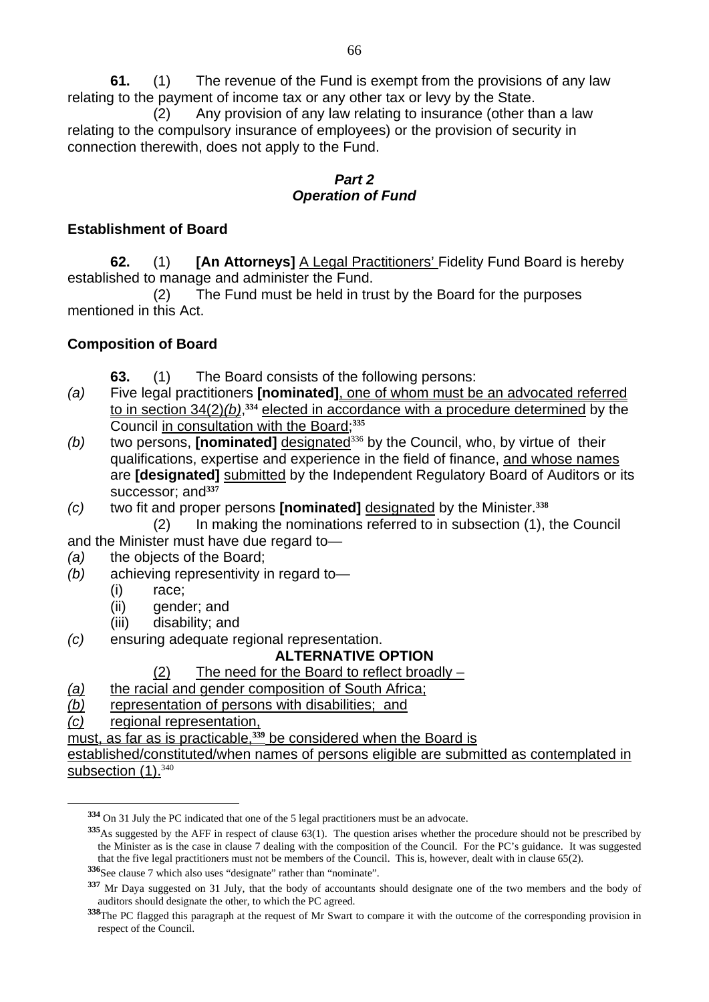**61.** (1) The revenue of the Fund is exempt from the provisions of any law relating to the payment of income tax or any other tax or levy by the State.

(2) Any provision of any law relating to insurance (other than a law relating to the compulsory insurance of employees) or the provision of security in connection therewith, does not apply to the Fund.

#### *Part 2 Operation of Fund*

#### **Establishment of Board**

**62.** (1) **[An Attorneys]** A Legal Practitioners' Fidelity Fund Board is hereby established to manage and administer the Fund.

(2) The Fund must be held in trust by the Board for the purposes mentioned in this Act.

### **Composition of Board**

- **63.** (1) The Board consists of the following persons:
- *(a)* Five legal practitioners **[nominated]**, one of whom must be an advocated referred to in section 34(2)(b),<sup>334</sup> elected in accordance with a procedure determined by the Council in consultation with the Board;**<sup>335</sup>**
- *(b)* two persons, **[nominated]** designated<sup>336</sup> by the Council, who, by virtue of their qualifications, expertise and experience in the field of finance, and whose names are **[designated]** submitted by the Independent Regulatory Board of Auditors or its successor; and<sup>337</sup>
- *(c)* two fit and proper persons **[nominated]** designated by the Minister.**<sup>338</sup>**
	- (2) In making the nominations referred to in subsection (1), the Council
- and the Minister must have due regard to—
- *(a)* the objects of the Board;
- *(b)* achieving representivity in regard to—
	- (i) race;
	- (ii) gender; and
	- (iii) disability; and
- *(c)* ensuring adequate regional representation.

### **ALTERNATIVE OPTION**

#### (2) The need for the Board to reflect broadly –

- *(a)* the racial and gender composition of South Africa;
- *(b)* representation of persons with disabilities; and
- *(c)* regional representation,

 $\overline{a}$ 

must, as far as is practicable,**339** be considered when the Board is

established/constituted/when names of persons eligible are submitted as contemplated in subsection (1).<sup>340</sup>

**<sup>334</sup>** On 31 July the PC indicated that one of the 5 legal practitioners must be an advocate.

**<sup>335</sup>**As suggested by the AFF in respect of clause 63(1). The question arises whether the procedure should not be prescribed by the Minister as is the case in clause 7 dealing with the composition of the Council. For the PC's guidance. It was suggested that the five legal practitioners must not be members of the Council. This is, however, dealt with in clause 65(2).

**<sup>336</sup>**See clause 7 which also uses "designate" rather than "nominate".

**<sup>337</sup>** Mr Daya suggested on 31 July, that the body of accountants should designate one of the two members and the body of auditors should designate the other, to which the PC agreed.

**<sup>338</sup>**The PC flagged this paragraph at the request of Mr Swart to compare it with the outcome of the corresponding provision in respect of the Council.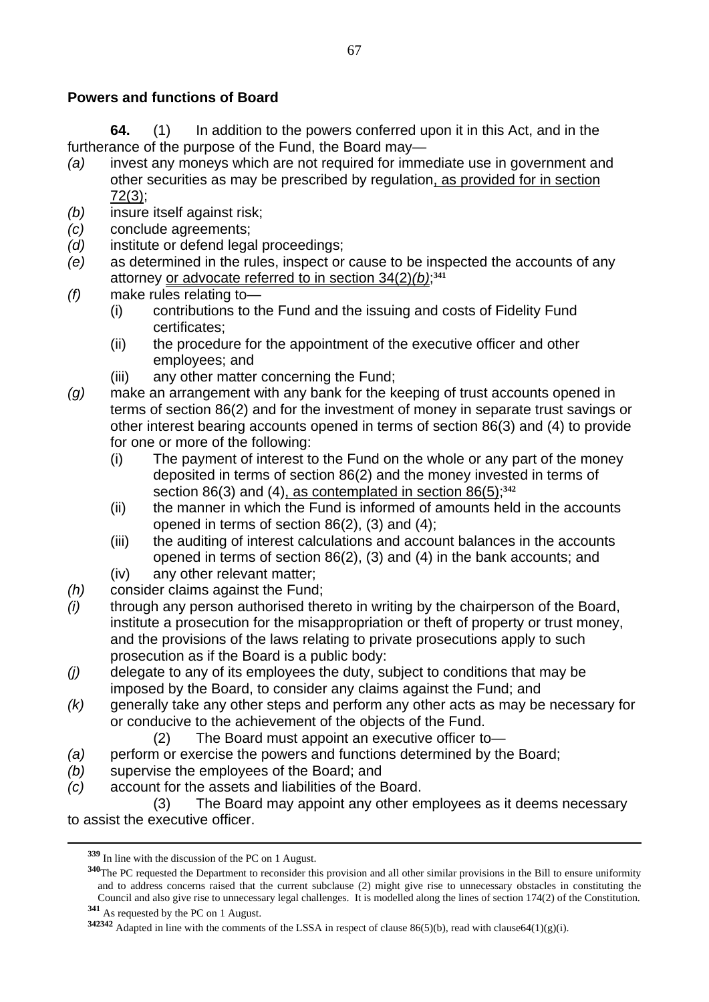### **Powers and functions of Board**

**64.** (1) In addition to the powers conferred upon it in this Act, and in the furtherance of the purpose of the Fund, the Board may—

- *(a)* invest any moneys which are not required for immediate use in government and other securities as may be prescribed by regulation, as provided for in section 72(3);
- *(b)* insure itself against risk;
- *(c)* conclude agreements;
- *(d)* institute or defend legal proceedings;
- *(e)* as determined in the rules, inspect or cause to be inspected the accounts of any attorney or advocate referred to in section 34(2)*(b)*; **<sup>341</sup>**
- *(f)* make rules relating to—
	- (i) contributions to the Fund and the issuing and costs of Fidelity Fund certificates;
	- (ii) the procedure for the appointment of the executive officer and other employees; and
	- (iii) any other matter concerning the Fund;
- *(g)* make an arrangement with any bank for the keeping of trust accounts opened in terms of section 86(2) and for the investment of money in separate trust savings or other interest bearing accounts opened in terms of section 86(3) and (4) to provide for one or more of the following:
	- (i) The payment of interest to the Fund on the whole or any part of the money deposited in terms of section 86(2) and the money invested in terms of section 86(3) and (4), as contemplated in section 86(5);**<sup>342</sup>**
	- (ii) the manner in which the Fund is informed of amounts held in the accounts opened in terms of section 86(2), (3) and (4);
	- (iii) the auditing of interest calculations and account balances in the accounts opened in terms of section 86(2), (3) and (4) in the bank accounts; and
	- (iv) any other relevant matter;
- *(h)* consider claims against the Fund;
- *(i)* through any person authorised thereto in writing by the chairperson of the Board, institute a prosecution for the misappropriation or theft of property or trust money, and the provisions of the laws relating to private prosecutions apply to such prosecution as if the Board is a public body:
- *(j)* delegate to any of its employees the duty, subject to conditions that may be imposed by the Board, to consider any claims against the Fund; and
- *(k)* generally take any other steps and perform any other acts as may be necessary for or conducive to the achievement of the objects of the Fund.
	- (2) The Board must appoint an executive officer to—
- *(a)* perform or exercise the powers and functions determined by the Board;
- *(b)* supervise the employees of the Board; and
- *(c)* account for the assets and liabilities of the Board.

**<sup>341</sup>** As requested by the PC on 1 August.

 <sup>(3)</sup> The Board may appoint any other employees as it deems necessary to assist the executive officer.

**<sup>339</sup>** In line with the discussion of the PC on 1 August.

**<sup>340</sup>**The PC requested the Department to reconsider this provision and all other similar provisions in the Bill to ensure uniformity and to address concerns raised that the current subclause (2) might give rise to unnecessary obstacles in constituting the Council and also give rise to unnecessary legal challenges. It is modelled along the lines of section 174(2) of the Constitution.

**<sup>342342</sup>** Adapted in line with the comments of the LSSA in respect of clause 86(5)(b), read with clause64(1)(g)(i).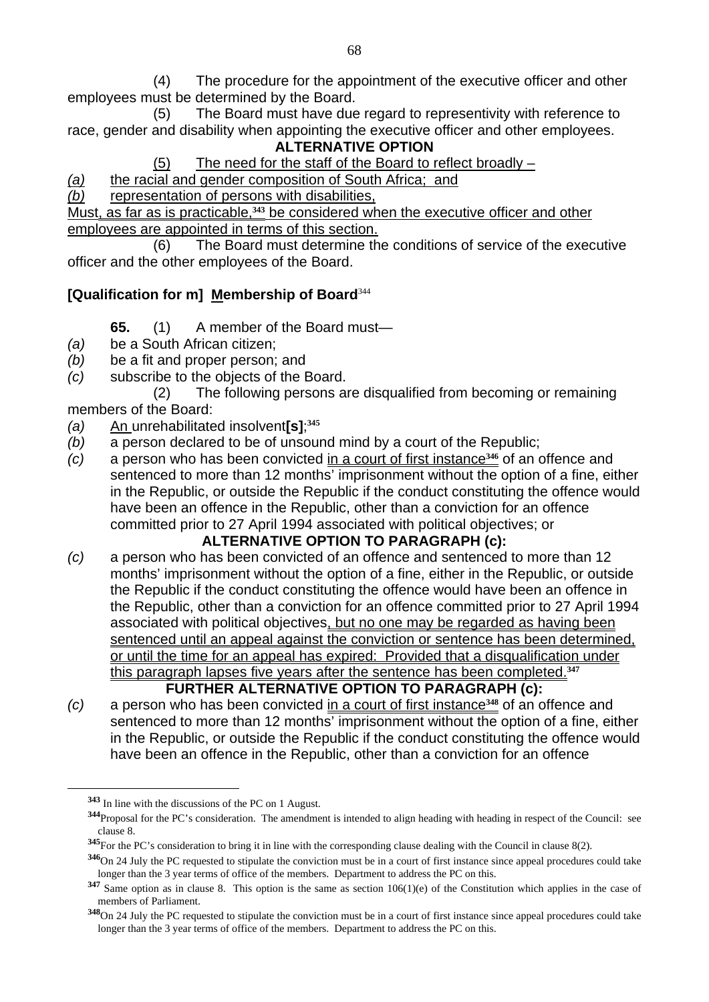(4) The procedure for the appointment of the executive officer and other employees must be determined by the Board.

 (5) The Board must have due regard to representivity with reference to race, gender and disability when appointing the executive officer and other employees. **ALTERNATIVE OPTION** 

(5) The need for the staff of the Board to reflect broadly –

*(a)* the racial and gender composition of South Africa; and

*(b)* representation of persons with disabilities,

Must, as far as is practicable,**343** be considered when the executive officer and other employees are appointed in terms of this section.

 (6) The Board must determine the conditions of service of the executive officer and the other employees of the Board.

### **[Qualification for m] Membership of Board**<sup>344</sup>

- **65.** (1) A member of the Board must—
- *(a)* be a South African citizen;
- *(b)* be a fit and proper person; and
- *(c)* subscribe to the objects of the Board.

 (2) The following persons are disqualified from becoming or remaining members of the Board:

- *(a)* An unrehabilitated insolvent**[s]**; **345**
- *(b)* a person declared to be of unsound mind by a court of the Republic;
- *(c)* a person who has been convicted in a court of first instance**346** of an offence and sentenced to more than 12 months' imprisonment without the option of a fine, either in the Republic, or outside the Republic if the conduct constituting the offence would have been an offence in the Republic, other than a conviction for an offence committed prior to 27 April 1994 associated with political objectives; or

### **ALTERNATIVE OPTION TO PARAGRAPH (c):**

- *(c)* a person who has been convicted of an offence and sentenced to more than 12 months' imprisonment without the option of a fine, either in the Republic, or outside the Republic if the conduct constituting the offence would have been an offence in the Republic, other than a conviction for an offence committed prior to 27 April 1994 associated with political objectives, but no one may be regarded as having been sentenced until an appeal against the conviction or sentence has been determined, or until the time for an appeal has expired: Provided that a disqualification under this paragraph lapses five years after the sentence has been completed.**<sup>347</sup> FURTHER ALTERNATIVE OPTION TO PARAGRAPH (c):**
- *(c)* a person who has been convicted in a court of first instance**348** of an offence and sentenced to more than 12 months' imprisonment without the option of a fine, either in the Republic, or outside the Republic if the conduct constituting the offence would have been an offence in the Republic, other than a conviction for an offence

**<sup>343</sup>** In line with the discussions of the PC on 1 August.

**<sup>344</sup>**Proposal for the PC's consideration. The amendment is intended to align heading with heading in respect of the Council: see clause 8.

**<sup>345</sup>**For the PC's consideration to bring it in line with the corresponding clause dealing with the Council in clause 8(2).

**<sup>346</sup>**On 24 July the PC requested to stipulate the conviction must be in a court of first instance since appeal procedures could take longer than the 3 year terms of office of the members. Department to address the PC on this.

**<sup>347</sup>** Same option as in clause 8. This option is the same as section 106(1)(e) of the Constitution which applies in the case of members of Parliament.

**<sup>348</sup>**On 24 July the PC requested to stipulate the conviction must be in a court of first instance since appeal procedures could take longer than the 3 year terms of office of the members. Department to address the PC on this.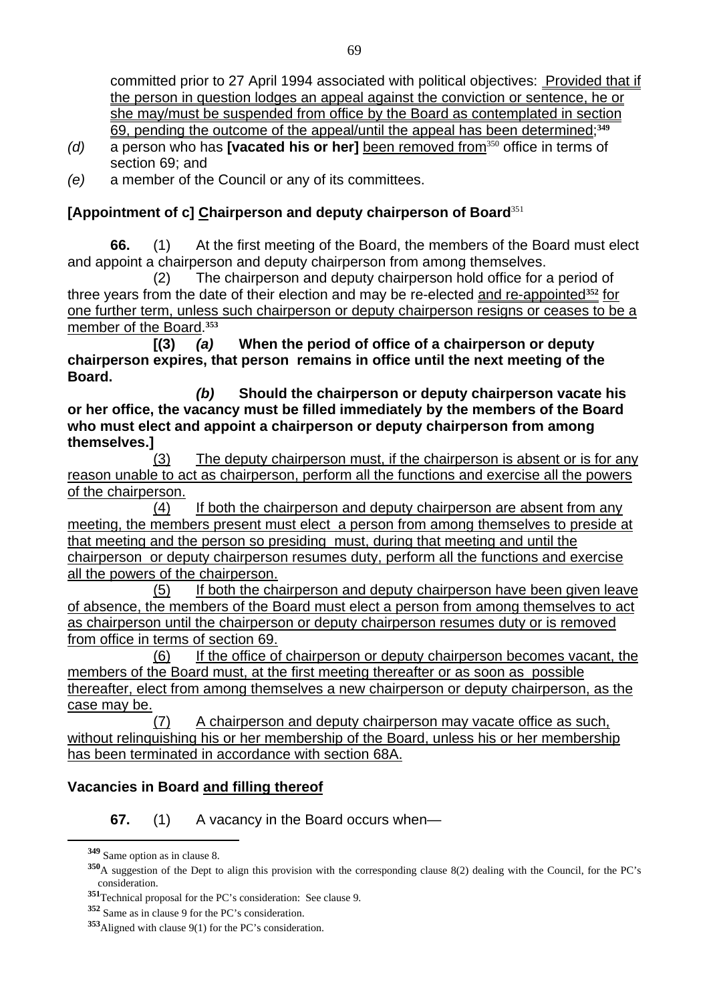committed prior to 27 April 1994 associated with political objectives: Provided that if the person in question lodges an appeal against the conviction or sentence, he or she may/must be suspended from office by the Board as contemplated in section 69, pending the outcome of the appeal/until the appeal has been determined;**<sup>349</sup>**

- *(d)* a person who has **[vacated his or her]** been removed from<sup>350</sup> office in terms of section 69; and
- *(e)* a member of the Council or any of its committees.

### **[Appointment of c] Chairperson and deputy chairperson of Board**<sup>351</sup>

**66.** (1) At the first meeting of the Board, the members of the Board must elect and appoint a chairperson and deputy chairperson from among themselves.

 (2) The chairperson and deputy chairperson hold office for a period of three years from the date of their election and may be re-elected and re-appointed**352** for one further term, unless such chairperson or deputy chairperson resigns or ceases to be a member of the Board.**<sup>353</sup>**

 **[(3)** *(a)* **When the period of office of a chairperson or deputy chairperson expires, that person remains in office until the next meeting of the Board.** 

*(b)* **Should the chairperson or deputy chairperson vacate his or her office, the vacancy must be filled immediately by the members of the Board who must elect and appoint a chairperson or deputy chairperson from among themselves.]** 

 (3) The deputy chairperson must, if the chairperson is absent or is for any reason unable to act as chairperson, perform all the functions and exercise all the powers of the chairperson.

 (4) If both the chairperson and deputy chairperson are absent from any meeting, the members present must elect a person from among themselves to preside at that meeting and the person so presiding must, during that meeting and until the chairperson or deputy chairperson resumes duty, perform all the functions and exercise all the powers of the chairperson.

 (5) If both the chairperson and deputy chairperson have been given leave of absence, the members of the Board must elect a person from among themselves to act as chairperson until the chairperson or deputy chairperson resumes duty or is removed from office in terms of section 69.

 (6) If the office of chairperson or deputy chairperson becomes vacant, the members of the Board must, at the first meeting thereafter or as soon as possible thereafter, elect from among themselves a new chairperson or deputy chairperson, as the case may be.

 (7) A chairperson and deputy chairperson may vacate office as such, without relinquishing his or her membership of the Board, unless his or her membership has been terminated in accordance with section 68A.

### **Vacancies in Board and filling thereof**

**67.** (1) A vacancy in the Board occurs when—

**<sup>349</sup>** Same option as in clause 8.

**<sup>350</sup>**A suggestion of the Dept to align this provision with the corresponding clause 8(2) dealing with the Council, for the PC's consideration.

**<sup>351</sup>**Technical proposal for the PC's consideration: See clause 9.

**<sup>352</sup>** Same as in clause 9 for the PC's consideration.

**<sup>353</sup>**Aligned with clause 9(1) for the PC's consideration.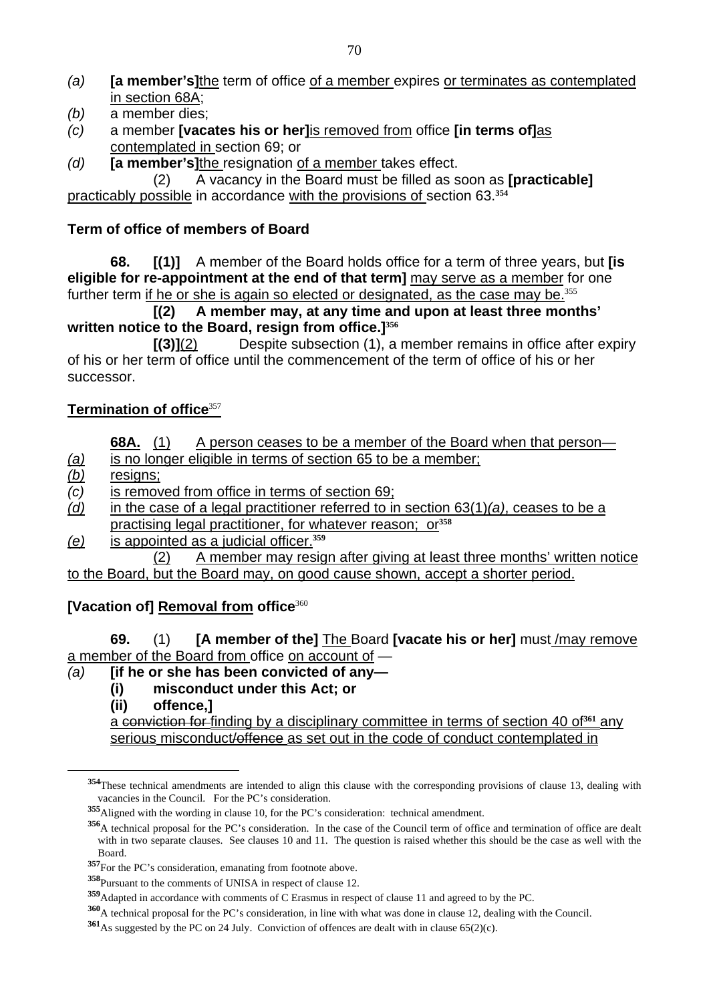- *(a)* **[a member's]**the term of office of a member expires or terminates as contemplated in section 68A;
- *(b)* a member dies;
- *(c)* a member **[vacates his or her]**is removed from office **[in terms of]**as contemplated in section 69; or
- *(d)* **[a member's]**the resignation of a member takes effect.

 (2) A vacancy in the Board must be filled as soon as **[practicable]**  practicably possible in accordance with the provisions of section 63.**<sup>354</sup>**

### **Term of office of members of Board**

**68. [(1)]** A member of the Board holds office for a term of three years, but **[is eligible for re-appointment at the end of that term]** may serve as a member for one further term if he or she is again so elected or designated, as the case may be.<sup>355</sup>

 **[(2) A member may, at any time and upon at least three months' written notice to the Board, resign from office.]<sup>356</sup>**

**[(3)]**(2) Despite subsection (1), a member remains in office after expiry of his or her term of office until the commencement of the term of office of his or her successor.

### **Termination of office**<sup>357</sup>

- **68A.** (1) A person ceases to be a member of the Board when that person-
- *(a)* is no longer eligible in terms of section 65 to be a member;
- *(b)* resigns;

 $\overline{a}$ 

- *(c)* is removed from office in terms of section 69;
- *(d)* in the case of a legal practitioner referred to in section 63(1)*(a)*, ceases to be a practising legal practitioner, for whatever reason; or**<sup>358</sup>**
- *(e)* is appointed as a judicial officer.**<sup>359</sup>**

 (2) A member may resign after giving at least three months' written notice to the Board, but the Board may, on good cause shown, accept a shorter period.

### **[Vacation of] Removal from office**<sup>360</sup>

**69.** (1) **[A member of the]** The Board **[vacate his or her]** must /may remove a member of the Board from office on account of —

### *(a)* **[if he or she has been convicted of any—**

- **(i) misconduct under this Act; or**
- **(ii) offence,]**

a conviction for finding by a disciplinary committee in terms of section 40 of**361** any serious misconduct/offence as set out in the code of conduct contemplated in

**<sup>354</sup>**These technical amendments are intended to align this clause with the corresponding provisions of clause 13, dealing with vacancies in the Council. For the PC's consideration.

**<sup>355</sup>**Aligned with the wording in clause 10, for the PC's consideration: technical amendment.

**<sup>356</sup>**A technical proposal for the PC's consideration. In the case of the Council term of office and termination of office are dealt with in two separate clauses. See clauses 10 and 11. The question is raised whether this should be the case as well with the Board.

**<sup>357</sup>**For the PC's consideration, emanating from footnote above.

**<sup>358</sup>**Pursuant to the comments of UNISA in respect of clause 12.

**<sup>359</sup>**Adapted in accordance with comments of C Erasmus in respect of clause 11 and agreed to by the PC.

**<sup>360</sup>**A technical proposal for the PC's consideration, in line with what was done in clause 12, dealing with the Council.

**<sup>361</sup>**As suggested by the PC on 24 July. Conviction of offences are dealt with in clause 65(2)(c).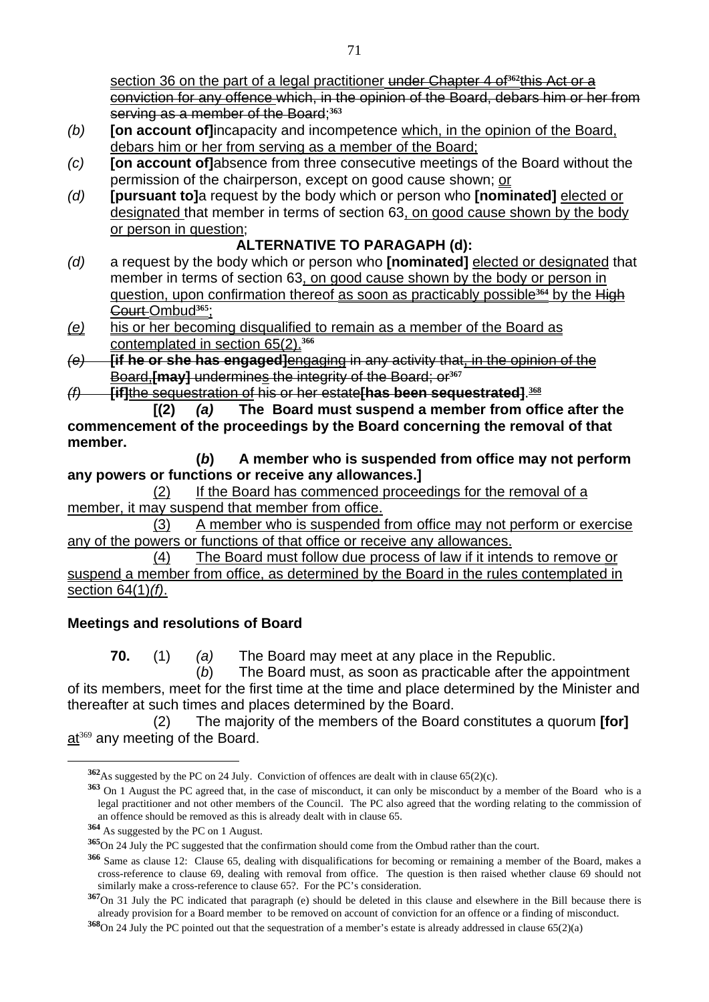section 36 on the part of a legal practitioner under Chapter 4 of<sup>362</sup>this Act or a conviction for any offence which, in the opinion of the Board, debars him or her from serving as a member of the Board;**<sup>363</sup>**

- *(b)* **[on account of]**incapacity and incompetence which, in the opinion of the Board, debars him or her from serving as a member of the Board;
- *(c)* **[on account of]**absence from three consecutive meetings of the Board without the permission of the chairperson, except on good cause shown; or
- *(d)* **[pursuant to]**a request by the body which or person who **[nominated]** elected or designated that member in terms of section 63, on good cause shown by the body or person in question;

### **ALTERNATIVE TO PARAGAPH (d):**

- *(d)* a request by the body which or person who **[nominated]** elected or designated that member in terms of section 63, on good cause shown by the body or person in question, upon confirmation thereof as soon as practicably possible**364** by the High Court Ombud**365**;
- *(e)* his or her becoming disqualified to remain as a member of the Board as contemplated in section 65(2).**<sup>366</sup>**
- *(e)* **[if he or she has engaged]**engaging in any activity that, in the opinion of the Board,**[may]** undermines the integrity of the Board; or**<sup>367</sup>**
- *(f)* **[if]**the sequestration of his or her estate**[has been sequestrated]**. **368**

 **[(2)** *(a)* **The Board must suspend a member from office after the commencement of the proceedings by the Board concerning the removal of that member.** 

**(***b***) A member who is suspended from office may not perform any powers or functions or receive any allowances.]** 

 (2) If the Board has commenced proceedings for the removal of a member, it may suspend that member from office.

 (3) A member who is suspended from office may not perform or exercise any of the powers or functions of that office or receive any allowances.

 (4) The Board must follow due process of law if it intends to remove or suspend a member from office, as determined by the Board in the rules contemplated in section 64(1)*(f)*.

## **Meetings and resolutions of Board**

**70.** (1) *(a)* The Board may meet at any place in the Republic.

(*b*) The Board must, as soon as practicable after the appointment of its members, meet for the first time at the time and place determined by the Minister and thereafter at such times and places determined by the Board.

 (2) The majority of the members of the Board constitutes a quorum **[for]**  at<sup>369</sup> any meeting of the Board.

**<sup>362</sup>**As suggested by the PC on 24 July. Conviction of offences are dealt with in clause 65(2)(c).

**<sup>363</sup>** On 1 August the PC agreed that, in the case of misconduct, it can only be misconduct by a member of the Board who is a legal practitioner and not other members of the Council. The PC also agreed that the wording relating to the commission of an offence should be removed as this is already dealt with in clause 65.

**<sup>364</sup>** As suggested by the PC on 1 August.

**<sup>365</sup>**On 24 July the PC suggested that the confirmation should come from the Ombud rather than the court.

**<sup>366</sup>** Same as clause 12: Clause 65, dealing with disqualifications for becoming or remaining a member of the Board, makes a cross-reference to clause 69, dealing with removal from office. The question is then raised whether clause 69 should not similarly make a cross-reference to clause 65?. For the PC's consideration.

**<sup>367</sup>**On 31 July the PC indicated that paragraph (e) should be deleted in this clause and elsewhere in the Bill because there is already provision for a Board member to be removed on account of conviction for an offence or a finding of misconduct.

**<sup>368</sup>**On 24 July the PC pointed out that the sequestration of a member's estate is already addressed in clause 65(2)(a)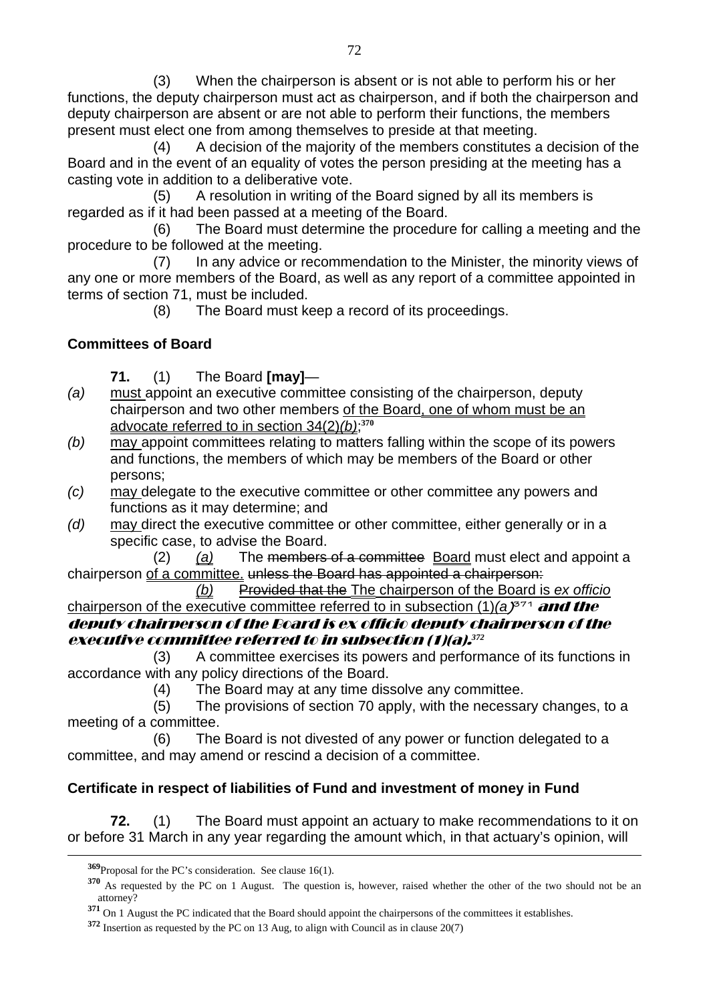(3) When the chairperson is absent or is not able to perform his or her functions, the deputy chairperson must act as chairperson, and if both the chairperson and deputy chairperson are absent or are not able to perform their functions, the members present must elect one from among themselves to preside at that meeting.

 (4) A decision of the majority of the members constitutes a decision of the Board and in the event of an equality of votes the person presiding at the meeting has a casting vote in addition to a deliberative vote.

 (5) A resolution in writing of the Board signed by all its members is regarded as if it had been passed at a meeting of the Board.

 (6) The Board must determine the procedure for calling a meeting and the procedure to be followed at the meeting.

 (7) In any advice or recommendation to the Minister, the minority views of any one or more members of the Board, as well as any report of a committee appointed in terms of section 71, must be included.

(8) The Board must keep a record of its proceedings.

## **Committees of Board**

- **71.** (1) The Board **[may]**—
- *(a)* must appoint an executive committee consisting of the chairperson, deputy chairperson and two other members of the Board, one of whom must be an advocate referred to in section 34(2)*(b)*; **370**
- *(b)* may appoint committees relating to matters falling within the scope of its powers and functions, the members of which may be members of the Board or other persons;
- *(c)* may delegate to the executive committee or other committee any powers and functions as it may determine; and
- *(d)* may direct the executive committee or other committee, either generally or in a specific case, to advise the Board.

 (2) *(a)* The members of a committee Board must elect and appoint a chairperson of a committee. unless the Board has appointed a chairperson:

*(b)* Provided that the The chairperson of the Board is *ex officio* chairperson of the executive committee referred to in subsection (1)*(a***) 371** and the deputy chairperson of the Board is ex officio deputy chairperson of the executive committee referred to in subsection (1)(a).*<sup>372</sup>*

 (3) A committee exercises its powers and performance of its functions in accordance with any policy directions of the Board.

(4) The Board may at any time dissolve any committee.

 (5) The provisions of section 70 apply, with the necessary changes, to a meeting of a committee.

 (6) The Board is not divested of any power or function delegated to a committee, and may amend or rescind a decision of a committee.

## **Certificate in respect of liabilities of Fund and investment of money in Fund**

**72.** (1) The Board must appoint an actuary to make recommendations to it on or before 31 March in any year regarding the amount which, in that actuary's opinion, will

**<sup>369</sup>**Proposal for the PC's consideration. See clause 16(1).

**<sup>370</sup>** As requested by the PC on 1 August. The question is, however, raised whether the other of the two should not be an attorney?

**<sup>371</sup>** On 1 August the PC indicated that the Board should appoint the chairpersons of the committees it establishes.

**<sup>372</sup>** Insertion as requested by the PC on 13 Aug, to align with Council as in clause 20(7)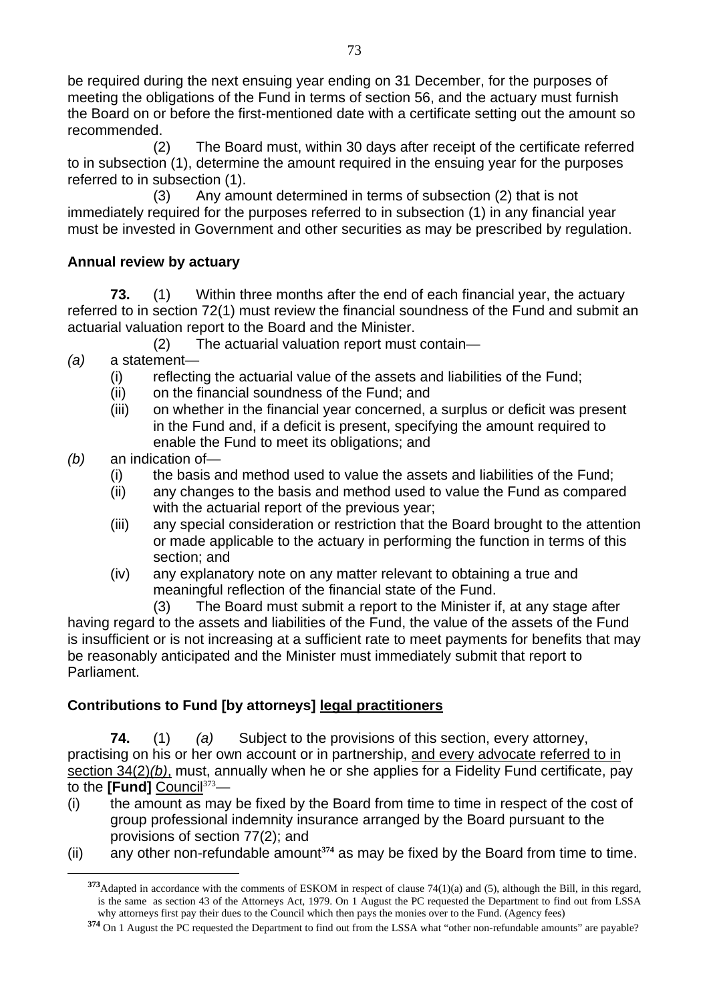be required during the next ensuing year ending on 31 December, for the purposes of meeting the obligations of the Fund in terms of section 56, and the actuary must furnish the Board on or before the first-mentioned date with a certificate setting out the amount so recommended.

 (2) The Board must, within 30 days after receipt of the certificate referred to in subsection (1), determine the amount required in the ensuing year for the purposes referred to in subsection (1).

 (3) Any amount determined in terms of subsection (2) that is not immediately required for the purposes referred to in subsection (1) in any financial year must be invested in Government and other securities as may be prescribed by regulation.

#### **Annual review by actuary**

**73.** (1) Within three months after the end of each financial year, the actuary referred to in section 72(1) must review the financial soundness of the Fund and submit an actuarial valuation report to the Board and the Minister.

- (2) The actuarial valuation report must contain—
- *(a)* a statement—
	- (i) reflecting the actuarial value of the assets and liabilities of the Fund;
	- (ii) on the financial soundness of the Fund; and
	- (iii) on whether in the financial year concerned, a surplus or deficit was present in the Fund and, if a deficit is present, specifying the amount required to enable the Fund to meet its obligations; and
- *(b)* an indication of—

 $\overline{a}$ 

- (i) the basis and method used to value the assets and liabilities of the Fund;
- (ii) any changes to the basis and method used to value the Fund as compared with the actuarial report of the previous year;
- (iii) any special consideration or restriction that the Board brought to the attention or made applicable to the actuary in performing the function in terms of this section; and
- (iv) any explanatory note on any matter relevant to obtaining a true and meaningful reflection of the financial state of the Fund.

 (3) The Board must submit a report to the Minister if, at any stage after having regard to the assets and liabilities of the Fund, the value of the assets of the Fund is insufficient or is not increasing at a sufficient rate to meet payments for benefits that may be reasonably anticipated and the Minister must immediately submit that report to Parliament.

#### **Contributions to Fund [by attorneys] legal practitioners**

**74.** (1) *(a)* Subject to the provisions of this section, every attorney, practising on his or her own account or in partnership, and every advocate referred to in section 34(2)*(b)*, must, annually when he or she applies for a Fidelity Fund certificate, pay to the **[Fund]** Council<sup>373</sup>—

- (i) the amount as may be fixed by the Board from time to time in respect of the cost of group professional indemnity insurance arranged by the Board pursuant to the provisions of section 77(2); and
- (ii) any other non-refundable amount**374** as may be fixed by the Board from time to time.

**<sup>373</sup>**Adapted in accordance with the comments of ESKOM in respect of clause 74(1)(a) and (5), although the Bill, in this regard, is the same as section 43 of the Attorneys Act, 1979. On 1 August the PC requested the Department to find out from LSSA why attorneys first pay their dues to the Council which then pays the monies over to the Fund. (Agency fees)

**<sup>374</sup>** On 1 August the PC requested the Department to find out from the LSSA what "other non-refundable amounts" are payable?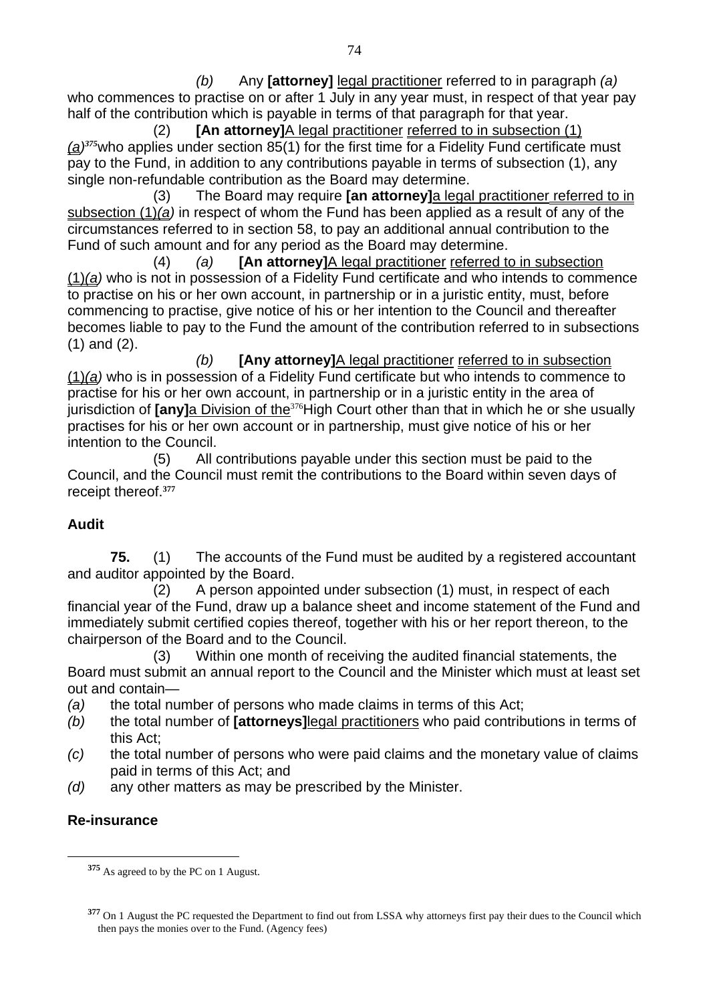*(b)* Any **[attorney]** legal practitioner referred to in paragraph *(a)* who commences to practise on or after 1 July in any year must, in respect of that year pay half of the contribution which is payable in terms of that paragraph for that year.

 (2) **[An attorney]**A legal practitioner referred to in subsection (1) *(a)375*who applies under section 85(1) for the first time for a Fidelity Fund certificate must pay to the Fund, in addition to any contributions payable in terms of subsection (1), any single non-refundable contribution as the Board may determine.

 (3) The Board may require **[an attorney]**a legal practitioner referred to in subsection (1)*(a)* in respect of whom the Fund has been applied as a result of any of the circumstances referred to in section 58, to pay an additional annual contribution to the Fund of such amount and for any period as the Board may determine.

 (4) *(a)* **[An attorney]**A legal practitioner referred to in subsection (1)*(a)* who is not in possession of a Fidelity Fund certificate and who intends to commence to practise on his or her own account, in partnership or in a juristic entity, must, before commencing to practise, give notice of his or her intention to the Council and thereafter becomes liable to pay to the Fund the amount of the contribution referred to in subsections (1) and (2).

*(b)* **[Any attorney]**A legal practitioner referred to in subsection (1)*(a)* who is in possession of a Fidelity Fund certificate but who intends to commence to practise for his or her own account, in partnership or in a juristic entity in the area of jurisdiction of **[any]**a Division of the<sup>376</sup>High Court other than that in which he or she usually practises for his or her own account or in partnership, must give notice of his or her intention to the Council.

 (5) All contributions payable under this section must be paid to the Council, and the Council must remit the contributions to the Board within seven days of receipt thereof.**<sup>377</sup>**

# **Audit**

**75.** (1) The accounts of the Fund must be audited by a registered accountant and auditor appointed by the Board.

(2) A person appointed under subsection (1) must, in respect of each financial year of the Fund, draw up a balance sheet and income statement of the Fund and immediately submit certified copies thereof, together with his or her report thereon, to the chairperson of the Board and to the Council.

(3) Within one month of receiving the audited financial statements, the Board must submit an annual report to the Council and the Minister which must at least set out and contain—

- *(a)* the total number of persons who made claims in terms of this Act;
- *(b)* the total number of **[attorneys]**legal practitioners who paid contributions in terms of this Act;
- *(c)* the total number of persons who were paid claims and the monetary value of claims paid in terms of this Act; and
- *(d)* any other matters as may be prescribed by the Minister.

#### **Re-insurance**

**<sup>375</sup>** As agreed to by the PC on 1 August.

**<sup>377</sup>** On 1 August the PC requested the Department to find out from LSSA why attorneys first pay their dues to the Council which then pays the monies over to the Fund. (Agency fees)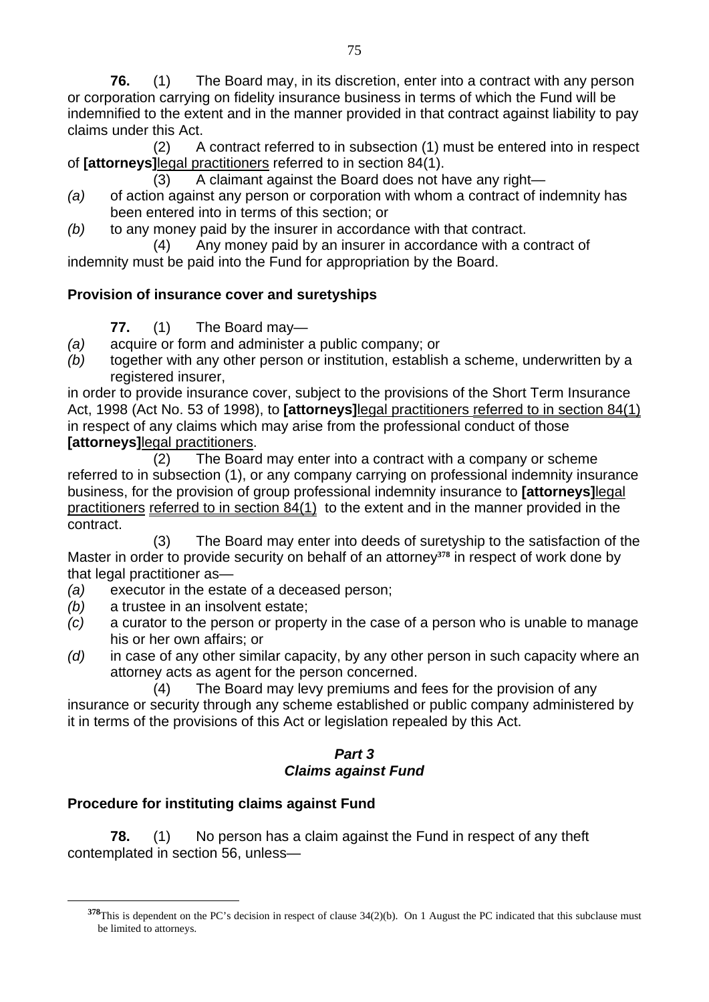**76.** (1) The Board may, in its discretion, enter into a contract with any person or corporation carrying on fidelity insurance business in terms of which the Fund will be indemnified to the extent and in the manner provided in that contract against liability to pay claims under this Act.

 (2) A contract referred to in subsection (1) must be entered into in respect of **[attorneys]**legal practitioners referred to in section 84(1).

(3) A claimant against the Board does not have any right—

- *(a)* of action against any person or corporation with whom a contract of indemnity has been entered into in terms of this section; or
- *(b)* to any money paid by the insurer in accordance with that contract.

 (4) Any money paid by an insurer in accordance with a contract of indemnity must be paid into the Fund for appropriation by the Board.

# **Provision of insurance cover and suretyships**

**77.** (1) The Board may—

- *(a)* acquire or form and administer a public company; or
- *(b)* together with any other person or institution, establish a scheme, underwritten by a registered insurer,

in order to provide insurance cover, subject to the provisions of the Short Term Insurance Act, 1998 (Act No. 53 of 1998), to **[attorneys]**legal practitioners referred to in section 84(1) in respect of any claims which may arise from the professional conduct of those *<u>[attorneys]</u>* legal practitioners.

 (2) The Board may enter into a contract with a company or scheme referred to in subsection (1), or any company carrying on professional indemnity insurance business, for the provision of group professional indemnity insurance to **[attorneys]**legal practitioners referred to in section 84(1) to the extent and in the manner provided in the contract.

 (3) The Board may enter into deeds of suretyship to the satisfaction of the Master in order to provide security on behalf of an attorney**378** in respect of work done by that legal practitioner as—

- *(a)* executor in the estate of a deceased person;
- *(b)* a trustee in an insolvent estate;
- *(c)* a curator to the person or property in the case of a person who is unable to manage his or her own affairs; or
- *(d)* in case of any other similar capacity, by any other person in such capacity where an attorney acts as agent for the person concerned.
	- (4) The Board may levy premiums and fees for the provision of any

insurance or security through any scheme established or public company administered by it in terms of the provisions of this Act or legislation repealed by this Act.

#### *Part 3 Claims against Fund*

# **Procedure for instituting claims against Fund**

 $\overline{a}$ 

**78.** (1) No person has a claim against the Fund in respect of any theft contemplated in section 56, unless—

**<sup>378</sup>**This is dependent on the PC's decision in respect of clause 34(2)(b). On 1 August the PC indicated that this subclause must be limited to attorneys.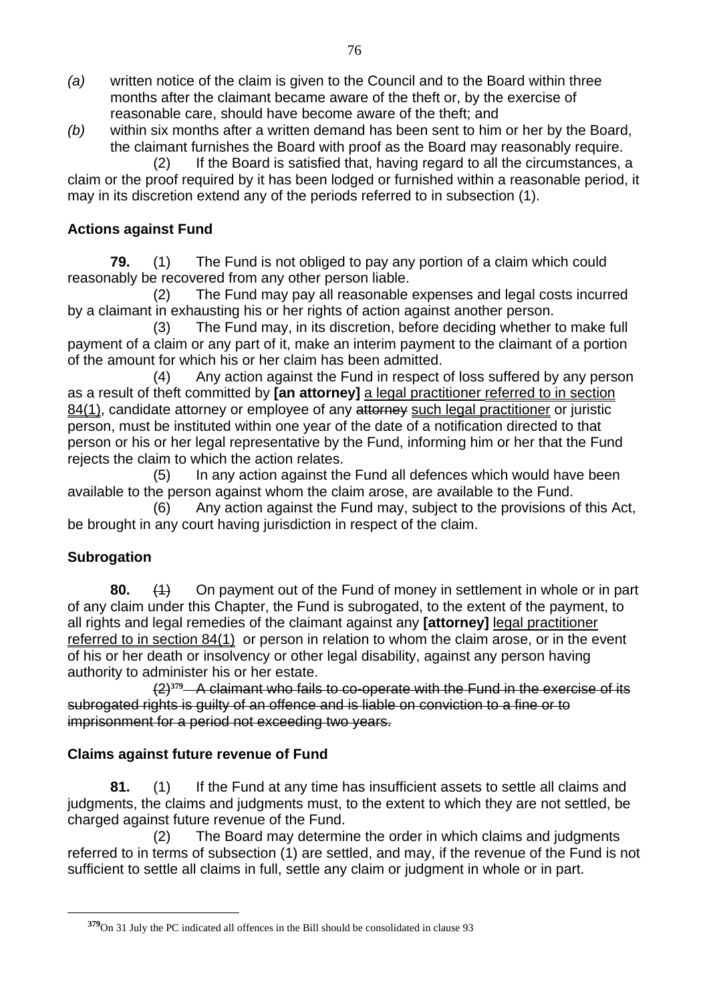- *(a)* written notice of the claim is given to the Council and to the Board within three months after the claimant became aware of the theft or, by the exercise of reasonable care, should have become aware of the theft; and
- *(b)* within six months after a written demand has been sent to him or her by the Board, the claimant furnishes the Board with proof as the Board may reasonably require.

(2) If the Board is satisfied that, having regard to all the circumstances, a claim or the proof required by it has been lodged or furnished within a reasonable period, it may in its discretion extend any of the periods referred to in subsection (1).

## **Actions against Fund**

**79.** (1) The Fund is not obliged to pay any portion of a claim which could reasonably be recovered from any other person liable.

(2) The Fund may pay all reasonable expenses and legal costs incurred by a claimant in exhausting his or her rights of action against another person.

(3) The Fund may, in its discretion, before deciding whether to make full payment of a claim or any part of it, make an interim payment to the claimant of a portion of the amount for which his or her claim has been admitted.

(4) Any action against the Fund in respect of loss suffered by any person as a result of theft committed by **[an attorney]** a legal practitioner referred to in section 84(1), candidate attorney or employee of any attorney such legal practitioner or juristic person, must be instituted within one year of the date of a notification directed to that person or his or her legal representative by the Fund, informing him or her that the Fund rejects the claim to which the action relates.

(5) In any action against the Fund all defences which would have been available to the person against whom the claim arose, are available to the Fund.

(6) Any action against the Fund may, subject to the provisions of this Act, be brought in any court having jurisdiction in respect of the claim.

# **Subrogation**

 $\overline{a}$ 

**80.** (1) On payment out of the Fund of money in settlement in whole or in part of any claim under this Chapter, the Fund is subrogated, to the extent of the payment, to all rights and legal remedies of the claimant against any **[attorney]** legal practitioner referred to in section 84(1) or person in relation to whom the claim arose, or in the event of his or her death or insolvency or other legal disability, against any person having authority to administer his or her estate.

 (2)**379** A claimant who fails to co-operate with the Fund in the exercise of its subrogated rights is guilty of an offence and is liable on conviction to a fine or to imprisonment for a period not exceeding two years.

#### **Claims against future revenue of Fund**

**81.** (1) If the Fund at any time has insufficient assets to settle all claims and judgments, the claims and judgments must, to the extent to which they are not settled, be charged against future revenue of the Fund.

 (2) The Board may determine the order in which claims and judgments referred to in terms of subsection (1) are settled, and may, if the revenue of the Fund is not sufficient to settle all claims in full, settle any claim or judgment in whole or in part.

**<sup>379</sup>**On 31 July the PC indicated all offences in the Bill should be consolidated in clause 93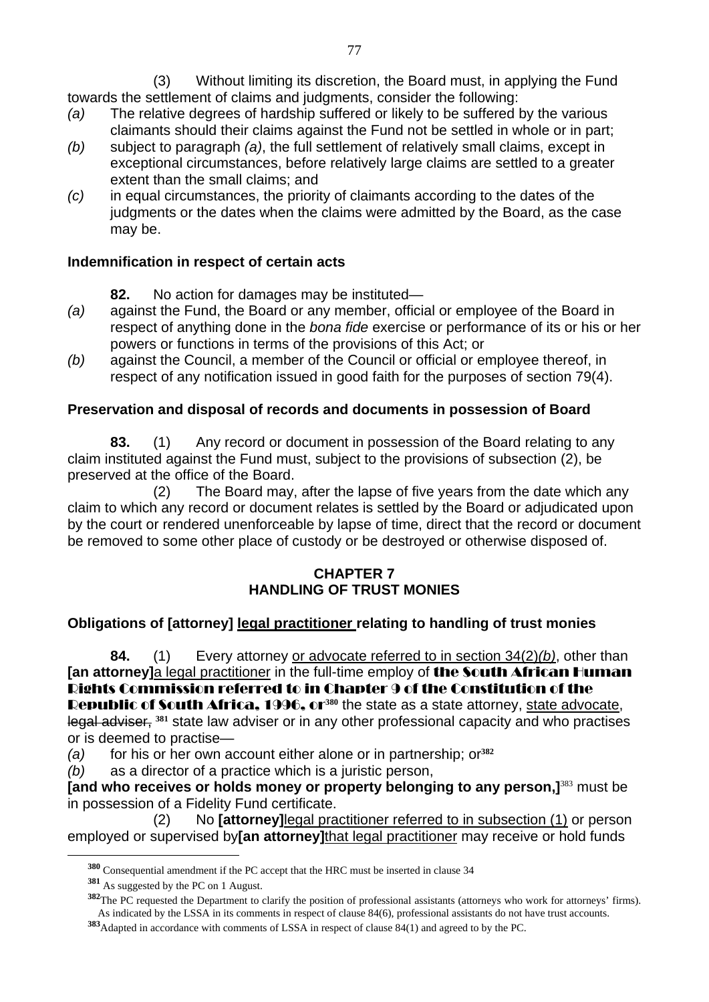(3) Without limiting its discretion, the Board must, in applying the Fund towards the settlement of claims and judgments, consider the following:

- *(a)* The relative degrees of hardship suffered or likely to be suffered by the various claimants should their claims against the Fund not be settled in whole or in part;
- *(b)* subject to paragraph *(a)*, the full settlement of relatively small claims, except in exceptional circumstances, before relatively large claims are settled to a greater extent than the small claims; and
- *(c)* in equal circumstances, the priority of claimants according to the dates of the judgments or the dates when the claims were admitted by the Board, as the case may be.

#### **Indemnification in respect of certain acts**

- **82.** No action for damages may be instituted—
- *(a)* against the Fund, the Board or any member, official or employee of the Board in respect of anything done in the *bona fide* exercise or performance of its or his or her powers or functions in terms of the provisions of this Act; or
- *(b)* against the Council, a member of the Council or official or employee thereof, in respect of any notification issued in good faith for the purposes of section 79(4).

# **Preservation and disposal of records and documents in possession of Board**

**83.** (1) Any record or document in possession of the Board relating to any claim instituted against the Fund must, subject to the provisions of subsection (2), be preserved at the office of the Board.

 (2) The Board may, after the lapse of five years from the date which any claim to which any record or document relates is settled by the Board or adjudicated upon by the court or rendered unenforceable by lapse of time, direct that the record or document be removed to some other place of custody or be destroyed or otherwise disposed of.

#### **CHAPTER 7 HANDLING OF TRUST MONIES**

# **Obligations of [attorney] legal practitioner relating to handling of trust monies**

**84.** (1) Every attorney or advocate referred to in section 34(2)*(b)*, other than **[an attorney]a legal practitioner in the full-time employ of <b>the South African Human** Rights Commission referred to in Chapter 9 of the Constitution of the Republic of South Africa, 1996, or<sup>380</sup> the state as a state attorney, state advocate, legal adviser, **381** state law adviser or in any other professional capacity and who practises or is deemed to practise—

*(a)* for his or her own account either alone or in partnership; or**<sup>382</sup>**

*(b)* as a director of a practice which is a juristic person,

**[and who receives or holds money or property belonging to any person,]**<sup>383</sup> must be in possession of a Fidelity Fund certificate.

 (2) No **[attorney]**legal practitioner referred to in subsection (1) or person employed or supervised by**[an attorney]**that legal practitioner may receive or hold funds

**<sup>380</sup>** Consequential amendment if the PC accept that the HRC must be inserted in clause 34

**<sup>381</sup>** As suggested by the PC on 1 August.

**<sup>382</sup>**The PC requested the Department to clarify the position of professional assistants (attorneys who work for attorneys' firms). As indicated by the LSSA in its comments in respect of clause 84(6), professional assistants do not have trust accounts.

**<sup>383</sup>**Adapted in accordance with comments of LSSA in respect of clause 84(1) and agreed to by the PC.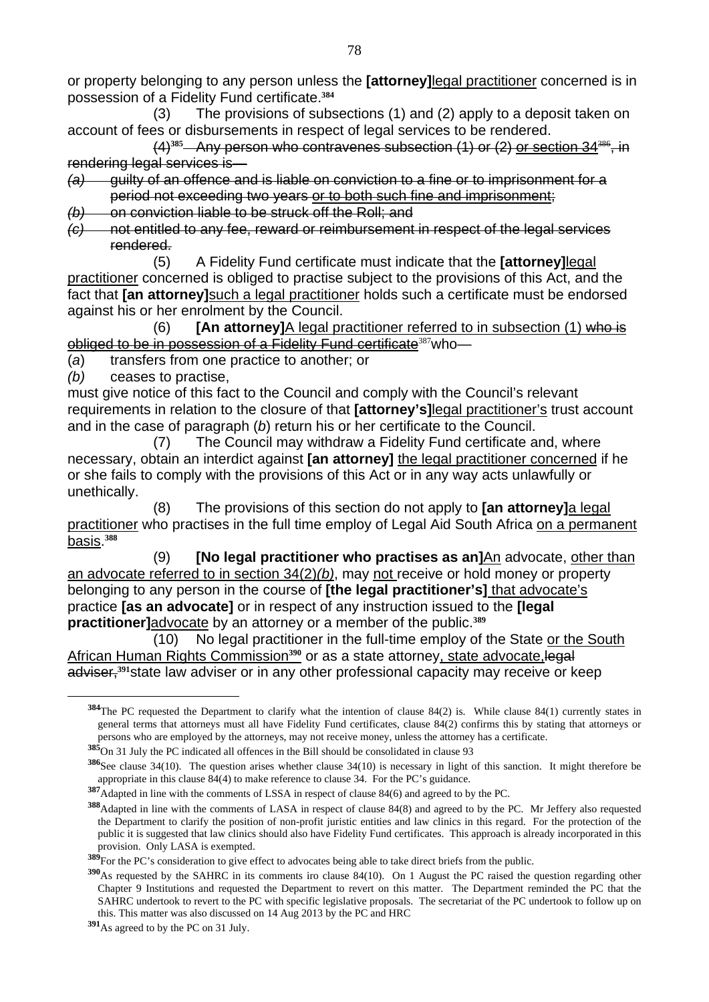or property belonging to any person unless the **[attorney]**legal practitioner concerned is in possession of a Fidelity Fund certificate.**<sup>384</sup>**

 (3) The provisions of subsections (1) and (2) apply to a deposit taken on account of fees or disbursements in respect of legal services to be rendered.

 $(4)$ <sup>385</sup> Any person who contravenes subsection  $(1)$  or  $(2)$  or section 34<sup>38</sup> rendering legal services is—

*(a)* guilty of an offence and is liable on conviction to a fine or to imprisonment for a period not exceeding two years or to both such fine and imprisonment;

*(b)* on conviction liable to be struck off the Roll; and

*(c)* not entitled to any fee, reward or reimbursement in respect of the legal services rendered.

 (5) A Fidelity Fund certificate must indicate that the **[attorney]**legal practitioner concerned is obliged to practise subject to the provisions of this Act, and the fact that **[an attorney]**such a legal practitioner holds such a certificate must be endorsed against his or her enrolment by the Council.

 (6) **[An attorney]**A legal practitioner referred to in subsection (1) who is obliged to be in possession of a Fidelity Fund certificate<sup>387</sup>who-

(*a*) transfers from one practice to another; or

*(b)* ceases to practise,

 $\overline{a}$ 

must give notice of this fact to the Council and comply with the Council's relevant requirements in relation to the closure of that **[attorney's]**legal practitioner's trust account and in the case of paragraph (*b*) return his or her certificate to the Council.

 (7) The Council may withdraw a Fidelity Fund certificate and, where necessary, obtain an interdict against **[an attorney]** the legal practitioner concerned if he or she fails to comply with the provisions of this Act or in any way acts unlawfully or unethically.

 (8) The provisions of this section do not apply to **[an attorney]**a legal practitioner who practises in the full time employ of Legal Aid South Africa on a permanent basis.**<sup>388</sup>**

(9) **[No legal practitioner who practises as an]**An advocate, other than an advocate referred to in section 34(2)*(b)*, may not receive or hold money or property belonging to any person in the course of **[the legal practitioner's]** that advocate's practice **[as an advocate]** or in respect of any instruction issued to the **[legal practitioner]**advocate by an attorney or a member of the public.**<sup>389</sup>**

 (10) No legal practitioner in the full-time employ of the State or the South African Human Rights Commission<sup>390</sup> or as a state attorney, state advocate, legal adviser,**391**state law adviser or in any other professional capacity may receive or keep

**<sup>384</sup>**The PC requested the Department to clarify what the intention of clause 84(2) is. While clause 84(1) currently states in general terms that attorneys must all have Fidelity Fund certificates, clause 84(2) confirms this by stating that attorneys or persons who are employed by the attorneys, may not receive money, unless the attorney has a certificate.

**<sup>385</sup>**On 31 July the PC indicated all offences in the Bill should be consolidated in clause 93

**<sup>386</sup>**See clause 34(10). The question arises whether clause 34(10) is necessary in light of this sanction. It might therefore be appropriate in this clause 84(4) to make reference to clause 34. For the PC's guidance.

**<sup>387</sup>**Adapted in line with the comments of LSSA in respect of clause 84(6) and agreed to by the PC.

**<sup>388</sup>**Adapted in line with the comments of LASA in respect of clause 84(8) and agreed to by the PC. Mr Jeffery also requested the Department to clarify the position of non-profit juristic entities and law clinics in this regard. For the protection of the public it is suggested that law clinics should also have Fidelity Fund certificates. This approach is already incorporated in this provision. Only LASA is exempted.

**<sup>389</sup>**For the PC's consideration to give effect to advocates being able to take direct briefs from the public.

**<sup>390</sup>**As requested by the SAHRC in its comments iro clause 84(10). On 1 August the PC raised the question regarding other Chapter 9 Institutions and requested the Department to revert on this matter. The Department reminded the PC that the SAHRC undertook to revert to the PC with specific legislative proposals. The secretariat of the PC undertook to follow up on this. This matter was also discussed on 14 Aug 2013 by the PC and HRC

**<sup>391</sup>**As agreed to by the PC on 31 July.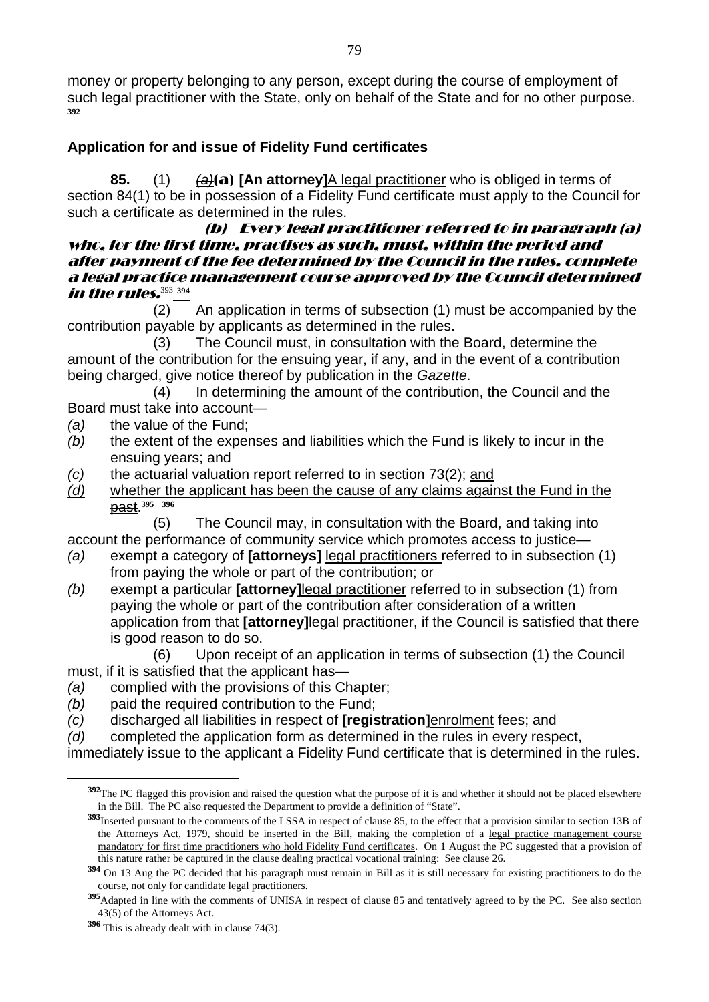money or property belonging to any person, except during the course of employment of such legal practitioner with the State, only on behalf of the State and for no other purpose. **392**

#### **Application for and issue of Fidelity Fund certificates**

**85.** (1) *(a)*(a) **[An attorney]**A legal practitioner who is obliged in terms of section 84(1) to be in possession of a Fidelity Fund certificate must apply to the Council for such a certificate as determined in the rules.

#### (b) Every legal practitioner referred to in paragraph (a) who, for the first time, practises as such, must, within the period and after payment of the fee determined by the Council in the rules, complete a legal practice management course approved by the Council determined in the rules.<sup>393</sup> **<sup>394</sup>**

 (2) An application in terms of subsection (1) must be accompanied by the contribution payable by applicants as determined in the rules.

 (3) The Council must, in consultation with the Board, determine the amount of the contribution for the ensuing year, if any, and in the event of a contribution being charged, give notice thereof by publication in the *Gazette*.

 (4) In determining the amount of the contribution, the Council and the Board must take into account—

- *(a)* the value of the Fund;
- *(b)* the extent of the expenses and liabilities which the Fund is likely to incur in the ensuing years; and
- *(c)* the actuarial valuation report referred to in section 73(2); and
- *(d)* whether the applicant has been the cause of any claims against the Fund in the past.**<sup>395</sup> <sup>396</sup>**

 (5) The Council may, in consultation with the Board, and taking into account the performance of community service which promotes access to justice—

- *(a)* exempt a category of **[attorneys]** legal practitioners referred to in subsection (1) from paying the whole or part of the contribution; or
- *(b)* exempt a particular **[attorney]**legal practitioner referred to in subsection (1) from paying the whole or part of the contribution after consideration of a written application from that **[attorney]**legal practitioner, if the Council is satisfied that there is good reason to do so.

 (6) Upon receipt of an application in terms of subsection (1) the Council must, if it is satisfied that the applicant has—

- *(a)* complied with the provisions of this Chapter;
- *(b)* paid the required contribution to the Fund;
- *(c)* discharged all liabilities in respect of **[registration]**enrolment fees; and
- *(d)* completed the application form as determined in the rules in every respect,
- immediately issue to the applicant a Fidelity Fund certificate that is determined in the rules.

**<sup>392</sup>**The PC flagged this provision and raised the question what the purpose of it is and whether it should not be placed elsewhere in the Bill. The PC also requested the Department to provide a definition of "State".

**<sup>393</sup>**Inserted pursuant to the comments of the LSSA in respect of clause 85, to the effect that a provision similar to section 13B of the Attorneys Act, 1979, should be inserted in the Bill, making the completion of a legal practice management course mandatory for first time practitioners who hold Fidelity Fund certificates. On 1 August the PC suggested that a provision of this nature rather be captured in the clause dealing practical vocational training: See clause 26.

**<sup>394</sup>** On 13 Aug the PC decided that his paragraph must remain in Bill as it is still necessary for existing practitioners to do the course, not only for candidate legal practitioners.

**<sup>395</sup>**Adapted in line with the comments of UNISA in respect of clause 85 and tentatively agreed to by the PC. See also section 43(5) of the Attorneys Act.

**<sup>396</sup>** This is already dealt with in clause 74(3).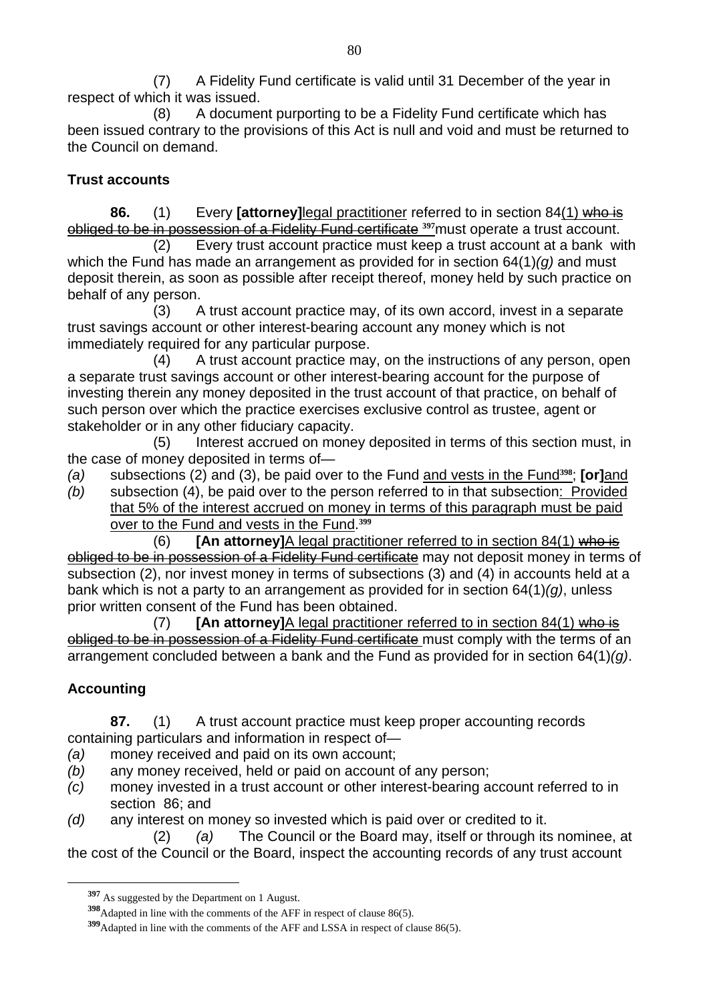(7) A Fidelity Fund certificate is valid until 31 December of the year in respect of which it was issued.

 (8) A document purporting to be a Fidelity Fund certificate which has been issued contrary to the provisions of this Act is null and void and must be returned to the Council on demand.

#### **Trust accounts**

**86.** (1) Every **[attorney]**legal practitioner referred to in section 84(1) who is obliged to be in possession of a Fidelity Fund certificate **397**must operate a trust account.

 (2) Every trust account practice must keep a trust account at a bank with which the Fund has made an arrangement as provided for in section 64(1)*(g)* and must deposit therein, as soon as possible after receipt thereof, money held by such practice on behalf of any person.

 (3) A trust account practice may, of its own accord, invest in a separate trust savings account or other interest-bearing account any money which is not immediately required for any particular purpose.

 (4) A trust account practice may, on the instructions of any person, open a separate trust savings account or other interest-bearing account for the purpose of investing therein any money deposited in the trust account of that practice, on behalf of such person over which the practice exercises exclusive control as trustee, agent or stakeholder or in any other fiduciary capacity.

 (5) Interest accrued on money deposited in terms of this section must, in the case of money deposited in terms of—

- *(a)* subsections (2) and (3), be paid over to the Fund and vests in the Fund**398**; **[or]**and
- *(b)* subsection (4), be paid over to the person referred to in that subsection: Provided that 5% of the interest accrued on money in terms of this paragraph must be paid over to the Fund and vests in the Fund.**<sup>399</sup>**

 (6) **[An attorney]**A legal practitioner referred to in section 84(1) who is obliged to be in possession of a Fidelity Fund certificate may not deposit money in terms of subsection (2), nor invest money in terms of subsections (3) and (4) in accounts held at a bank which is not a party to an arrangement as provided for in section 64(1)*(g)*, unless prior written consent of the Fund has been obtained.

 (7) **[An attorney]**A legal practitioner referred to in section 84(1) who is obliged to be in possession of a Fidelity Fund certificate must comply with the terms of an arrangement concluded between a bank and the Fund as provided for in section 64(1)*(g)*.

# **Accounting**

 $\overline{a}$ 

**87.** (1) A trust account practice must keep proper accounting records containing particulars and information in respect of—

- *(a)* money received and paid on its own account;
- *(b)* any money received, held or paid on account of any person;
- *(c)* money invested in a trust account or other interest-bearing account referred to in section 86; and
- *(d)* any interest on money so invested which is paid over or credited to it.

 (2) *(a)* The Council or the Board may, itself or through its nominee, at the cost of the Council or the Board, inspect the accounting records of any trust account

**<sup>397</sup>** As suggested by the Department on 1 August.

**<sup>398</sup>**Adapted in line with the comments of the AFF in respect of clause 86(5).

**<sup>399</sup>**Adapted in line with the comments of the AFF and LSSA in respect of clause 86(5).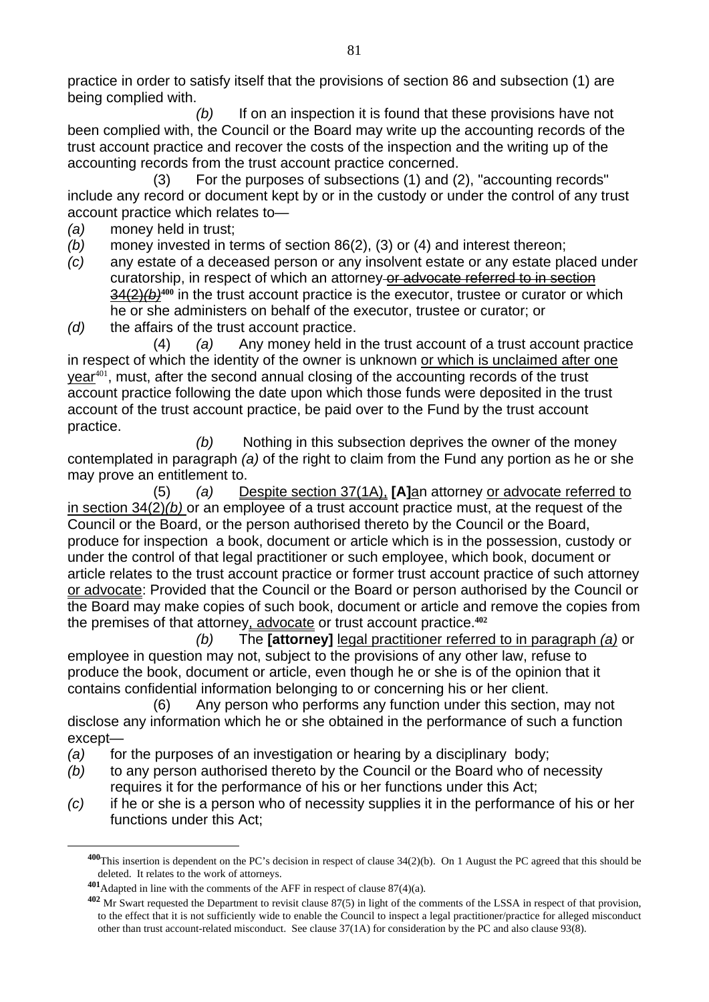practice in order to satisfy itself that the provisions of section 86 and subsection (1) are being complied with.

*(b)* If on an inspection it is found that these provisions have not been complied with, the Council or the Board may write up the accounting records of the trust account practice and recover the costs of the inspection and the writing up of the accounting records from the trust account practice concerned.

 (3) For the purposes of subsections (1) and (2), "accounting records" include any record or document kept by or in the custody or under the control of any trust account practice which relates to—

- *(a)* money held in trust;
- *(b)* money invested in terms of section 86(2), (3) or (4) and interest thereon;
- *(c)* any estate of a deceased person or any insolvent estate or any estate placed under curatorship, in respect of which an attorney or advocate referred to in section 34(2)*(b)***400** in the trust account practice is the executor, trustee or curator or which he or she administers on behalf of the executor, trustee or curator; or
- *(d)* the affairs of the trust account practice.

 (4) *(a)* Any money held in the trust account of a trust account practice in respect of which the identity of the owner is unknown or which is unclaimed after one year<sup>401</sup>, must, after the second annual closing of the accounting records of the trust account practice following the date upon which those funds were deposited in the trust account of the trust account practice, be paid over to the Fund by the trust account practice.

 *(b)* Nothing in this subsection deprives the owner of the money contemplated in paragraph *(a)* of the right to claim from the Fund any portion as he or she may prove an entitlement to.

 (5) *(a)* Despite section 37(1A), **[A]**an attorney or advocate referred to in section 34(2)*(b)* or an employee of a trust account practice must, at the request of the Council or the Board, or the person authorised thereto by the Council or the Board, produce for inspection a book, document or article which is in the possession, custody or under the control of that legal practitioner or such employee, which book, document or article relates to the trust account practice or former trust account practice of such attorney or advocate: Provided that the Council or the Board or person authorised by the Council or the Board may make copies of such book, document or article and remove the copies from the premises of that attorney, advocate or trust account practice.**<sup>402</sup>**

*(b)* The **[attorney]** legal practitioner referred to in paragraph *(a)* or employee in question may not, subject to the provisions of any other law, refuse to produce the book, document or article, even though he or she is of the opinion that it contains confidential information belonging to or concerning his or her client.

 (6) Any person who performs any function under this section, may not disclose any information which he or she obtained in the performance of such a function except—

- *(a)* for the purposes of an investigation or hearing by a disciplinary body;
- *(b)* to any person authorised thereto by the Council or the Board who of necessity requires it for the performance of his or her functions under this Act;
- *(c)* if he or she is a person who of necessity supplies it in the performance of his or her functions under this Act;

**<sup>400</sup>**This insertion is dependent on the PC's decision in respect of clause 34(2)(b). On 1 August the PC agreed that this should be deleted. It relates to the work of attorneys.

**<sup>401</sup>**Adapted in line with the comments of the AFF in respect of clause 87(4)(a).

**<sup>402</sup>** Mr Swart requested the Department to revisit clause 87(5) in light of the comments of the LSSA in respect of that provision, to the effect that it is not sufficiently wide to enable the Council to inspect a legal practitioner/practice for alleged misconduct other than trust account-related misconduct. See clause 37(1A) for consideration by the PC and also clause 93(8).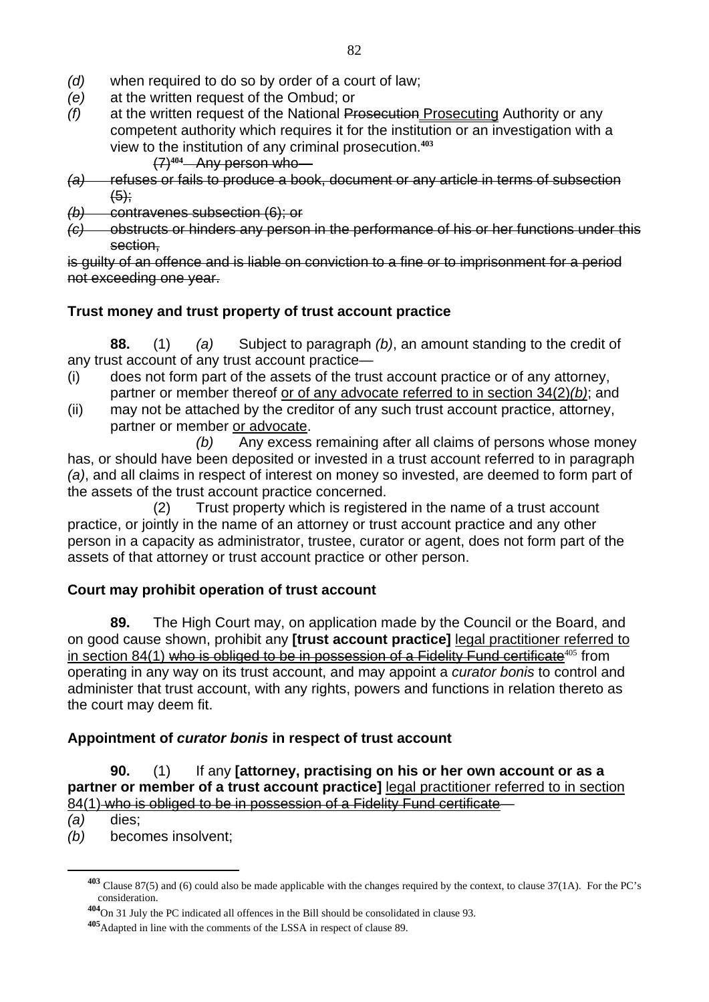- *(d)* when required to do so by order of a court of law;
- *(e)* at the written request of the Ombud; or
- *(f)* at the written request of the National Prosecution Prosecuting Authority or any competent authority which requires it for the institution or an investigation with a view to the institution of any criminal prosecution.**<sup>403</sup>**

(7)**404** Any person who—

- *(a)* refuses or fails to produce a book, document or any article in terms of subsection  $(5)$ :
- *(b)* contravenes subsection (6); or
- *(c)* obstructs or hinders any person in the performance of his or her functions under this section,

is guilty of an offence and is liable on conviction to a fine or to imprisonment for a period not exceeding one year.

# **Trust money and trust property of trust account practice**

**88.** (1) *(a)* Subject to paragraph *(b)*, an amount standing to the credit of any trust account of any trust account practice—

- (i) does not form part of the assets of the trust account practice or of any attorney, partner or member thereof or of any advocate referred to in section 34(2)*(b)*; and
- (ii) may not be attached by the creditor of any such trust account practice, attorney, partner or member or advocate.

*(b)* Any excess remaining after all claims of persons whose money has, or should have been deposited or invested in a trust account referred to in paragraph *(a)*, and all claims in respect of interest on money so invested, are deemed to form part of the assets of the trust account practice concerned.

 (2) Trust property which is registered in the name of a trust account practice, or jointly in the name of an attorney or trust account practice and any other person in a capacity as administrator, trustee, curator or agent, does not form part of the assets of that attorney or trust account practice or other person.

# **Court may prohibit operation of trust account**

**89.** The High Court may, on application made by the Council or the Board, and on good cause shown, prohibit any **[trust account practice]** legal practitioner referred to in section 84(1) who is obliged to be in possession of a Fidelity Fund certificate<sup>405</sup> from operating in any way on its trust account, and may appoint a *curator bonis* to control and administer that trust account, with any rights, powers and functions in relation thereto as the court may deem fit.

# **Appointment of** *curator bonis* **in respect of trust account**

**90.** (1) If any **[attorney, practising on his or her own account or as a partner or member of a trust account practice]** legal practitioner referred to in section 84(1) who is obliged to be in possession of a Fidelity Fund certificate—

*(a)* dies;

 $\overline{a}$ 

*(b)* becomes insolvent;

**<sup>403</sup>** Clause 87(5) and (6) could also be made applicable with the changes required by the context, to clause 37(1A). For the PC's consideration.

**<sup>404</sup>**On 31 July the PC indicated all offences in the Bill should be consolidated in clause 93.

**<sup>405</sup>**Adapted in line with the comments of the LSSA in respect of clause 89.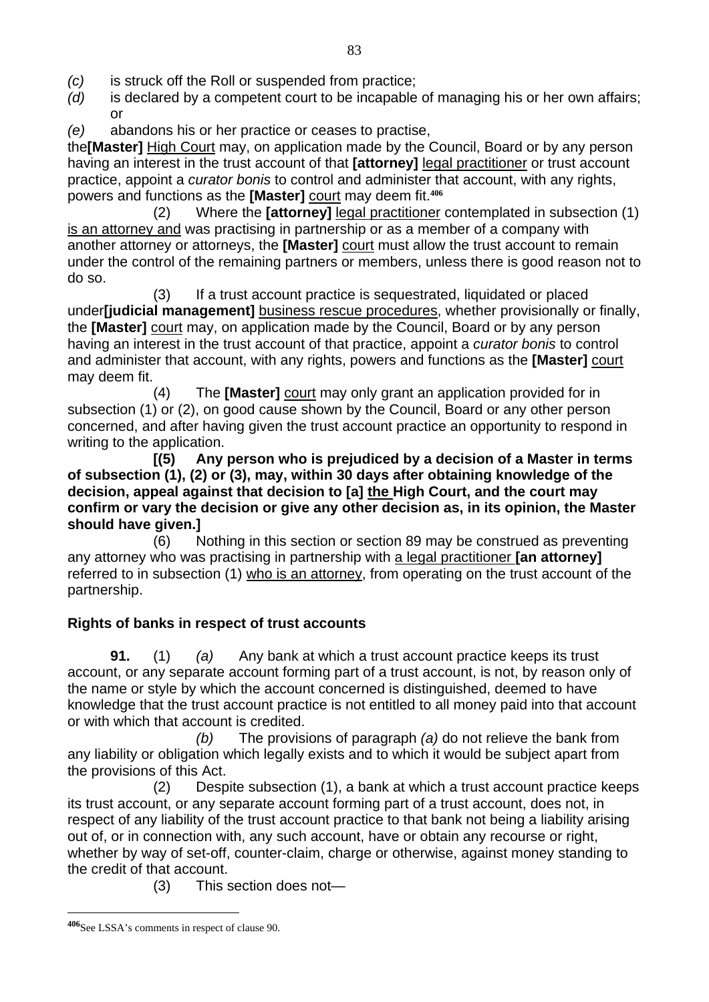- *(c)* is struck off the Roll or suspended from practice;
- *(d)* is declared by a competent court to be incapable of managing his or her own affairs; or
- *(e)* abandons his or her practice or ceases to practise,

the**[Master]** High Court may, on application made by the Council, Board or by any person having an interest in the trust account of that **[attorney]** legal practitioner or trust account practice, appoint a *curator bonis* to control and administer that account, with any rights, powers and functions as the **[Master]** court may deem fit.**<sup>406</sup>**

 (2) Where the **[attorney]** legal practitioner contemplated in subsection (1) is an attorney and was practising in partnership or as a member of a company with another attorney or attorneys, the **[Master]** court must allow the trust account to remain under the control of the remaining partners or members, unless there is good reason not to do so.

 (3) If a trust account practice is sequestrated, liquidated or placed under**[judicial management]** business rescue procedures, whether provisionally or finally, the **[Master]** court may, on application made by the Council, Board or by any person having an interest in the trust account of that practice, appoint a *curator bonis* to control and administer that account, with any rights, powers and functions as the **[Master]** court may deem fit.

 (4) The **[Master]** court may only grant an application provided for in subsection (1) or (2), on good cause shown by the Council, Board or any other person concerned, and after having given the trust account practice an opportunity to respond in writing to the application.

 **[(5) Any person who is prejudiced by a decision of a Master in terms of subsection (1), (2) or (3), may, within 30 days after obtaining knowledge of the decision, appeal against that decision to [a] the High Court, and the court may confirm or vary the decision or give any other decision as, in its opinion, the Master should have given.]** 

 (6) Nothing in this section or section 89 may be construed as preventing any attorney who was practising in partnership with a legal practitioner **[an attorney]** referred to in subsection (1) who is an attorney, from operating on the trust account of the partnership.

#### **Rights of banks in respect of trust accounts**

**91.** (1) *(a)* Any bank at which a trust account practice keeps its trust account, or any separate account forming part of a trust account, is not, by reason only of the name or style by which the account concerned is distinguished, deemed to have knowledge that the trust account practice is not entitled to all money paid into that account or with which that account is credited.

 *(b)* The provisions of paragraph *(a)* do not relieve the bank from any liability or obligation which legally exists and to which it would be subject apart from the provisions of this Act.

 (2) Despite subsection (1), a bank at which a trust account practice keeps its trust account, or any separate account forming part of a trust account, does not, in respect of any liability of the trust account practice to that bank not being a liability arising out of, or in connection with, any such account, have or obtain any recourse or right, whether by way of set-off, counter-claim, charge or otherwise, against money standing to the credit of that account.

(3) This section does not—

**<sup>406</sup>**See LSSA's comments in respect of clause 90.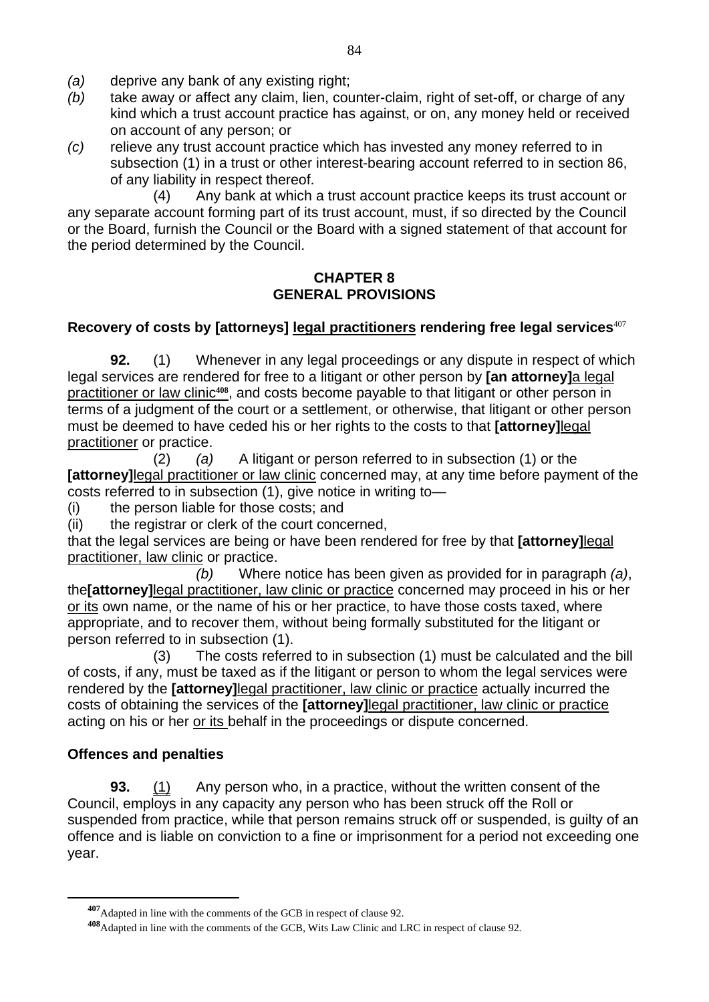- *(a)* deprive any bank of any existing right;
- *(b)* take away or affect any claim, lien, counter-claim, right of set-off, or charge of any kind which a trust account practice has against, or on, any money held or received on account of any person; or
- *(c)* relieve any trust account practice which has invested any money referred to in subsection (1) in a trust or other interest-bearing account referred to in section 86, of any liability in respect thereof.

 (4) Any bank at which a trust account practice keeps its trust account or any separate account forming part of its trust account, must, if so directed by the Council or the Board, furnish the Council or the Board with a signed statement of that account for the period determined by the Council.

#### **CHAPTER 8 GENERAL PROVISIONS**

#### **Recovery of costs by [attorneys] legal practitioners rendering free legal services**<sup>407</sup>

**92.** (1) Whenever in any legal proceedings or any dispute in respect of which legal services are rendered for free to a litigant or other person by **[an attorney]**a legal practitioner or law clinic**408**, and costs become payable to that litigant or other person in terms of a judgment of the court or a settlement, or otherwise, that litigant or other person must be deemed to have ceded his or her rights to the costs to that **[attorney]**legal practitioner or practice.

 (2) *(a)* A litigant or person referred to in subsection (1) or the **[attorney]** legal practitioner or law clinic concerned may, at any time before payment of the costs referred to in subsection (1), give notice in writing to—

(i) the person liable for those costs; and

(ii) the registrar or clerk of the court concerned,

that the legal services are being or have been rendered for free by that **[attorney]**legal practitioner, law clinic or practice.

*(b)* Where notice has been given as provided for in paragraph *(a)*, the**[attorney]**legal practitioner, law clinic or practice concerned may proceed in his or her or its own name, or the name of his or her practice, to have those costs taxed, where appropriate, and to recover them, without being formally substituted for the litigant or person referred to in subsection (1).

 (3) The costs referred to in subsection (1) must be calculated and the bill of costs, if any, must be taxed as if the litigant or person to whom the legal services were rendered by the **[attorney]**legal practitioner, law clinic or practice actually incurred the costs of obtaining the services of the **[attorney]**legal practitioner, law clinic or practice acting on his or her or its behalf in the proceedings or dispute concerned.

#### **Offences and penalties**

 $\overline{a}$ 

**93.** (1) Any person who, in a practice, without the written consent of the Council, employs in any capacity any person who has been struck off the Roll or suspended from practice, while that person remains struck off or suspended, is guilty of an offence and is liable on conviction to a fine or imprisonment for a period not exceeding one year.

**<sup>407</sup>**Adapted in line with the comments of the GCB in respect of clause 92.

**<sup>408</sup>**Adapted in line with the comments of the GCB, Wits Law Clinic and LRC in respect of clause 92.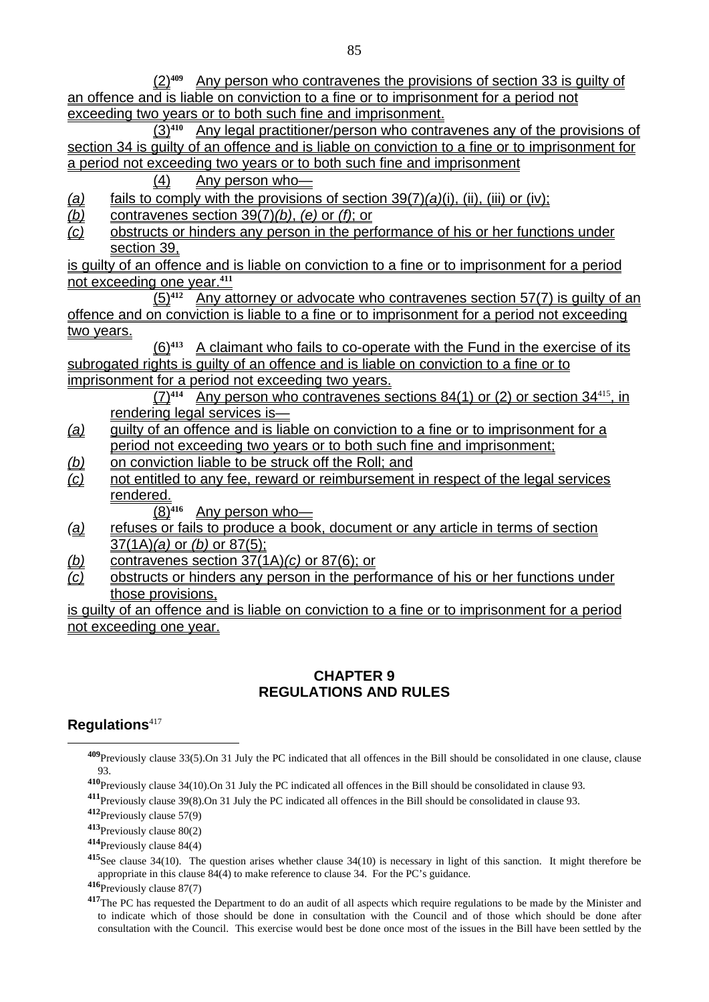(2)**409** Any person who contravenes the provisions of section 33 is guilty of an offence and is liable on conviction to a fine or to imprisonment for a period not exceeding two years or to both such fine and imprisonment.

(3)**410** Any legal practitioner/person who contravenes any of the provisions of section 34 is guilty of an offence and is liable on conviction to a fine or to imprisonment for a period not exceeding two years or to both such fine and imprisonment

(4) Any person who—

*(a)* fails to comply with the provisions of section 39(7)*(a)*(i), (ii), (iii) or (iv);

- $\overline{(b)}$  contravenes section 39(7) $(b)$ ,  $(e)$  or  $(f)$ ; or
- *(c)* obstructs or hinders any person in the performance of his or her functions under section 39.

is guilty of an offence and is liable on conviction to a fine or to imprisonment for a period not exceeding one year.**<sup>411</sup>**

(5)**412** Any attorney or advocate who contravenes section 57(7) is guilty of an offence and on conviction is liable to a fine or to imprisonment for a period not exceeding two years.

(6)**413** A claimant who fails to co-operate with the Fund in the exercise of its subrogated rights is quilty of an offence and is liable on conviction to a fine or to imprisonment for a period not exceeding two years.

(7)**414** Any person who contravenes sections 84(1) or (2) or section 34<sup>415</sup>, in rendering legal services is—

- *(a)* guilty of an offence and is liable on conviction to a fine or to imprisonment for a period not exceeding two years or to both such fine and imprisonment;
- *(b)* on conviction liable to be struck off the Roll; and
- *(c)* not entitled to any fee, reward or reimbursement in respect of the legal services rendered.

(8)**416** Any person who—

- *(a)* refuses or fails to produce a book, document or any article in terms of section 37(1A)*(a)* or *(b)* or 87(5);
- *(b)* contravenes section 37(1A)*(c)* or 87(6); or
- *(c)* obstructs or hinders any person in the performance of his or her functions under those provisions.

is guilty of an offence and is liable on conviction to a fine or to imprisonment for a period not exceeding one year.

#### **CHAPTER 9 REGULATIONS AND RULES**

#### **Regulations**<sup>417</sup>

 $\overline{a}$ 

**<sup>412</sup>**Previously clause 57(9)

**<sup>413</sup>**Previously clause 80(2)

**<sup>414</sup>**Previously clause 84(4)

**<sup>415</sup>**See clause 34(10). The question arises whether clause 34(10) is necessary in light of this sanction. It might therefore be appropriate in this clause 84(4) to make reference to clause 34. For the PC's guidance.

**<sup>416</sup>**Previously clause 87(7)

**<sup>409</sup>**Previously clause 33(5).On 31 July the PC indicated that all offences in the Bill should be consolidated in one clause, clause 93.

**<sup>410</sup>**Previously clause 34(10).On 31 July the PC indicated all offences in the Bill should be consolidated in clause 93.

**<sup>411</sup>**Previously clause 39(8).On 31 July the PC indicated all offences in the Bill should be consolidated in clause 93.

<sup>&</sup>lt;sup>417</sup>The PC has requested the Department to do an audit of all aspects which require regulations to be made by the Minister and to indicate which of those should be done in consultation with the Council and of those which should be done after consultation with the Council. This exercise would best be done once most of the issues in the Bill have been settled by the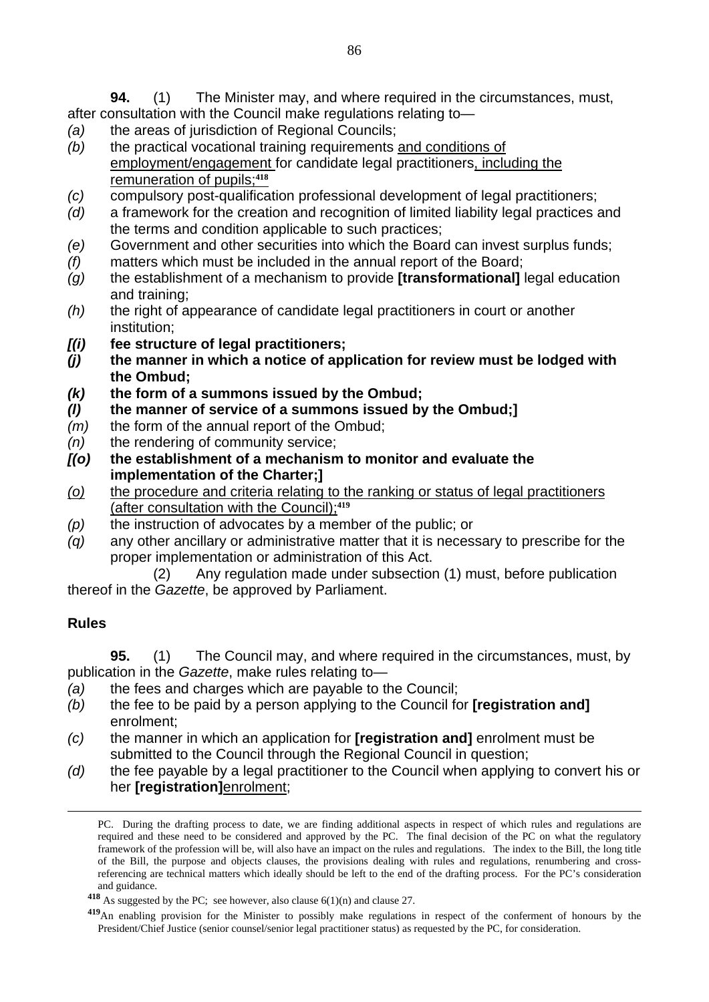**94.** (1) The Minister may, and where required in the circumstances, must, after consultation with the Council make regulations relating to—

- *(a)* the areas of jurisdiction of Regional Councils;
- *(b)* the practical vocational training requirements and conditions of employment/engagement for candidate legal practitioners, including the remuneration of pupils;**<sup>418</sup>**
- *(c)* compulsory post-qualification professional development of legal practitioners;
- *(d)* a framework for the creation and recognition of limited liability legal practices and the terms and condition applicable to such practices;
- *(e)* Government and other securities into which the Board can invest surplus funds;
- *(f)* matters which must be included in the annual report of the Board;
- *(g)* the establishment of a mechanism to provide **[transformational]** legal education and training;
- *(h)* the right of appearance of candidate legal practitioners in court or another institution;
- *[(i)* **fee structure of legal practitioners;**
- *(j)* **the manner in which a notice of application for review must be lodged with the Ombud;**
- *(k)* **the form of a summons issued by the Ombud;**
- *(l)* **the manner of service of a summons issued by the Ombud;]**
- *(m)* the form of the annual report of the Ombud;
- *(n)* the rendering of community service;
- *[(o)* **the establishment of a mechanism to monitor and evaluate the implementation of the Charter;]**
- *(o)* the procedure and criteria relating to the ranking or status of legal practitioners (after consultation with the Council);**<sup>419</sup>**
- *(p)* the instruction of advocates by a member of the public; or
- *(q)* any other ancillary or administrative matter that it is necessary to prescribe for the proper implementation or administration of this Act.

 (2) Any regulation made under subsection (1) must, before publication thereof in the *Gazette*, be approved by Parliament.

#### **Rules**

**95.** (1) The Council may, and where required in the circumstances, must, by publication in the *Gazette*, make rules relating to—

- *(a)* the fees and charges which are payable to the Council;
- *(b)* the fee to be paid by a person applying to the Council for **[registration and]** enrolment;
- *(c)* the manner in which an application for **[registration and]** enrolment must be submitted to the Council through the Regional Council in question;
- *(d)* the fee payable by a legal practitioner to the Council when applying to convert his or her **[registration]**enrolment;

PC. During the drafting process to date, we are finding additional aspects in respect of which rules and regulations are required and these need to be considered and approved by the PC. The final decision of the PC on what the regulatory framework of the profession will be, will also have an impact on the rules and regulations. The index to the Bill, the long title of the Bill, the purpose and objects clauses, the provisions dealing with rules and regulations, renumbering and crossreferencing are technical matters which ideally should be left to the end of the drafting process. For the PC's consideration and guidance.

**<sup>418</sup>** As suggested by the PC; see however, also clause 6(1)(n) and clause 27.

**<sup>419</sup>**An enabling provision for the Minister to possibly make regulations in respect of the conferment of honours by the President/Chief Justice (senior counsel/senior legal practitioner status) as requested by the PC, for consideration.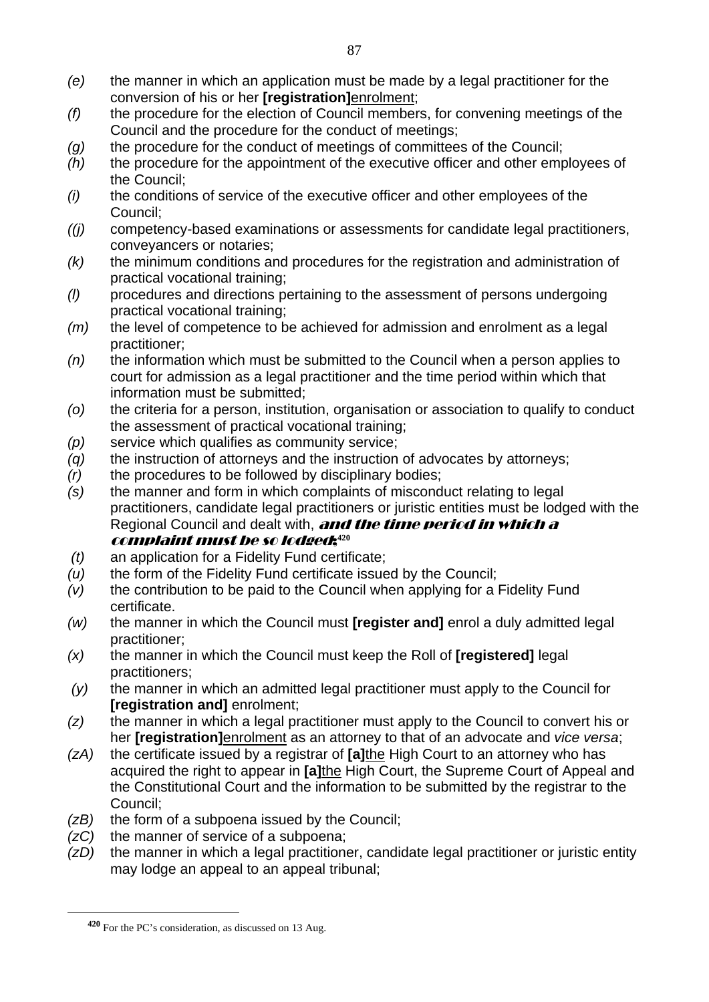- *(e)* the manner in which an application must be made by a legal practitioner for the conversion of his or her **[registration]**enrolment;
- *(f)* the procedure for the election of Council members, for convening meetings of the Council and the procedure for the conduct of meetings;
- *(g)* the procedure for the conduct of meetings of committees of the Council;
- *(h)* the procedure for the appointment of the executive officer and other employees of the Council;
- *(i)* the conditions of service of the executive officer and other employees of the Council;
- *((j)* competency-based examinations or assessments for candidate legal practitioners, conveyancers or notaries;
- *(k)* the minimum conditions and procedures for the registration and administration of practical vocational training;
- *(l)* procedures and directions pertaining to the assessment of persons undergoing practical vocational training;
- *(m)* the level of competence to be achieved for admission and enrolment as a legal practitioner;
- *(n)* the information which must be submitted to the Council when a person applies to court for admission as a legal practitioner and the time period within which that information must be submitted;
- *(o)* the criteria for a person, institution, organisation or association to qualify to conduct the assessment of practical vocational training;
- *(p)* service which qualifies as community service;
- *(q)* the instruction of attorneys and the instruction of advocates by attorneys;
- *(r)* the procedures to be followed by disciplinary bodies;
- *(s)* the manner and form in which complaints of misconduct relating to legal practitioners, candidate legal practitioners or juristic entities must be lodged with the Regional Council and dealt with, **and the time period in which a** complaint must be so lodged;**<sup>420</sup>**

- *(t)* an application for a Fidelity Fund certificate;
- *(u)* the form of the Fidelity Fund certificate issued by the Council;
- *(v)* the contribution to be paid to the Council when applying for a Fidelity Fund certificate.
- *(w)* the manner in which the Council must **[register and]** enrol a duly admitted legal practitioner;
- *(x)* the manner in which the Council must keep the Roll of **[registered]** legal practitioners;
- *(y)* the manner in which an admitted legal practitioner must apply to the Council for **[registration and]** enrolment;
- *(z)* the manner in which a legal practitioner must apply to the Council to convert his or her **[registration]**enrolment as an attorney to that of an advocate and *vice versa*;
- *(zA)* the certificate issued by a registrar of **[a]**the High Court to an attorney who has acquired the right to appear in **[a]**the High Court, the Supreme Court of Appeal and the Constitutional Court and the information to be submitted by the registrar to the Council;
- *(zB)* the form of a subpoena issued by the Council;
- *(zC)* the manner of service of a subpoena;
- *(zD)* the manner in which a legal practitioner, candidate legal practitioner or juristic entity may lodge an appeal to an appeal tribunal;

**<sup>420</sup>** For the PC's consideration, as discussed on 13 Aug.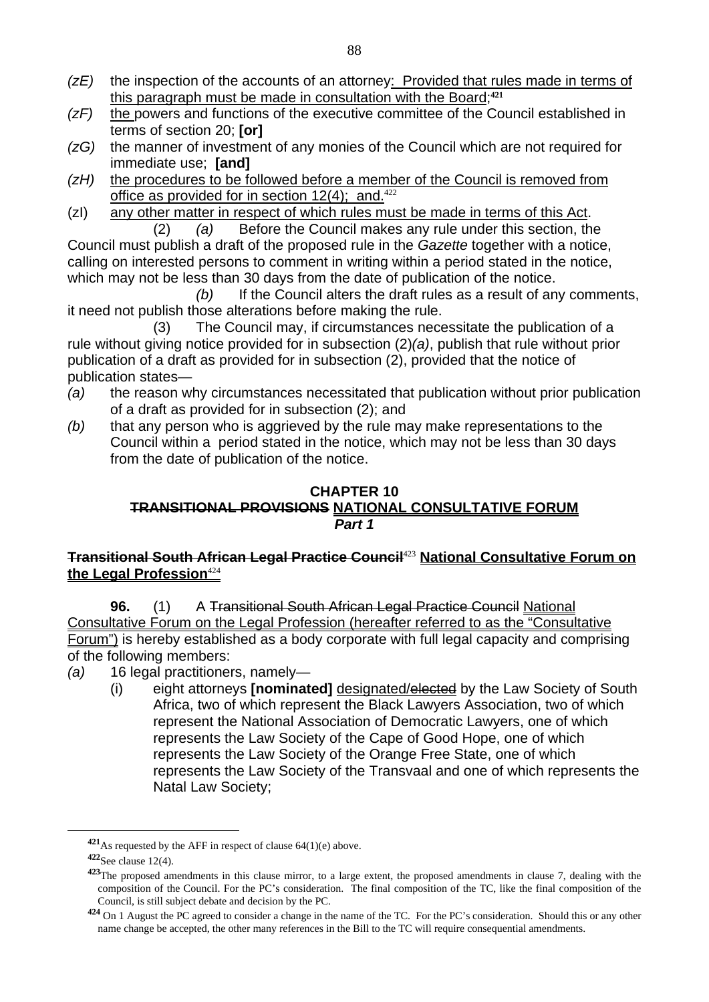- *(zE)* the inspection of the accounts of an attorney: Provided that rules made in terms of this paragraph must be made in consultation with the Board;**<sup>421</sup>**
- *(zF)* the powers and functions of the executive committee of the Council established in terms of section 20; **[or]**
- *(zG)* the manner of investment of any monies of the Council which are not required for immediate use; **[and]**
- *(zH)* the procedures to be followed before a member of the Council is removed from office as provided for in section  $12(4)$ ; and.<sup>422</sup>
- (zI) any other matter in respect of which rules must be made in terms of this Act. (2) *(a)* Before the Council makes any rule under this section, the

Council must publish a draft of the proposed rule in the *Gazette* together with a notice, calling on interested persons to comment in writing within a period stated in the notice, which may not be less than 30 days from the date of publication of the notice.

 *(b)* If the Council alters the draft rules as a result of any comments, it need not publish those alterations before making the rule.

 (3) The Council may, if circumstances necessitate the publication of a rule without giving notice provided for in subsection (2)*(a)*, publish that rule without prior publication of a draft as provided for in subsection (2), provided that the notice of publication states—

- *(a)* the reason why circumstances necessitated that publication without prior publication of a draft as provided for in subsection (2); and
- *(b)* that any person who is aggrieved by the rule may make representations to the Council within a period stated in the notice, which may not be less than 30 days from the date of publication of the notice.

#### **CHAPTER 10 TRANSITIONAL PROVISIONS NATIONAL CONSULTATIVE FORUM**  *Part 1*

#### **Transitional South African Legal Practice Council**<sup>423</sup> **National Consultative Forum on the Legal Profession**<sup>424</sup>

**96.** (1) A Transitional South African Legal Practice Council National Consultative Forum on the Legal Profession (hereafter referred to as the "Consultative Forum") is hereby established as a body corporate with full legal capacity and comprising of the following members:

- *(a)* 16 legal practitioners, namely—
	- (i) eight attorneys **[nominated]** designated/elected by the Law Society of South Africa, two of which represent the Black Lawyers Association, two of which represent the National Association of Democratic Lawyers, one of which represents the Law Society of the Cape of Good Hope, one of which represents the Law Society of the Orange Free State, one of which represents the Law Society of the Transvaal and one of which represents the Natal Law Society;

**<sup>421</sup>**As requested by the AFF in respect of clause 64(1)(e) above.

**<sup>422</sup>**See clause 12(4).

**<sup>423</sup>**The proposed amendments in this clause mirror, to a large extent, the proposed amendments in clause 7, dealing with the composition of the Council. For the PC's consideration. The final composition of the TC, like the final composition of the Council, is still subject debate and decision by the PC.

**<sup>424</sup>** On 1 August the PC agreed to consider a change in the name of the TC. For the PC's consideration. Should this or any other name change be accepted, the other many references in the Bill to the TC will require consequential amendments.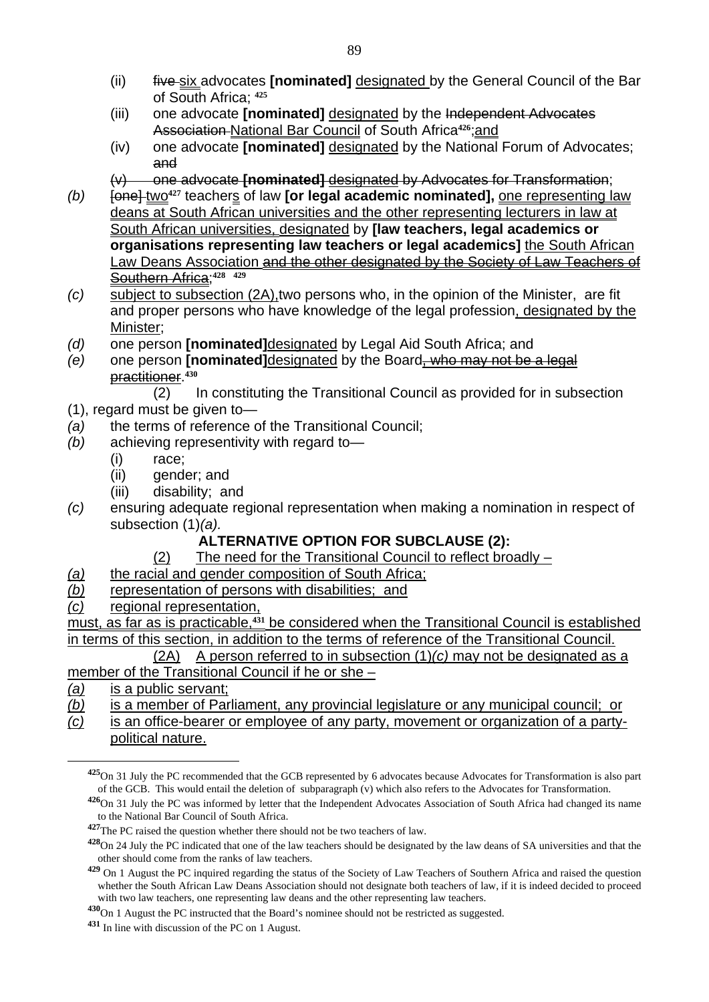- (ii) five six advocates **[nominated]** designated by the General Council of the Bar of South Africa; **<sup>425</sup>**
- (iii) one advocate **[nominated]** designated by the Independent Advocates Association National Bar Council of South Africa**426**;and
- (iv) one advocate **[nominated]** designated by the National Forum of Advocates; and
- (v) one advocate **[nominated]** designated by Advocates for Transformation;
- *(b)*  $\overline{6}$   $\overline{1}$   $\overline{1}$   $\overline{6}$   $\overline{4}$  teachers of law **[or legal academic nominated]**, <u>one representing law</u> deans at South African universities and the other representing lecturers in law at South African universities, designated by **[law teachers, legal academics or organisations representing law teachers or legal academics]** the South African Law Deans Association and the other designated by the Society of Law Teachers of Southern Africa;**<sup>428</sup> <sup>429</sup>**
- *(c)* subject to subsection (2A),two persons who, in the opinion of the Minister, are fit and proper persons who have knowledge of the legal profession, designated by the Minister;
- *(d)* one person **[nominated]**designated by Legal Aid South Africa; and
- *(e)* one person **[nominated]**designated by the Board, who may not be a legal practitioner.**<sup>430</sup>**
	- (2) In constituting the Transitional Council as provided for in subsection
- (1), regard must be given to—
- *(a)* the terms of reference of the Transitional Council;
- *(b)* achieving representivity with regard to—
	- (i) race;
	- (ii) gender; and
	- (iii) disability; and
- *(c)* ensuring adequate regional representation when making a nomination in respect of subsection (1)*(a).*

#### **ALTERNATIVE OPTION FOR SUBCLAUSE (2):**

- (2) The need for the Transitional Council to reflect broadly –
- *(a)* the racial and gender composition of South Africa;
- *(b)* representation of persons with disabilities; and
- *(c)* regional representation,

must, as far as is practicable,<sup>431</sup> be considered when the Transitional Council is established in terms of this section, in addition to the terms of reference of the Transitional Council.

 (2A) A person referred to in subsection (1)*(c)* may not be designated as a member of the Transitional Council if he or she –

*(a)* is a public servant;

 $\overline{a}$ 

*(b)* is a member of Parliament, any provincial legislature or any municipal council; or

*(c)* is an office-bearer or employee of any party, movement or organization of a partypolitical nature.

**<sup>430</sup>**On 1 August the PC instructed that the Board's nominee should not be restricted as suggested.

**<sup>425</sup>**On 31 July the PC recommended that the GCB represented by 6 advocates because Advocates for Transformation is also part of the GCB. This would entail the deletion of subparagraph (v) which also refers to the Advocates for Transformation.

**<sup>426</sup>**On 31 July the PC was informed by letter that the Independent Advocates Association of South Africa had changed its name to the National Bar Council of South Africa.

**<sup>427</sup>**The PC raised the question whether there should not be two teachers of law.

**<sup>428</sup>**On 24 July the PC indicated that one of the law teachers should be designated by the law deans of SA universities and that the other should come from the ranks of law teachers.

**<sup>429</sup>** On 1 August the PC inquired regarding the status of the Society of Law Teachers of Southern Africa and raised the question whether the South African Law Deans Association should not designate both teachers of law, if it is indeed decided to proceed with two law teachers, one representing law deans and the other representing law teachers.

**<sup>431</sup>** In line with discussion of the PC on 1 August.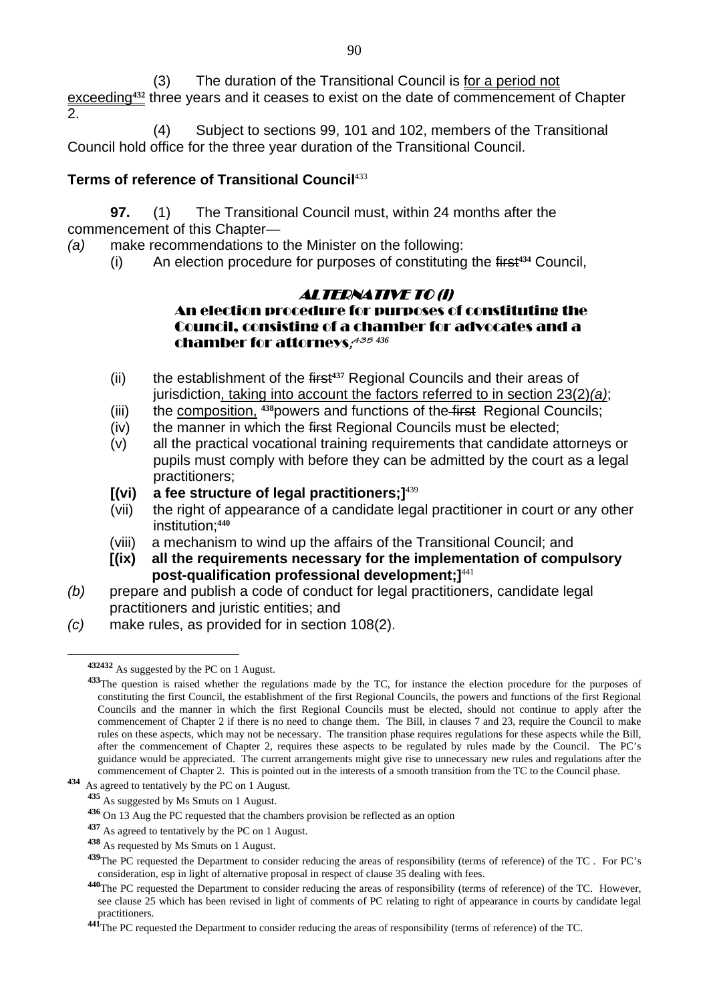(3) The duration of the Transitional Council is for a period not exceeding<sup>432</sup> three years and it ceases to exist on the date of commencement of Chapter  $\mathcal{P}$ 

 (4) Subject to sections 99, 101 and 102, members of the Transitional Council hold office for the three year duration of the Transitional Council.

#### **Terms of reference of Transitional Council**<sup>433</sup>

**97.** (1) The Transitional Council must, within 24 months after the commencement of this Chapter—

*(a)* make recommendations to the Minister on the following:

(i) An election procedure for purposes of constituting the first**434** Council,

#### ALTERNATIVE TO (i) An election procedure for purposes of constituting the

# Council, consisting of a chamber for advocates and a chamber for attorneys**; <sup>435</sup>** *436*

- (ii) the establishment of the first**437** Regional Councils and their areas of jurisdiction, taking into account the factors referred to in section 23(2)*(a)*;
- (iii) the composition, **438**powers and functions of the first Regional Councils;
- (iv) the manner in which the first Regional Councils must be elected:
- (v) all the practical vocational training requirements that candidate attorneys or pupils must comply with before they can be admitted by the court as a legal practitioners;
- **[(vi) a fee structure of legal practitioners;]**<sup>439</sup>
- (vii) the right of appearance of a candidate legal practitioner in court or any other institution;**<sup>440</sup>**
- (viii) a mechanism to wind up the affairs of the Transitional Council; and
- **[(ix) all the requirements necessary for the implementation of compulsory post-qualification professional development;]**<sup>441</sup>
- *(b)* prepare and publish a code of conduct for legal practitioners, candidate legal practitioners and juristic entities; and
- *(c)* make rules, as provided for in section 108(2).

**<sup>432432</sup>** As suggested by the PC on 1 August.

**<sup>433</sup>**The question is raised whether the regulations made by the TC, for instance the election procedure for the purposes of constituting the first Council, the establishment of the first Regional Councils, the powers and functions of the first Regional Councils and the manner in which the first Regional Councils must be elected, should not continue to apply after the commencement of Chapter 2 if there is no need to change them. The Bill, in clauses 7 and 23, require the Council to make rules on these aspects, which may not be necessary. The transition phase requires regulations for these aspects while the Bill, after the commencement of Chapter 2, requires these aspects to be regulated by rules made by the Council. The PC's guidance would be appreciated. The current arrangements might give rise to unnecessary new rules and regulations after the commencement of Chapter 2. This is pointed out in the interests of a smooth transition from the TC to the Council phase.

**<sup>434</sup>** As agreed to tentatively by the PC on 1 August.

**<sup>435</sup>** As suggested by Ms Smuts on 1 August.

**<sup>436</sup>** On 13 Aug the PC requested that the chambers provision be reflected as an option

**<sup>437</sup>** As agreed to tentatively by the PC on 1 August.

**<sup>438</sup>** As requested by Ms Smuts on 1 August.

**<sup>439</sup>**The PC requested the Department to consider reducing the areas of responsibility (terms of reference) of the TC . For PC's consideration, esp in light of alternative proposal in respect of clause 35 dealing with fees.

**<sup>440</sup>**The PC requested the Department to consider reducing the areas of responsibility (terms of reference) of the TC. However, see clause 25 which has been revised in light of comments of PC relating to right of appearance in courts by candidate legal practitioners.

**<sup>441</sup>**The PC requested the Department to consider reducing the areas of responsibility (terms of reference) of the TC.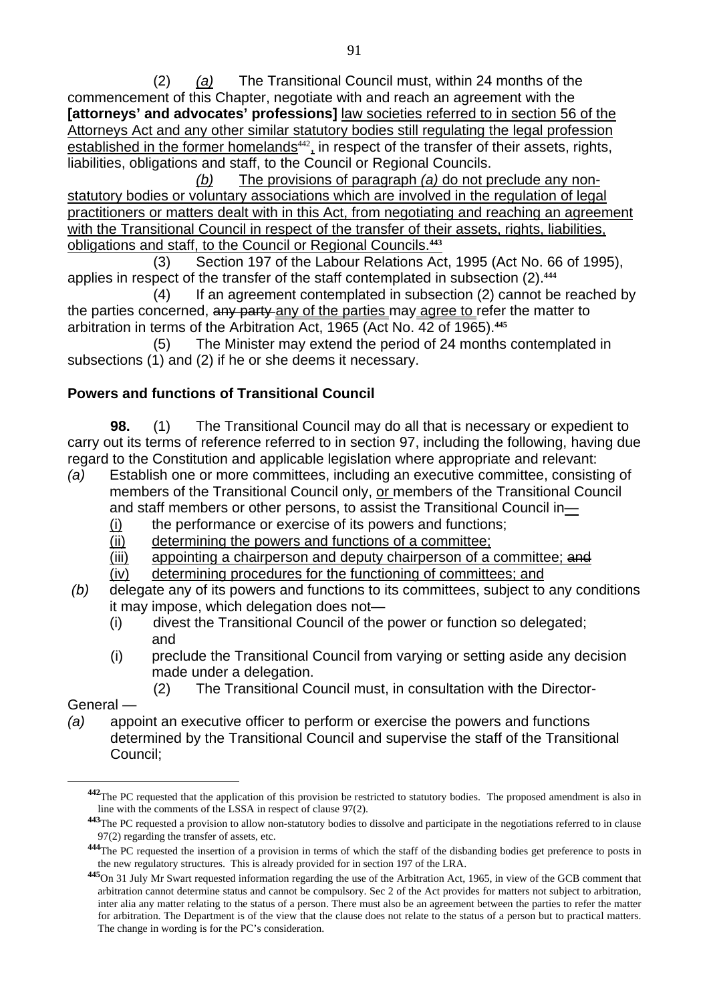(2) *(a)* The Transitional Council must, within 24 months of the commencement of this Chapter, negotiate with and reach an agreement with the **[attorneys' and advocates' professions]** law societies referred to in section 56 of the Attorneys Act and any other similar statutory bodies still regulating the legal profession established in the former homelands $442$ , in respect of the transfer of their assets, rights, liabilities, obligations and staff, to the Council or Regional Councils.

 *(b)* The provisions of paragraph *(a)* do not preclude any nonstatutory bodies or voluntary associations which are involved in the regulation of legal practitioners or matters dealt with in this Act, from negotiating and reaching an agreement with the Transitional Council in respect of the transfer of their assets, rights, liabilities, obligations and staff, to the Council or Regional Councils.**<sup>443</sup>**

 (3) Section 197 of the Labour Relations Act, 1995 (Act No. 66 of 1995), applies in respect of the transfer of the staff contemplated in subsection (2).**<sup>444</sup>**

 (4) If an agreement contemplated in subsection (2) cannot be reached by the parties concerned, any party any of the parties may agree to refer the matter to arbitration in terms of the Arbitration Act, 1965 (Act No. 42 of 1965).**<sup>445</sup>**

 (5) The Minister may extend the period of 24 months contemplated in subsections (1) and (2) if he or she deems it necessary.

#### **Powers and functions of Transitional Council**

**98.** (1) The Transitional Council may do all that is necessary or expedient to carry out its terms of reference referred to in section 97, including the following, having due regard to the Constitution and applicable legislation where appropriate and relevant:

- *(a)* Establish one or more committees, including an executive committee, consisting of members of the Transitional Council only, or members of the Transitional Council and staff members or other persons, to assist the Transitional Council in—
	- (i) the performance or exercise of its powers and functions;
	- (ii) determining the powers and functions of a committee;
	- (iii) appointing a chairperson and deputy chairperson of a committee; and
	- (iv) determining procedures for the functioning of committees; and
- *(b)* delegate any of its powers and functions to its committees, subject to any conditions it may impose, which delegation does not—
	- (i) divest the Transitional Council of the power or function so delegated; and
	- (i) preclude the Transitional Council from varying or setting aside any decision made under a delegation.
		- (2) The Transitional Council must, in consultation with the Director-

General —

 $\overline{a}$ 

*(a)* appoint an executive officer to perform or exercise the powers and functions determined by the Transitional Council and supervise the staff of the Transitional Council;

**<sup>442</sup>**The PC requested that the application of this provision be restricted to statutory bodies. The proposed amendment is also in line with the comments of the LSSA in respect of clause 97(2).

**<sup>443</sup>**The PC requested a provision to allow non-statutory bodies to dissolve and participate in the negotiations referred to in clause 97(2) regarding the transfer of assets, etc.

**<sup>444</sup>**The PC requested the insertion of a provision in terms of which the staff of the disbanding bodies get preference to posts in the new regulatory structures. This is already provided for in section 197 of the LRA.

**<sup>445</sup>**On 31 July Mr Swart requested information regarding the use of the Arbitration Act, 1965, in view of the GCB comment that arbitration cannot determine status and cannot be compulsory. Sec 2 of the Act provides for matters not subject to arbitration, inter alia any matter relating to the status of a person. There must also be an agreement between the parties to refer the matter for arbitration. The Department is of the view that the clause does not relate to the status of a person but to practical matters. The change in wording is for the PC's consideration.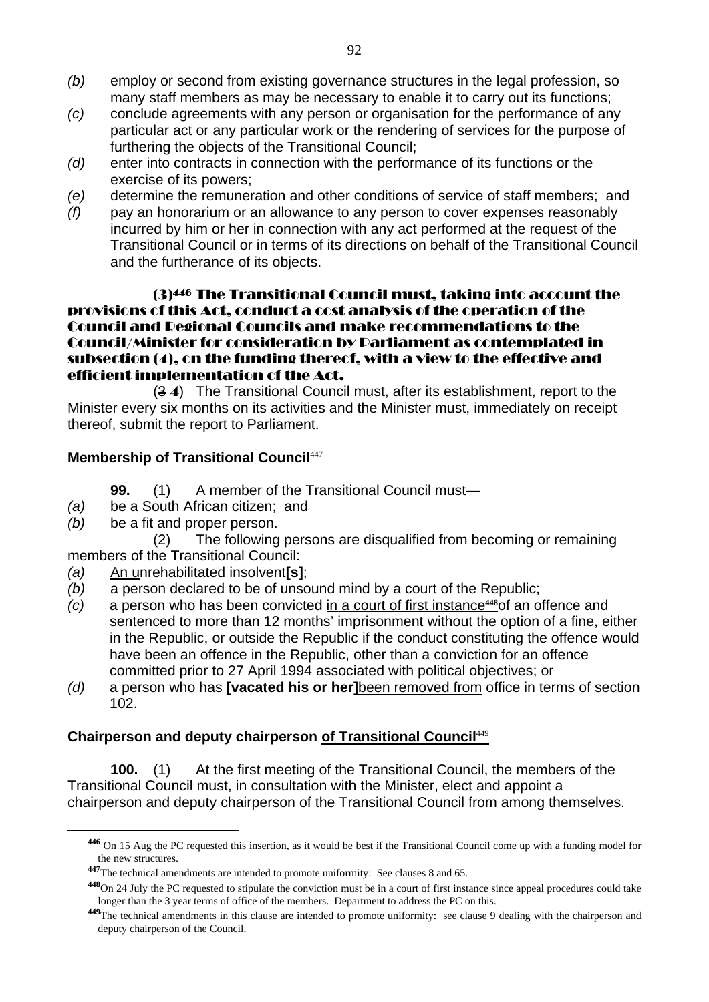- *(b)* employ or second from existing governance structures in the legal profession, so many staff members as may be necessary to enable it to carry out its functions;
- *(c)* conclude agreements with any person or organisation for the performance of any particular act or any particular work or the rendering of services for the purpose of furthering the objects of the Transitional Council;
- *(d)* enter into contracts in connection with the performance of its functions or the exercise of its powers;
- *(e)* determine the remuneration and other conditions of service of staff members; and
- *(f)* pay an honorarium or an allowance to any person to cover expenses reasonably incurred by him or her in connection with any act performed at the request of the Transitional Council or in terms of its directions on behalf of the Transitional Council and the furtherance of its objects.

#### (3)446 The Transitional Council must, taking into account the provisions of this Act, conduct a cost analysis of the operation of the Council and Regional Councils and make recommendations to the Council/Minister for consideration by Parliament as contemplated in subsection (4), on the funding thereof, with a view to the effective and efficient implementation of the Act.

 (3 4) The Transitional Council must, after its establishment, report to the Minister every six months on its activities and the Minister must, immediately on receipt thereof, submit the report to Parliament.

#### **Membership of Transitional Council**<sup>447</sup>

- **99.** (1) A member of the Transitional Council must—
- *(a)* be a South African citizen; and
- *(b)* be a fit and proper person.

 $\overline{a}$ 

 (2) The following persons are disqualified from becoming or remaining members of the Transitional Council:

- *(a)* An unrehabilitated insolvent**[s]**;
- *(b)* a person declared to be of unsound mind by a court of the Republic;
- *(c)* a person who has been convicted in a court of first instance**448**of an offence and sentenced to more than 12 months' imprisonment without the option of a fine, either in the Republic, or outside the Republic if the conduct constituting the offence would have been an offence in the Republic, other than a conviction for an offence committed prior to 27 April 1994 associated with political objectives; or
- *(d)* a person who has **[vacated his or her]**been removed from office in terms of section 102.

#### **Chairperson and deputy chairperson of Transitional Council**<sup>449</sup>

**100.** (1) At the first meeting of the Transitional Council, the members of the Transitional Council must, in consultation with the Minister, elect and appoint a chairperson and deputy chairperson of the Transitional Council from among themselves.

**<sup>446</sup>** On 15 Aug the PC requested this insertion, as it would be best if the Transitional Council come up with a funding model for the new structures.

**<sup>447</sup>**The technical amendments are intended to promote uniformity: See clauses 8 and 65.

**<sup>448</sup>**On 24 July the PC requested to stipulate the conviction must be in a court of first instance since appeal procedures could take longer than the 3 year terms of office of the members. Department to address the PC on this.

**<sup>449</sup>**The technical amendments in this clause are intended to promote uniformity: see clause 9 dealing with the chairperson and deputy chairperson of the Council.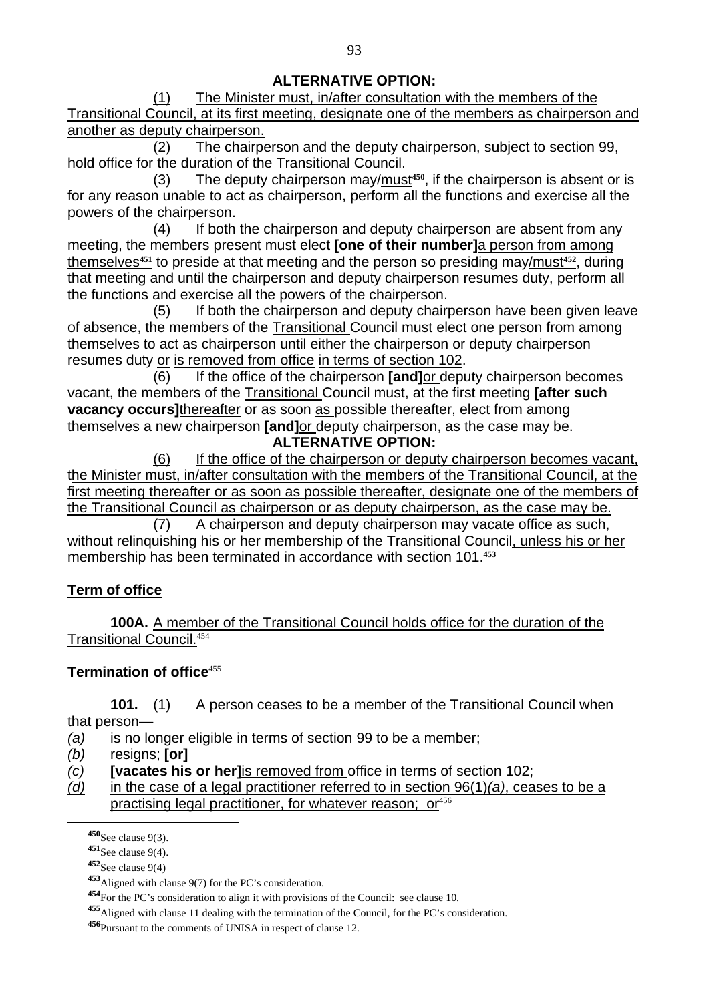#### **ALTERNATIVE OPTION:**

 (1) The Minister must, in/after consultation with the members of the Transitional Council, at its first meeting, designate one of the members as chairperson and another as deputy chairperson.

 (2) The chairperson and the deputy chairperson, subject to section 99, hold office for the duration of the Transitional Council.

 (3) The deputy chairperson may/must**450**, if the chairperson is absent or is for any reason unable to act as chairperson, perform all the functions and exercise all the powers of the chairperson.

 (4) If both the chairperson and deputy chairperson are absent from any meeting, the members present must elect **[one of their number]**a person from among themselves**451** to preside at that meeting and the person so presiding may/must**452**, during that meeting and until the chairperson and deputy chairperson resumes duty, perform all the functions and exercise all the powers of the chairperson.

 (5) If both the chairperson and deputy chairperson have been given leave of absence, the members of the Transitional Council must elect one person from among themselves to act as chairperson until either the chairperson or deputy chairperson resumes duty or is removed from office in terms of section 102.

 (6) If the office of the chairperson **[and]**or deputy chairperson becomes vacant, the members of the Transitional Council must, at the first meeting **[after such vacancy occurs]**thereafter or as soon as possible thereafter, elect from among themselves a new chairperson **[and]**or deputy chairperson, as the case may be. **ALTERNATIVE OPTION:** 

 (6) If the office of the chairperson or deputy chairperson becomes vacant, the Minister must, in/after consultation with the members of the Transitional Council, at the first meeting thereafter or as soon as possible thereafter, designate one of the members of the Transitional Council as chairperson or as deputy chairperson, as the case may be.

 (7) A chairperson and deputy chairperson may vacate office as such, without relinguishing his or her membership of the Transitional Council, unless his or her membership has been terminated in accordance with section 101.**<sup>453</sup>**

# **Term of office**

**100A.** A member of the Transitional Council holds office for the duration of the Transitional Council.<sup>454</sup>

#### **Termination of office**<sup>455</sup>

**101.** (1) A person ceases to be a member of the Transitional Council when that person—

*(a)* is no longer eligible in terms of section 99 to be a member;

- *(b)* resigns; **[or]**
- *(c)* **[vacates his or her]**is removed from office in terms of section 102;
- *(d)* in the case of a legal practitioner referred to in section 96(1)*(a)*, ceases to be a practising legal practitioner, for whatever reason; or<sup>456</sup>

**<sup>450</sup>**See clause 9(3).

**<sup>451</sup>**See clause 9(4).

**<sup>452</sup>**See clause 9(4)

**<sup>453</sup>**Aligned with clause 9(7) for the PC's consideration.

**<sup>454</sup>**For the PC's consideration to align it with provisions of the Council: see clause 10.

**<sup>455</sup>**Aligned with clause 11 dealing with the termination of the Council, for the PC's consideration.

**<sup>456</sup>**Pursuant to the comments of UNISA in respect of clause 12.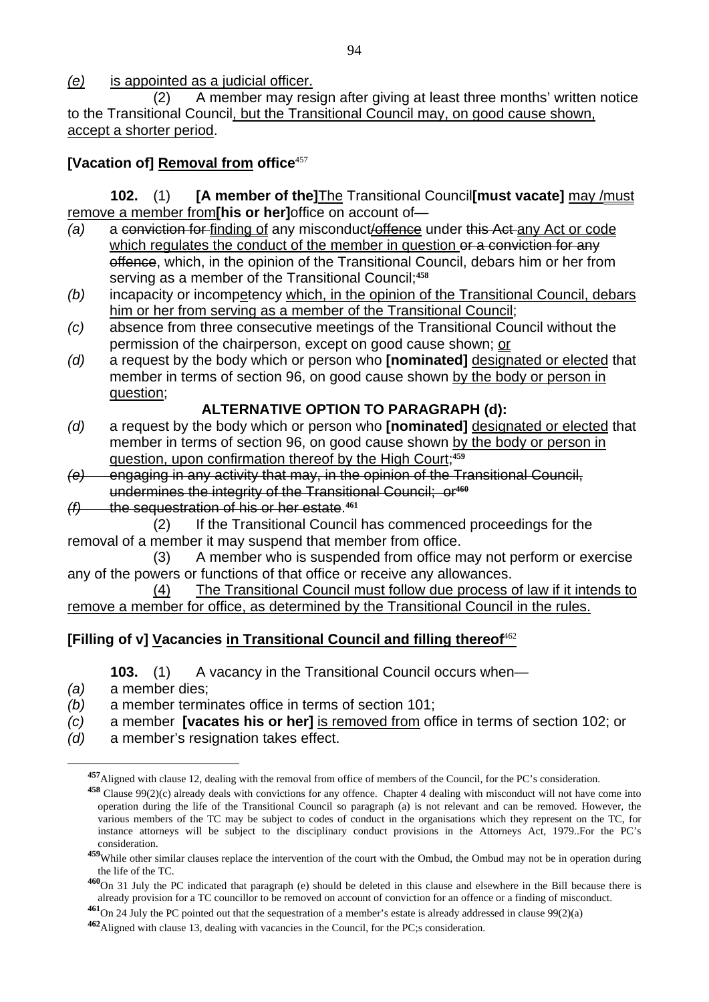*(e)* is appointed as a judicial officer.

 (2) A member may resign after giving at least three months' written notice to the Transitional Council, but the Transitional Council may, on good cause shown, accept a shorter period.

#### **[Vacation of] Removal from office**<sup>457</sup>

**102.** (1) **[A member of the]**The Transitional Council**[must vacate]** may /must remove a member from**[his or her]**office on account of—

- *(a)* a conviction for finding of any misconduct/offence under this Act any Act or code which regulates the conduct of the member in question or a conviction for any offence, which, in the opinion of the Transitional Council, debars him or her from serving as a member of the Transitional Council;**<sup>458</sup>**
- *(b)* incapacity or incompetency which, in the opinion of the Transitional Council, debars him or her from serving as a member of the Transitional Council;
- *(c)* absence from three consecutive meetings of the Transitional Council without the permission of the chairperson, except on good cause shown; or
- *(d)* a request by the body which or person who **[nominated]** designated or elected that member in terms of section 96, on good cause shown by the body or person in question;

#### **ALTERNATIVE OPTION TO PARAGRAPH (d):**

- *(d)* a request by the body which or person who **[nominated]** designated or elected that member in terms of section 96, on good cause shown by the body or person in question, upon confirmation thereof by the High Court;**<sup>459</sup>**
- *(e)* engaging in any activity that may, in the opinion of the Transitional Council, undermines the integrity of the Transitional Council; or**<sup>460</sup>**
- *(f)* the sequestration of his or her estate.**<sup>461</sup>**
- (2) If the Transitional Council has commenced proceedings for the removal of a member it may suspend that member from office.

 (3) A member who is suspended from office may not perform or exercise any of the powers or functions of that office or receive any allowances.

 (4) The Transitional Council must follow due process of law if it intends to remove a member for office, as determined by the Transitional Council in the rules.

# **[Filling of v] Vacancies in Transitional Council and filling thereof**<sup>462</sup>

**103.** (1) A vacancy in the Transitional Council occurs when—

*(a)* a member dies;

 $\overline{a}$ 

*(b)* a member terminates office in terms of section 101;

- *(c)* a member **[vacates his or her]** is removed from office in terms of section 102; or
- *(d)* a member's resignation takes effect.

**<sup>457</sup>**Aligned with clause 12, dealing with the removal from office of members of the Council, for the PC's consideration.

**<sup>458</sup>** Clause 99(2)(c) already deals with convictions for any offence. Chapter 4 dealing with misconduct will not have come into operation during the life of the Transitional Council so paragraph (a) is not relevant and can be removed. However, the various members of the TC may be subject to codes of conduct in the organisations which they represent on the TC, for instance attorneys will be subject to the disciplinary conduct provisions in the Attorneys Act, 1979..For the PC's consideration.

**<sup>459</sup>**While other similar clauses replace the intervention of the court with the Ombud, the Ombud may not be in operation during the life of the TC.

**<sup>460</sup>**On 31 July the PC indicated that paragraph (e) should be deleted in this clause and elsewhere in the Bill because there is already provision for a TC councillor to be removed on account of conviction for an offence or a finding of misconduct.

**<sup>461</sup>**On 24 July the PC pointed out that the sequestration of a member's estate is already addressed in clause 99(2)(a)

**<sup>462</sup>**Aligned with clause 13, dealing with vacancies in the Council, for the PC;s consideration.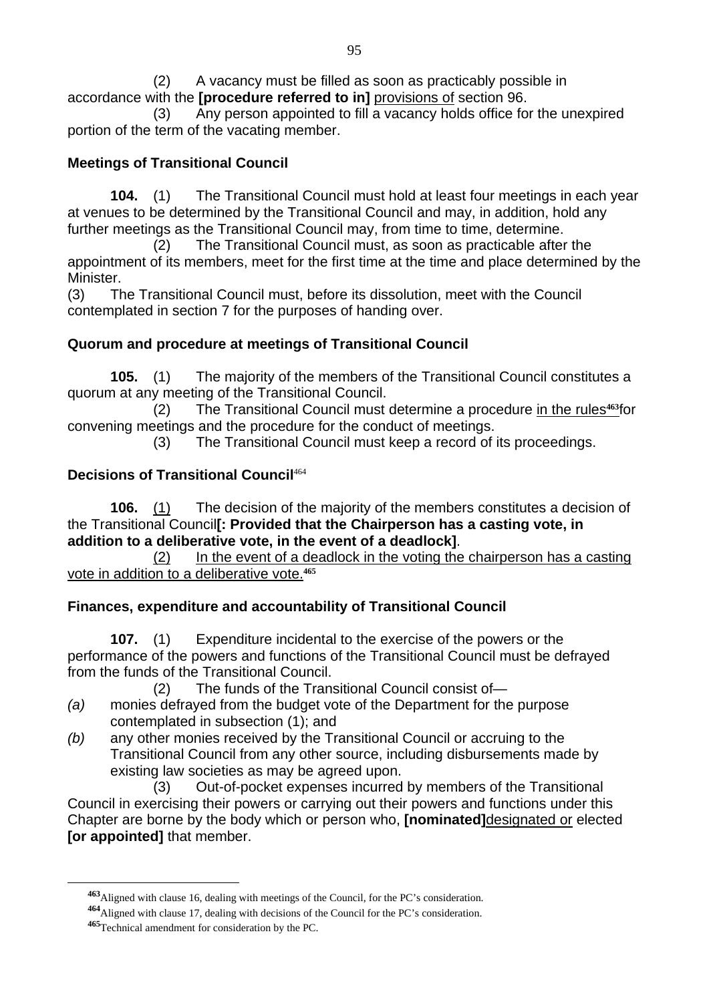(2) A vacancy must be filled as soon as practicably possible in accordance with the **[procedure referred to in]** provisions of section 96.

 (3) Any person appointed to fill a vacancy holds office for the unexpired portion of the term of the vacating member.

## **Meetings of Transitional Council**

**104.** (1) The Transitional Council must hold at least four meetings in each year at venues to be determined by the Transitional Council and may, in addition, hold any further meetings as the Transitional Council may, from time to time, determine.

 (2) The Transitional Council must, as soon as practicable after the appointment of its members, meet for the first time at the time and place determined by the **Minister** 

(3) The Transitional Council must, before its dissolution, meet with the Council contemplated in section 7 for the purposes of handing over.

#### **Quorum and procedure at meetings of Transitional Council**

**105.** (1) The majority of the members of the Transitional Council constitutes a quorum at any meeting of the Transitional Council.

 (2) The Transitional Council must determine a procedure in the rules**463**for convening meetings and the procedure for the conduct of meetings.

(3) The Transitional Council must keep a record of its proceedings.

#### **Decisions of Transitional Council**<sup>464</sup>

**106.** (1) The decision of the majority of the members constitutes a decision of the Transitional Council**[: Provided that the Chairperson has a casting vote, in addition to a deliberative vote, in the event of a deadlock]**.

 (2) In the event of a deadlock in the voting the chairperson has a casting vote in addition to a deliberative vote.**<sup>465</sup>**

# **Finances, expenditure and accountability of Transitional Council**

**107.** (1) Expenditure incidental to the exercise of the powers or the performance of the powers and functions of the Transitional Council must be defrayed from the funds of the Transitional Council.

(2) The funds of the Transitional Council consist of—

- *(a)* monies defrayed from the budget vote of the Department for the purpose contemplated in subsection (1); and
- *(b)* any other monies received by the Transitional Council or accruing to the Transitional Council from any other source, including disbursements made by existing law societies as may be agreed upon.

 (3) Out-of-pocket expenses incurred by members of the Transitional Council in exercising their powers or carrying out their powers and functions under this Chapter are borne by the body which or person who, **[nominated]**designated or elected **[or appointed]** that member.

**<sup>463</sup>**Aligned with clause 16, dealing with meetings of the Council, for the PC's consideration.

**<sup>464</sup>**Aligned with clause 17, dealing with decisions of the Council for the PC's consideration.

**<sup>465</sup>**Technical amendment for consideration by the PC.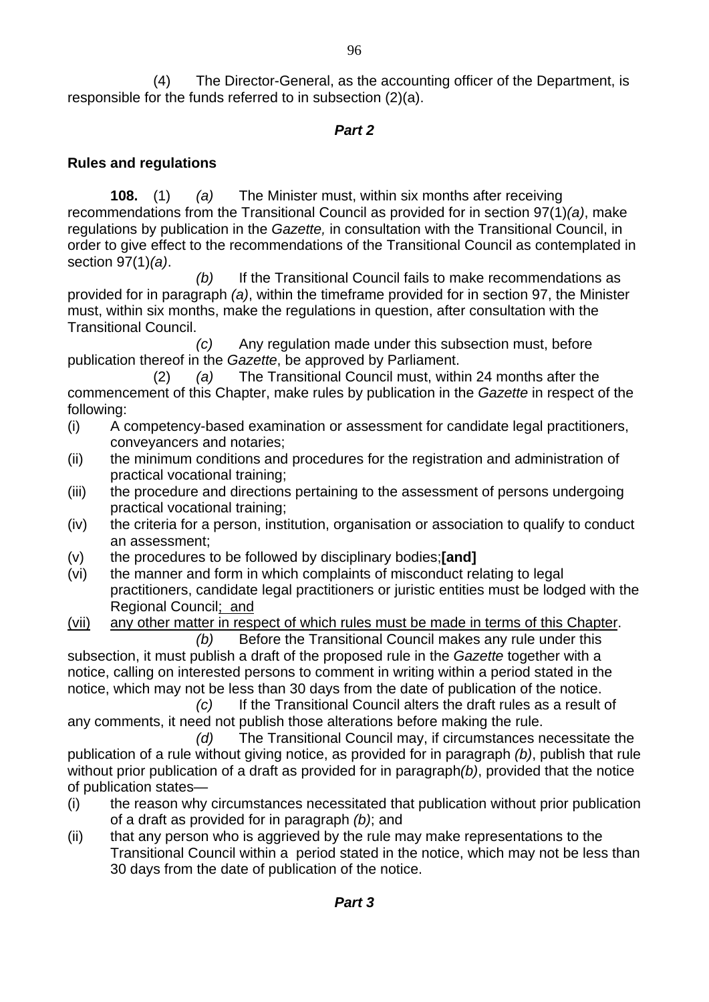(4) The Director-General, as the accounting officer of the Department, is responsible for the funds referred to in subsection (2)(a).

#### *Part 2*

#### **Rules and regulations**

**108.** (1) *(a)* The Minister must, within six months after receiving recommendations from the Transitional Council as provided for in section 97(1)*(a)*, make regulations by publication in the *Gazette,* in consultation with the Transitional Council, in order to give effect to the recommendations of the Transitional Council as contemplated in section 97(1)*(a)*.

 *(b)* If the Transitional Council fails to make recommendations as provided for in paragraph *(a)*, within the timeframe provided for in section 97, the Minister must, within six months, make the regulations in question, after consultation with the Transitional Council.

 *(c)* Any regulation made under this subsection must, before publication thereof in the *Gazette*, be approved by Parliament.

 (2) *(a)* The Transitional Council must, within 24 months after the commencement of this Chapter, make rules by publication in the *Gazette* in respect of the following:

- (i) A competency-based examination or assessment for candidate legal practitioners, conveyancers and notaries;
- (ii) the minimum conditions and procedures for the registration and administration of practical vocational training;
- (iii) the procedure and directions pertaining to the assessment of persons undergoing practical vocational training;
- (iv) the criteria for a person, institution, organisation or association to qualify to conduct an assessment;
- (v) the procedures to be followed by disciplinary bodies;**[and]**
- (vi) the manner and form in which complaints of misconduct relating to legal practitioners, candidate legal practitioners or juristic entities must be lodged with the Regional Council; and
- (vii) any other matter in respect of which rules must be made in terms of this Chapter.

*(b)* Before the Transitional Council makes any rule under this subsection, it must publish a draft of the proposed rule in the *Gazette* together with a notice, calling on interested persons to comment in writing within a period stated in the notice, which may not be less than 30 days from the date of publication of the notice.

 *(c)* If the Transitional Council alters the draft rules as a result of any comments, it need not publish those alterations before making the rule.

 *(d)* The Transitional Council may, if circumstances necessitate the publication of a rule without giving notice, as provided for in paragraph *(b)*, publish that rule without prior publication of a draft as provided for in paragraph*(b)*, provided that the notice of publication states—

- (i) the reason why circumstances necessitated that publication without prior publication of a draft as provided for in paragraph *(b)*; and
- (ii) that any person who is aggrieved by the rule may make representations to the Transitional Council within a period stated in the notice, which may not be less than 30 days from the date of publication of the notice.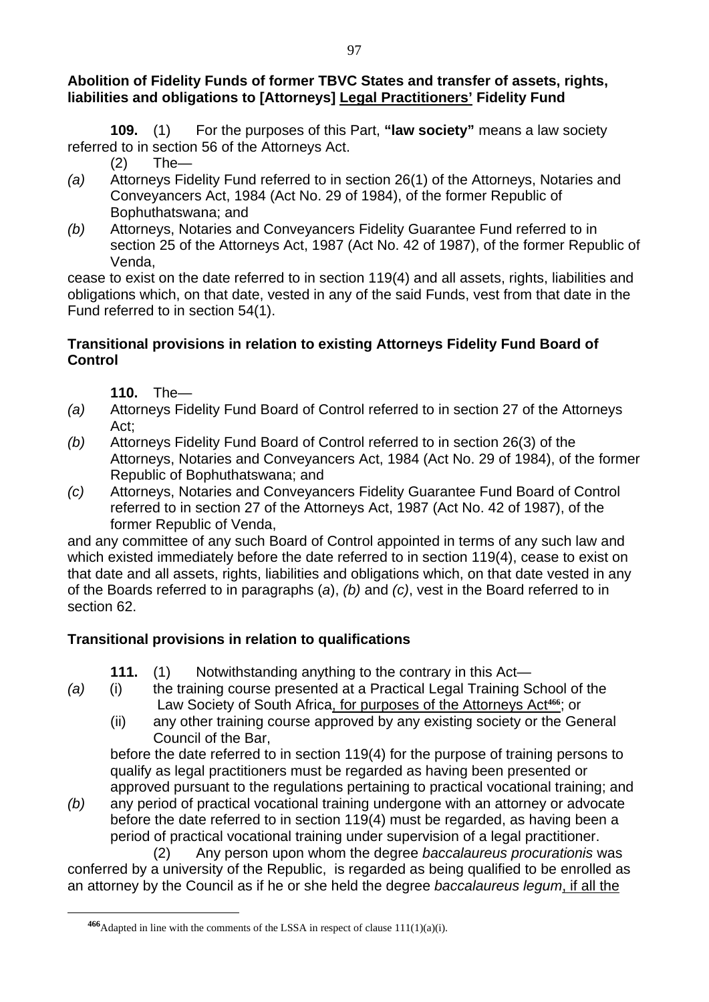#### **Abolition of Fidelity Funds of former TBVC States and transfer of assets, rights, liabilities and obligations to [Attorneys] Legal Practitioners' Fidelity Fund**

**109.** (1) For the purposes of this Part, **"law society"** means a law society referred to in section 56 of the Attorneys Act.

(2) The—

- *(a)* Attorneys Fidelity Fund referred to in section 26(1) of the Attorneys, Notaries and Conveyancers Act, 1984 (Act No. 29 of 1984), of the former Republic of Bophuthatswana; and
- *(b)* Attorneys, Notaries and Conveyancers Fidelity Guarantee Fund referred to in section 25 of the Attorneys Act, 1987 (Act No. 42 of 1987), of the former Republic of Venda,

cease to exist on the date referred to in section 119(4) and all assets, rights, liabilities and obligations which, on that date, vested in any of the said Funds, vest from that date in the Fund referred to in section 54(1).

#### **Transitional provisions in relation to existing Attorneys Fidelity Fund Board of Control**

**110.** The—

 $\overline{a}$ 

- *(a)* Attorneys Fidelity Fund Board of Control referred to in section 27 of the Attorneys Act;
- *(b)* Attorneys Fidelity Fund Board of Control referred to in section 26(3) of the Attorneys, Notaries and Conveyancers Act, 1984 (Act No. 29 of 1984), of the former Republic of Bophuthatswana; and
- *(c)* Attorneys, Notaries and Conveyancers Fidelity Guarantee Fund Board of Control referred to in section 27 of the Attorneys Act, 1987 (Act No. 42 of 1987), of the former Republic of Venda,

and any committee of any such Board of Control appointed in terms of any such law and which existed immediately before the date referred to in section 119(4), cease to exist on that date and all assets, rights, liabilities and obligations which, on that date vested in any of the Boards referred to in paragraphs (*a*), *(b)* and *(c)*, vest in the Board referred to in section 62.

# **Transitional provisions in relation to qualifications**

**111.** (1) Notwithstanding anything to the contrary in this Act—

- *(a)* (i) the training course presented at a Practical Legal Training School of the Law Society of South Africa, for purposes of the Attorneys Act**466**; or
	- (ii) any other training course approved by any existing society or the General Council of the Bar,

before the date referred to in section 119(4) for the purpose of training persons to qualify as legal practitioners must be regarded as having been presented or approved pursuant to the regulations pertaining to practical vocational training; and

*(b)* any period of practical vocational training undergone with an attorney or advocate before the date referred to in section 119(4) must be regarded, as having been a period of practical vocational training under supervision of a legal practitioner.

(2) Any person upon whom the degree *baccalaureus procurationis* was conferred by a university of the Republic, is regarded as being qualified to be enrolled as an attorney by the Council as if he or she held the degree *baccalaureus legum*, if all the

**<sup>466</sup>**Adapted in line with the comments of the LSSA in respect of clause 111(1)(a)(i).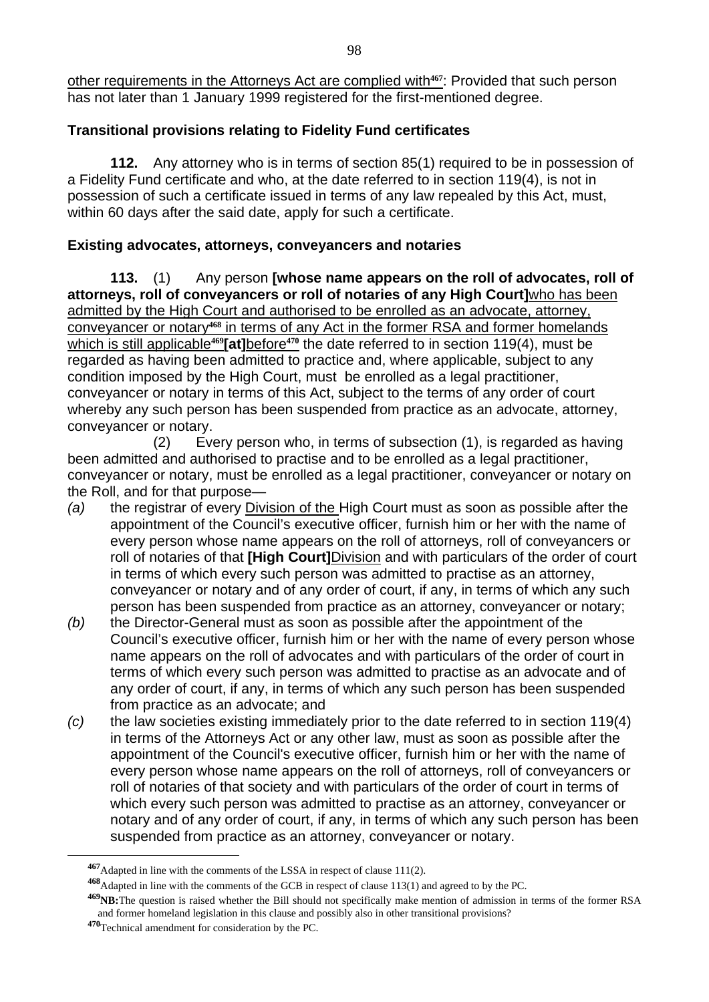other requirements in the Attorneys Act are complied with**467**: Provided that such person has not later than 1 January 1999 registered for the first-mentioned degree.

# **Transitional provisions relating to Fidelity Fund certificates**

**112.** Any attorney who is in terms of section 85(1) required to be in possession of a Fidelity Fund certificate and who, at the date referred to in section 119(4), is not in possession of such a certificate issued in terms of any law repealed by this Act, must, within 60 days after the said date, apply for such a certificate.

#### **Existing advocates, attorneys, conveyancers and notaries**

**113.** (1) Any person **[whose name appears on the roll of advocates, roll of attorneys, roll of conveyancers or roll of notaries of any High Court]**who has been admitted by the High Court and authorised to be enrolled as an advocate, attorney, conveyancer or notary**468** in terms of any Act in the former RSA and former homelands which is still applicable**469[at]**before**470** the date referred to in section 119(4), must be regarded as having been admitted to practice and, where applicable, subject to any condition imposed by the High Court, must be enrolled as a legal practitioner, conveyancer or notary in terms of this Act, subject to the terms of any order of court whereby any such person has been suspended from practice as an advocate, attorney, conveyancer or notary.

 (2) Every person who, in terms of subsection (1), is regarded as having been admitted and authorised to practise and to be enrolled as a legal practitioner, conveyancer or notary, must be enrolled as a legal practitioner, conveyancer or notary on the Roll, and for that purpose—

- *(a)* the registrar of every Division of the High Court must as soon as possible after the appointment of the Council's executive officer, furnish him or her with the name of every person whose name appears on the roll of attorneys, roll of conveyancers or roll of notaries of that **[High Court]**Division and with particulars of the order of court in terms of which every such person was admitted to practise as an attorney, conveyancer or notary and of any order of court, if any, in terms of which any such person has been suspended from practice as an attorney, conveyancer or notary;
- *(b)* the Director-General must as soon as possible after the appointment of the Council's executive officer, furnish him or her with the name of every person whose name appears on the roll of advocates and with particulars of the order of court in terms of which every such person was admitted to practise as an advocate and of any order of court, if any, in terms of which any such person has been suspended from practice as an advocate; and
- *(c)* the law societies existing immediately prior to the date referred to in section 119(4) in terms of the Attorneys Act or any other law, must as soon as possible after the appointment of the Council's executive officer, furnish him or her with the name of every person whose name appears on the roll of attorneys, roll of conveyancers or roll of notaries of that society and with particulars of the order of court in terms of which every such person was admitted to practise as an attorney, conveyancer or notary and of any order of court, if any, in terms of which any such person has been suspended from practice as an attorney, conveyancer or notary.

**<sup>467</sup>**Adapted in line with the comments of the LSSA in respect of clause 111(2).

**<sup>468</sup>**Adapted in line with the comments of the GCB in respect of clause 113(1) and agreed to by the PC.

**<sup>469</sup>NB:**The question is raised whether the Bill should not specifically make mention of admission in terms of the former RSA and former homeland legislation in this clause and possibly also in other transitional provisions?

**<sup>470</sup>**Technical amendment for consideration by the PC.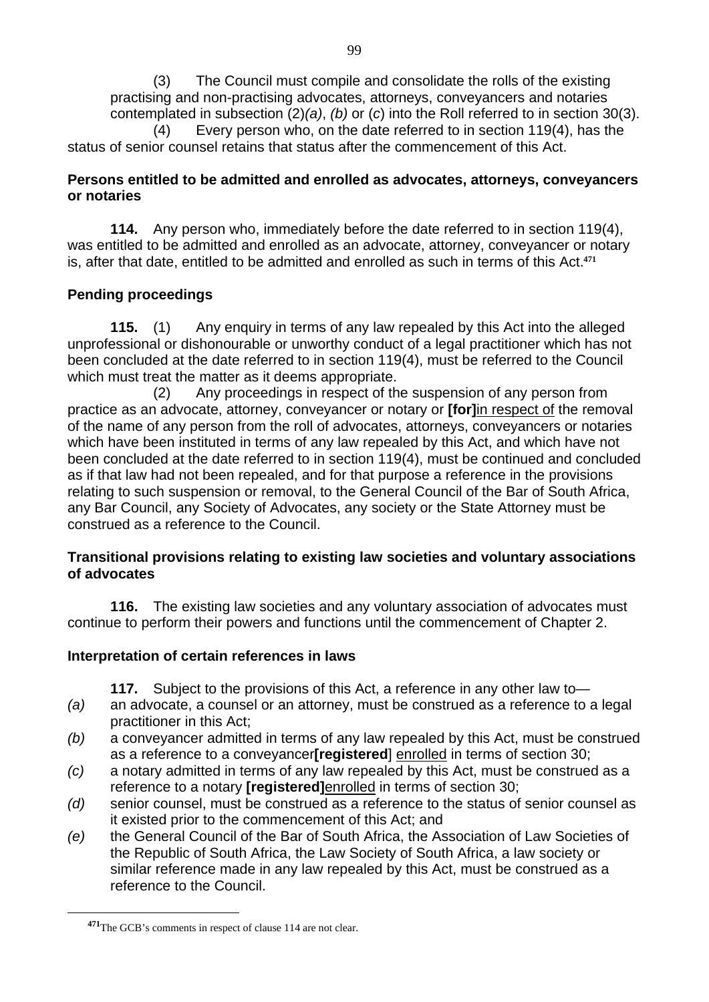(3) The Council must compile and consolidate the rolls of the existing practising and non-practising advocates, attorneys, conveyancers and notaries contemplated in subsection (2)*(a)*, *(b)* or (*c*) into the Roll referred to in section 30(3). (4) Every person who, on the date referred to in section 119(4), has the status of senior counsel retains that status after the commencement of this Act.

#### **Persons entitled to be admitted and enrolled as advocates, attorneys, conveyancers or notaries**

**114.** Any person who, immediately before the date referred to in section 119(4), was entitled to be admitted and enrolled as an advocate, attorney, conveyancer or notary is, after that date, entitled to be admitted and enrolled as such in terms of this Act.**<sup>471</sup>**

#### **Pending proceedings**

**115.** (1) Any enquiry in terms of any law repealed by this Act into the alleged unprofessional or dishonourable or unworthy conduct of a legal practitioner which has not been concluded at the date referred to in section 119(4), must be referred to the Council which must treat the matter as it deems appropriate.

 (2) Any proceedings in respect of the suspension of any person from practice as an advocate, attorney, conveyancer or notary or **[for]**in respect of the removal of the name of any person from the roll of advocates, attorneys, conveyancers or notaries which have been instituted in terms of any law repealed by this Act, and which have not been concluded at the date referred to in section 119(4), must be continued and concluded as if that law had not been repealed, and for that purpose a reference in the provisions relating to such suspension or removal, to the General Council of the Bar of South Africa, any Bar Council, any Society of Advocates, any society or the State Attorney must be construed as a reference to the Council.

#### **Transitional provisions relating to existing law societies and voluntary associations of advocates**

**116.** The existing law societies and any voluntary association of advocates must continue to perform their powers and functions until the commencement of Chapter 2.

#### **Interpretation of certain references in laws**

**117.** Subject to the provisions of this Act, a reference in any other law to—

- *(a)* an advocate, a counsel or an attorney, must be construed as a reference to a legal practitioner in this Act;
- *(b)* a conveyancer admitted in terms of any law repealed by this Act, must be construed as a reference to a conveyancer**[registered**] enrolled in terms of section 30;
- *(c)* a notary admitted in terms of any law repealed by this Act, must be construed as a reference to a notary **[registered]**enrolled in terms of section 30;
- *(d)* senior counsel, must be construed as a reference to the status of senior counsel as it existed prior to the commencement of this Act; and
- *(e)* the General Council of the Bar of South Africa, the Association of Law Societies of the Republic of South Africa, the Law Society of South Africa, a law society or similar reference made in any law repealed by this Act, must be construed as a reference to the Council.

**<sup>471</sup>**The GCB's comments in respect of clause 114 are not clear.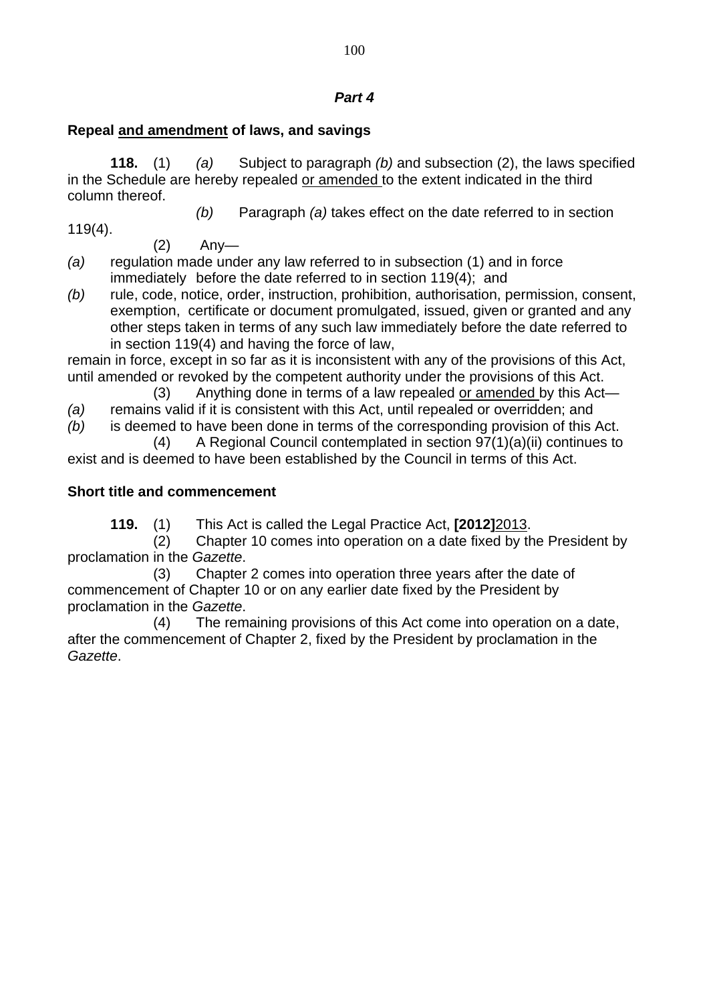#### *Part 4*

#### **Repeal and amendment of laws, and savings**

**118.** (1) *(a)* Subject to paragraph *(b)* and subsection (2), the laws specified in the Schedule are hereby repealed or amended to the extent indicated in the third column thereof.

119(4).

*(b)* Paragraph *(a)* takes effect on the date referred to in section

 $(2)$  Any-

- *(a)* regulation made under any law referred to in subsection (1) and in force immediately before the date referred to in section 119(4); and
- *(b)* rule, code, notice, order, instruction, prohibition, authorisation, permission, consent, exemption, certificate or document promulgated, issued, given or granted and any other steps taken in terms of any such law immediately before the date referred to in section 119(4) and having the force of law,

remain in force, except in so far as it is inconsistent with any of the provisions of this Act, until amended or revoked by the competent authority under the provisions of this Act.

(3) Anything done in terms of a law repealed or amended by this Act—

*(a)* remains valid if it is consistent with this Act, until repealed or overridden; and

*(b)* is deemed to have been done in terms of the corresponding provision of this Act.

 (4) A Regional Council contemplated in section 97(1)(a)(ii) continues to exist and is deemed to have been established by the Council in terms of this Act.

#### **Short title and commencement**

**119.** (1) This Act is called the Legal Practice Act, **[2012]**2013.

(2) Chapter 10 comes into operation on a date fixed by the President by proclamation in the *Gazette*.

(3) Chapter 2 comes into operation three years after the date of commencement of Chapter 10 or on any earlier date fixed by the President by proclamation in the *Gazette*.

(4) The remaining provisions of this Act come into operation on a date, after the commencement of Chapter 2, fixed by the President by proclamation in the *Gazette*.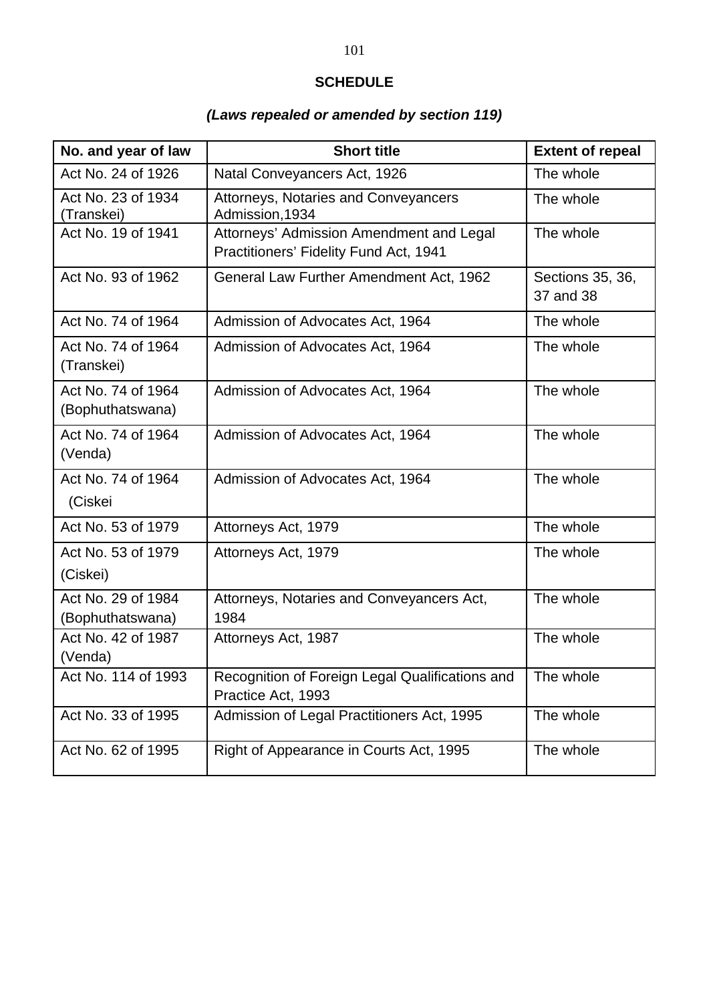# **SCHEDULE**

# *(Laws repealed or amended by section 119)*

| No. and year of law                    | <b>Short title</b>                                                                 | <b>Extent of repeal</b>       |
|----------------------------------------|------------------------------------------------------------------------------------|-------------------------------|
| Act No. 24 of 1926                     | Natal Conveyancers Act, 1926                                                       | The whole                     |
| Act No. 23 of 1934<br>(Transkei)       | Attorneys, Notaries and Conveyancers<br>Admission, 1934                            | The whole                     |
| Act No. 19 of 1941                     | Attorneys' Admission Amendment and Legal<br>Practitioners' Fidelity Fund Act, 1941 | The whole                     |
| Act No. 93 of 1962                     | General Law Further Amendment Act, 1962                                            | Sections 35, 36,<br>37 and 38 |
| Act No. 74 of 1964                     | Admission of Advocates Act, 1964                                                   | The whole                     |
| Act No. 74 of 1964<br>(Transkei)       | Admission of Advocates Act, 1964                                                   | The whole                     |
| Act No. 74 of 1964<br>(Bophuthatswana) | Admission of Advocates Act, 1964                                                   | The whole                     |
| Act No. 74 of 1964<br>(Venda)          | Admission of Advocates Act, 1964                                                   | The whole                     |
| Act No. 74 of 1964<br>(Ciskei          | Admission of Advocates Act, 1964                                                   | The whole                     |
| Act No. 53 of 1979                     | Attorneys Act, 1979                                                                | The whole                     |
| Act No. 53 of 1979<br>(Ciskei)         | Attorneys Act, 1979                                                                | The whole                     |
| Act No. 29 of 1984<br>(Bophuthatswana) | Attorneys, Notaries and Conveyancers Act,<br>1984                                  | The whole                     |
| Act No. 42 of 1987<br>(Venda)          | Attorneys Act, 1987                                                                | The whole                     |
| Act No. 114 of 1993                    | Recognition of Foreign Legal Qualifications and<br>Practice Act, 1993              | The whole                     |
| Act No. 33 of 1995                     | Admission of Legal Practitioners Act, 1995                                         | The whole                     |
| Act No. 62 of 1995                     | Right of Appearance in Courts Act, 1995                                            | The whole                     |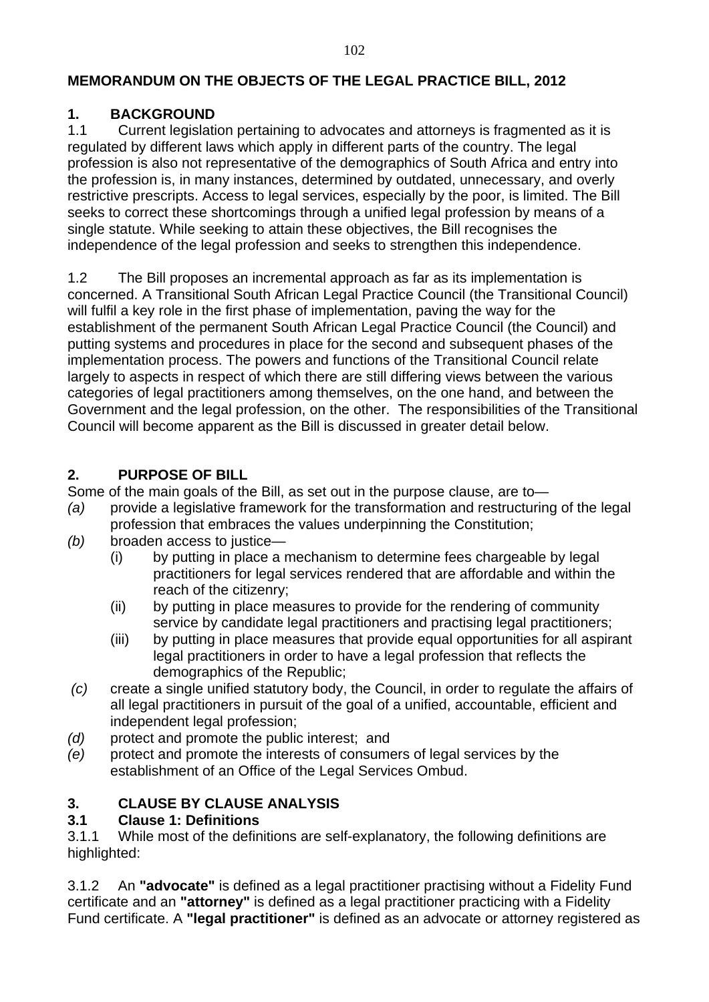#### **MEMORANDUM ON THE OBJECTS OF THE LEGAL PRACTICE BILL, 2012**

#### **1. BACKGROUND**

1.1 Current legislation pertaining to advocates and attorneys is fragmented as it is regulated by different laws which apply in different parts of the country. The legal profession is also not representative of the demographics of South Africa and entry into the profession is, in many instances, determined by outdated, unnecessary, and overly restrictive prescripts. Access to legal services, especially by the poor, is limited. The Bill seeks to correct these shortcomings through a unified legal profession by means of a single statute. While seeking to attain these objectives, the Bill recognises the independence of the legal profession and seeks to strengthen this independence.

1.2 The Bill proposes an incremental approach as far as its implementation is concerned. A Transitional South African Legal Practice Council (the Transitional Council) will fulfil a key role in the first phase of implementation, paving the way for the establishment of the permanent South African Legal Practice Council (the Council) and putting systems and procedures in place for the second and subsequent phases of the implementation process. The powers and functions of the Transitional Council relate largely to aspects in respect of which there are still differing views between the various categories of legal practitioners among themselves, on the one hand, and between the Government and the legal profession, on the other. The responsibilities of the Transitional Council will become apparent as the Bill is discussed in greater detail below.

#### **2. PURPOSE OF BILL**

Some of the main goals of the Bill, as set out in the purpose clause, are to—

- *(a)* provide a legislative framework for the transformation and restructuring of the legal profession that embraces the values underpinning the Constitution;
- *(b)* broaden access to justice—
	- (i) by putting in place a mechanism to determine fees chargeable by legal practitioners for legal services rendered that are affordable and within the reach of the citizenry;
	- (ii) by putting in place measures to provide for the rendering of community service by candidate legal practitioners and practising legal practitioners;
	- (iii) by putting in place measures that provide equal opportunities for all aspirant legal practitioners in order to have a legal profession that reflects the demographics of the Republic;
- *(c)* create a single unified statutory body, the Council, in order to regulate the affairs of all legal practitioners in pursuit of the goal of a unified, accountable, efficient and independent legal profession;
- *(d)* protect and promote the public interest; and
- *(e)* protect and promote the interests of consumers of legal services by the establishment of an Office of the Legal Services Ombud.

#### **3. CLAUSE BY CLAUSE ANALYSIS**

#### **3.1 Clause 1: Definitions**

3.1.1 While most of the definitions are self-explanatory, the following definitions are highlighted:

3.1.2 An **"advocate"** is defined as a legal practitioner practising without a Fidelity Fund certificate and an **"attorney"** is defined as a legal practitioner practicing with a Fidelity Fund certificate. A **"legal practitioner"** is defined as an advocate or attorney registered as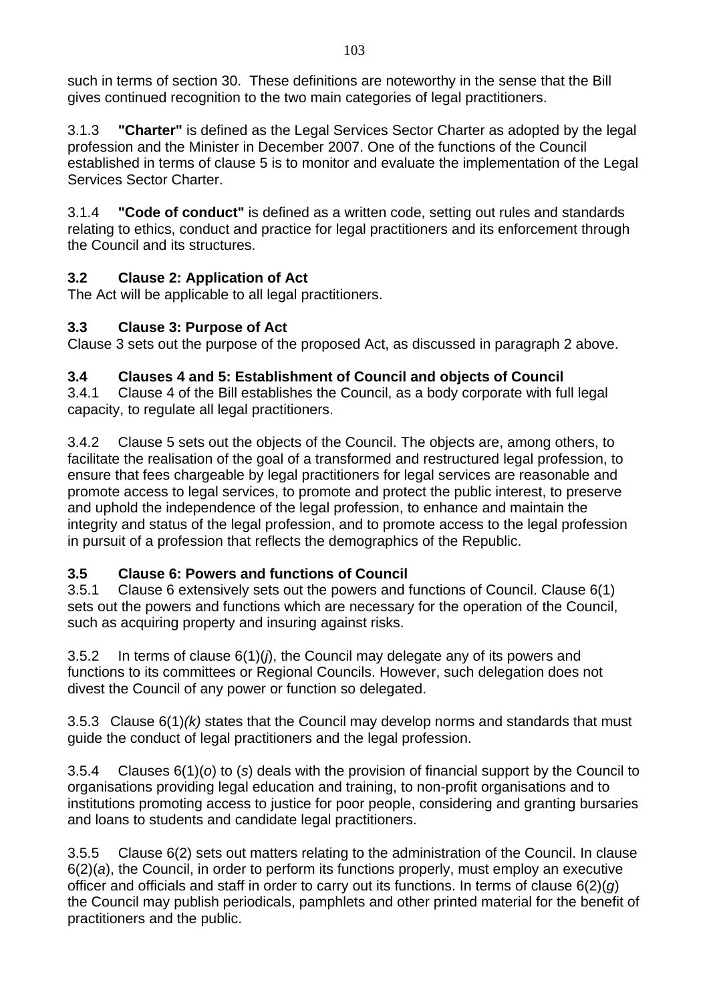such in terms of section 30. These definitions are noteworthy in the sense that the Bill gives continued recognition to the two main categories of legal practitioners.

3.1.3 **"Charter"** is defined as the Legal Services Sector Charter as adopted by the legal profession and the Minister in December 2007. One of the functions of the Council established in terms of clause 5 is to monitor and evaluate the implementation of the Legal Services Sector Charter.

3.1.4 **"Code of conduct"** is defined as a written code, setting out rules and standards relating to ethics, conduct and practice for legal practitioners and its enforcement through the Council and its structures.

# **3.2 Clause 2: Application of Act**

The Act will be applicable to all legal practitioners.

# **3.3 Clause 3: Purpose of Act**

Clause 3 sets out the purpose of the proposed Act, as discussed in paragraph 2 above.

#### **3.4 Clauses 4 and 5: Establishment of Council and objects of Council**

3.4.1 Clause 4 of the Bill establishes the Council, as a body corporate with full legal capacity, to regulate all legal practitioners.

3.4.2 Clause 5 sets out the objects of the Council. The objects are, among others, to facilitate the realisation of the goal of a transformed and restructured legal profession, to ensure that fees chargeable by legal practitioners for legal services are reasonable and promote access to legal services, to promote and protect the public interest, to preserve and uphold the independence of the legal profession, to enhance and maintain the integrity and status of the legal profession, and to promote access to the legal profession in pursuit of a profession that reflects the demographics of the Republic.

# **3.5 Clause 6: Powers and functions of Council**

3.5.1 Clause 6 extensively sets out the powers and functions of Council. Clause 6(1) sets out the powers and functions which are necessary for the operation of the Council, such as acquiring property and insuring against risks.

3.5.2 In terms of clause 6(1)(*j*), the Council may delegate any of its powers and functions to its committees or Regional Councils. However, such delegation does not divest the Council of any power or function so delegated.

3.5.3 Clause 6(1)*(k)* states that the Council may develop norms and standards that must guide the conduct of legal practitioners and the legal profession.

3.5.4 Clauses 6(1)(*o*) to (*s*) deals with the provision of financial support by the Council to organisations providing legal education and training, to non-profit organisations and to institutions promoting access to justice for poor people, considering and granting bursaries and loans to students and candidate legal practitioners.

3.5.5 Clause 6(2) sets out matters relating to the administration of the Council. In clause 6(2)(*a*), the Council, in order to perform its functions properly, must employ an executive officer and officials and staff in order to carry out its functions. In terms of clause 6(2)(*g*) the Council may publish periodicals, pamphlets and other printed material for the benefit of practitioners and the public.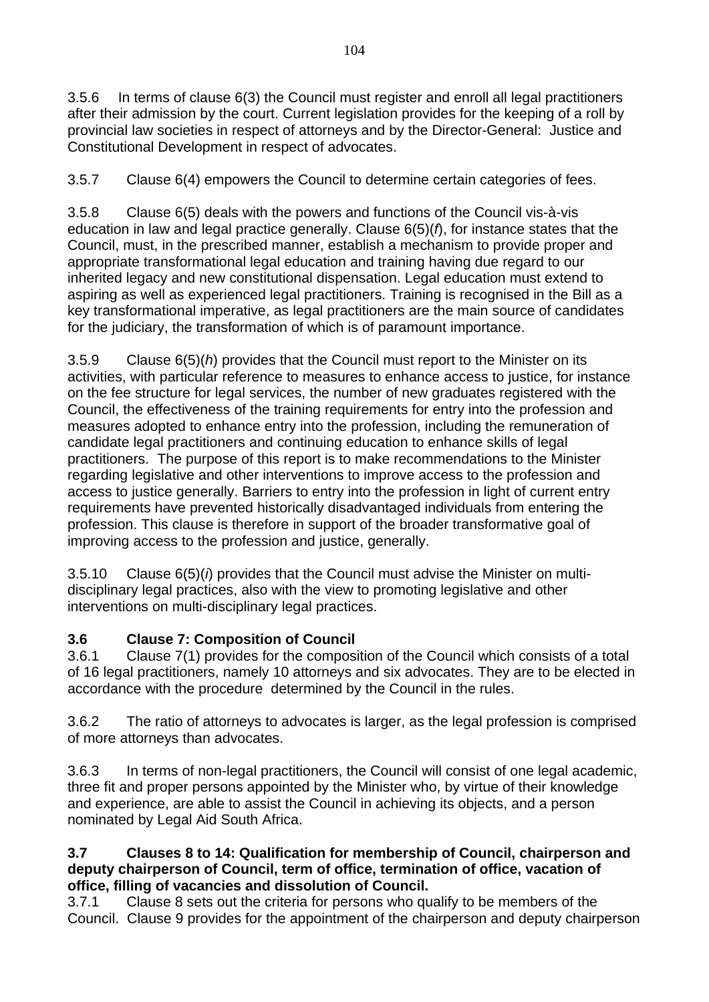3.5.6 In terms of clause 6(3) the Council must register and enroll all legal practitioners after their admission by the court. Current legislation provides for the keeping of a roll by provincial law societies in respect of attorneys and by the Director-General: Justice and Constitutional Development in respect of advocates.

3.5.7 Clause 6(4) empowers the Council to determine certain categories of fees.

3.5.8 Clause 6(5) deals with the powers and functions of the Council vis-à-vis education in law and legal practice generally. Clause 6(5)(*f*), for instance states that the Council, must, in the prescribed manner, establish a mechanism to provide proper and appropriate transformational legal education and training having due regard to our inherited legacy and new constitutional dispensation. Legal education must extend to aspiring as well as experienced legal practitioners. Training is recognised in the Bill as a key transformational imperative, as legal practitioners are the main source of candidates for the judiciary, the transformation of which is of paramount importance.

3.5.9 Clause 6(5)(*h*) provides that the Council must report to the Minister on its activities, with particular reference to measures to enhance access to justice, for instance on the fee structure for legal services, the number of new graduates registered with the Council, the effectiveness of the training requirements for entry into the profession and measures adopted to enhance entry into the profession, including the remuneration of candidate legal practitioners and continuing education to enhance skills of legal practitioners. The purpose of this report is to make recommendations to the Minister regarding legislative and other interventions to improve access to the profession and access to justice generally. Barriers to entry into the profession in light of current entry requirements have prevented historically disadvantaged individuals from entering the profession. This clause is therefore in support of the broader transformative goal of improving access to the profession and justice, generally.

3.5.10 Clause 6(5)(*i*) provides that the Council must advise the Minister on multidisciplinary legal practices, also with the view to promoting legislative and other interventions on multi-disciplinary legal practices.

# **3.6 Clause 7: Composition of Council**

3.6.1 Clause 7(1) provides for the composition of the Council which consists of a total of 16 legal practitioners, namely 10 attorneys and six advocates. They are to be elected in accordance with the procedure determined by the Council in the rules.

3.6.2 The ratio of attorneys to advocates is larger, as the legal profession is comprised of more attorneys than advocates.

3.6.3 In terms of non-legal practitioners, the Council will consist of one legal academic, three fit and proper persons appointed by the Minister who, by virtue of their knowledge and experience, are able to assist the Council in achieving its objects, and a person nominated by Legal Aid South Africa.

#### **3.7 Clauses 8 to 14: Qualification for membership of Council, chairperson and deputy chairperson of Council, term of office, termination of office, vacation of office, filling of vacancies and dissolution of Council.**

3.7.1 Clause 8 sets out the criteria for persons who qualify to be members of the Council. Clause 9 provides for the appointment of the chairperson and deputy chairperson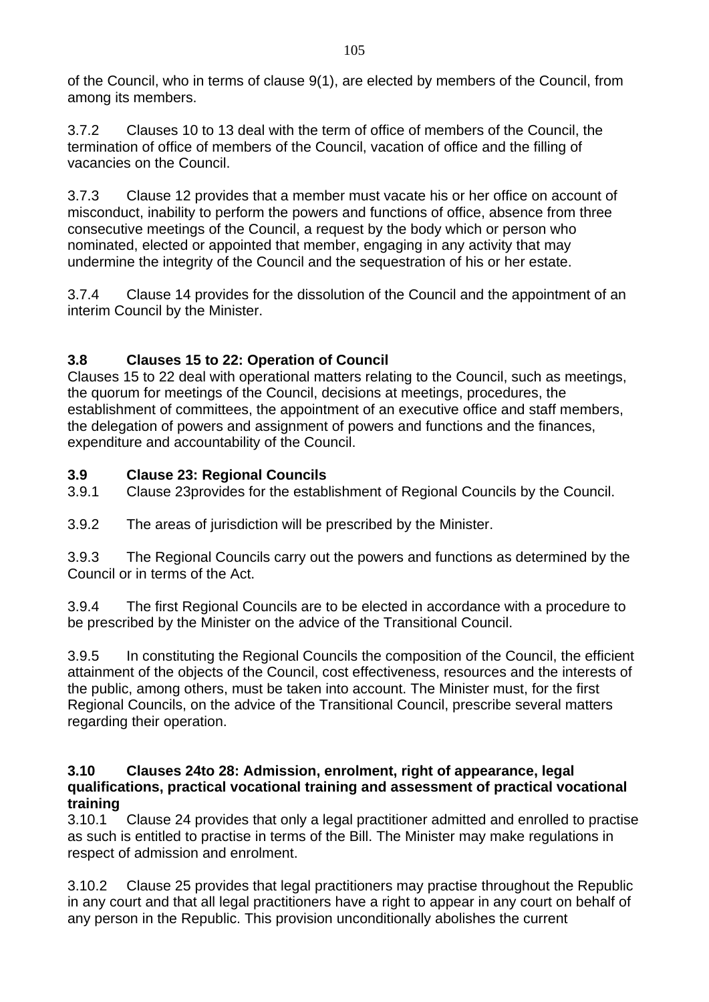of the Council, who in terms of clause 9(1), are elected by members of the Council, from among its members.

3.7.2 Clauses 10 to 13 deal with the term of office of members of the Council, the termination of office of members of the Council, vacation of office and the filling of vacancies on the Council.

3.7.3 Clause 12 provides that a member must vacate his or her office on account of misconduct, inability to perform the powers and functions of office, absence from three consecutive meetings of the Council, a request by the body which or person who nominated, elected or appointed that member, engaging in any activity that may undermine the integrity of the Council and the sequestration of his or her estate.

3.7.4 Clause 14 provides for the dissolution of the Council and the appointment of an interim Council by the Minister.

# **3.8 Clauses 15 to 22: Operation of Council**

Clauses 15 to 22 deal with operational matters relating to the Council, such as meetings, the quorum for meetings of the Council, decisions at meetings, procedures, the establishment of committees, the appointment of an executive office and staff members, the delegation of powers and assignment of powers and functions and the finances, expenditure and accountability of the Council.

# **3.9 Clause 23: Regional Councils**

3.9.1 Clause 23provides for the establishment of Regional Councils by the Council.

3.9.2 The areas of jurisdiction will be prescribed by the Minister.

3.9.3 The Regional Councils carry out the powers and functions as determined by the Council or in terms of the Act.

3.9.4 The first Regional Councils are to be elected in accordance with a procedure to be prescribed by the Minister on the advice of the Transitional Council.

3.9.5 In constituting the Regional Councils the composition of the Council, the efficient attainment of the objects of the Council, cost effectiveness, resources and the interests of the public, among others, must be taken into account. The Minister must, for the first Regional Councils, on the advice of the Transitional Council, prescribe several matters regarding their operation.

#### **3.10 Clauses 24to 28: Admission, enrolment, right of appearance, legal qualifications, practical vocational training and assessment of practical vocational training**

3.10.1 Clause 24 provides that only a legal practitioner admitted and enrolled to practise as such is entitled to practise in terms of the Bill. The Minister may make regulations in respect of admission and enrolment.

3.10.2 Clause 25 provides that legal practitioners may practise throughout the Republic in any court and that all legal practitioners have a right to appear in any court on behalf of any person in the Republic. This provision unconditionally abolishes the current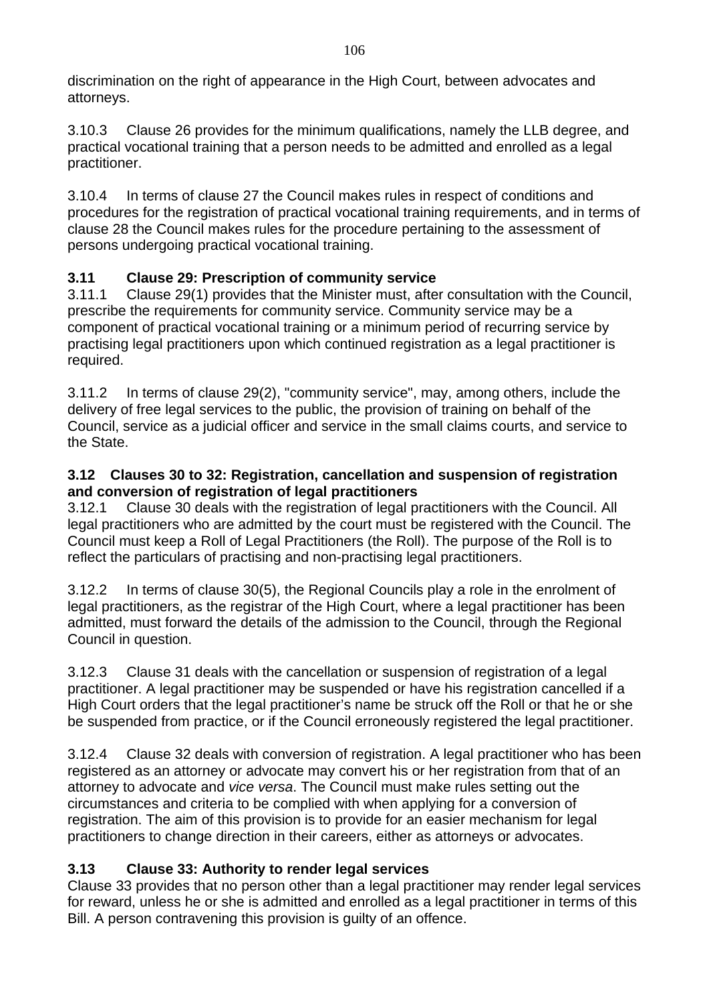discrimination on the right of appearance in the High Court, between advocates and attorneys.

3.10.3 Clause 26 provides for the minimum qualifications, namely the LLB degree, and practical vocational training that a person needs to be admitted and enrolled as a legal practitioner.

3.10.4 In terms of clause 27 the Council makes rules in respect of conditions and procedures for the registration of practical vocational training requirements, and in terms of clause 28 the Council makes rules for the procedure pertaining to the assessment of persons undergoing practical vocational training.

# **3.11 Clause 29: Prescription of community service**

3.11.1 Clause 29(1) provides that the Minister must, after consultation with the Council, prescribe the requirements for community service. Community service may be a component of practical vocational training or a minimum period of recurring service by practising legal practitioners upon which continued registration as a legal practitioner is required.

3.11.2 In terms of clause 29(2), "community service", may, among others, include the delivery of free legal services to the public, the provision of training on behalf of the Council, service as a judicial officer and service in the small claims courts, and service to the State.

## **3.12 Clauses 30 to 32: Registration, cancellation and suspension of registration and conversion of registration of legal practitioners**

3.12.1 Clause 30 deals with the registration of legal practitioners with the Council. All legal practitioners who are admitted by the court must be registered with the Council. The Council must keep a Roll of Legal Practitioners (the Roll). The purpose of the Roll is to reflect the particulars of practising and non-practising legal practitioners.

3.12.2 In terms of clause 30(5), the Regional Councils play a role in the enrolment of legal practitioners, as the registrar of the High Court, where a legal practitioner has been admitted, must forward the details of the admission to the Council, through the Regional Council in question.

3.12.3 Clause 31 deals with the cancellation or suspension of registration of a legal practitioner. A legal practitioner may be suspended or have his registration cancelled if a High Court orders that the legal practitioner's name be struck off the Roll or that he or she be suspended from practice, or if the Council erroneously registered the legal practitioner.

3.12.4 Clause 32 deals with conversion of registration. A legal practitioner who has been registered as an attorney or advocate may convert his or her registration from that of an attorney to advocate and *vice versa*. The Council must make rules setting out the circumstances and criteria to be complied with when applying for a conversion of registration. The aim of this provision is to provide for an easier mechanism for legal practitioners to change direction in their careers, either as attorneys or advocates.

# **3.13 Clause 33: Authority to render legal services**

Clause 33 provides that no person other than a legal practitioner may render legal services for reward, unless he or she is admitted and enrolled as a legal practitioner in terms of this Bill. A person contravening this provision is guilty of an offence.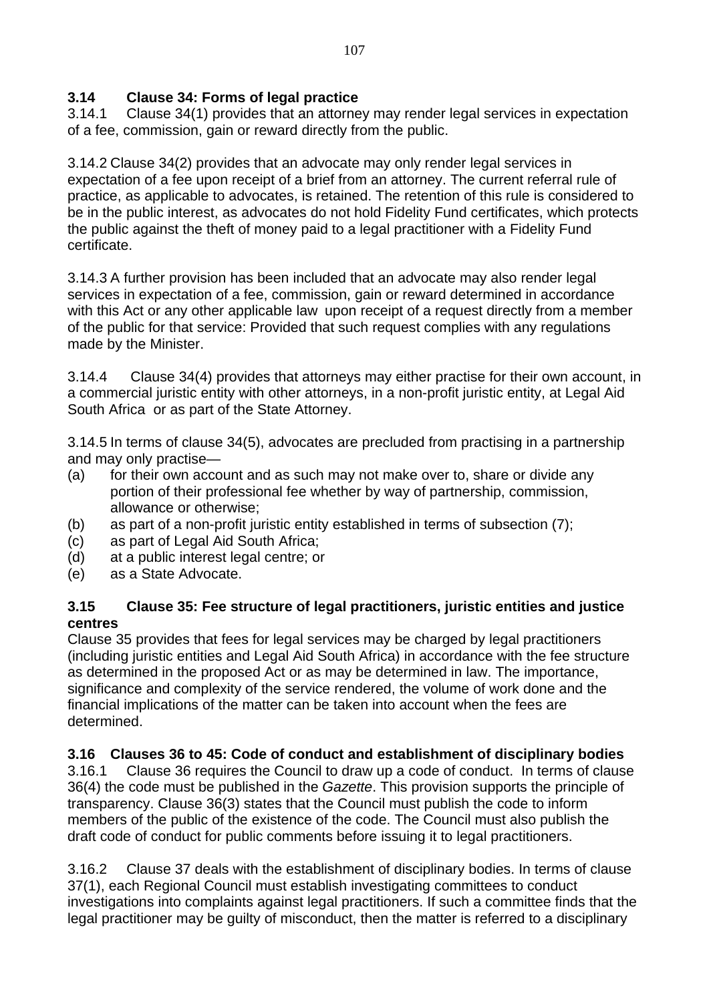# **3.14 Clause 34: Forms of legal practice**

3.14.1 Clause 34(1) provides that an attorney may render legal services in expectation of a fee, commission, gain or reward directly from the public.

3.14.2 Clause 34(2) provides that an advocate may only render legal services in expectation of a fee upon receipt of a brief from an attorney. The current referral rule of practice, as applicable to advocates, is retained. The retention of this rule is considered to be in the public interest, as advocates do not hold Fidelity Fund certificates, which protects the public against the theft of money paid to a legal practitioner with a Fidelity Fund certificate.

3.14.3 A further provision has been included that an advocate may also render legal services in expectation of a fee, commission, gain or reward determined in accordance with this Act or any other applicable law upon receipt of a request directly from a member of the public for that service: Provided that such request complies with any regulations made by the Minister.

3.14.4 Clause 34(4) provides that attorneys may either practise for their own account, in a commercial juristic entity with other attorneys, in a non-profit juristic entity, at Legal Aid South Africa or as part of the State Attorney.

3.14.5 In terms of clause 34(5), advocates are precluded from practising in a partnership and may only practise—

- (a) for their own account and as such may not make over to, share or divide any portion of their professional fee whether by way of partnership, commission, allowance or otherwise;
- (b) as part of a non-profit juristic entity established in terms of subsection (7);
- (c) as part of Legal Aid South Africa;
- (d) at a public interest legal centre; or
- (e) as a State Advocate.

#### **3.15 Clause 35: Fee structure of legal practitioners, juristic entities and justice centres**

Clause 35 provides that fees for legal services may be charged by legal practitioners (including juristic entities and Legal Aid South Africa) in accordance with the fee structure as determined in the proposed Act or as may be determined in law. The importance, significance and complexity of the service rendered, the volume of work done and the financial implications of the matter can be taken into account when the fees are determined.

# **3.16 Clauses 36 to 45: Code of conduct and establishment of disciplinary bodies**

3.16.1 Clause 36 requires the Council to draw up a code of conduct. In terms of clause 36(4) the code must be published in the *Gazette*. This provision supports the principle of transparency. Clause 36(3) states that the Council must publish the code to inform members of the public of the existence of the code. The Council must also publish the draft code of conduct for public comments before issuing it to legal practitioners.

3.16.2 Clause 37 deals with the establishment of disciplinary bodies. In terms of clause 37(1), each Regional Council must establish investigating committees to conduct investigations into complaints against legal practitioners. If such a committee finds that the legal practitioner may be guilty of misconduct, then the matter is referred to a disciplinary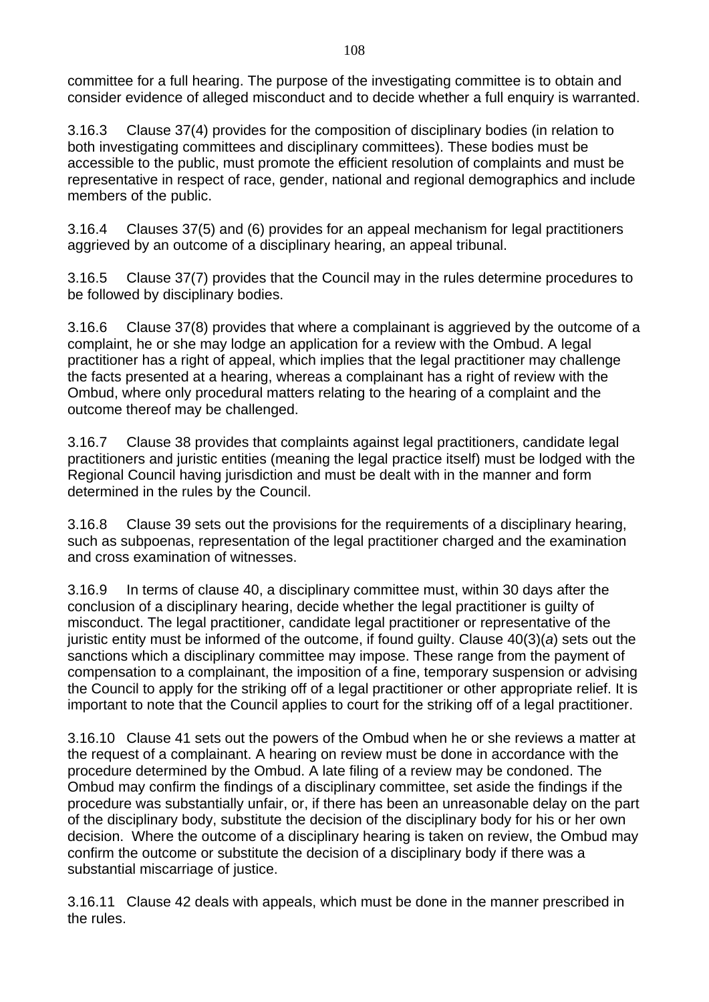committee for a full hearing. The purpose of the investigating committee is to obtain and consider evidence of alleged misconduct and to decide whether a full enquiry is warranted.

3.16.3 Clause 37(4) provides for the composition of disciplinary bodies (in relation to both investigating committees and disciplinary committees). These bodies must be accessible to the public, must promote the efficient resolution of complaints and must be representative in respect of race, gender, national and regional demographics and include members of the public.

3.16.4 Clauses 37(5) and (6) provides for an appeal mechanism for legal practitioners aggrieved by an outcome of a disciplinary hearing, an appeal tribunal.

3.16.5 Clause 37(7) provides that the Council may in the rules determine procedures to be followed by disciplinary bodies.

3.16.6 Clause 37(8) provides that where a complainant is aggrieved by the outcome of a complaint, he or she may lodge an application for a review with the Ombud. A legal practitioner has a right of appeal, which implies that the legal practitioner may challenge the facts presented at a hearing, whereas a complainant has a right of review with the Ombud, where only procedural matters relating to the hearing of a complaint and the outcome thereof may be challenged.

3.16.7 Clause 38 provides that complaints against legal practitioners, candidate legal practitioners and juristic entities (meaning the legal practice itself) must be lodged with the Regional Council having jurisdiction and must be dealt with in the manner and form determined in the rules by the Council.

3.16.8 Clause 39 sets out the provisions for the requirements of a disciplinary hearing, such as subpoenas, representation of the legal practitioner charged and the examination and cross examination of witnesses.

3.16.9 In terms of clause 40, a disciplinary committee must, within 30 days after the conclusion of a disciplinary hearing, decide whether the legal practitioner is guilty of misconduct. The legal practitioner, candidate legal practitioner or representative of the juristic entity must be informed of the outcome, if found guilty. Clause 40(3)(*a*) sets out the sanctions which a disciplinary committee may impose. These range from the payment of compensation to a complainant, the imposition of a fine, temporary suspension or advising the Council to apply for the striking off of a legal practitioner or other appropriate relief. It is important to note that the Council applies to court for the striking off of a legal practitioner.

3.16.10 Clause 41 sets out the powers of the Ombud when he or she reviews a matter at the request of a complainant. A hearing on review must be done in accordance with the procedure determined by the Ombud. A late filing of a review may be condoned. The Ombud may confirm the findings of a disciplinary committee, set aside the findings if the procedure was substantially unfair, or, if there has been an unreasonable delay on the part of the disciplinary body, substitute the decision of the disciplinary body for his or her own decision. Where the outcome of a disciplinary hearing is taken on review, the Ombud may confirm the outcome or substitute the decision of a disciplinary body if there was a substantial miscarriage of justice.

3.16.11 Clause 42 deals with appeals, which must be done in the manner prescribed in the rules.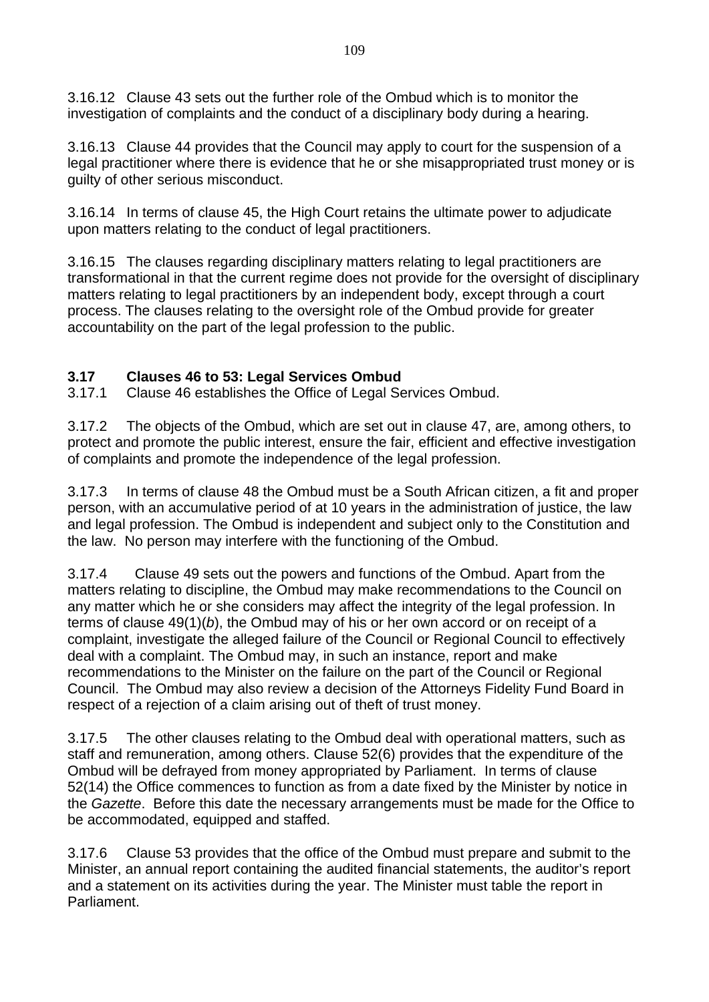3.16.12 Clause 43 sets out the further role of the Ombud which is to monitor the investigation of complaints and the conduct of a disciplinary body during a hearing.

3.16.13 Clause 44 provides that the Council may apply to court for the suspension of a legal practitioner where there is evidence that he or she misappropriated trust money or is guilty of other serious misconduct.

3.16.14 In terms of clause 45, the High Court retains the ultimate power to adjudicate upon matters relating to the conduct of legal practitioners.

3.16.15 The clauses regarding disciplinary matters relating to legal practitioners are transformational in that the current regime does not provide for the oversight of disciplinary matters relating to legal practitioners by an independent body, except through a court process. The clauses relating to the oversight role of the Ombud provide for greater accountability on the part of the legal profession to the public.

### **3.17 Clauses 46 to 53: Legal Services Ombud**

3.17.1 Clause 46 establishes the Office of Legal Services Ombud.

3.17.2 The objects of the Ombud, which are set out in clause 47, are, among others, to protect and promote the public interest, ensure the fair, efficient and effective investigation of complaints and promote the independence of the legal profession.

3.17.3 In terms of clause 48 the Ombud must be a South African citizen, a fit and proper person, with an accumulative period of at 10 years in the administration of justice, the law and legal profession. The Ombud is independent and subject only to the Constitution and the law. No person may interfere with the functioning of the Ombud.

3.17.4 Clause 49 sets out the powers and functions of the Ombud. Apart from the matters relating to discipline, the Ombud may make recommendations to the Council on any matter which he or she considers may affect the integrity of the legal profession. In terms of clause 49(1)(*b*), the Ombud may of his or her own accord or on receipt of a complaint, investigate the alleged failure of the Council or Regional Council to effectively deal with a complaint. The Ombud may, in such an instance, report and make recommendations to the Minister on the failure on the part of the Council or Regional Council. The Ombud may also review a decision of the Attorneys Fidelity Fund Board in respect of a rejection of a claim arising out of theft of trust money.

3.17.5 The other clauses relating to the Ombud deal with operational matters, such as staff and remuneration, among others. Clause 52(6) provides that the expenditure of the Ombud will be defrayed from money appropriated by Parliament. In terms of clause 52(14) the Office commences to function as from a date fixed by the Minister by notice in the *Gazette*. Before this date the necessary arrangements must be made for the Office to be accommodated, equipped and staffed.

3.17.6 Clause 53 provides that the office of the Ombud must prepare and submit to the Minister, an annual report containing the audited financial statements, the auditor's report and a statement on its activities during the year. The Minister must table the report in Parliament.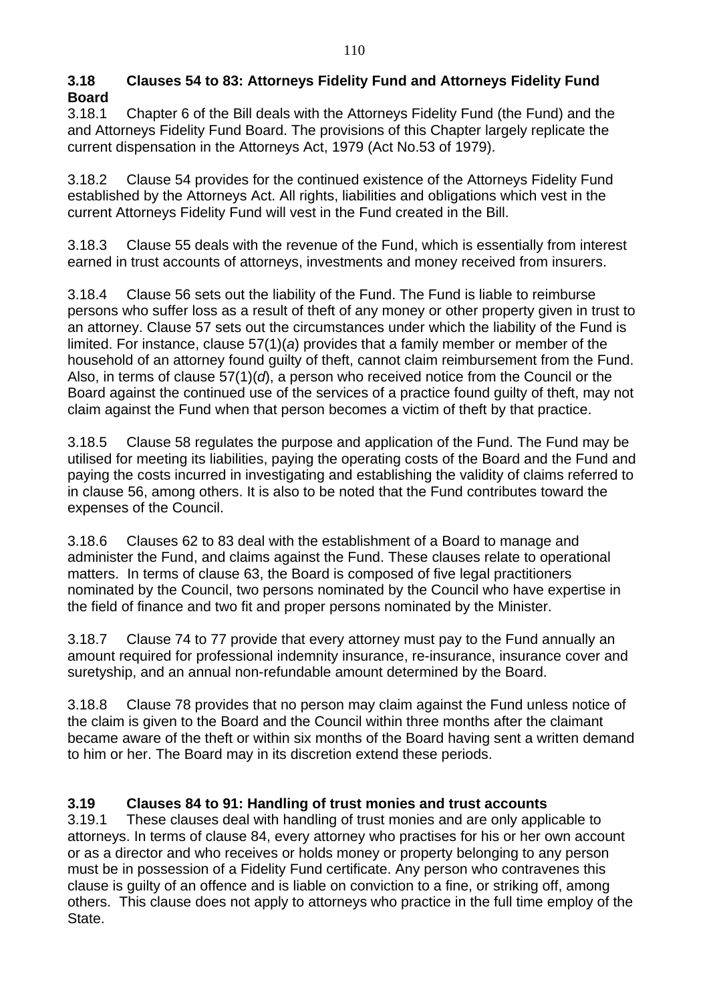#### **3.18 Clauses 54 to 83: Attorneys Fidelity Fund and Attorneys Fidelity Fund Board**

3.18.1 Chapter 6 of the Bill deals with the Attorneys Fidelity Fund (the Fund) and the and Attorneys Fidelity Fund Board. The provisions of this Chapter largely replicate the current dispensation in the Attorneys Act, 1979 (Act No.53 of 1979).

3.18.2 Clause 54 provides for the continued existence of the Attorneys Fidelity Fund established by the Attorneys Act. All rights, liabilities and obligations which vest in the current Attorneys Fidelity Fund will vest in the Fund created in the Bill.

3.18.3 Clause 55 deals with the revenue of the Fund, which is essentially from interest earned in trust accounts of attorneys, investments and money received from insurers.

3.18.4 Clause 56 sets out the liability of the Fund. The Fund is liable to reimburse persons who suffer loss as a result of theft of any money or other property given in trust to an attorney. Clause 57 sets out the circumstances under which the liability of the Fund is limited. For instance, clause 57(1)(*a*) provides that a family member or member of the household of an attorney found guilty of theft, cannot claim reimbursement from the Fund. Also, in terms of clause 57(1)(*d*), a person who received notice from the Council or the Board against the continued use of the services of a practice found guilty of theft, may not claim against the Fund when that person becomes a victim of theft by that practice.

3.18.5 Clause 58 regulates the purpose and application of the Fund. The Fund may be utilised for meeting its liabilities, paying the operating costs of the Board and the Fund and paying the costs incurred in investigating and establishing the validity of claims referred to in clause 56, among others. It is also to be noted that the Fund contributes toward the expenses of the Council.

3.18.6 Clauses 62 to 83 deal with the establishment of a Board to manage and administer the Fund, and claims against the Fund. These clauses relate to operational matters. In terms of clause 63, the Board is composed of five legal practitioners nominated by the Council, two persons nominated by the Council who have expertise in the field of finance and two fit and proper persons nominated by the Minister.

3.18.7 Clause 74 to 77 provide that every attorney must pay to the Fund annually an amount required for professional indemnity insurance, re-insurance, insurance cover and suretyship, and an annual non-refundable amount determined by the Board.

3.18.8 Clause 78 provides that no person may claim against the Fund unless notice of the claim is given to the Board and the Council within three months after the claimant became aware of the theft or within six months of the Board having sent a written demand to him or her. The Board may in its discretion extend these periods.

# **3.19 Clauses 84 to 91: Handling of trust monies and trust accounts**

3.19.1 These clauses deal with handling of trust monies and are only applicable to attorneys. In terms of clause 84, every attorney who practises for his or her own account or as a director and who receives or holds money or property belonging to any person must be in possession of a Fidelity Fund certificate. Any person who contravenes this clause is guilty of an offence and is liable on conviction to a fine, or striking off, among others. This clause does not apply to attorneys who practice in the full time employ of the State.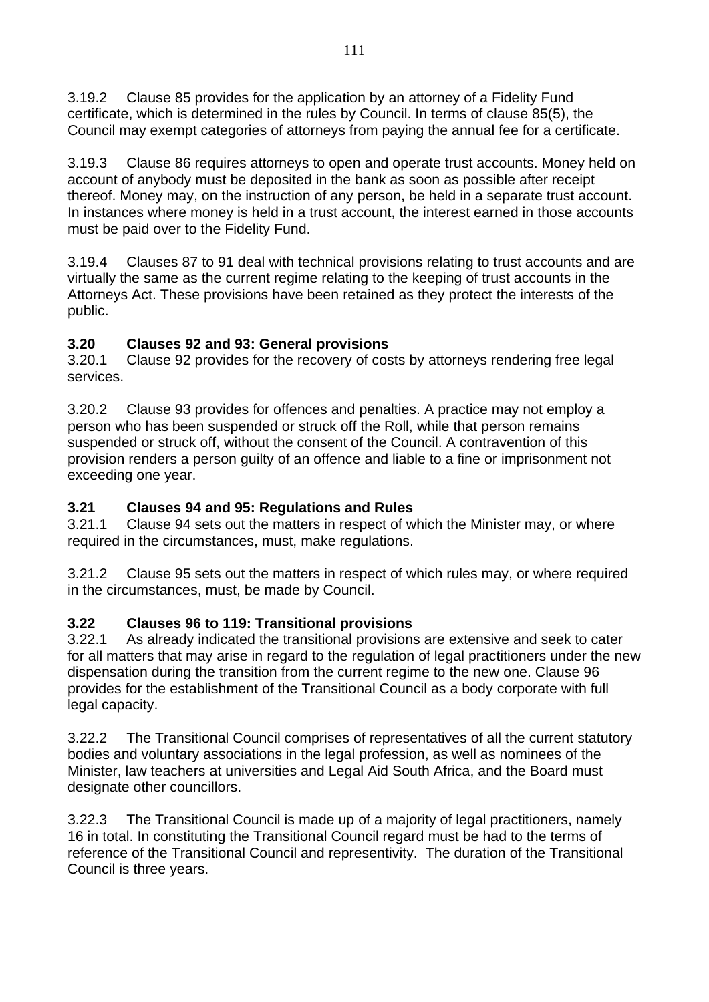3.19.2 Clause 85 provides for the application by an attorney of a Fidelity Fund certificate, which is determined in the rules by Council. In terms of clause 85(5), the Council may exempt categories of attorneys from paying the annual fee for a certificate.

3.19.3 Clause 86 requires attorneys to open and operate trust accounts. Money held on account of anybody must be deposited in the bank as soon as possible after receipt thereof. Money may, on the instruction of any person, be held in a separate trust account. In instances where money is held in a trust account, the interest earned in those accounts must be paid over to the Fidelity Fund.

3.19.4 Clauses 87 to 91 deal with technical provisions relating to trust accounts and are virtually the same as the current regime relating to the keeping of trust accounts in the Attorneys Act. These provisions have been retained as they protect the interests of the public.

### **3.20 Clauses 92 and 93: General provisions**

3.20.1 Clause 92 provides for the recovery of costs by attorneys rendering free legal services.

3.20.2 Clause 93 provides for offences and penalties. A practice may not employ a person who has been suspended or struck off the Roll, while that person remains suspended or struck off, without the consent of the Council. A contravention of this provision renders a person guilty of an offence and liable to a fine or imprisonment not exceeding one year.

### **3.21 Clauses 94 and 95: Regulations and Rules**

3.21.1 Clause 94 sets out the matters in respect of which the Minister may, or where required in the circumstances, must, make regulations.

3.21.2 Clause 95 sets out the matters in respect of which rules may, or where required in the circumstances, must, be made by Council.

# **3.22 Clauses 96 to 119: Transitional provisions**

3.22.1 As already indicated the transitional provisions are extensive and seek to cater for all matters that may arise in regard to the regulation of legal practitioners under the new dispensation during the transition from the current regime to the new one. Clause 96 provides for the establishment of the Transitional Council as a body corporate with full legal capacity.

3.22.2 The Transitional Council comprises of representatives of all the current statutory bodies and voluntary associations in the legal profession, as well as nominees of the Minister, law teachers at universities and Legal Aid South Africa, and the Board must designate other councillors.

3.22.3 The Transitional Council is made up of a majority of legal practitioners, namely 16 in total. In constituting the Transitional Council regard must be had to the terms of reference of the Transitional Council and representivity. The duration of the Transitional Council is three years.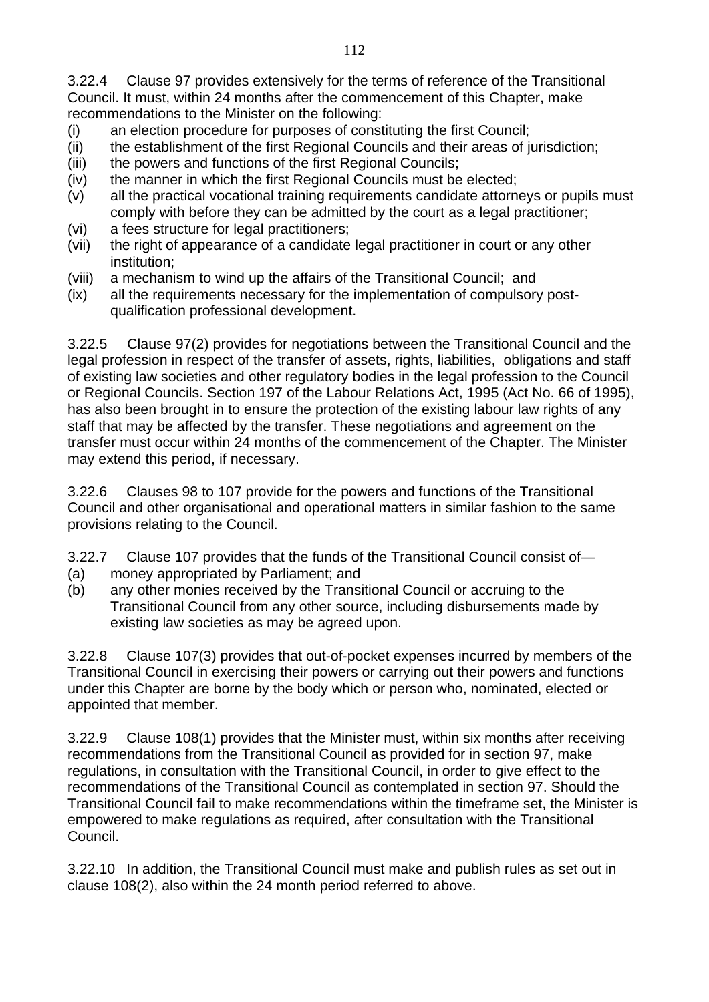3.22.4 Clause 97 provides extensively for the terms of reference of the Transitional Council. It must, within 24 months after the commencement of this Chapter, make recommendations to the Minister on the following:

- (i) an election procedure for purposes of constituting the first Council;
- (ii) the establishment of the first Regional Councils and their areas of jurisdiction;
- (iii) the powers and functions of the first Regional Councils;
- (iv) the manner in which the first Regional Councils must be elected;
- (v) all the practical vocational training requirements candidate attorneys or pupils must comply with before they can be admitted by the court as a legal practitioner;
- (vi) a fees structure for legal practitioners;
- (vii) the right of appearance of a candidate legal practitioner in court or any other institution;
- (viii) a mechanism to wind up the affairs of the Transitional Council; and
- (ix) all the requirements necessary for the implementation of compulsory postqualification professional development.

3.22.5 Clause 97(2) provides for negotiations between the Transitional Council and the legal profession in respect of the transfer of assets, rights, liabilities, obligations and staff of existing law societies and other regulatory bodies in the legal profession to the Council or Regional Councils. Section 197 of the Labour Relations Act, 1995 (Act No. 66 of 1995), has also been brought in to ensure the protection of the existing labour law rights of any staff that may be affected by the transfer. These negotiations and agreement on the transfer must occur within 24 months of the commencement of the Chapter. The Minister may extend this period, if necessary.

3.22.6 Clauses 98 to 107 provide for the powers and functions of the Transitional Council and other organisational and operational matters in similar fashion to the same provisions relating to the Council.

3.22.7 Clause 107 provides that the funds of the Transitional Council consist of—

- (a) money appropriated by Parliament; and
- (b) any other monies received by the Transitional Council or accruing to the Transitional Council from any other source, including disbursements made by existing law societies as may be agreed upon.

3.22.8 Clause 107(3) provides that out-of-pocket expenses incurred by members of the Transitional Council in exercising their powers or carrying out their powers and functions under this Chapter are borne by the body which or person who, nominated, elected or appointed that member.

3.22.9 Clause 108(1) provides that the Minister must, within six months after receiving recommendations from the Transitional Council as provided for in section 97, make regulations, in consultation with the Transitional Council, in order to give effect to the recommendations of the Transitional Council as contemplated in section 97. Should the Transitional Council fail to make recommendations within the timeframe set, the Minister is empowered to make regulations as required, after consultation with the Transitional Council.

3.22.10 In addition, the Transitional Council must make and publish rules as set out in clause 108(2), also within the 24 month period referred to above.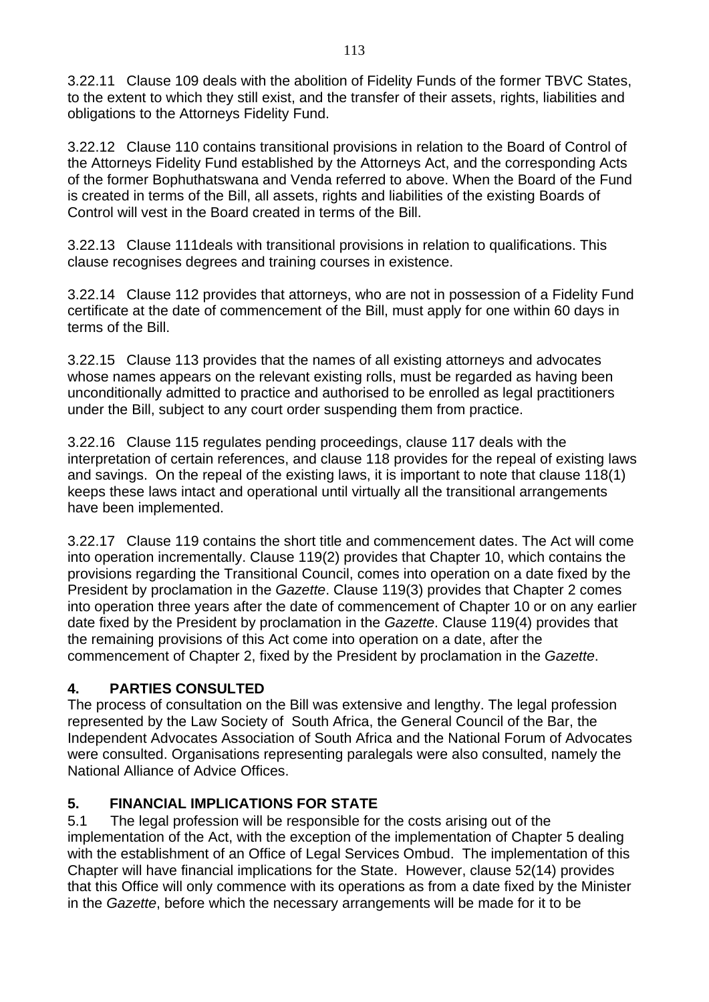3.22.11 Clause 109 deals with the abolition of Fidelity Funds of the former TBVC States, to the extent to which they still exist, and the transfer of their assets, rights, liabilities and obligations to the Attorneys Fidelity Fund.

3.22.12 Clause 110 contains transitional provisions in relation to the Board of Control of the Attorneys Fidelity Fund established by the Attorneys Act, and the corresponding Acts of the former Bophuthatswana and Venda referred to above. When the Board of the Fund is created in terms of the Bill, all assets, rights and liabilities of the existing Boards of Control will vest in the Board created in terms of the Bill.

3.22.13 Clause 111deals with transitional provisions in relation to qualifications. This clause recognises degrees and training courses in existence.

3.22.14 Clause 112 provides that attorneys, who are not in possession of a Fidelity Fund certificate at the date of commencement of the Bill, must apply for one within 60 days in terms of the Bill.

3.22.15 Clause 113 provides that the names of all existing attorneys and advocates whose names appears on the relevant existing rolls, must be regarded as having been unconditionally admitted to practice and authorised to be enrolled as legal practitioners under the Bill, subject to any court order suspending them from practice.

3.22.16 Clause 115 regulates pending proceedings, clause 117 deals with the interpretation of certain references, and clause 118 provides for the repeal of existing laws and savings. On the repeal of the existing laws, it is important to note that clause 118(1) keeps these laws intact and operational until virtually all the transitional arrangements have been implemented.

3.22.17 Clause 119 contains the short title and commencement dates. The Act will come into operation incrementally. Clause 119(2) provides that Chapter 10, which contains the provisions regarding the Transitional Council, comes into operation on a date fixed by the President by proclamation in the *Gazette*. Clause 119(3) provides that Chapter 2 comes into operation three years after the date of commencement of Chapter 10 or on any earlier date fixed by the President by proclamation in the *Gazette*. Clause 119(4) provides that the remaining provisions of this Act come into operation on a date, after the commencement of Chapter 2, fixed by the President by proclamation in the *Gazette*.

# **4. PARTIES CONSULTED**

The process of consultation on the Bill was extensive and lengthy. The legal profession represented by the Law Society of South Africa, the General Council of the Bar, the Independent Advocates Association of South Africa and the National Forum of Advocates were consulted. Organisations representing paralegals were also consulted, namely the National Alliance of Advice Offices.

#### **5. FINANCIAL IMPLICATIONS FOR STATE**

5.1 The legal profession will be responsible for the costs arising out of the implementation of the Act, with the exception of the implementation of Chapter 5 dealing with the establishment of an Office of Legal Services Ombud. The implementation of this Chapter will have financial implications for the State. However, clause 52(14) provides that this Office will only commence with its operations as from a date fixed by the Minister in the *Gazette*, before which the necessary arrangements will be made for it to be